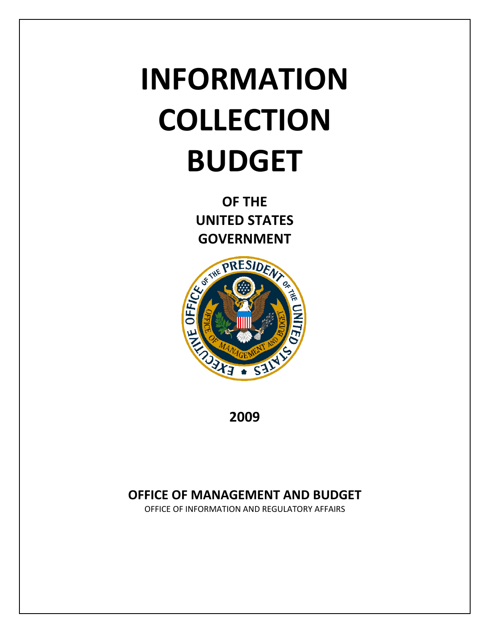# **INFORMATION COLLECTION BUDGET**

**OF THE UNITED STATES GOVERNMENT** 



**2009**

# **OFFICE OF MANAGEMENT AND BUDGET**

OFFICE OF INFORMATION AND REGULATORY AFFAIRS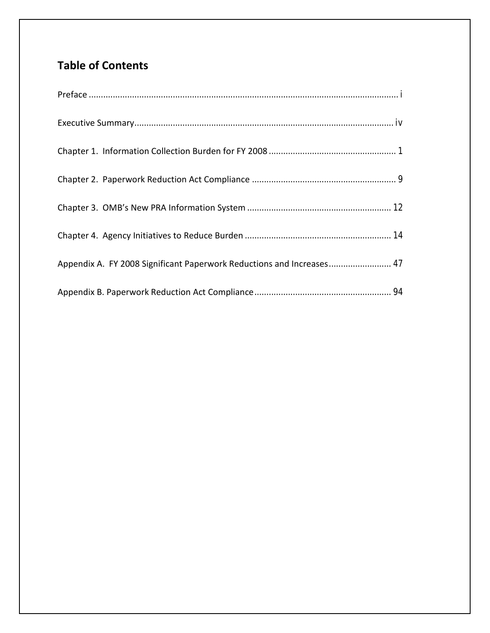# **Table of Contents**

| Appendix A. FY 2008 Significant Paperwork Reductions and Increases 47 |
|-----------------------------------------------------------------------|
|                                                                       |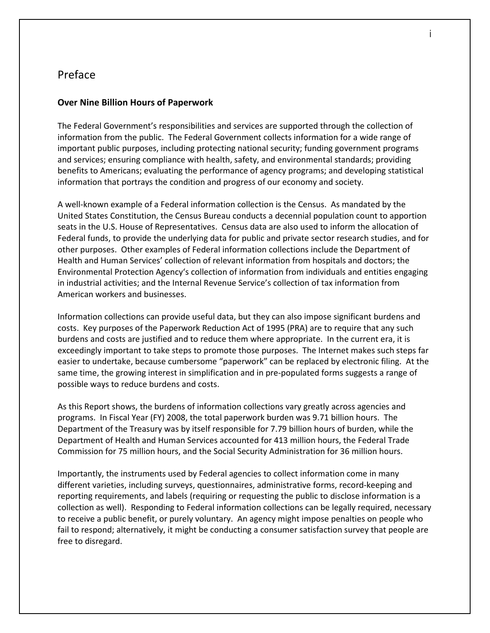## <span id="page-2-0"></span>Preface

#### **Over Nine Billion Hours of Paperwork**

The Federal Government's responsibilities and services are supported through the collection of information from the public. The Federal Government collects information for a wide range of important public purposes, including protecting national security; funding government programs and services; ensuring compliance with health, safety, and environmental standards; providing benefits to Americans; evaluating the performance of agency programs; and developing statistical information that portrays the condition and progress of our economy and society.

A well-known example of a Federal information collection is the Census. As mandated by the United States Constitution, the Census Bureau conducts a decennial population count to apportion seats in the U.S. House of Representatives. Census data are also used to inform the allocation of Federal funds, to provide the underlying data for public and private sector research studies, and for other purposes. Other examples of Federal information collections include the Department of Health and Human Services' collection of relevant information from hospitals and doctors; the Environmental Protection Agency's collection of information from individuals and entities engaging in industrial activities; and the Internal Revenue Service's collection of tax information from American workers and businesses.

Information collections can provide useful data, but they can also impose significant burdens and costs. Key purposes of the Paperwork Reduction Act of 1995 (PRA) are to require that any such burdens and costs are justified and to reduce them where appropriate. In the current era, it is exceedingly important to take steps to promote those purposes. The Internet makes such steps far easier to undertake, because cumbersome "paperwork" can be replaced by electronic filing. At the same time, the growing interest in simplification and in pre-populated forms suggests a range of possible ways to reduce burdens and costs.

As this Report shows, the burdens of information collections vary greatly across agencies and programs. In Fiscal Year (FY) 2008, the total paperwork burden was 9.71 billion hours. The Department of the Treasury was by itself responsible for 7.79 billion hours of burden, while the Department of Health and Human Services accounted for 413 million hours, the Federal Trade Commission for 75 million hours, and the Social Security Administration for 36 million hours.

Importantly, the instruments used by Federal agencies to collect information come in many different varieties, including surveys, questionnaires, administrative forms, record-keeping and reporting requirements, and labels (requiring or requesting the public to disclose information is a collection as well). Responding to Federal information collections can be legally required, necessary to receive a public benefit, or purely voluntary. An agency might impose penalties on people who fail to respond; alternatively, it might be conducting a consumer satisfaction survey that people are free to disregard.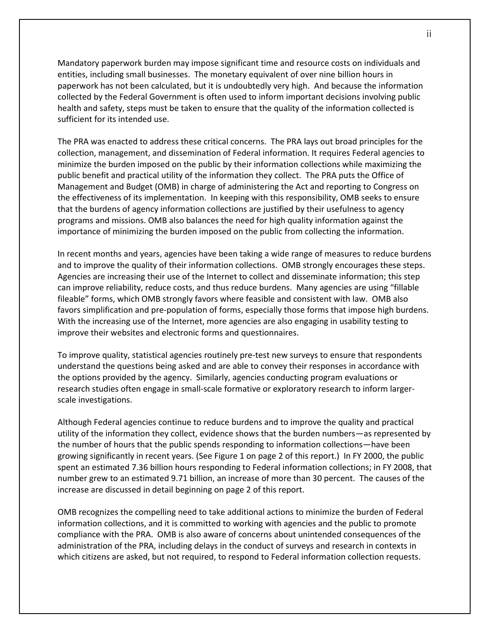Mandatory paperwork burden may impose significant time and resource costs on individuals and entities, including small businesses. The monetary equivalent of over nine billion hours in paperwork has not been calculated, but it is undoubtedly very high. And because the information collected by the Federal Government is often used to inform important decisions involving public health and safety, steps must be taken to ensure that the quality of the information collected is sufficient for its intended use.

The PRA was enacted to address these critical concerns. The PRA lays out broad principles for the collection, management, and dissemination of Federal information. It requires Federal agencies to minimize the burden imposed on the public by their information collections while maximizing the public benefit and practical utility of the information they collect. The PRA puts the Office of Management and Budget (OMB) in charge of administering the Act and reporting to Congress on the effectiveness of its implementation. In keeping with this responsibility, OMB seeks to ensure that the burdens of agency information collections are justified by their usefulness to agency programs and missions. OMB also balances the need for high quality information against the importance of minimizing the burden imposed on the public from collecting the information.

In recent months and years, agencies have been taking a wide range of measures to reduce burdens and to improve the quality of their information collections. OMB strongly encourages these steps. Agencies are increasing their use of the Internet to collect and disseminate information; this step can improve reliability, reduce costs, and thus reduce burdens. Many agencies are using "fillable fileable" forms, which OMB strongly favors where feasible and consistent with law. OMB also favors simplification and pre-population of forms, especially those forms that impose high burdens. With the increasing use of the Internet, more agencies are also engaging in usability testing to improve their websites and electronic forms and questionnaires.

To improve quality, statistical agencies routinely pre-test new surveys to ensure that respondents understand the questions being asked and are able to convey their responses in accordance with the options provided by the agency. Similarly, agencies conducting program evaluations or research studies often engage in small-scale formative or exploratory research to inform largerscale investigations.

Although Federal agencies continue to reduce burdens and to improve the quality and practical utility of the information they collect, evidence shows that the burden numbers—as represented by the number of hours that the public spends responding to information collections—have been growing significantly in recent years. (See Figure 1 on page 2 of this report.) In FY 2000, the public spent an estimated 7.36 billion hours responding to Federal information collections; in FY 2008, that number grew to an estimated 9.71 billion, an increase of more than 30 percent. The causes of the increase are discussed in detail beginning on page 2 of this report.

OMB recognizes the compelling need to take additional actions to minimize the burden of Federal information collections, and it is committed to working with agencies and the public to promote compliance with the PRA. OMB is also aware of concerns about unintended consequences of the administration of the PRA, including delays in the conduct of surveys and research in contexts in which citizens are asked, but not required, to respond to Federal information collection requests.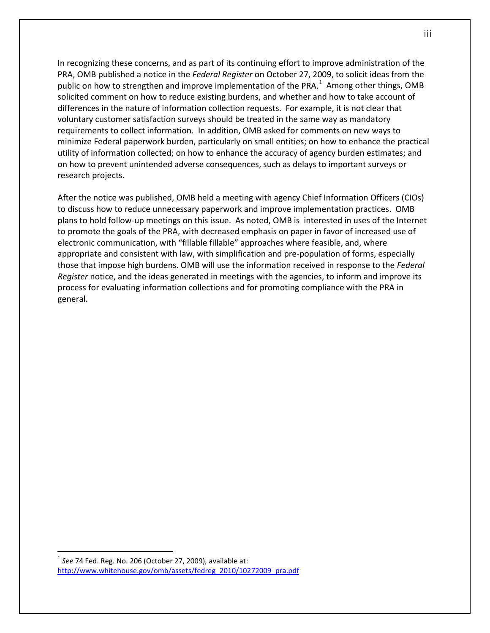In recognizing these concerns, and as part of its continuing effort to improve administration of the PRA, OMB published a notice in the *Federal Register* on October 27, 2009, to solicit ideas from the public on how to strengthen and improve implementation of the PRA.<sup>[1](#page-4-0)</sup> Among other things, OMB solicited comment on how to reduce existing burdens, and whether and how to take account of differences in the nature of information collection requests. For example, it is not clear that voluntary customer satisfaction surveys should be treated in the same way as mandatory requirements to collect information. In addition, OMB asked for comments on new ways to minimize Federal paperwork burden, particularly on small entities; on how to enhance the practical utility of information collected; on how to enhance the accuracy of agency burden estimates; and on how to prevent unintended adverse consequences, such as delays to important surveys or research projects.

After the notice was published, OMB held a meeting with agency Chief Information Officers (CIOs) to discuss how to reduce unnecessary paperwork and improve implementation practices. OMB plans to hold follow-up meetings on this issue. As noted, OMB is interested in uses of the Internet to promote the goals of the PRA, with decreased emphasis on paper in favor of increased use of electronic communication, with "fillable fillable" approaches where feasible, and, where appropriate and consistent with law, with simplification and pre-population of forms, especially those that impose high burdens. OMB will use the information received in response to the *Federal Register* notice, and the ideas generated in meetings with the agencies, to inform and improve its process for evaluating information collections and for promoting compliance with the PRA in general.

 $\overline{a}$ 

<span id="page-4-0"></span><sup>1</sup> *See* 74 Fed. Reg. No. 206 (October 27, 2009), available at: [http://www.whitehouse.gov/omb/assets/fedreg\\_2010/10272009\\_pra.pdf](http://www.whitehouse.gov/omb/assets/fedreg_2010/10272009_pra.pdf)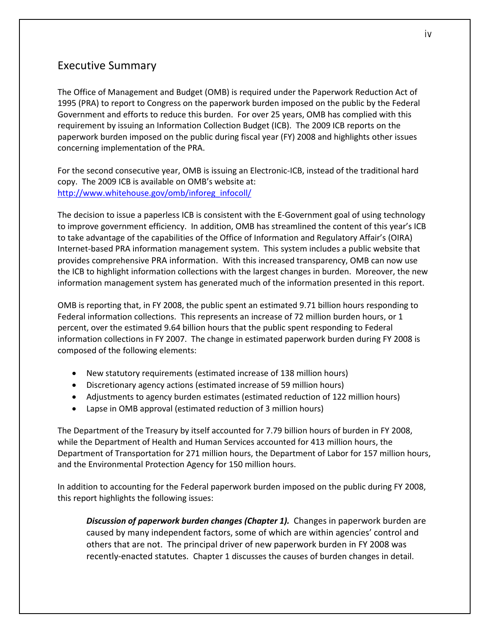## <span id="page-5-0"></span>Executive Summary

The Office of Management and Budget (OMB) is required under the Paperwork Reduction Act of 1995 (PRA) to report to Congress on the paperwork burden imposed on the public by the Federal Government and efforts to reduce this burden. For over 25 years, OMB has complied with this requirement by issuing an Information Collection Budget (ICB). The 2009 ICB reports on the paperwork burden imposed on the public during fiscal year (FY) 2008 and highlights other issues concerning implementation of the PRA.

For the second consecutive year, OMB is issuing an Electronic-ICB, instead of the traditional hard copy. The 2009 ICB is available on OMB's website at: [http://www.whitehouse.gov/omb/inforeg\\_infocoll/](http://www.whitehouse.gov/omb/inforeg_infocoll/)

The decision to issue a paperless ICB is consistent with the E-Government goal of using technology to improve government efficiency. In addition, OMB has streamlined the content of this year's ICB to take advantage of the capabilities of the Office of Information and Regulatory Affair's (OIRA) Internet-based PRA information management system. This system includes a public website that provides comprehensive PRA information. With this increased transparency, OMB can now use the ICB to highlight information collections with the largest changes in burden. Moreover, the new information management system has generated much of the information presented in this report.

OMB is reporting that, in FY 2008, the public spent an estimated 9.71 billion hours responding to Federal information collections. This represents an increase of 72 million burden hours, or 1 percent, over the estimated 9.64 billion hours that the public spent responding to Federal information collections in FY 2007. The change in estimated paperwork burden during FY 2008 is composed of the following elements:

- New statutory requirements (estimated increase of 138 million hours)
- Discretionary agency actions (estimated increase of 59 million hours)
- Adjustments to agency burden estimates (estimated reduction of 122 million hours)
- Lapse in OMB approval (estimated reduction of 3 million hours)

The Department of the Treasury by itself accounted for 7.79 billion hours of burden in FY 2008, while the Department of Health and Human Services accounted for 413 million hours, the Department of Transportation for 271 million hours, the Department of Labor for 157 million hours, and the Environmental Protection Agency for 150 million hours.

In addition to accounting for the Federal paperwork burden imposed on the public during FY 2008, this report highlights the following issues:

*Discussion of paperwork burden changes (Chapter 1).* Changes in paperwork burden are caused by many independent factors, some of which are within agencies' control and others that are not. The principal driver of new paperwork burden in FY 2008 was recently-enacted statutes. Chapter 1 discusses the causes of burden changes in detail.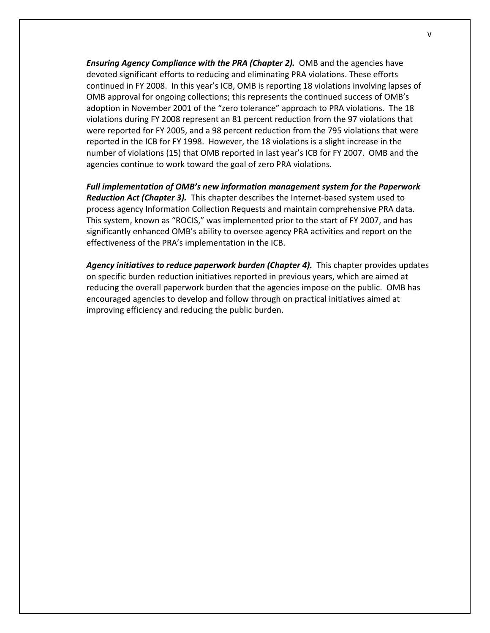*Ensuring Agency Compliance with the PRA (Chapter 2).* OMB and the agencies have devoted significant efforts to reducing and eliminating PRA violations. These efforts continued in FY 2008. In this year's ICB, OMB is reporting 18 violations involving lapses of OMB approval for ongoing collections; this represents the continued success of OMB's adoption in November 2001 of the "zero tolerance" approach to PRA violations. The 18 violations during FY 2008 represent an 81 percent reduction from the 97 violations that were reported for FY 2005, and a 98 percent reduction from the 795 violations that were reported in the ICB for FY 1998. However, the 18 violations is a slight increase in the number of violations (15) that OMB reported in last year's ICB for FY 2007. OMB and the agencies continue to work toward the goal of zero PRA violations.

*Full implementation of OMB's new information management system for the Paperwork Reduction Act (Chapter 3).* This chapter describes the Internet-based system used to process agency Information Collection Requests and maintain comprehensive PRA data. This system, known as "ROCIS," was implemented prior to the start of FY 2007, and has significantly enhanced OMB's ability to oversee agency PRA activities and report on the effectiveness of the PRA's implementation in the ICB.

*Agency initiatives to reduce paperwork burden (Chapter 4).* This chapter provides updates on specific burden reduction initiatives reported in previous years, which are aimed at reducing the overall paperwork burden that the agencies impose on the public. OMB has encouraged agencies to develop and follow through on practical initiatives aimed at improving efficiency and reducing the public burden.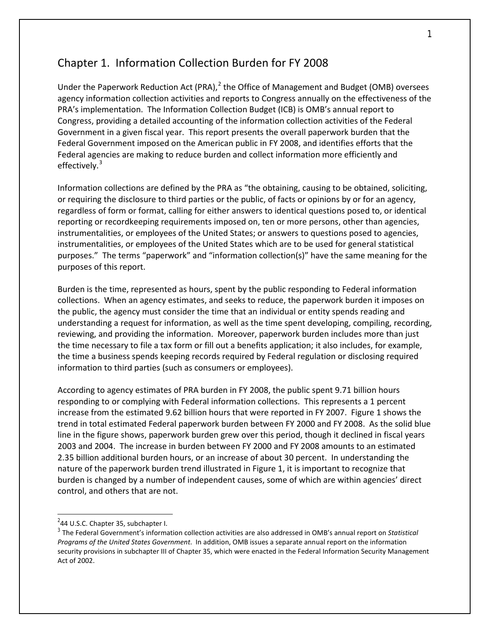## <span id="page-7-0"></span>Chapter 1. Information Collection Burden for FY 2008

Under the Paperwork Reduction Act (PRA), $^2$  $^2$  the Office of Management and Budget (OMB) oversees agency information collection activities and reports to Congress annually on the effectiveness of the PRA's implementation. The Information Collection Budget (ICB) is OMB's annual report to Congress, providing a detailed accounting of the information collection activities of the Federal Government in a given fiscal year. This report presents the overall paperwork burden that the Federal Government imposed on the American public in FY 2008, and identifies efforts that the Federal agencies are making to reduce burden and collect information more efficiently and effectively.<sup>[3](#page-7-2)</sup>

Information collections are defined by the PRA as "the obtaining, causing to be obtained, soliciting, or requiring the disclosure to third parties or the public, of facts or opinions by or for an agency, regardless of form or format, calling for either answers to identical questions posed to, or identical reporting or recordkeeping requirements imposed on, ten or more persons, other than agencies, instrumentalities, or employees of the United States; or answers to questions posed to agencies, instrumentalities, or employees of the United States which are to be used for general statistical purposes." The terms "paperwork" and "information collection(s)" have the same meaning for the purposes of this report.

Burden is the time, represented as hours, spent by the public responding to Federal information collections. When an agency estimates, and seeks to reduce, the paperwork burden it imposes on the public, the agency must consider the time that an individual or entity spends reading and understanding a request for information, as well as the time spent developing, compiling, recording, reviewing, and providing the information. Moreover, paperwork burden includes more than just the time necessary to file a tax form or fill out a benefits application; it also includes, for example, the time a business spends keeping records required by Federal regulation or disclosing required information to third parties (such as consumers or employees).

According to agency estimates of PRA burden in FY 2008, the public spent 9.71 billion hours responding to or complying with Federal information collections. This represents a 1 percent increase from the estimated 9.62 billion hours that were reported in FY 2007. Figure 1 shows the trend in total estimated Federal paperwork burden between FY 2000 and FY 2008. As the solid blue line in the figure shows, paperwork burden grew over this period, though it declined in fiscal years 2003 and 2004. The increase in burden between FY 2000 and FY 2008 amounts to an estimated 2.35 billion additional burden hours, or an increase of about 30 percent. In understanding the nature of the paperwork burden trend illustrated in Figure 1, it is important to recognize that burden is changed by a number of independent causes, some of which are within agencies' direct control, and others that are not.

 $\overline{a}$ 

<span id="page-7-1"></span> $2$ 44 U.S.C. Chapter 35, subchapter I.

<span id="page-7-2"></span><sup>3</sup> The Federal Government's information collection activities are also addressed in OMB's annual report on *Statistical Programs of the United States Government*. In addition, OMB issues a separate annual report on the information security provisions in subchapter III of Chapter 35, which were enacted in the Federal Information Security Management Act of 2002.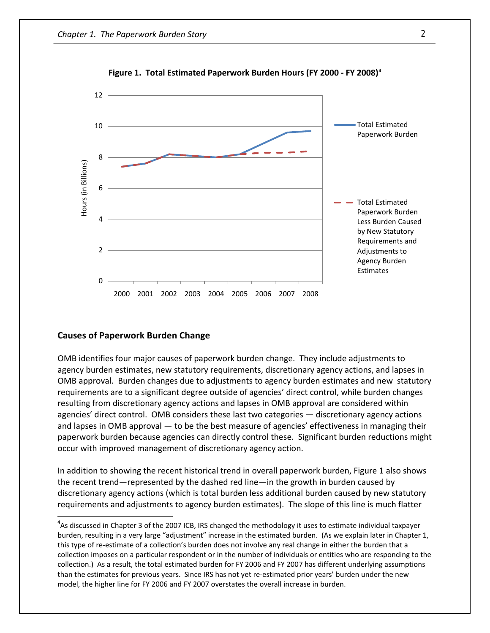

**Figure 1. Total Estimated Paperwork Burden Hours (FY 2000 - FY 2008[\)4](#page-8-0)**

#### **Causes of Paperwork Burden Change**

 $\overline{a}$ 

OMB identifies four major causes of paperwork burden change. They include adjustments to agency burden estimates, new statutory requirements, discretionary agency actions, and lapses in OMB approval. Burden changes due to adjustments to agency burden estimates and new statutory requirements are to a significant degree outside of agencies' direct control, while burden changes resulting from discretionary agency actions and lapses in OMB approval are considered within agencies' direct control. OMB considers these last two categories — discretionary agency actions and lapses in OMB approval — to be the best measure of agencies' effectiveness in managing their paperwork burden because agencies can directly control these. Significant burden reductions might occur with improved management of discretionary agency action.

In addition to showing the recent historical trend in overall paperwork burden, Figure 1 also shows the recent trend—represented by the dashed red line—in the growth in burden caused by discretionary agency actions (which is total burden less additional burden caused by new statutory requirements and adjustments to agency burden estimates). The slope of this line is much flatter

<span id="page-8-0"></span> $4$ As discussed in Chapter 3 of the 2007 ICB, IRS changed the methodology it uses to estimate individual taxpayer burden, resulting in a very large "adjustment" increase in the estimated burden. (As we explain later in Chapter 1, this type of re-estimate of a collection's burden does not involve any real change in either the burden that a collection imposes on a particular respondent or in the number of individuals or entities who are responding to the collection.) As a result, the total estimated burden for FY 2006 and FY 2007 has different underlying assumptions than the estimates for previous years. Since IRS has not yet re-estimated prior years' burden under the new model, the higher line for FY 2006 and FY 2007 overstates the overall increase in burden.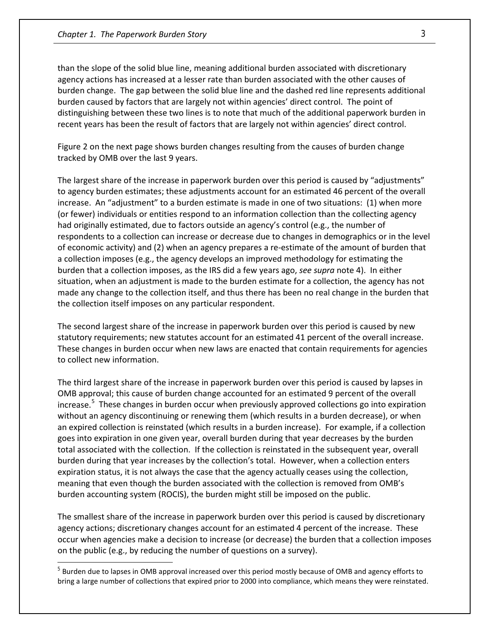$\overline{a}$ 

than the slope of the solid blue line, meaning additional burden associated with discretionary agency actions has increased at a lesser rate than burden associated with the other causes of burden change. The gap between the solid blue line and the dashed red line represents additional burden caused by factors that are largely not within agencies' direct control. The point of distinguishing between these two lines is to note that much of the additional paperwork burden in recent years has been the result of factors that are largely not within agencies' direct control.

Figure 2 on the next page shows burden changes resulting from the causes of burden change tracked by OMB over the last 9 years.

The largest share of the increase in paperwork burden over this period is caused by "adjustments" to agency burden estimates; these adjustments account for an estimated 46 percent of the overall increase. An "adjustment" to a burden estimate is made in one of two situations: (1) when more (or fewer) individuals or entities respond to an information collection than the collecting agency had originally estimated, due to factors outside an agency's control (e.g., the number of respondents to a collection can increase or decrease due to changes in demographics or in the level of economic activity) and (2) when an agency prepares a re-estimate of the amount of burden that a collection imposes (e.g., the agency develops an improved methodology for estimating the burden that a collection imposes, as the IRS did a few years ago, *see supra* note 4). In either situation, when an adjustment is made to the burden estimate for a collection, the agency has not made any change to the collection itself, and thus there has been no real change in the burden that the collection itself imposes on any particular respondent.

The second largest share of the increase in paperwork burden over this period is caused by new statutory requirements; new statutes account for an estimated 41 percent of the overall increase. These changes in burden occur when new laws are enacted that contain requirements for agencies to collect new information.

The third largest share of the increase in paperwork burden over this period is caused by lapses in OMB approval; this cause of burden change accounted for an estimated 9 percent of the overall increase.<sup>[5](#page-9-0)</sup> These changes in burden occur when previously approved collections go into expiration without an agency discontinuing or renewing them (which results in a burden decrease), or when an expired collection is reinstated (which results in a burden increase). For example, if a collection goes into expiration in one given year, overall burden during that year decreases by the burden total associated with the collection. If the collection is reinstated in the subsequent year, overall burden during that year increases by the collection's total. However, when a collection enters expiration status, it is not always the case that the agency actually ceases using the collection, meaning that even though the burden associated with the collection is removed from OMB's burden accounting system (ROCIS), the burden might still be imposed on the public.

The smallest share of the increase in paperwork burden over this period is caused by discretionary agency actions; discretionary changes account for an estimated 4 percent of the increase. These occur when agencies make a decision to increase (or decrease) the burden that a collection imposes on the public (e.g., by reducing the number of questions on a survey).

<span id="page-9-0"></span> $<sup>5</sup>$  Burden due to lapses in OMB approval increased over this period mostly because of OMB and agency efforts to</sup> bring a large number of collections that expired prior to 2000 into compliance, which means they were reinstated.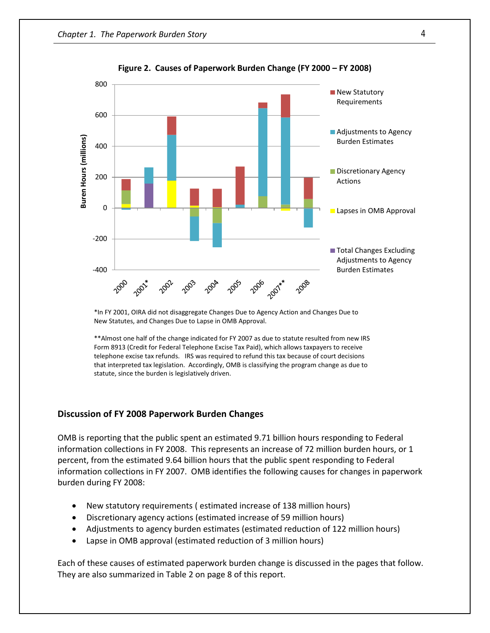

**Figure 2. Causes of Paperwork Burden Change (FY 2000 – FY 2008)**

\*In FY 2001, OIRA did not disaggregate Changes Due to Agency Action and Changes Due to New Statutes, and Changes Due to Lapse in OMB Approval.

\*\*Almost one half of the change indicated for FY 2007 as due to statute resulted from new IRS Form 8913 (Credit for Federal Telephone Excise Tax Paid), which allows taxpayers to receive telephone excise tax refunds. IRS was required to refund this tax because of court decisions that interpreted tax legislation. Accordingly, OMB is classifying the program change as due to statute, since the burden is legislatively driven.

#### **Discussion of FY 2008 Paperwork Burden Changes**

OMB is reporting that the public spent an estimated 9.71 billion hours responding to Federal information collections in FY 2008. This represents an increase of 72 million burden hours, or 1 percent, from the estimated 9.64 billion hours that the public spent responding to Federal information collections in FY 2007. OMB identifies the following causes for changes in paperwork burden during FY 2008:

- New statutory requirements ( estimated increase of 138 million hours)
- Discretionary agency actions (estimated increase of 59 million hours)
- Adjustments to agency burden estimates (estimated reduction of 122 million hours)
- Lapse in OMB approval (estimated reduction of 3 million hours)

Each of these causes of estimated paperwork burden change is discussed in the pages that follow. They are also summarized in Table 2 on page 8 of this report.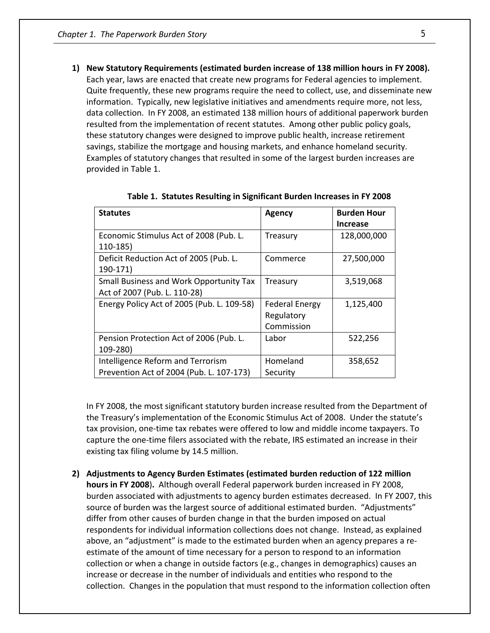**1) New Statutory Requirements (estimated burden increase of 138 million hours in FY 2008).**  Each year, laws are enacted that create new programs for Federal agencies to implement. Quite frequently, these new programs require the need to collect, use, and disseminate new information. Typically, new legislative initiatives and amendments require more, not less, data collection. In FY 2008, an estimated 138 million hours of additional paperwork burden resulted from the implementation of recent statutes. Among other public policy goals, these statutory changes were designed to improve public health, increase retirement savings, stabilize the mortgage and housing markets, and enhance homeland security. Examples of statutory changes that resulted in some of the largest burden increases are provided in Table 1.

| <b>Statutes</b>                                | <b>Agency</b>         | <b>Burden Hour</b> |
|------------------------------------------------|-----------------------|--------------------|
|                                                |                       | <b>Increase</b>    |
| Economic Stimulus Act of 2008 (Pub. L.         | Treasury              | 128,000,000        |
| $110-185$                                      |                       |                    |
| Deficit Reduction Act of 2005 (Pub. L.         | Commerce              | 27,500,000         |
| 190-171)                                       |                       |                    |
| <b>Small Business and Work Opportunity Tax</b> | Treasury              | 3,519,068          |
| Act of 2007 (Pub. L. 110-28)                   |                       |                    |
| Energy Policy Act of 2005 (Pub. L. 109-58)     | <b>Federal Energy</b> | 1,125,400          |
|                                                | Regulatory            |                    |
|                                                | Commission            |                    |
| Pension Protection Act of 2006 (Pub. L.        | Labor                 | 522,256            |
| 109-280)                                       |                       |                    |
| Intelligence Reform and Terrorism              | Homeland              | 358,652            |
| Prevention Act of 2004 (Pub. L. 107-173)       | Security              |                    |

**Table 1. Statutes Resulting in Significant Burden Increases in FY 2008**

In FY 2008, the most significant statutory burden increase resulted from the Department of the Treasury's implementation of the Economic Stimulus Act of 2008. Under the statute's tax provision, one-time tax rebates were offered to low and middle income taxpayers. To capture the one-time filers associated with the rebate, IRS estimated an increase in their existing tax filing volume by 14.5 million.

**2) Adjustments to Agency Burden Estimates (estimated burden reduction of 122 million hours in FY 2008**)**.** Although overall Federal paperwork burden increased in FY 2008, burden associated with adjustments to agency burden estimates decreased. In FY 2007, this source of burden was the largest source of additional estimated burden. "Adjustments"

differ from other causes of burden change in that the burden imposed on actual respondents for individual information collections does not change. Instead, as explained above, an "adjustment" is made to the estimated burden when an agency prepares a reestimate of the amount of time necessary for a person to respond to an information collection or when a change in outside factors (e.g., changes in demographics) causes an increase or decrease in the number of individuals and entities who respond to the collection. Changes in the population that must respond to the information collection often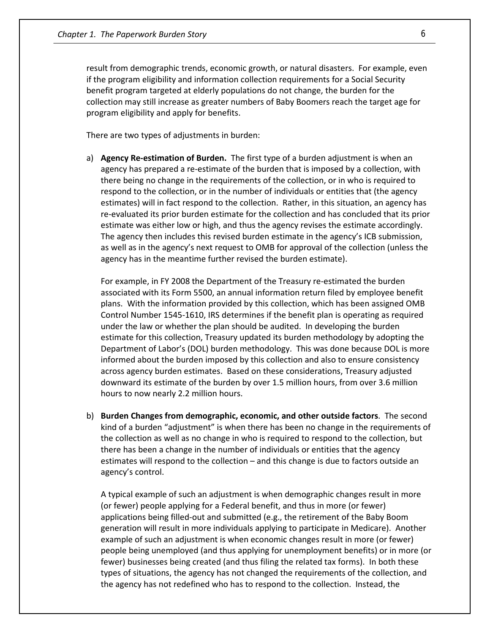result from demographic trends, economic growth, or natural disasters. For example, even if the program eligibility and information collection requirements for a Social Security benefit program targeted at elderly populations do not change, the burden for the collection may still increase as greater numbers of Baby Boomers reach the target age for program eligibility and apply for benefits.

There are two types of adjustments in burden:

a) **Agency Re-estimation of Burden.** The first type of a burden adjustment is when an agency has prepared a re-estimate of the burden that is imposed by a collection, with there being no change in the requirements of the collection, or in who is required to respond to the collection, or in the number of individuals or entities that (the agency estimates) will in fact respond to the collection. Rather, in this situation, an agency has re-evaluated its prior burden estimate for the collection and has concluded that its prior estimate was either low or high, and thus the agency revises the estimate accordingly. The agency then includes this revised burden estimate in the agency's ICB submission, as well as in the agency's next request to OMB for approval of the collection (unless the agency has in the meantime further revised the burden estimate).

For example, in FY 2008 the Department of the Treasury re-estimated the burden associated with its Form 5500, an annual information return filed by employee benefit plans. With the information provided by this collection, which has been assigned OMB Control Number 1545-1610, IRS determines if the benefit plan is operating as required under the law or whether the plan should be audited. In developing the burden estimate for this collection, Treasury updated its burden methodology by adopting the Department of Labor's (DOL) burden methodology. This was done because DOL is more informed about the burden imposed by this collection and also to ensure consistency across agency burden estimates. Based on these considerations, Treasury adjusted downward its estimate of the burden by over 1.5 million hours, from over 3.6 million hours to now nearly 2.2 million hours.

b) **Burden Changes from demographic, economic, and other outside factors**. The second kind of a burden "adjustment" is when there has been no change in the requirements of the collection as well as no change in who is required to respond to the collection, but there has been a change in the number of individuals or entities that the agency estimates will respond to the collection – and this change is due to factors outside an agency's control.

A typical example of such an adjustment is when demographic changes result in more (or fewer) people applying for a Federal benefit, and thus in more (or fewer) applications being filled-out and submitted (e.g., the retirement of the Baby Boom generation will result in more individuals applying to participate in Medicare). Another example of such an adjustment is when economic changes result in more (or fewer) people being unemployed (and thus applying for unemployment benefits) or in more (or fewer) businesses being created (and thus filing the related tax forms). In both these types of situations, the agency has not changed the requirements of the collection, and the agency has not redefined who has to respond to the collection. Instead, the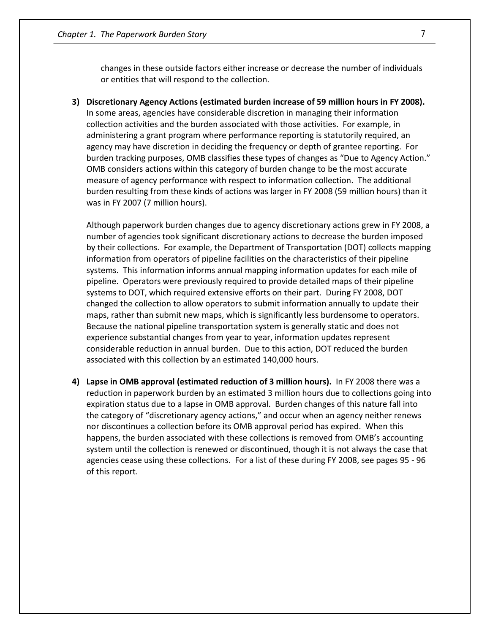changes in these outside factors either increase or decrease the number of individuals or entities that will respond to the collection.

**3) Discretionary Agency Actions (estimated burden increase of 59 million hours in FY 2008).** In some areas, agencies have considerable discretion in managing their information collection activities and the burden associated with those activities. For example, in administering a grant program where performance reporting is statutorily required, an agency may have discretion in deciding the frequency or depth of grantee reporting. For burden tracking purposes, OMB classifies these types of changes as "Due to Agency Action." OMB considers actions within this category of burden change to be the most accurate measure of agency performance with respect to information collection. The additional burden resulting from these kinds of actions was larger in FY 2008 (59 million hours) than it was in FY 2007 (7 million hours).

Although paperwork burden changes due to agency discretionary actions grew in FY 2008, a number of agencies took significant discretionary actions to decrease the burden imposed by their collections. For example, the Department of Transportation (DOT) collects mapping information from operators of pipeline facilities on the characteristics of their pipeline systems. This information informs annual mapping information updates for each mile of pipeline. Operators were previously required to provide detailed maps of their pipeline systems to DOT, which required extensive efforts on their part. During FY 2008, DOT changed the collection to allow operators to submit information annually to update their maps, rather than submit new maps, which is significantly less burdensome to operators. Because the national pipeline transportation system is generally static and does not experience substantial changes from year to year, information updates represent considerable reduction in annual burden. Due to this action, DOT reduced the burden associated with this collection by an estimated 140,000 hours.

**4) Lapse in OMB approval (estimated reduction of 3 million hours).** In FY 2008 there was a reduction in paperwork burden by an estimated 3 million hours due to collections going into expiration status due to a lapse in OMB approval. Burden changes of this nature fall into the category of "discretionary agency actions," and occur when an agency neither renews nor discontinues a collection before its OMB approval period has expired. When this happens, the burden associated with these collections is removed from OMB's accounting system until the collection is renewed or discontinued, though it is not always the case that agencies cease using these collections. For a list of these during FY 2008, see pages 95 - 96 of this report.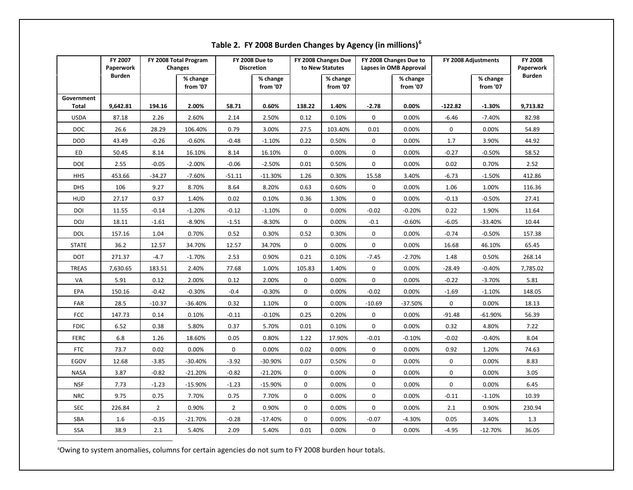|              | FY 2007<br>Paperwork |                | FY 2008 Total Program<br>Changes |                | <b>FY 2008 Due to</b><br><b>Discretion</b> |             | FY 2008 Changes Due<br>to New Statutes |                  | FY 2008 Changes Due to<br>Lapses in OMB Approval |             | FY 2008 Adjustments  | FY 2008<br>Paperwork |
|--------------|----------------------|----------------|----------------------------------|----------------|--------------------------------------------|-------------|----------------------------------------|------------------|--------------------------------------------------|-------------|----------------------|----------------------|
|              | <b>Burden</b>        |                | % change<br>from '07             |                | % change<br>from '07                       |             | % change<br>from '07                   |                  | % change<br>from '07                             |             | % change<br>from '07 | <b>Burden</b>        |
| Government   |                      |                |                                  |                |                                            |             |                                        |                  |                                                  |             |                      |                      |
| Total        | 9,642.81             | 194.16         | 2.00%                            | 58.71          | 0.60%                                      | 138.22      | 1.40%                                  | $-2.78$          | 0.00%                                            | $-122.82$   | $-1.30%$             | 9,713.82             |
| <b>USDA</b>  | 87.18                | 2.26           | 2.60%                            | 2.14           | 2.50%                                      | 0.12        | 0.10%                                  | $\mathbf 0$      | 0.00%                                            | $-6.46$     | $-7.40%$             | 82.98                |
| DOC          | 26.6                 | 28.29          | 106.40%                          | 0.79           | 3.00%                                      | 27.5        | 103.40%                                | 0.01             | 0.00%                                            | 0           | 0.00%                | 54.89                |
| <b>DOD</b>   | 43.49                | $-0.26$        | $-0.60%$                         | $-0.48$        | $-1.10%$                                   | 0.22        | 0.50%                                  | 0                | 0.00%                                            | 1.7         | 3.90%                | 44.92                |
| ED           | 50.45                | 8.14           | 16.10%                           | 8.14           | 16.10%                                     | 0           | 0.00%                                  | $\mathbf 0$      | 0.00%                                            | $-0.27$     | $-0.50%$             | 58.52                |
| <b>DOE</b>   | 2.55                 | $-0.05$        | $-2.00%$                         | $-0.06$        | $-2.50%$                                   | 0.01        | 0.50%                                  | $\mathbf 0$      | 0.00%                                            | 0.02        | 0.70%                | 2.52                 |
| <b>HHS</b>   | 453.66               | $-34.27$       | $-7.60%$                         | $-51.11$       | $-11.30%$                                  | 1.26        | 0.30%                                  | 15.58            | 3.40%                                            | $-6.73$     | $-1.50%$             | 412.86               |
| <b>DHS</b>   | 106                  | 9.27           | 8.70%                            | 8.64           | 8.20%                                      | 0.63        | 0.60%                                  | $\mathbf 0$      | 0.00%                                            | 1.06        | 1.00%                | 116.36               |
| HUD          | 27.17                | 0.37           | 1.40%                            | 0.02           | 0.10%                                      | 0.36        | 1.30%                                  | $\mathbf 0$      | 0.00%                                            | $-0.13$     | $-0.50%$             | 27.41                |
| DOI          | 11.55                | $-0.14$        | $-1.20%$                         | $-0.12$        | $-1.10%$                                   | $\mathbf 0$ | 0.00%                                  | $-0.02$          | $-0.20%$                                         | 0.22        | 1.90%                | 11.64                |
| DOJ          | 18.11                | $-1.61$        | $-8.90%$                         | $-1.51$        | $-8.30%$                                   | $\mathbf 0$ | 0.00%                                  | $-0.1$           | $-0.60%$                                         | $-6.05$     | $-33.40%$            | 10.44                |
| DOL          | 157.16               | 1.04           | 0.70%                            | 0.52           | 0.30%                                      | 0.52        | 0.30%                                  | $\boldsymbol{0}$ | 0.00%                                            | $-0.74$     | $-0.50%$             | 157.38               |
| <b>STATE</b> | 36.2                 | 12.57          | 34.70%                           | 12.57          | 34.70%                                     | $\mathbf 0$ | 0.00%                                  | $\mathbf 0$      | 0.00%                                            | 16.68       | 46.10%               | 65.45                |
| DOT          | 271.37               | $-4.7$         | $-1.70%$                         | 2.53           | 0.90%                                      | 0.21        | 0.10%                                  | $-7.45$          | $-2.70%$                                         | 1.48        | 0.50%                | 268.14               |
| <b>TREAS</b> | 7,630.65             | 183.51         | 2.40%                            | 77.68          | 1.00%                                      | 105.83      | 1.40%                                  | $\mathbf 0$      | 0.00%                                            | $-28.49$    | $-0.40%$             | 7,785.02             |
| VA           | 5.91                 | 0.12           | 2.00%                            | 0.12           | 2.00%                                      | 0           | 0.00%                                  | $\mathbf 0$      | 0.00%                                            | $-0.22$     | $-3.70%$             | 5.81                 |
| EPA          | 150.16               | $-0.42$        | $-0.30%$                         | $-0.4$         | $-0.30%$                                   | 0           | 0.00%                                  | $-0.02$          | 0.00%                                            | $-1.69$     | $-1.10%$             | 148.05               |
| <b>FAR</b>   | 28.5                 | $-10.37$       | $-36.40%$                        | 0.32           | 1.10%                                      | $\mathbf 0$ | 0.00%                                  | $-10.69$         | -37.50%                                          | $\mathbf 0$ | 0.00%                | 18.13                |
| FCC          | 147.73               | 0.14           | 0.10%                            | $-0.11$        | $-0.10%$                                   | 0.25        | 0.20%                                  | 0                | 0.00%                                            | $-91.48$    | $-61.90%$            | 56.39                |
| <b>FDIC</b>  | 6.52                 | 0.38           | 5.80%                            | 0.37           | 5.70%                                      | 0.01        | 0.10%                                  | $\mathbf 0$      | 0.00%                                            | 0.32        | 4.80%                | 7.22                 |
| <b>FERC</b>  | 6.8                  | 1.26           | 18.60%                           | 0.05           | 0.80%                                      | 1.22        | 17.90%                                 | $-0.01$          | $-0.10%$                                         | $-0.02$     | $-0.40%$             | 8.04                 |
| <b>FTC</b>   | 73.7                 | 0.02           | 0.00%                            | 0              | 0.00%                                      | 0.02        | 0.00%                                  | $\mathbf 0$      | 0.00%                                            | 0.92        | 1.20%                | 74.63                |
| EGOV         | 12.68                | $-3.85$        | -30.40%                          | $-3.92$        | -30.90%                                    | 0.07        | 0.50%                                  | $\boldsymbol{0}$ | 0.00%                                            | 0           | 0.00%                | 8.83                 |
| <b>NASA</b>  | 3.87                 | $-0.82$        | $-21.20%$                        | $-0.82$        | $-21.20%$                                  | $\mathbf 0$ | 0.00%                                  | $\mathbf 0$      | 0.00%                                            | 0           | 0.00%                | 3.05                 |
| <b>NSF</b>   | 7.73                 | $-1.23$        | -15.90%                          | $-1.23$        | $-15.90%$                                  | $\mathbf 0$ | 0.00%                                  | $\pmb{0}$        | 0.00%                                            | 0           | 0.00%                | 6.45                 |
| <b>NRC</b>   | 9.75                 | 0.75           | 7.70%                            | 0.75           | 7.70%                                      | 0           | 0.00%                                  | 0                | 0.00%                                            | $-0.11$     | $-1.10%$             | 10.39                |
| <b>SEC</b>   | 226.84               | $\overline{2}$ | 0.90%                            | $\overline{2}$ | 0.90%                                      | 0           | 0.00%                                  | $\mathbf 0$      | 0.00%                                            | 2.1         | 0.90%                | 230.94               |
| SBA          | 1.6                  | $-0.35$        | -21.70%                          | $-0.28$        | $-17.40%$                                  | 0           | 0.00%                                  | $-0.07$          | $-4.30%$                                         | 0.05        | 3.40%                | 1.3                  |
| SSA          | 38.9                 | $2.1\,$        | 5.40%                            | 2.09           | 5.40%                                      | 0.01        | 0.00%                                  | 0                | 0.00%                                            | $-4.95$     | $-12.70%$            | 36.05                |

<span id="page-14-0"></span>**Table 2. FY 2008 Burden Changes by Agency (in millions)[6](#page-14-0)**

6 Owing to system anomalies, columns for certain agencies do not sum to FY 2008 burden hour totals.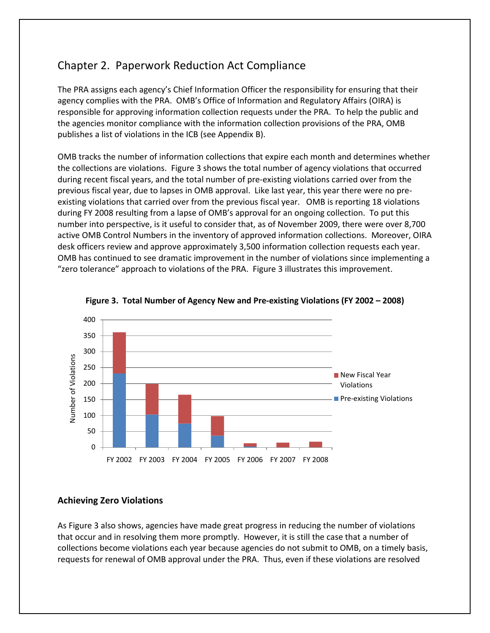# <span id="page-15-0"></span>Chapter 2. Paperwork Reduction Act Compliance

The PRA assigns each agency's Chief Information Officer the responsibility for ensuring that their agency complies with the PRA. OMB's Office of Information and Regulatory Affairs (OIRA) is responsible for approving information collection requests under the PRA. To help the public and the agencies monitor compliance with the information collection provisions of the PRA, OMB publishes a list of violations in the ICB (see Appendix B).

OMB tracks the number of information collections that expire each month and determines whether the collections are violations. Figure 3 shows the total number of agency violations that occurred during recent fiscal years, and the total number of pre-existing violations carried over from the previous fiscal year, due to lapses in OMB approval. Like last year, this year there were no preexisting violations that carried over from the previous fiscal year. OMB is reporting 18 violations during FY 2008 resulting from a lapse of OMB's approval for an ongoing collection. To put this number into perspective, is it useful to consider that, as of November 2009, there were over 8,700 active OMB Control Numbers in the inventory of approved information collections. Moreover, OIRA desk officers review and approve approximately 3,500 information collection requests each year. OMB has continued to see dramatic improvement in the number of violations since implementing a "zero tolerance" approach to violations of the PRA. Figure 3 illustrates this improvement.





#### **Achieving Zero Violations**

As Figure 3 also shows, agencies have made great progress in reducing the number of violations that occur and in resolving them more promptly. However, it is still the case that a number of collections become violations each year because agencies do not submit to OMB, on a timely basis, requests for renewal of OMB approval under the PRA. Thus, even if these violations are resolved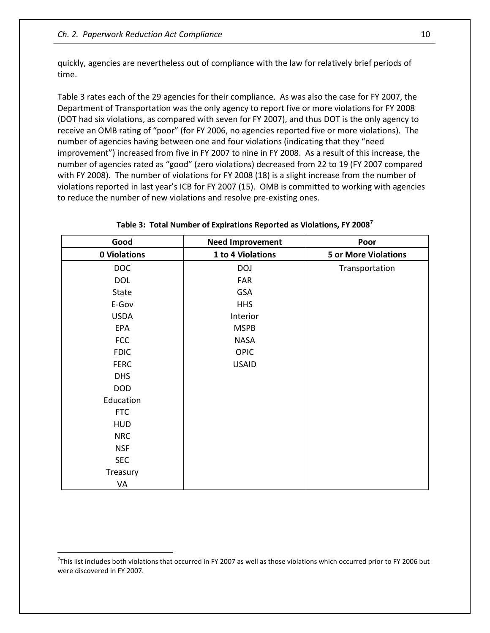quickly, agencies are nevertheless out of compliance with the law for relatively brief periods of time.

Table 3 rates each of the 29 agencies for their compliance. As was also the case for FY 2007, the Department of Transportation was the only agency to report five or more violations for FY 2008 (DOT had six violations, as compared with seven for FY 2007), and thus DOT is the only agency to receive an OMB rating of "poor" (for FY 2006, no agencies reported five or more violations). The number of agencies having between one and four violations (indicating that they "need improvement") increased from five in FY 2007 to nine in FY 2008. As a result of this increase, the number of agencies rated as "good" (zero violations) decreased from 22 to 19 (FY 2007 compared with FY 2008). The number of violations for FY 2008 (18) is a slight increase from the number of violations reported in last year's ICB for FY 2007 (15). OMB is committed to working with agencies to reduce the number of new violations and resolve pre-existing ones.

| Good         | <b>Need Improvement</b> | Poor                        |
|--------------|-------------------------|-----------------------------|
| 0 Violations | 1 to 4 Violations       | <b>5 or More Violations</b> |
| <b>DOC</b>   | <b>DOJ</b>              | Transportation              |
| <b>DOL</b>   | FAR                     |                             |
| State        | <b>GSA</b>              |                             |
| E-Gov        | <b>HHS</b>              |                             |
| <b>USDA</b>  | Interior                |                             |
| EPA          | <b>MSPB</b>             |                             |
| <b>FCC</b>   | <b>NASA</b>             |                             |
| <b>FDIC</b>  | <b>OPIC</b>             |                             |
| <b>FERC</b>  | <b>USAID</b>            |                             |
| <b>DHS</b>   |                         |                             |
| <b>DOD</b>   |                         |                             |
| Education    |                         |                             |
| <b>FTC</b>   |                         |                             |
| <b>HUD</b>   |                         |                             |
| <b>NRC</b>   |                         |                             |
| <b>NSF</b>   |                         |                             |
| <b>SEC</b>   |                         |                             |
| Treasury     |                         |                             |
| VA           |                         |                             |

**Table 3: Total Number of Expirations Reported as Violations, FY 2008[7](#page-16-0)**

<span id="page-16-0"></span><sup>&</sup>lt;sup>7</sup>This list includes both violations that occurred in FY 2007 as well as those violations which occurred prior to FY 2006 but were discovered in FY 2007.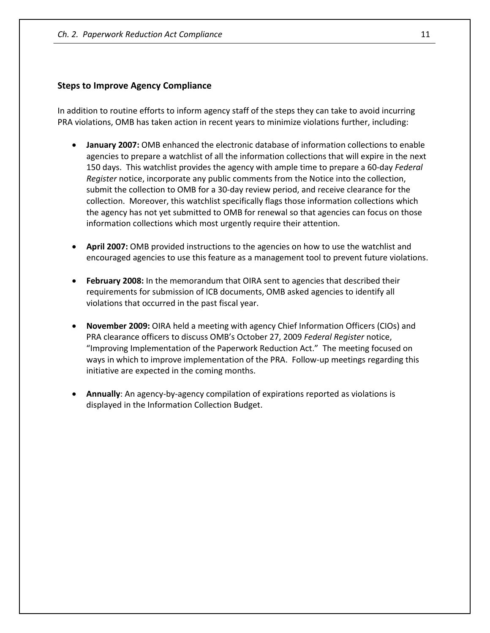#### **Steps to Improve Agency Compliance**

In addition to routine efforts to inform agency staff of the steps they can take to avoid incurring PRA violations, OMB has taken action in recent years to minimize violations further, including:

- **January 2007:** OMB enhanced the electronic database of information collections to enable agencies to prepare a watchlist of all the information collections that will expire in the next 150 days. This watchlist provides the agency with ample time to prepare a 60-day *Federal Register* notice, incorporate any public comments from the Notice into the collection, submit the collection to OMB for a 30-day review period, and receive clearance for the collection. Moreover, this watchlist specifically flags those information collections which the agency has not yet submitted to OMB for renewal so that agencies can focus on those information collections which most urgently require their attention.
- **April 2007:** OMB provided instructions to the agencies on how to use the watchlist and encouraged agencies to use this feature as a management tool to prevent future violations.
- **February 2008:** In the memorandum that OIRA sent to agencies that described their requirements for submission of ICB documents, OMB asked agencies to identify all violations that occurred in the past fiscal year.
- **November 2009:** OIRA held a meeting with agency Chief Information Officers (CIOs) and PRA clearance officers to discuss OMB's October 27, 2009 *Federal Register* notice, "Improving Implementation of the Paperwork Reduction Act." The meeting focused on ways in which to improve implementation of the PRA. Follow-up meetings regarding this initiative are expected in the coming months.
- **Annually**: An agency-by-agency compilation of expirations reported as violations is displayed in the Information Collection Budget.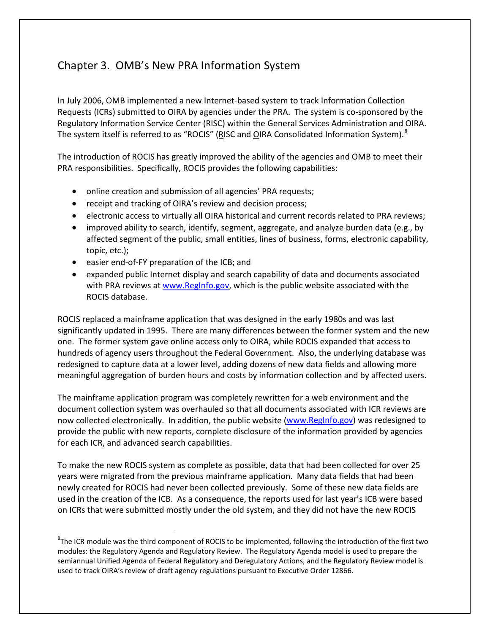# <span id="page-18-0"></span>Chapter 3. OMB's New PRA Information System

In July 2006, OMB implemented a new Internet-based system to track Information Collection Requests (ICRs) submitted to OIRA by agencies under the PRA. The system is co-sponsored by the Regulatory Information Service Center (RISC) within the General Services Administration and OIRA. The system itself is referred to as "ROCIS" (RISC and OIRA Consolidated Information System).<sup>[8](#page-18-1)</sup>

The introduction of ROCIS has greatly improved the ability of the agencies and OMB to meet their PRA responsibilities. Specifically, ROCIS provides the following capabilities:

- online creation and submission of all agencies' PRA requests;
- receipt and tracking of OIRA's review and decision process;
- electronic access to virtually all OIRA historical and current records related to PRA reviews;
- improved ability to search, identify, segment, aggregate, and analyze burden data (e.g., by affected segment of the public, small entities, lines of business, forms, electronic capability, topic, etc.);
- easier end-of-FY preparation of the ICB; and

 $\overline{a}$ 

• expanded public Internet display and search capability of data and documents associated with PRA reviews at [www.RegInfo.gov,](http://www.reginfo.gov/) which is the public website associated with the ROCIS database.

ROCIS replaced a mainframe application that was designed in the early 1980s and was last significantly updated in 1995. There are many differences between the former system and the new one. The former system gave online access only to OIRA, while ROCIS expanded that access to hundreds of agency users throughout the Federal Government. Also, the underlying database was redesigned to capture data at a lower level, adding dozens of new data fields and allowing more meaningful aggregation of burden hours and costs by information collection and by affected users.

The mainframe application program was completely rewritten for a web environment and the document collection system was overhauled so that all documents associated with ICR reviews are now collected electronically. In addition, the public website [\(www.RegInfo.gov\)](http://www.reginfo.gov/) was redesigned to provide the public with new reports, complete disclosure of the information provided by agencies for each ICR, and advanced search capabilities.

To make the new ROCIS system as complete as possible, data that had been collected for over 25 years were migrated from the previous mainframe application. Many data fields that had been newly created for ROCIS had never been collected previously. Some of these new data fields are used in the creation of the ICB. As a consequence, the reports used for last year's ICB were based on ICRs that were submitted mostly under the old system, and they did not have the new ROCIS

<span id="page-18-1"></span> ${}^{8}$ The ICR module was the third component of ROCIS to be implemented, following the introduction of the first two modules: the Regulatory Agenda and Regulatory Review. The Regulatory Agenda model is used to prepare the semiannual Unified Agenda of Federal Regulatory and Deregulatory Actions, and the Regulatory Review model is used to track OIRA's review of draft agency regulations pursuant to Executive Order 12866.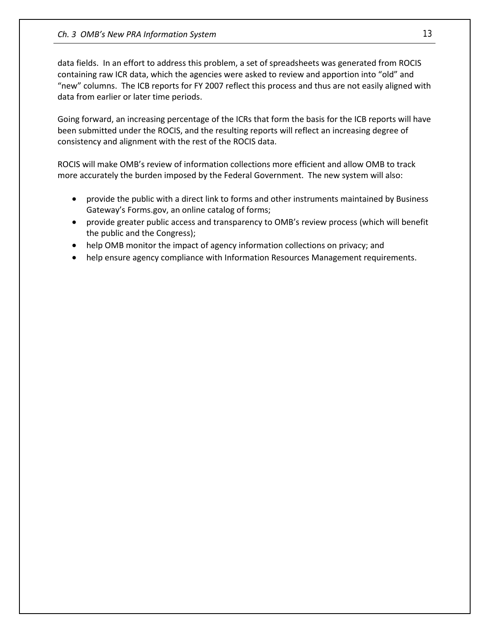data fields. In an effort to address this problem, a set of spreadsheets was generated from ROCIS containing raw ICR data, which the agencies were asked to review and apportion into "old" and "new" columns. The ICB reports for FY 2007 reflect this process and thus are not easily aligned with data from earlier or later time periods.

Going forward, an increasing percentage of the ICRs that form the basis for the ICB reports will have been submitted under the ROCIS, and the resulting reports will reflect an increasing degree of consistency and alignment with the rest of the ROCIS data.

ROCIS will make OMB's review of information collections more efficient and allow OMB to track more accurately the burden imposed by the Federal Government. The new system will also:

- provide the public with a direct link to forms and other instruments maintained by Business Gateway's Forms.gov, an online catalog of forms;
- provide greater public access and transparency to OMB's review process (which will benefit the public and the Congress);
- help OMB monitor the impact of agency information collections on privacy; and
- help ensure agency compliance with Information Resources Management requirements.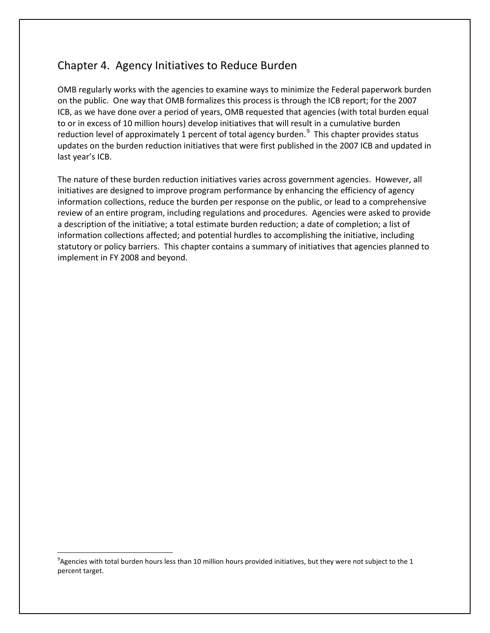## <span id="page-20-0"></span>Chapter 4. Agency Initiatives to Reduce Burden

OMB regularly works with the agencies to examine ways to minimize the Federal paperwork burden on the public. One way that OMB formalizes this process is through the ICB report; for the 2007 ICB, as we have done over a period of years, OMB requested that agencies (with total burden equal to or in excess of 10 million hours) develop initiatives that will result in a cumulative burden reduction level of approximately 1 percent of total agency burden. $^9$  $^9$  This chapter provides status updates on the burden reduction initiatives that were first published in the 2007 ICB and updated in last year's ICB.

The nature of these burden reduction initiatives varies across government agencies. However, all initiatives are designed to improve program performance by enhancing the efficiency of agency information collections, reduce the burden per response on the public, or lead to a comprehensive review of an entire program, including regulations and procedures. Agencies were asked to provide a description of the initiative; a total estimate burden reduction; a date of completion; a list of information collections affected; and potential hurdles to accomplishing the initiative, including statutory or policy barriers. This chapter contains a summary of initiatives that agencies planned to implement in FY 2008 and beyond.

<span id="page-20-1"></span> $^9$ Agencies with total burden hours less than 10 million hours provided initiatives, but they were not subject to the 1 percent target.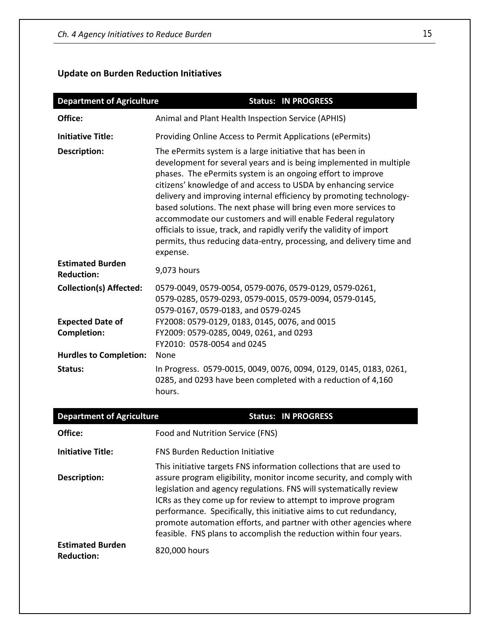## **Update on Burden Reduction Initiatives**

| <b>Department of Agriculture</b>             | <b>Status: IN PROGRESS</b>                                                                                                                                                                                                                                                                                                                                                                                                                                                                                                                                                                                                               |
|----------------------------------------------|------------------------------------------------------------------------------------------------------------------------------------------------------------------------------------------------------------------------------------------------------------------------------------------------------------------------------------------------------------------------------------------------------------------------------------------------------------------------------------------------------------------------------------------------------------------------------------------------------------------------------------------|
| Office:                                      | Animal and Plant Health Inspection Service (APHIS)                                                                                                                                                                                                                                                                                                                                                                                                                                                                                                                                                                                       |
| <b>Initiative Title:</b>                     | Providing Online Access to Permit Applications (ePermits)                                                                                                                                                                                                                                                                                                                                                                                                                                                                                                                                                                                |
| <b>Description:</b>                          | The ePermits system is a large initiative that has been in<br>development for several years and is being implemented in multiple<br>phases. The ePermits system is an ongoing effort to improve<br>citizens' knowledge of and access to USDA by enhancing service<br>delivery and improving internal efficiency by promoting technology-<br>based solutions. The next phase will bring even more services to<br>accommodate our customers and will enable Federal regulatory<br>officials to issue, track, and rapidly verify the validity of import<br>permits, thus reducing data-entry, processing, and delivery time and<br>expense. |
| <b>Estimated Burden</b><br><b>Reduction:</b> | 9,073 hours                                                                                                                                                                                                                                                                                                                                                                                                                                                                                                                                                                                                                              |
| <b>Collection(s) Affected:</b>               | 0579-0049, 0579-0054, 0579-0076, 0579-0129, 0579-0261,<br>0579-0285, 0579-0293, 0579-0015, 0579-0094, 0579-0145,<br>0579-0167, 0579-0183, and 0579-0245                                                                                                                                                                                                                                                                                                                                                                                                                                                                                  |
| <b>Expected Date of</b>                      | FY2008: 0579-0129, 0183, 0145, 0076, and 0015                                                                                                                                                                                                                                                                                                                                                                                                                                                                                                                                                                                            |
| <b>Completion:</b>                           | FY2009: 0579-0285, 0049, 0261, and 0293<br>FY2010: 0578-0054 and 0245                                                                                                                                                                                                                                                                                                                                                                                                                                                                                                                                                                    |
| <b>Hurdles to Completion:</b>                | <b>None</b>                                                                                                                                                                                                                                                                                                                                                                                                                                                                                                                                                                                                                              |
| Status:                                      | In Progress. 0579-0015, 0049, 0076, 0094, 0129, 0145, 0183, 0261,<br>0285, and 0293 have been completed with a reduction of 4,160<br>hours.                                                                                                                                                                                                                                                                                                                                                                                                                                                                                              |
| <b>Department of Agriculture</b>             | <b>Status: IN PROGRESS</b>                                                                                                                                                                                                                                                                                                                                                                                                                                                                                                                                                                                                               |
|                                              |                                                                                                                                                                                                                                                                                                                                                                                                                                                                                                                                                                                                                                          |

| Office:                                      | Food and Nutrition Service (FNS)                                                                                                                                                                                                                                                                                                                                                                                                                                                                     |
|----------------------------------------------|------------------------------------------------------------------------------------------------------------------------------------------------------------------------------------------------------------------------------------------------------------------------------------------------------------------------------------------------------------------------------------------------------------------------------------------------------------------------------------------------------|
| <b>Initiative Title:</b>                     | <b>FNS Burden Reduction Initiative</b>                                                                                                                                                                                                                                                                                                                                                                                                                                                               |
| <b>Description:</b>                          | This initiative targets FNS information collections that are used to<br>assure program eligibility, monitor income security, and comply with<br>legislation and agency regulations. FNS will systematically review<br>ICRs as they come up for review to attempt to improve program<br>performance. Specifically, this initiative aims to cut redundancy,<br>promote automation efforts, and partner with other agencies where<br>feasible. FNS plans to accomplish the reduction within four years. |
| <b>Estimated Burden</b><br><b>Reduction:</b> | 820,000 hours                                                                                                                                                                                                                                                                                                                                                                                                                                                                                        |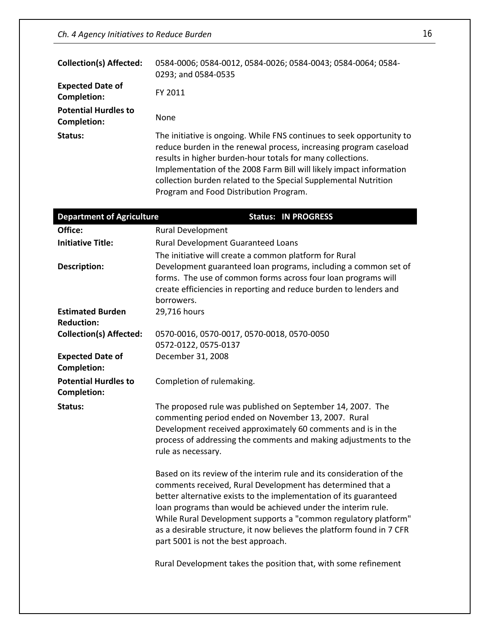| <b>Collection(s) Affected:</b>             | 0584-0006; 0584-0012, 0584-0026; 0584-0043; 0584-0064; 0584-<br>0293; and 0584-0535                                                                                                                                                                                                                                                                                                          |
|--------------------------------------------|----------------------------------------------------------------------------------------------------------------------------------------------------------------------------------------------------------------------------------------------------------------------------------------------------------------------------------------------------------------------------------------------|
| <b>Expected Date of</b><br>Completion:     | FY 2011                                                                                                                                                                                                                                                                                                                                                                                      |
| <b>Potential Hurdles to</b><br>Completion: | <b>None</b>                                                                                                                                                                                                                                                                                                                                                                                  |
| Status:                                    | The initiative is ongoing. While FNS continues to seek opportunity to<br>reduce burden in the renewal process, increasing program caseload<br>results in higher burden-hour totals for many collections.<br>Implementation of the 2008 Farm Bill will likely impact information<br>collection burden related to the Special Supplemental Nutrition<br>Program and Food Distribution Program. |

| <b>Department of Agriculture</b>                  | <b>Status: IN PROGRESS</b>                                                                                                                                                                                                                                                                                                                                                                                                                                 |
|---------------------------------------------------|------------------------------------------------------------------------------------------------------------------------------------------------------------------------------------------------------------------------------------------------------------------------------------------------------------------------------------------------------------------------------------------------------------------------------------------------------------|
| Office:                                           | <b>Rural Development</b>                                                                                                                                                                                                                                                                                                                                                                                                                                   |
| <b>Initiative Title:</b>                          | Rural Development Guaranteed Loans                                                                                                                                                                                                                                                                                                                                                                                                                         |
|                                                   | The initiative will create a common platform for Rural                                                                                                                                                                                                                                                                                                                                                                                                     |
| <b>Description:</b>                               | Development guaranteed loan programs, including a common set of<br>forms. The use of common forms across four loan programs will<br>create efficiencies in reporting and reduce burden to lenders and<br>borrowers.                                                                                                                                                                                                                                        |
| <b>Estimated Burden</b><br><b>Reduction:</b>      | 29,716 hours                                                                                                                                                                                                                                                                                                                                                                                                                                               |
| <b>Collection(s) Affected:</b>                    | 0570-0016, 0570-0017, 0570-0018, 0570-0050                                                                                                                                                                                                                                                                                                                                                                                                                 |
|                                                   | 0572-0122, 0575-0137                                                                                                                                                                                                                                                                                                                                                                                                                                       |
| <b>Expected Date of</b><br><b>Completion:</b>     | December 31, 2008                                                                                                                                                                                                                                                                                                                                                                                                                                          |
| <b>Potential Hurdles to</b><br><b>Completion:</b> | Completion of rulemaking.                                                                                                                                                                                                                                                                                                                                                                                                                                  |
| Status:                                           | The proposed rule was published on September 14, 2007. The<br>commenting period ended on November 13, 2007. Rural<br>Development received approximately 60 comments and is in the<br>process of addressing the comments and making adjustments to the<br>rule as necessary.                                                                                                                                                                                |
|                                                   | Based on its review of the interim rule and its consideration of the<br>comments received, Rural Development has determined that a<br>better alternative exists to the implementation of its guaranteed<br>loan programs than would be achieved under the interim rule.<br>While Rural Development supports a "common regulatory platform"<br>as a desirable structure, it now believes the platform found in 7 CFR<br>part 5001 is not the best approach. |
|                                                   | Rural Development takes the position that, with some refinement                                                                                                                                                                                                                                                                                                                                                                                            |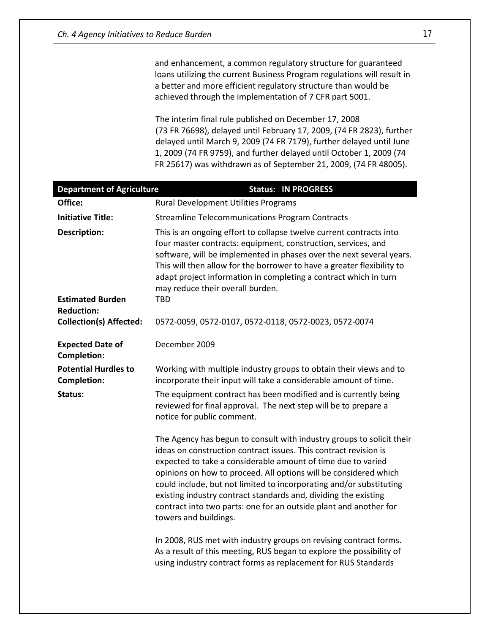and enhancement, a common regulatory structure for guaranteed loans utilizing the current Business Program regulations will result in a better and more efficient regulatory structure than would be achieved through the implementation of 7 CFR part 5001.

The interim final rule published on December 17, 2008 (73 FR 76698), delayed until February 17, 2009, (74 FR 2823), further delayed until March 9, 2009 (74 FR 7179), further delayed until June 1, 2009 (74 FR 9759), and further delayed until October 1, 2009 (74 FR 25617) was withdrawn as of September 21, 2009, (74 FR 48005).

| <b>Department of Agriculture</b>                  | <b>Status: IN PROGRESS</b>                                                                                                                                                                                                                                                                                                                                                                                                                                                                                                                                                                 |
|---------------------------------------------------|--------------------------------------------------------------------------------------------------------------------------------------------------------------------------------------------------------------------------------------------------------------------------------------------------------------------------------------------------------------------------------------------------------------------------------------------------------------------------------------------------------------------------------------------------------------------------------------------|
| Office:                                           | Rural Development Utilities Programs                                                                                                                                                                                                                                                                                                                                                                                                                                                                                                                                                       |
| <b>Initiative Title:</b>                          | <b>Streamline Telecommunications Program Contracts</b>                                                                                                                                                                                                                                                                                                                                                                                                                                                                                                                                     |
| <b>Description:</b>                               | This is an ongoing effort to collapse twelve current contracts into<br>four master contracts: equipment, construction, services, and<br>software, will be implemented in phases over the next several years.<br>This will then allow for the borrower to have a greater flexibility to<br>adapt project information in completing a contract which in turn<br>may reduce their overall burden.                                                                                                                                                                                             |
| <b>Estimated Burden</b><br><b>Reduction:</b>      | TBD                                                                                                                                                                                                                                                                                                                                                                                                                                                                                                                                                                                        |
| <b>Collection(s) Affected:</b>                    | 0572-0059, 0572-0107, 0572-0118, 0572-0023, 0572-0074                                                                                                                                                                                                                                                                                                                                                                                                                                                                                                                                      |
| <b>Expected Date of</b><br><b>Completion:</b>     | December 2009                                                                                                                                                                                                                                                                                                                                                                                                                                                                                                                                                                              |
| <b>Potential Hurdles to</b><br><b>Completion:</b> | Working with multiple industry groups to obtain their views and to<br>incorporate their input will take a considerable amount of time.                                                                                                                                                                                                                                                                                                                                                                                                                                                     |
| Status:                                           | The equipment contract has been modified and is currently being<br>reviewed for final approval. The next step will be to prepare a<br>notice for public comment.                                                                                                                                                                                                                                                                                                                                                                                                                           |
|                                                   | The Agency has begun to consult with industry groups to solicit their<br>ideas on construction contract issues. This contract revision is<br>expected to take a considerable amount of time due to varied<br>opinions on how to proceed. All options will be considered which<br>could include, but not limited to incorporating and/or substituting<br>existing industry contract standards and, dividing the existing<br>contract into two parts: one for an outside plant and another for<br>towers and buildings.<br>In 2008, RUS met with industry groups on revising contract forms. |
|                                                   | As a result of this meeting, RUS began to explore the possibility of<br>using industry contract forms as replacement for RUS Standards                                                                                                                                                                                                                                                                                                                                                                                                                                                     |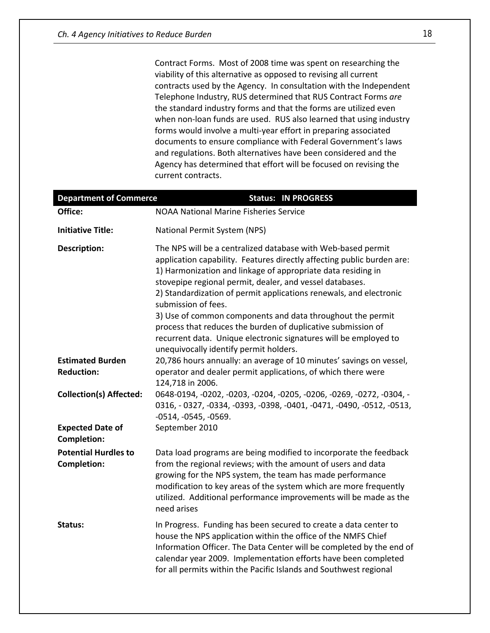Contract Forms. Most of 2008 time was spent on researching the viability of this alternative as opposed to revising all current contracts used by the Agency. In consultation with the Independent Telephone Industry, RUS determined that RUS Contract Forms *are* the standard industry forms and that the forms are utilized even when non-loan funds are used. RUS also learned that using industry forms would involve a multi-year effort in preparing associated documents to ensure compliance with Federal Government's laws and regulations. Both alternatives have been considered and the Agency has determined that effort will be focused on revising the current contracts.

| <b>Department of Commerce</b>                     | <b>Status: IN PROGRESS</b>                                                                                                                                                                                                                                                                                                                                                                                                                                                                    |
|---------------------------------------------------|-----------------------------------------------------------------------------------------------------------------------------------------------------------------------------------------------------------------------------------------------------------------------------------------------------------------------------------------------------------------------------------------------------------------------------------------------------------------------------------------------|
| Office:                                           | <b>NOAA National Marine Fisheries Service</b>                                                                                                                                                                                                                                                                                                                                                                                                                                                 |
| <b>Initiative Title:</b>                          | National Permit System (NPS)                                                                                                                                                                                                                                                                                                                                                                                                                                                                  |
| <b>Description:</b>                               | The NPS will be a centralized database with Web-based permit<br>application capability. Features directly affecting public burden are:<br>1) Harmonization and linkage of appropriate data residing in<br>stovepipe regional permit, dealer, and vessel databases.<br>2) Standardization of permit applications renewals, and electronic<br>submission of fees.<br>3) Use of common components and data throughout the permit<br>process that reduces the burden of duplicative submission of |
|                                                   | recurrent data. Unique electronic signatures will be employed to<br>unequivocally identify permit holders.                                                                                                                                                                                                                                                                                                                                                                                    |
| <b>Estimated Burden</b><br><b>Reduction:</b>      | 20,786 hours annually: an average of 10 minutes' savings on vessel,<br>operator and dealer permit applications, of which there were<br>124,718 in 2006.                                                                                                                                                                                                                                                                                                                                       |
| <b>Collection(s) Affected:</b>                    | 0648-0194, -0202, -0203, -0204, -0205, -0206, -0269, -0272, -0304, -<br>0316, -0327, -0334, -0393, -0398, -0401, -0471, -0490, -0512, -0513,<br>$-0514, -0545, -0569.$                                                                                                                                                                                                                                                                                                                        |
| <b>Expected Date of</b><br><b>Completion:</b>     | September 2010                                                                                                                                                                                                                                                                                                                                                                                                                                                                                |
| <b>Potential Hurdles to</b><br><b>Completion:</b> | Data load programs are being modified to incorporate the feedback<br>from the regional reviews; with the amount of users and data<br>growing for the NPS system, the team has made performance<br>modification to key areas of the system which are more frequently<br>utilized. Additional performance improvements will be made as the<br>need arises                                                                                                                                       |
| Status:                                           | In Progress. Funding has been secured to create a data center to<br>house the NPS application within the office of the NMFS Chief<br>Information Officer. The Data Center will be completed by the end of<br>calendar year 2009. Implementation efforts have been completed<br>for all permits within the Pacific Islands and Southwest regional                                                                                                                                              |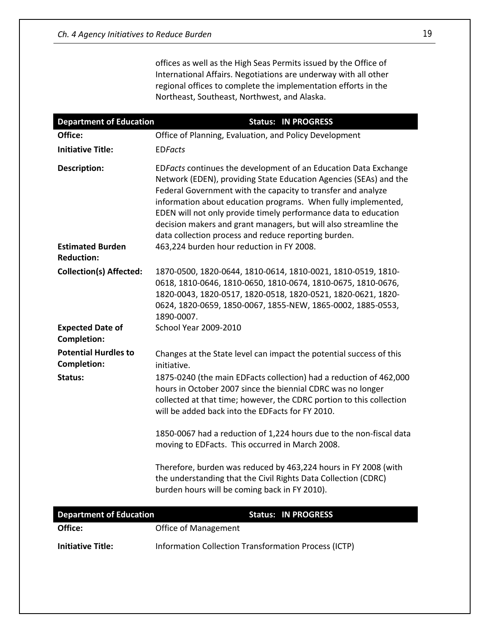offices as well as the High Seas Permits issued by the Office of International Affairs. Negotiations are underway with all other regional offices to complete the implementation efforts in the Northeast, Southeast, Northwest, and Alaska.

| <b>Department of Education</b>                                      | <b>Status: IN PROGRESS</b>                                                                                                                                                                                                                                                                                                                                                                                                                                                                                        |
|---------------------------------------------------------------------|-------------------------------------------------------------------------------------------------------------------------------------------------------------------------------------------------------------------------------------------------------------------------------------------------------------------------------------------------------------------------------------------------------------------------------------------------------------------------------------------------------------------|
| Office:                                                             | Office of Planning, Evaluation, and Policy Development                                                                                                                                                                                                                                                                                                                                                                                                                                                            |
| <b>Initiative Title:</b>                                            | <b>EDFacts</b>                                                                                                                                                                                                                                                                                                                                                                                                                                                                                                    |
| <b>Description:</b><br><b>Estimated Burden</b><br><b>Reduction:</b> | EDFacts continues the development of an Education Data Exchange<br>Network (EDEN), providing State Education Agencies (SEAs) and the<br>Federal Government with the capacity to transfer and analyze<br>information about education programs. When fully implemented,<br>EDEN will not only provide timely performance data to education<br>decision makers and grant managers, but will also streamline the<br>data collection process and reduce reporting burden.<br>463,224 burden hour reduction in FY 2008. |
| <b>Collection(s) Affected:</b>                                      | 1870-0500, 1820-0644, 1810-0614, 1810-0021, 1810-0519, 1810-<br>0618, 1810-0646, 1810-0650, 1810-0674, 1810-0675, 1810-0676,<br>1820-0043, 1820-0517, 1820-0518, 1820-0521, 1820-0621, 1820-<br>0624, 1820-0659, 1850-0067, 1855-NEW, 1865-0002, 1885-0553,<br>1890-0007.                                                                                                                                                                                                                                         |
| <b>Expected Date of</b><br><b>Completion:</b>                       | <b>School Year 2009-2010</b>                                                                                                                                                                                                                                                                                                                                                                                                                                                                                      |
| <b>Potential Hurdles to</b><br><b>Completion:</b>                   | Changes at the State level can impact the potential success of this<br>initiative.                                                                                                                                                                                                                                                                                                                                                                                                                                |
| Status:                                                             | 1875-0240 (the main EDFacts collection) had a reduction of 462,000<br>hours in October 2007 since the biennial CDRC was no longer<br>collected at that time; however, the CDRC portion to this collection<br>will be added back into the EDFacts for FY 2010.                                                                                                                                                                                                                                                     |
|                                                                     | 1850-0067 had a reduction of 1,224 hours due to the non-fiscal data<br>moving to EDFacts. This occurred in March 2008.                                                                                                                                                                                                                                                                                                                                                                                            |
|                                                                     | Therefore, burden was reduced by 463,224 hours in FY 2008 (with<br>the understanding that the Civil Rights Data Collection (CDRC)<br>burden hours will be coming back in FY 2010).                                                                                                                                                                                                                                                                                                                                |
| <b>Department of Education</b>                                      | <b>Status: IN PROGRESS</b>                                                                                                                                                                                                                                                                                                                                                                                                                                                                                        |
| Office:                                                             | Office of Management                                                                                                                                                                                                                                                                                                                                                                                                                                                                                              |
| <b>Initiative Title:</b>                                            | Information Collection Transformation Process (ICTP)                                                                                                                                                                                                                                                                                                                                                                                                                                                              |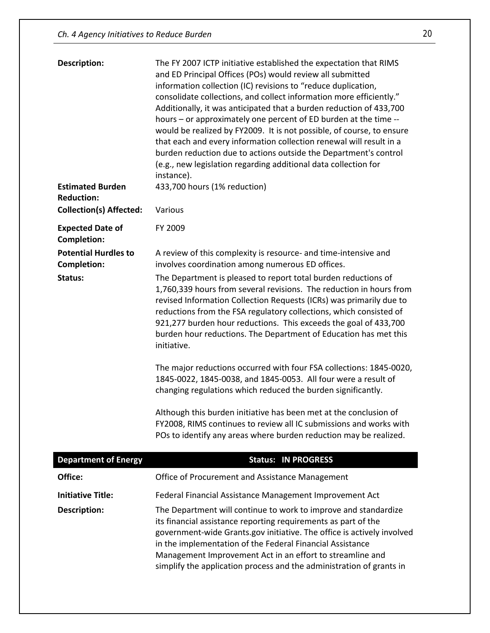| <b>Description:</b>                               | The FY 2007 ICTP initiative established the expectation that RIMS<br>and ED Principal Offices (POs) would review all submitted<br>information collection (IC) revisions to "reduce duplication,<br>consolidate collections, and collect information more efficiently."<br>Additionally, it was anticipated that a burden reduction of 433,700<br>hours - or approximately one percent of ED burden at the time --<br>would be realized by FY2009. It is not possible, of course, to ensure<br>that each and every information collection renewal will result in a<br>burden reduction due to actions outside the Department's control<br>(e.g., new legislation regarding additional data collection for<br>instance). |
|---------------------------------------------------|------------------------------------------------------------------------------------------------------------------------------------------------------------------------------------------------------------------------------------------------------------------------------------------------------------------------------------------------------------------------------------------------------------------------------------------------------------------------------------------------------------------------------------------------------------------------------------------------------------------------------------------------------------------------------------------------------------------------|
| <b>Estimated Burden</b><br><b>Reduction:</b>      | 433,700 hours (1% reduction)                                                                                                                                                                                                                                                                                                                                                                                                                                                                                                                                                                                                                                                                                           |
| <b>Collection(s) Affected:</b>                    | Various                                                                                                                                                                                                                                                                                                                                                                                                                                                                                                                                                                                                                                                                                                                |
| <b>Expected Date of</b><br><b>Completion:</b>     | FY 2009                                                                                                                                                                                                                                                                                                                                                                                                                                                                                                                                                                                                                                                                                                                |
| <b>Potential Hurdles to</b><br><b>Completion:</b> | A review of this complexity is resource- and time-intensive and<br>involves coordination among numerous ED offices.                                                                                                                                                                                                                                                                                                                                                                                                                                                                                                                                                                                                    |
| Status:                                           | The Department is pleased to report total burden reductions of<br>1,760,339 hours from several revisions. The reduction in hours from<br>revised Information Collection Requests (ICRs) was primarily due to<br>reductions from the FSA regulatory collections, which consisted of<br>921,277 burden hour reductions. This exceeds the goal of 433,700<br>burden hour reductions. The Department of Education has met this<br>initiative.                                                                                                                                                                                                                                                                              |
|                                                   | The major reductions occurred with four FSA collections: 1845-0020,<br>1845-0022, 1845-0038, and 1845-0053. All four were a result of<br>changing regulations which reduced the burden significantly.                                                                                                                                                                                                                                                                                                                                                                                                                                                                                                                  |
|                                                   | Although this burden initiative has been met at the conclusion of<br>FY2008, RIMS continues to review all IC submissions and works with<br>POs to identify any areas where burden reduction may be realized.                                                                                                                                                                                                                                                                                                                                                                                                                                                                                                           |
| <b>Department of Energy</b>                       | <b>Status: IN PROGRESS</b>                                                                                                                                                                                                                                                                                                                                                                                                                                                                                                                                                                                                                                                                                             |
| Office:                                           | Office of Procurement and Assistance Management                                                                                                                                                                                                                                                                                                                                                                                                                                                                                                                                                                                                                                                                        |
| <b>Initiative Title:</b>                          | Federal Financial Assistance Management Improvement Act                                                                                                                                                                                                                                                                                                                                                                                                                                                                                                                                                                                                                                                                |
| <b>Description:</b>                               | The Department will continue to work to improve and standardize<br>its financial assistance reporting requirements as part of the<br>government-wide Grants.gov initiative. The office is actively involved<br>in the implementation of the Federal Financial Assistance<br>Management Improvement Act in an effort to streamline and<br>simplify the application process and the administration of grants in                                                                                                                                                                                                                                                                                                          |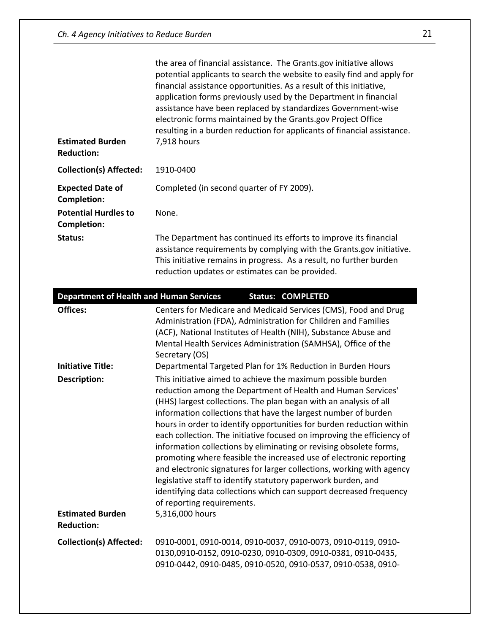|                                                   | the area of financial assistance. The Grants.gov initiative allows<br>potential applicants to search the website to easily find and apply for<br>financial assistance opportunities. As a result of this initiative,<br>application forms previously used by the Department in financial<br>assistance have been replaced by standardizes Government-wise<br>electronic forms maintained by the Grants.gov Project Office<br>resulting in a burden reduction for applicants of financial assistance.                                                                                                                                                                                                                                                                                                                                                                           |
|---------------------------------------------------|--------------------------------------------------------------------------------------------------------------------------------------------------------------------------------------------------------------------------------------------------------------------------------------------------------------------------------------------------------------------------------------------------------------------------------------------------------------------------------------------------------------------------------------------------------------------------------------------------------------------------------------------------------------------------------------------------------------------------------------------------------------------------------------------------------------------------------------------------------------------------------|
| <b>Estimated Burden</b><br><b>Reduction:</b>      | 7,918 hours                                                                                                                                                                                                                                                                                                                                                                                                                                                                                                                                                                                                                                                                                                                                                                                                                                                                    |
| <b>Collection(s) Affected:</b>                    | 1910-0400                                                                                                                                                                                                                                                                                                                                                                                                                                                                                                                                                                                                                                                                                                                                                                                                                                                                      |
| <b>Expected Date of</b><br><b>Completion:</b>     | Completed (in second quarter of FY 2009).                                                                                                                                                                                                                                                                                                                                                                                                                                                                                                                                                                                                                                                                                                                                                                                                                                      |
| <b>Potential Hurdles to</b><br><b>Completion:</b> | None.                                                                                                                                                                                                                                                                                                                                                                                                                                                                                                                                                                                                                                                                                                                                                                                                                                                                          |
| Status:                                           | The Department has continued its efforts to improve its financial<br>assistance requirements by complying with the Grants.gov initiative.<br>This initiative remains in progress. As a result, no further burden<br>reduction updates or estimates can be provided.                                                                                                                                                                                                                                                                                                                                                                                                                                                                                                                                                                                                            |
| <b>Department of Health and Human Services</b>    | <b>Status: COMPLETED</b>                                                                                                                                                                                                                                                                                                                                                                                                                                                                                                                                                                                                                                                                                                                                                                                                                                                       |
| <b>Offices:</b>                                   | Centers for Medicare and Medicaid Services (CMS), Food and Drug<br>Administration (FDA), Administration for Children and Families<br>(ACF), National Institutes of Health (NIH), Substance Abuse and<br>Mental Health Services Administration (SAMHSA), Office of the<br>Secretary (OS)                                                                                                                                                                                                                                                                                                                                                                                                                                                                                                                                                                                        |
| <b>Initiative Title:</b><br><b>Description:</b>   | Departmental Targeted Plan for 1% Reduction in Burden Hours<br>This initiative aimed to achieve the maximum possible burden<br>reduction among the Department of Health and Human Services'<br>(HHS) largest collections. The plan began with an analysis of all<br>information collections that have the largest number of burden<br>hours in order to identify opportunities for burden reduction within<br>each collection. The initiative focused on improving the efficiency of<br>information collections by eliminating or revising obsolete forms,<br>promoting where feasible the increased use of electronic reporting<br>and electronic signatures for larger collections, working with agency<br>legislative staff to identify statutory paperwork burden, and<br>identifying data collections which can support decreased frequency<br>of reporting requirements. |
| <b>Estimated Burden</b><br><b>Reduction:</b>      | 5,316,000 hours                                                                                                                                                                                                                                                                                                                                                                                                                                                                                                                                                                                                                                                                                                                                                                                                                                                                |
| <b>Collection(s) Affected:</b>                    | 0910-0001, 0910-0014, 0910-0037, 0910-0073, 0910-0119, 0910-<br>0130,0910-0152, 0910-0230, 0910-0309, 0910-0381, 0910-0435,<br>0910-0442, 0910-0485, 0910-0520, 0910-0537, 0910-0538, 0910-                                                                                                                                                                                                                                                                                                                                                                                                                                                                                                                                                                                                                                                                                    |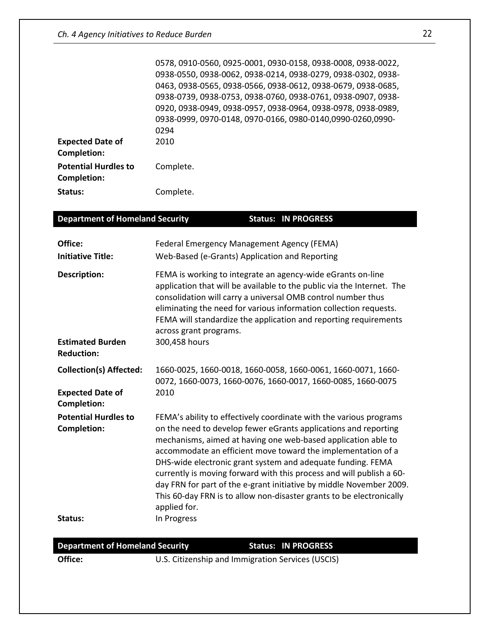|                                            | 0578, 0910-0560, 0925-0001, 0930-0158, 0938-0008, 0938-0022, |
|--------------------------------------------|--------------------------------------------------------------|
|                                            | 0938-0550, 0938-0062, 0938-0214, 0938-0279, 0938-0302, 0938- |
|                                            | 0463, 0938-0565, 0938-0566, 0938-0612, 0938-0679, 0938-0685, |
|                                            | 0938-0739, 0938-0753, 0938-0760, 0938-0761, 0938-0907, 0938- |
|                                            | 0920, 0938-0949, 0938-0957, 0938-0964, 0938-0978, 0938-0989, |
|                                            | 0938-0999, 0970-0148, 0970-0166, 0980-0140,0990-0260,0990-   |
|                                            | 0294                                                         |
| <b>Expected Date of</b><br>Completion:     | 2010                                                         |
| <b>Potential Hurdles to</b><br>Completion: | Complete.                                                    |
| Status:                                    | Complete.                                                    |

| <b>Department of Homeland Security</b>        | <b>Status: IN PROGRESS</b>                                                                                                                                                                                                                                                                                                                                                                                                                                                                                                                                                   |
|-----------------------------------------------|------------------------------------------------------------------------------------------------------------------------------------------------------------------------------------------------------------------------------------------------------------------------------------------------------------------------------------------------------------------------------------------------------------------------------------------------------------------------------------------------------------------------------------------------------------------------------|
| Office:<br><b>Initiative Title:</b>           | <b>Federal Emergency Management Agency (FEMA)</b><br>Web-Based (e-Grants) Application and Reporting                                                                                                                                                                                                                                                                                                                                                                                                                                                                          |
| <b>Description:</b>                           | FEMA is working to integrate an agency-wide eGrants on-line<br>application that will be available to the public via the Internet. The<br>consolidation will carry a universal OMB control number thus<br>eliminating the need for various information collection requests.<br>FEMA will standardize the application and reporting requirements<br>across grant programs.                                                                                                                                                                                                     |
| <b>Estimated Burden</b><br><b>Reduction:</b>  | 300,458 hours                                                                                                                                                                                                                                                                                                                                                                                                                                                                                                                                                                |
| <b>Collection(s) Affected:</b>                | 1660-0025, 1660-0018, 1660-0058, 1660-0061, 1660-0071, 1660-<br>0072, 1660-0073, 1660-0076, 1660-0017, 1660-0085, 1660-0075                                                                                                                                                                                                                                                                                                                                                                                                                                                  |
| <b>Expected Date of</b><br><b>Completion:</b> | 2010                                                                                                                                                                                                                                                                                                                                                                                                                                                                                                                                                                         |
| <b>Potential Hurdles to</b><br>Completion:    | FEMA's ability to effectively coordinate with the various programs<br>on the need to develop fewer eGrants applications and reporting<br>mechanisms, aimed at having one web-based application able to<br>accommodate an efficient move toward the implementation of a<br>DHS-wide electronic grant system and adequate funding. FEMA<br>currently is moving forward with this process and will publish a 60-<br>day FRN for part of the e-grant initiative by middle November 2009.<br>This 60-day FRN is to allow non-disaster grants to be electronically<br>applied for. |
| Status:                                       | In Progress                                                                                                                                                                                                                                                                                                                                                                                                                                                                                                                                                                  |

## **Department of Homeland Security Status: IN PROGRESS**

**Office:** U.S. Citizenship and Immigration Services (USCIS)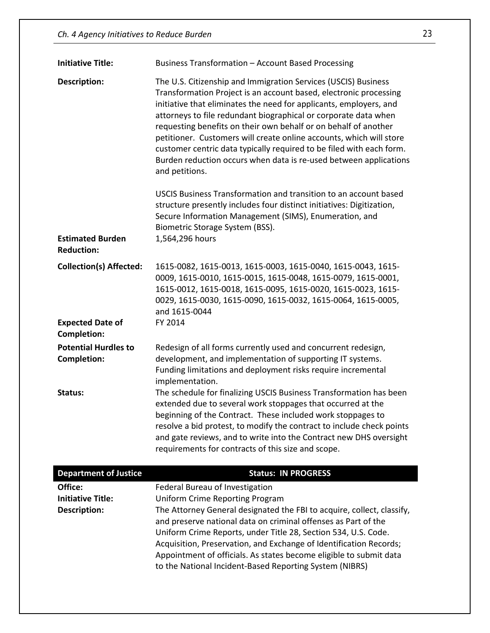| <b>Initiative Title:</b>                          | Business Transformation - Account Based Processing                                                                                                                                                                                                                                                                                                                                                                                                                                                                                                                                                                                                                                                                                                                                           |
|---------------------------------------------------|----------------------------------------------------------------------------------------------------------------------------------------------------------------------------------------------------------------------------------------------------------------------------------------------------------------------------------------------------------------------------------------------------------------------------------------------------------------------------------------------------------------------------------------------------------------------------------------------------------------------------------------------------------------------------------------------------------------------------------------------------------------------------------------------|
| <b>Description:</b>                               | The U.S. Citizenship and Immigration Services (USCIS) Business<br>Transformation Project is an account based, electronic processing<br>initiative that eliminates the need for applicants, employers, and<br>attorneys to file redundant biographical or corporate data when<br>requesting benefits on their own behalf or on behalf of another<br>petitioner. Customers will create online accounts, which will store<br>customer centric data typically required to be filed with each form.<br>Burden reduction occurs when data is re-used between applications<br>and petitions.<br>USCIS Business Transformation and transition to an account based<br>structure presently includes four distinct initiatives: Digitization,<br>Secure Information Management (SIMS), Enumeration, and |
| <b>Estimated Burden</b><br><b>Reduction:</b>      | Biometric Storage System (BSS).<br>1,564,296 hours                                                                                                                                                                                                                                                                                                                                                                                                                                                                                                                                                                                                                                                                                                                                           |
| <b>Collection(s) Affected:</b>                    | 1615-0082, 1615-0013, 1615-0003, 1615-0040, 1615-0043, 1615-<br>0009, 1615-0010, 1615-0015, 1615-0048, 1615-0079, 1615-0001,<br>1615-0012, 1615-0018, 1615-0095, 1615-0020, 1615-0023, 1615-<br>0029, 1615-0030, 1615-0090, 1615-0032, 1615-0064, 1615-0005,<br>and 1615-0044                                                                                                                                                                                                                                                                                                                                                                                                                                                                                                                |
| <b>Expected Date of</b><br><b>Completion:</b>     | FY 2014                                                                                                                                                                                                                                                                                                                                                                                                                                                                                                                                                                                                                                                                                                                                                                                      |
| <b>Potential Hurdles to</b><br><b>Completion:</b> | Redesign of all forms currently used and concurrent redesign,<br>development, and implementation of supporting IT systems.<br>Funding limitations and deployment risks require incremental<br>implementation.                                                                                                                                                                                                                                                                                                                                                                                                                                                                                                                                                                                |
| Status:                                           | The schedule for finalizing USCIS Business Transformation has been<br>extended due to several work stoppages that occurred at the<br>beginning of the Contract. These included work stoppages to<br>resolve a bid protest, to modify the contract to include check points<br>and gate reviews, and to write into the Contract new DHS oversight<br>requirements for contracts of this size and scope.                                                                                                                                                                                                                                                                                                                                                                                        |
| <b>Department of Justice</b>                      | <b>Status: IN PROGRESS</b>                                                                                                                                                                                                                                                                                                                                                                                                                                                                                                                                                                                                                                                                                                                                                                   |
| Office:<br><b>Initiative Title:</b>               | Federal Bureau of Investigation<br><b>Uniform Crime Reporting Program</b>                                                                                                                                                                                                                                                                                                                                                                                                                                                                                                                                                                                                                                                                                                                    |

**Initiative Title:** Uniform Crime Reporting Program **Description:** The Attorney General designated the FBI to acquire, collect, classify, and preserve national data on criminal offenses as Part of the Uniform Crime Reports, under Title 28, Section 534, U.S. Code. Acquisition, Preservation, and Exchange of Identification Records; Appointment of officials. As states become eligible to submit data to the National Incident-Based Reporting System (NIBRS)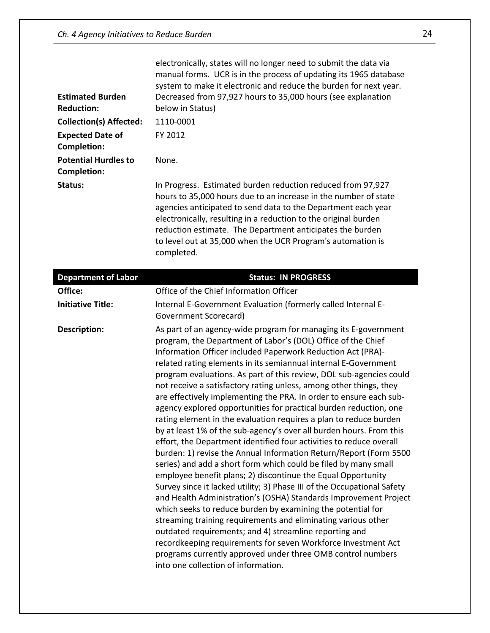|                                | electronically, states will no longer need to submit the data via<br>manual forms. UCR is in the process of updating its 1965 database<br>system to make it electronic and reduce the burden for next year.                                                                                                                                                                                                  |
|--------------------------------|--------------------------------------------------------------------------------------------------------------------------------------------------------------------------------------------------------------------------------------------------------------------------------------------------------------------------------------------------------------------------------------------------------------|
| <b>Estimated Burden</b>        | Decreased from 97,927 hours to 35,000 hours (see explanation                                                                                                                                                                                                                                                                                                                                                 |
| <b>Reduction:</b>              | below in Status)                                                                                                                                                                                                                                                                                                                                                                                             |
| <b>Collection(s) Affected:</b> | 1110-0001                                                                                                                                                                                                                                                                                                                                                                                                    |
| <b>Expected Date of</b>        | FY 2012                                                                                                                                                                                                                                                                                                                                                                                                      |
| <b>Completion:</b>             |                                                                                                                                                                                                                                                                                                                                                                                                              |
| <b>Potential Hurdles to</b>    | None.                                                                                                                                                                                                                                                                                                                                                                                                        |
| Completion:                    |                                                                                                                                                                                                                                                                                                                                                                                                              |
| Status:                        | In Progress. Estimated burden reduction reduced from 97,927<br>hours to 35,000 hours due to an increase in the number of state<br>agencies anticipated to send data to the Department each year<br>electronically, resulting in a reduction to the original burden<br>reduction estimate. The Department anticipates the burden<br>to level out at 35,000 when the UCR Program's automation is<br>completed. |

| <b>Department of Labor</b> | <b>Status: IN PROGRESS</b>                                                                                                                                                                                                                                                                                                                                                                                                                                                                                                                                                                                                                                                                                                                                                                                                                                                                                                                                                                                                                                                                                                                                                                                                                                                                                                                                                                                                                                                                           |
|----------------------------|------------------------------------------------------------------------------------------------------------------------------------------------------------------------------------------------------------------------------------------------------------------------------------------------------------------------------------------------------------------------------------------------------------------------------------------------------------------------------------------------------------------------------------------------------------------------------------------------------------------------------------------------------------------------------------------------------------------------------------------------------------------------------------------------------------------------------------------------------------------------------------------------------------------------------------------------------------------------------------------------------------------------------------------------------------------------------------------------------------------------------------------------------------------------------------------------------------------------------------------------------------------------------------------------------------------------------------------------------------------------------------------------------------------------------------------------------------------------------------------------------|
| Office:                    | Office of the Chief Information Officer                                                                                                                                                                                                                                                                                                                                                                                                                                                                                                                                                                                                                                                                                                                                                                                                                                                                                                                                                                                                                                                                                                                                                                                                                                                                                                                                                                                                                                                              |
| <b>Initiative Title:</b>   | Internal E-Government Evaluation (formerly called Internal E-<br>Government Scorecard)                                                                                                                                                                                                                                                                                                                                                                                                                                                                                                                                                                                                                                                                                                                                                                                                                                                                                                                                                                                                                                                                                                                                                                                                                                                                                                                                                                                                               |
| Description:               | As part of an agency-wide program for managing its E-government<br>program, the Department of Labor's (DOL) Office of the Chief<br>Information Officer included Paperwork Reduction Act (PRA)-<br>related rating elements in its semiannual internal E-Government<br>program evaluations. As part of this review, DOL sub-agencies could<br>not receive a satisfactory rating unless, among other things, they<br>are effectively implementing the PRA. In order to ensure each sub-<br>agency explored opportunities for practical burden reduction, one<br>rating element in the evaluation requires a plan to reduce burden<br>by at least 1% of the sub-agency's over all burden hours. From this<br>effort, the Department identified four activities to reduce overall<br>burden: 1) revise the Annual Information Return/Report (Form 5500<br>series) and add a short form which could be filed by many small<br>employee benefit plans; 2) discontinue the Equal Opportunity<br>Survey since it lacked utility; 3) Phase III of the Occupational Safety<br>and Health Administration's (OSHA) Standards Improvement Project<br>which seeks to reduce burden by examining the potential for<br>streaming training requirements and eliminating various other<br>outdated requirements; and 4) streamline reporting and<br>recordkeeping requirements for seven Workforce Investment Act<br>programs currently approved under three OMB control numbers<br>into one collection of information. |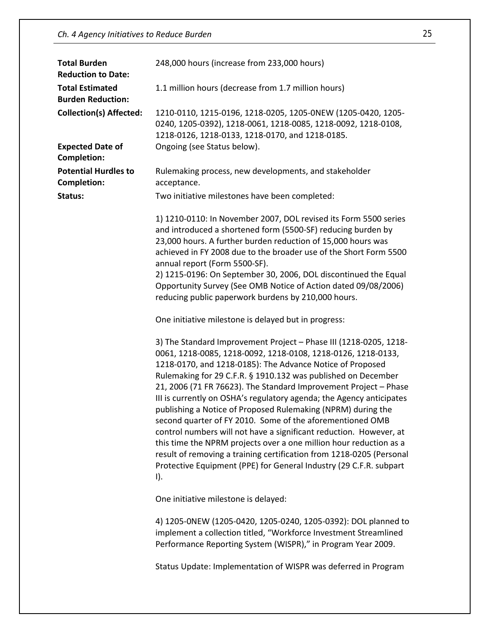| <b>Total Burden</b><br><b>Reduction to Date:</b>   | 248,000 hours (increase from 233,000 hours)                                                                                                                                                                                                                                                                                                                                                                                                                                                                                                                                                                                                                                                                                                                                                                                                          |
|----------------------------------------------------|------------------------------------------------------------------------------------------------------------------------------------------------------------------------------------------------------------------------------------------------------------------------------------------------------------------------------------------------------------------------------------------------------------------------------------------------------------------------------------------------------------------------------------------------------------------------------------------------------------------------------------------------------------------------------------------------------------------------------------------------------------------------------------------------------------------------------------------------------|
| <b>Total Estimated</b><br><b>Burden Reduction:</b> | 1.1 million hours (decrease from 1.7 million hours)                                                                                                                                                                                                                                                                                                                                                                                                                                                                                                                                                                                                                                                                                                                                                                                                  |
| <b>Collection(s) Affected:</b>                     | 1210-0110, 1215-0196, 1218-0205, 1205-0NEW (1205-0420, 1205-<br>0240, 1205-0392), 1218-0061, 1218-0085, 1218-0092, 1218-0108,<br>1218-0126, 1218-0133, 1218-0170, and 1218-0185.                                                                                                                                                                                                                                                                                                                                                                                                                                                                                                                                                                                                                                                                     |
| <b>Expected Date of</b><br><b>Completion:</b>      | Ongoing (see Status below).                                                                                                                                                                                                                                                                                                                                                                                                                                                                                                                                                                                                                                                                                                                                                                                                                          |
| <b>Potential Hurdles to</b><br><b>Completion:</b>  | Rulemaking process, new developments, and stakeholder<br>acceptance.                                                                                                                                                                                                                                                                                                                                                                                                                                                                                                                                                                                                                                                                                                                                                                                 |
| Status:                                            | Two initiative milestones have been completed:                                                                                                                                                                                                                                                                                                                                                                                                                                                                                                                                                                                                                                                                                                                                                                                                       |
|                                                    | 1) 1210-0110: In November 2007, DOL revised its Form 5500 series<br>and introduced a shortened form (5500-SF) reducing burden by<br>23,000 hours. A further burden reduction of 15,000 hours was<br>achieved in FY 2008 due to the broader use of the Short Form 5500<br>annual report (Form 5500-SF).<br>2) 1215-0196: On September 30, 2006, DOL discontinued the Equal<br>Opportunity Survey (See OMB Notice of Action dated 09/08/2006)<br>reducing public paperwork burdens by 210,000 hours.                                                                                                                                                                                                                                                                                                                                                   |
|                                                    | One initiative milestone is delayed but in progress:                                                                                                                                                                                                                                                                                                                                                                                                                                                                                                                                                                                                                                                                                                                                                                                                 |
|                                                    | 3) The Standard Improvement Project - Phase III (1218-0205, 1218-<br>0061, 1218-0085, 1218-0092, 1218-0108, 1218-0126, 1218-0133,<br>1218-0170, and 1218-0185): The Advance Notice of Proposed<br>Rulemaking for 29 C.F.R. § 1910.132 was published on December<br>21, 2006 (71 FR 76623). The Standard Improvement Project - Phase<br>III is currently on OSHA's regulatory agenda; the Agency anticipates<br>publishing a Notice of Proposed Rulemaking (NPRM) during the<br>second quarter of FY 2010. Some of the aforementioned OMB<br>control numbers will not have a significant reduction. However, at<br>this time the NPRM projects over a one million hour reduction as a<br>result of removing a training certification from 1218-0205 (Personal<br>Protective Equipment (PPE) for General Industry (29 C.F.R. subpart<br>$\mathsf{I}$ . |
|                                                    | One initiative milestone is delayed:                                                                                                                                                                                                                                                                                                                                                                                                                                                                                                                                                                                                                                                                                                                                                                                                                 |
|                                                    | 4) 1205-0NEW (1205-0420, 1205-0240, 1205-0392): DOL planned to<br>implement a collection titled, "Workforce Investment Streamlined<br>Performance Reporting System (WISPR)," in Program Year 2009.                                                                                                                                                                                                                                                                                                                                                                                                                                                                                                                                                                                                                                                   |
|                                                    | Status Update: Implementation of WISPR was deferred in Program                                                                                                                                                                                                                                                                                                                                                                                                                                                                                                                                                                                                                                                                                                                                                                                       |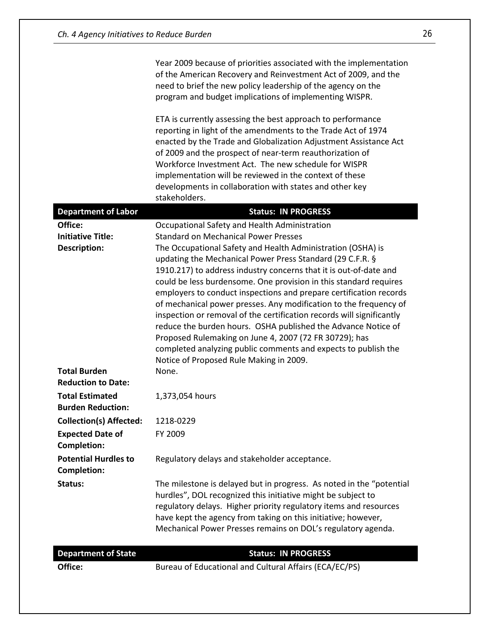|                                                    | Year 2009 because of priorities associated with the implementation<br>of the American Recovery and Reinvestment Act of 2009, and the<br>need to brief the new policy leadership of the agency on the<br>program and budget implications of implementing WISPR.                                                                                                                                                                                                                                                                                                                                                                                                                                                                                                                |
|----------------------------------------------------|-------------------------------------------------------------------------------------------------------------------------------------------------------------------------------------------------------------------------------------------------------------------------------------------------------------------------------------------------------------------------------------------------------------------------------------------------------------------------------------------------------------------------------------------------------------------------------------------------------------------------------------------------------------------------------------------------------------------------------------------------------------------------------|
|                                                    | ETA is currently assessing the best approach to performance<br>reporting in light of the amendments to the Trade Act of 1974<br>enacted by the Trade and Globalization Adjustment Assistance Act<br>of 2009 and the prospect of near-term reauthorization of<br>Workforce Investment Act. The new schedule for WISPR<br>implementation will be reviewed in the context of these<br>developments in collaboration with states and other key<br>stakeholders.                                                                                                                                                                                                                                                                                                                   |
| <b>Department of Labor</b>                         | <b>Status: IN PROGRESS</b>                                                                                                                                                                                                                                                                                                                                                                                                                                                                                                                                                                                                                                                                                                                                                    |
| Office:                                            | Occupational Safety and Health Administration                                                                                                                                                                                                                                                                                                                                                                                                                                                                                                                                                                                                                                                                                                                                 |
| <b>Initiative Title:</b><br><b>Description:</b>    | <b>Standard on Mechanical Power Presses</b><br>The Occupational Safety and Health Administration (OSHA) is<br>updating the Mechanical Power Press Standard (29 C.F.R. §<br>1910.217) to address industry concerns that it is out-of-date and<br>could be less burdensome. One provision in this standard requires<br>employers to conduct inspections and prepare certification records<br>of mechanical power presses. Any modification to the frequency of<br>inspection or removal of the certification records will significantly<br>reduce the burden hours. OSHA published the Advance Notice of<br>Proposed Rulemaking on June 4, 2007 (72 FR 30729); has<br>completed analyzing public comments and expects to publish the<br>Notice of Proposed Rule Making in 2009. |
| <b>Total Burden</b><br><b>Reduction to Date:</b>   | None.                                                                                                                                                                                                                                                                                                                                                                                                                                                                                                                                                                                                                                                                                                                                                                         |
| <b>Total Estimated</b><br><b>Burden Reduction:</b> | 1,373,054 hours                                                                                                                                                                                                                                                                                                                                                                                                                                                                                                                                                                                                                                                                                                                                                               |
| <b>Collection(s) Affected:</b>                     | 1218-0229                                                                                                                                                                                                                                                                                                                                                                                                                                                                                                                                                                                                                                                                                                                                                                     |
| <b>Expected Date of</b><br><b>Completion:</b>      | FY 2009                                                                                                                                                                                                                                                                                                                                                                                                                                                                                                                                                                                                                                                                                                                                                                       |
| <b>Potential Hurdles to</b><br><b>Completion:</b>  | Regulatory delays and stakeholder acceptance.                                                                                                                                                                                                                                                                                                                                                                                                                                                                                                                                                                                                                                                                                                                                 |
| Status:                                            | The milestone is delayed but in progress. As noted in the "potential<br>hurdles", DOL recognized this initiative might be subject to<br>regulatory delays. Higher priority regulatory items and resources<br>have kept the agency from taking on this initiative; however,<br>Mechanical Power Presses remains on DOL's regulatory agenda.                                                                                                                                                                                                                                                                                                                                                                                                                                    |
| <b>Department of State</b>                         | <b>Status: IN PROGRESS</b>                                                                                                                                                                                                                                                                                                                                                                                                                                                                                                                                                                                                                                                                                                                                                    |
| Office:                                            | Bureau of Educational and Cultural Affairs (ECA/EC/PS)                                                                                                                                                                                                                                                                                                                                                                                                                                                                                                                                                                                                                                                                                                                        |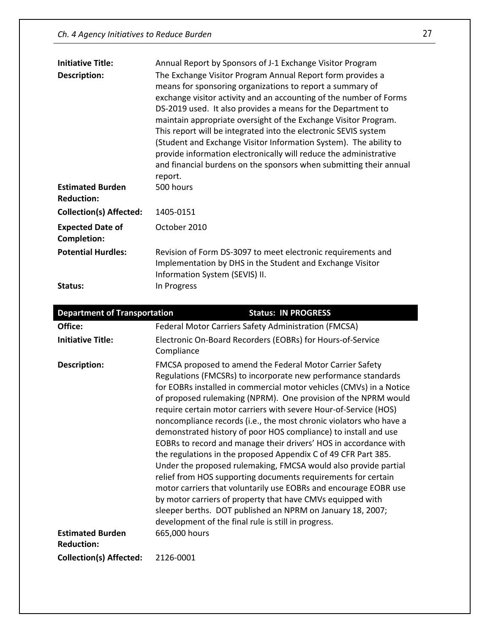| <b>Initiative Title:</b>                     | Annual Report by Sponsors of J-1 Exchange Visitor Program                                                                                                                                                                                                                                                                                                                                                                                                                                                                                                                                                                      |
|----------------------------------------------|--------------------------------------------------------------------------------------------------------------------------------------------------------------------------------------------------------------------------------------------------------------------------------------------------------------------------------------------------------------------------------------------------------------------------------------------------------------------------------------------------------------------------------------------------------------------------------------------------------------------------------|
| Description:                                 | The Exchange Visitor Program Annual Report form provides a<br>means for sponsoring organizations to report a summary of<br>exchange visitor activity and an accounting of the number of Forms<br>DS-2019 used. It also provides a means for the Department to<br>maintain appropriate oversight of the Exchange Visitor Program.<br>This report will be integrated into the electronic SEVIS system<br>(Student and Exchange Visitor Information System). The ability to<br>provide information electronically will reduce the administrative<br>and financial burdens on the sponsors when submitting their annual<br>report. |
| <b>Estimated Burden</b><br><b>Reduction:</b> | 500 hours                                                                                                                                                                                                                                                                                                                                                                                                                                                                                                                                                                                                                      |
| <b>Collection(s) Affected:</b>               | 1405-0151                                                                                                                                                                                                                                                                                                                                                                                                                                                                                                                                                                                                                      |
| <b>Expected Date of</b><br>Completion:       | October 2010                                                                                                                                                                                                                                                                                                                                                                                                                                                                                                                                                                                                                   |
| <b>Potential Hurdles:</b>                    | Revision of Form DS-3097 to meet electronic requirements and<br>Implementation by DHS in the Student and Exchange Visitor<br>Information System (SEVIS) II.                                                                                                                                                                                                                                                                                                                                                                                                                                                                    |
| Status:                                      | In Progress                                                                                                                                                                                                                                                                                                                                                                                                                                                                                                                                                                                                                    |

| <b>Department of Transportation</b>     | <b>Status: IN PROGRESS</b>                                                                                                                                                                                                                                                                                                                                                                                                                                                                                                                                                                                                                                                                                                                                                                                                                                                                                                                                                                                                        |
|-----------------------------------------|-----------------------------------------------------------------------------------------------------------------------------------------------------------------------------------------------------------------------------------------------------------------------------------------------------------------------------------------------------------------------------------------------------------------------------------------------------------------------------------------------------------------------------------------------------------------------------------------------------------------------------------------------------------------------------------------------------------------------------------------------------------------------------------------------------------------------------------------------------------------------------------------------------------------------------------------------------------------------------------------------------------------------------------|
| Office:                                 | Federal Motor Carriers Safety Administration (FMCSA)                                                                                                                                                                                                                                                                                                                                                                                                                                                                                                                                                                                                                                                                                                                                                                                                                                                                                                                                                                              |
| <b>Initiative Title:</b>                | Electronic On-Board Recorders (EOBRs) for Hours-of-Service<br>Compliance                                                                                                                                                                                                                                                                                                                                                                                                                                                                                                                                                                                                                                                                                                                                                                                                                                                                                                                                                          |
| Description:<br><b>Estimated Burden</b> | FMCSA proposed to amend the Federal Motor Carrier Safety<br>Regulations (FMCSRs) to incorporate new performance standards<br>for EOBRs installed in commercial motor vehicles (CMVs) in a Notice<br>of proposed rulemaking (NPRM). One provision of the NPRM would<br>require certain motor carriers with severe Hour-of-Service (HOS)<br>noncompliance records (i.e., the most chronic violators who have a<br>demonstrated history of poor HOS compliance) to install and use<br>EOBRs to record and manage their drivers' HOS in accordance with<br>the regulations in the proposed Appendix C of 49 CFR Part 385.<br>Under the proposed rulemaking, FMCSA would also provide partial<br>relief from HOS supporting documents requirements for certain<br>motor carriers that voluntarily use EOBRs and encourage EOBR use<br>by motor carriers of property that have CMVs equipped with<br>sleeper berths. DOT published an NPRM on January 18, 2007;<br>development of the final rule is still in progress.<br>665,000 hours |
| <b>Reduction:</b>                       |                                                                                                                                                                                                                                                                                                                                                                                                                                                                                                                                                                                                                                                                                                                                                                                                                                                                                                                                                                                                                                   |
| <b>Collection(s) Affected:</b>          | 2126-0001                                                                                                                                                                                                                                                                                                                                                                                                                                                                                                                                                                                                                                                                                                                                                                                                                                                                                                                                                                                                                         |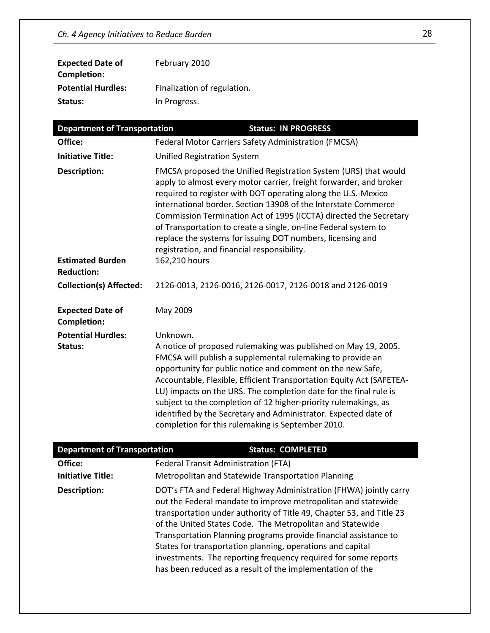| <b>Expected Date of</b>   | February 2010               |
|---------------------------|-----------------------------|
| Completion:               |                             |
| <b>Potential Hurdles:</b> | Finalization of regulation. |
| Status:                   | In Progress.                |
|                           |                             |

| <b>Department of Transportation</b>           | <b>Status: IN PROGRESS</b>                                                                                                                                                                                                                                                                                                                                                                                                                                                                                                                     |
|-----------------------------------------------|------------------------------------------------------------------------------------------------------------------------------------------------------------------------------------------------------------------------------------------------------------------------------------------------------------------------------------------------------------------------------------------------------------------------------------------------------------------------------------------------------------------------------------------------|
| Office:                                       | Federal Motor Carriers Safety Administration (FMCSA)                                                                                                                                                                                                                                                                                                                                                                                                                                                                                           |
| <b>Initiative Title:</b>                      | <b>Unified Registration System</b>                                                                                                                                                                                                                                                                                                                                                                                                                                                                                                             |
| <b>Description:</b>                           | FMCSA proposed the Unified Registration System (URS) that would<br>apply to almost every motor carrier, freight forwarder, and broker<br>required to register with DOT operating along the U.S.-Mexico<br>international border. Section 13908 of the Interstate Commerce<br>Commission Termination Act of 1995 (ICCTA) directed the Secretary<br>of Transportation to create a single, on-line Federal system to<br>replace the systems for issuing DOT numbers, licensing and<br>registration, and financial responsibility.                  |
| <b>Estimated Burden</b><br><b>Reduction:</b>  | 162,210 hours                                                                                                                                                                                                                                                                                                                                                                                                                                                                                                                                  |
| <b>Collection(s) Affected:</b>                | 2126-0013, 2126-0016, 2126-0017, 2126-0018 and 2126-0019                                                                                                                                                                                                                                                                                                                                                                                                                                                                                       |
| <b>Expected Date of</b><br><b>Completion:</b> | May 2009                                                                                                                                                                                                                                                                                                                                                                                                                                                                                                                                       |
| <b>Potential Hurdles:</b><br>Status:          | Unknown.<br>A notice of proposed rulemaking was published on May 19, 2005.<br>FMCSA will publish a supplemental rulemaking to provide an<br>opportunity for public notice and comment on the new Safe,<br>Accountable, Flexible, Efficient Transportation Equity Act (SAFETEA-<br>LU) impacts on the URS. The completion date for the final rule is<br>subject to the completion of 12 higher-priority rulemakings, as<br>identified by the Secretary and Administrator. Expected date of<br>completion for this rulemaking is September 2010. |

| <b>Department of Transportation</b> |                                                                                                                                                                                      | <b>Status: COMPLETED</b>                                                                                                                                                                                                                                                                                                                         |
|-------------------------------------|--------------------------------------------------------------------------------------------------------------------------------------------------------------------------------------|--------------------------------------------------------------------------------------------------------------------------------------------------------------------------------------------------------------------------------------------------------------------------------------------------------------------------------------------------|
| Office:                             | Federal Transit Administration (FTA)                                                                                                                                                 |                                                                                                                                                                                                                                                                                                                                                  |
| <b>Initiative Title:</b>            | Metropolitan and Statewide Transportation Planning                                                                                                                                   |                                                                                                                                                                                                                                                                                                                                                  |
| Description:                        | of the United States Code. The Metropolitan and Statewide<br>States for transportation planning, operations and capital<br>has been reduced as a result of the implementation of the | DOT's FTA and Federal Highway Administration (FHWA) jointly carry<br>out the Federal mandate to improve metropolitan and statewide<br>transportation under authority of Title 49, Chapter 53, and Title 23<br>Transportation Planning programs provide financial assistance to<br>investments. The reporting frequency required for some reports |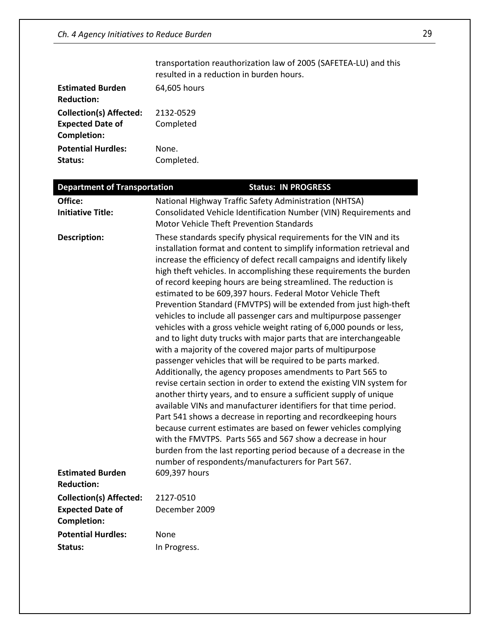|                                | transportation reauthorization law of 2005 (SAFETEA-LU) and this<br>resulted in a reduction in burden hours. |
|--------------------------------|--------------------------------------------------------------------------------------------------------------|
| <b>Estimated Burden</b>        | 64,605 hours                                                                                                 |
| <b>Reduction:</b>              |                                                                                                              |
| <b>Collection(s) Affected:</b> | 2132-0529                                                                                                    |
| <b>Expected Date of</b>        | Completed                                                                                                    |
| <b>Completion:</b>             |                                                                                                              |
| <b>Potential Hurdles:</b>      | None.                                                                                                        |
| Status:                        | Completed.                                                                                                   |

| <b>Department of Transportation</b>           | <b>Status: IN PROGRESS</b>                                                                                                                                                                                                                                                                                                                                                                                                                                                                                                                                                                                                                                                                                                                                                                                                                                                                                                                                                                                                                                                                                                                                                                                                                                                                                                                                                                                                                                          |
|-----------------------------------------------|---------------------------------------------------------------------------------------------------------------------------------------------------------------------------------------------------------------------------------------------------------------------------------------------------------------------------------------------------------------------------------------------------------------------------------------------------------------------------------------------------------------------------------------------------------------------------------------------------------------------------------------------------------------------------------------------------------------------------------------------------------------------------------------------------------------------------------------------------------------------------------------------------------------------------------------------------------------------------------------------------------------------------------------------------------------------------------------------------------------------------------------------------------------------------------------------------------------------------------------------------------------------------------------------------------------------------------------------------------------------------------------------------------------------------------------------------------------------|
| Office:                                       | National Highway Traffic Safety Administration (NHTSA)                                                                                                                                                                                                                                                                                                                                                                                                                                                                                                                                                                                                                                                                                                                                                                                                                                                                                                                                                                                                                                                                                                                                                                                                                                                                                                                                                                                                              |
| <b>Initiative Title:</b>                      | Consolidated Vehicle Identification Number (VIN) Requirements and<br><b>Motor Vehicle Theft Prevention Standards</b>                                                                                                                                                                                                                                                                                                                                                                                                                                                                                                                                                                                                                                                                                                                                                                                                                                                                                                                                                                                                                                                                                                                                                                                                                                                                                                                                                |
| <b>Description:</b>                           | These standards specify physical requirements for the VIN and its<br>installation format and content to simplify information retrieval and<br>increase the efficiency of defect recall campaigns and identify likely<br>high theft vehicles. In accomplishing these requirements the burden<br>of record keeping hours are being streamlined. The reduction is<br>estimated to be 609,397 hours. Federal Motor Vehicle Theft<br>Prevention Standard (FMVTPS) will be extended from just high-theft<br>vehicles to include all passenger cars and multipurpose passenger<br>vehicles with a gross vehicle weight rating of 6,000 pounds or less,<br>and to light duty trucks with major parts that are interchangeable<br>with a majority of the covered major parts of multipurpose<br>passenger vehicles that will be required to be parts marked.<br>Additionally, the agency proposes amendments to Part 565 to<br>revise certain section in order to extend the existing VIN system for<br>another thirty years, and to ensure a sufficient supply of unique<br>available VINs and manufacturer identifiers for that time period.<br>Part 541 shows a decrease in reporting and recordkeeping hours<br>because current estimates are based on fewer vehicles complying<br>with the FMVTPS. Parts 565 and 567 show a decrease in hour<br>burden from the last reporting period because of a decrease in the<br>number of respondents/manufacturers for Part 567. |
| <b>Estimated Burden</b><br><b>Reduction:</b>  | 609,397 hours                                                                                                                                                                                                                                                                                                                                                                                                                                                                                                                                                                                                                                                                                                                                                                                                                                                                                                                                                                                                                                                                                                                                                                                                                                                                                                                                                                                                                                                       |
| <b>Collection(s) Affected:</b>                | 2127-0510                                                                                                                                                                                                                                                                                                                                                                                                                                                                                                                                                                                                                                                                                                                                                                                                                                                                                                                                                                                                                                                                                                                                                                                                                                                                                                                                                                                                                                                           |
| <b>Expected Date of</b><br><b>Completion:</b> | December 2009                                                                                                                                                                                                                                                                                                                                                                                                                                                                                                                                                                                                                                                                                                                                                                                                                                                                                                                                                                                                                                                                                                                                                                                                                                                                                                                                                                                                                                                       |
| <b>Potential Hurdles:</b>                     | None                                                                                                                                                                                                                                                                                                                                                                                                                                                                                                                                                                                                                                                                                                                                                                                                                                                                                                                                                                                                                                                                                                                                                                                                                                                                                                                                                                                                                                                                |
| Status:                                       | In Progress.                                                                                                                                                                                                                                                                                                                                                                                                                                                                                                                                                                                                                                                                                                                                                                                                                                                                                                                                                                                                                                                                                                                                                                                                                                                                                                                                                                                                                                                        |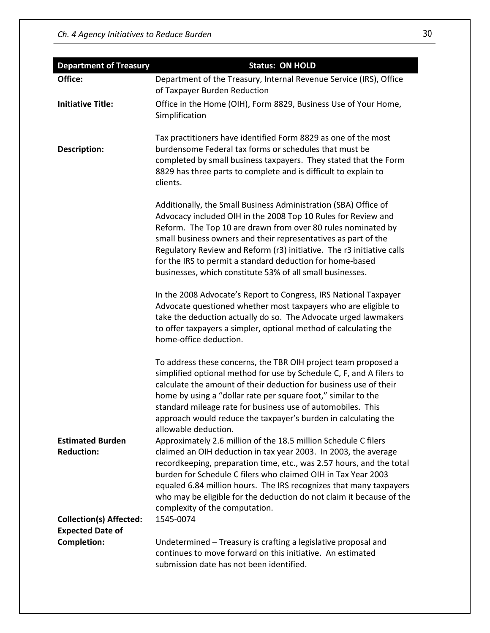| <b>Department of Treasury</b>                                                  | <b>Status: ON HOLD</b>                                                                                                                                                                                                                                                                                                                                                                                                                                                   |
|--------------------------------------------------------------------------------|--------------------------------------------------------------------------------------------------------------------------------------------------------------------------------------------------------------------------------------------------------------------------------------------------------------------------------------------------------------------------------------------------------------------------------------------------------------------------|
| Office:                                                                        | Department of the Treasury, Internal Revenue Service (IRS), Office<br>of Taxpayer Burden Reduction                                                                                                                                                                                                                                                                                                                                                                       |
| <b>Initiative Title:</b>                                                       | Office in the Home (OIH), Form 8829, Business Use of Your Home,<br>Simplification                                                                                                                                                                                                                                                                                                                                                                                        |
| <b>Description:</b>                                                            | Tax practitioners have identified Form 8829 as one of the most<br>burdensome Federal tax forms or schedules that must be<br>completed by small business taxpayers. They stated that the Form<br>8829 has three parts to complete and is difficult to explain to<br>clients.                                                                                                                                                                                              |
|                                                                                | Additionally, the Small Business Administration (SBA) Office of<br>Advocacy included OIH in the 2008 Top 10 Rules for Review and<br>Reform. The Top 10 are drawn from over 80 rules nominated by<br>small business owners and their representatives as part of the<br>Regulatory Review and Reform (r3) initiative. The r3 initiative calls<br>for the IRS to permit a standard deduction for home-based<br>businesses, which constitute 53% of all small businesses.    |
|                                                                                | In the 2008 Advocate's Report to Congress, IRS National Taxpayer<br>Advocate questioned whether most taxpayers who are eligible to<br>take the deduction actually do so. The Advocate urged lawmakers<br>to offer taxpayers a simpler, optional method of calculating the<br>home-office deduction.                                                                                                                                                                      |
|                                                                                | To address these concerns, the TBR OIH project team proposed a<br>simplified optional method for use by Schedule C, F, and A filers to<br>calculate the amount of their deduction for business use of their<br>home by using a "dollar rate per square foot," similar to the<br>standard mileage rate for business use of automobiles. This<br>approach would reduce the taxpayer's burden in calculating the<br>allowable deduction.                                    |
| <b>Estimated Burden</b><br><b>Reduction:</b><br><b>Collection(s) Affected:</b> | Approximately 2.6 million of the 18.5 million Schedule C filers<br>claimed an OIH deduction in tax year 2003. In 2003, the average<br>recordkeeping, preparation time, etc., was 2.57 hours, and the total<br>burden for Schedule C filers who claimed OIH in Tax Year 2003<br>equaled 6.84 million hours. The IRS recognizes that many taxpayers<br>who may be eligible for the deduction do not claim it because of the<br>complexity of the computation.<br>1545-0074 |
| <b>Expected Date of</b><br><b>Completion:</b>                                  | Undetermined - Treasury is crafting a legislative proposal and<br>continues to move forward on this initiative. An estimated<br>submission date has not been identified.                                                                                                                                                                                                                                                                                                 |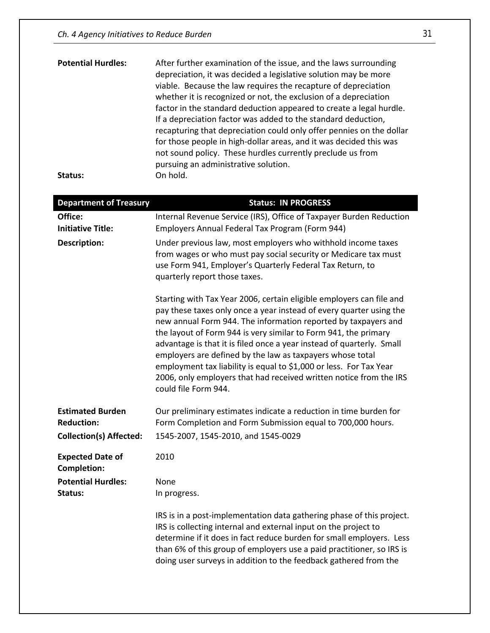| <b>Potential Hurdles:</b> | After further examination of the issue, and the laws surrounding<br>depreciation, it was decided a legislative solution may be more<br>viable. Because the law requires the recapture of depreciation<br>whether it is recognized or not, the exclusion of a depreciation<br>factor in the standard deduction appeared to create a legal hurdle.<br>If a depreciation factor was added to the standard deduction,<br>recapturing that depreciation could only offer pennies on the dollar<br>for those people in high-dollar areas, and it was decided this was<br>not sound policy. These hurdles currently preclude us from<br>pursuing an administrative solution. |
|---------------------------|-----------------------------------------------------------------------------------------------------------------------------------------------------------------------------------------------------------------------------------------------------------------------------------------------------------------------------------------------------------------------------------------------------------------------------------------------------------------------------------------------------------------------------------------------------------------------------------------------------------------------------------------------------------------------|
| Status:                   | On hold.                                                                                                                                                                                                                                                                                                                                                                                                                                                                                                                                                                                                                                                              |

| <b>Department of Treasury</b>                 | <b>Status: IN PROGRESS</b>                                                                                                                                                                                                                                                                                                                                                                                                                                                                                                                                                                 |
|-----------------------------------------------|--------------------------------------------------------------------------------------------------------------------------------------------------------------------------------------------------------------------------------------------------------------------------------------------------------------------------------------------------------------------------------------------------------------------------------------------------------------------------------------------------------------------------------------------------------------------------------------------|
| Office:                                       | Internal Revenue Service (IRS), Office of Taxpayer Burden Reduction                                                                                                                                                                                                                                                                                                                                                                                                                                                                                                                        |
| <b>Initiative Title:</b>                      | Employers Annual Federal Tax Program (Form 944)                                                                                                                                                                                                                                                                                                                                                                                                                                                                                                                                            |
| <b>Description:</b>                           | Under previous law, most employers who withhold income taxes<br>from wages or who must pay social security or Medicare tax must<br>use Form 941, Employer's Quarterly Federal Tax Return, to<br>quarterly report those taxes.                                                                                                                                                                                                                                                                                                                                                              |
|                                               | Starting with Tax Year 2006, certain eligible employers can file and<br>pay these taxes only once a year instead of every quarter using the<br>new annual Form 944. The information reported by taxpayers and<br>the layout of Form 944 is very similar to Form 941, the primary<br>advantage is that it is filed once a year instead of quarterly. Small<br>employers are defined by the law as taxpayers whose total<br>employment tax liability is equal to \$1,000 or less. For Tax Year<br>2006, only employers that had received written notice from the IRS<br>could file Form 944. |
| <b>Estimated Burden</b><br><b>Reduction:</b>  | Our preliminary estimates indicate a reduction in time burden for<br>Form Completion and Form Submission equal to 700,000 hours.                                                                                                                                                                                                                                                                                                                                                                                                                                                           |
| <b>Collection(s) Affected:</b>                | 1545-2007, 1545-2010, and 1545-0029                                                                                                                                                                                                                                                                                                                                                                                                                                                                                                                                                        |
| <b>Expected Date of</b><br><b>Completion:</b> | 2010                                                                                                                                                                                                                                                                                                                                                                                                                                                                                                                                                                                       |
| <b>Potential Hurdles:</b><br>Status:          | None<br>In progress.                                                                                                                                                                                                                                                                                                                                                                                                                                                                                                                                                                       |
|                                               | IRS is in a post-implementation data gathering phase of this project.<br>IRS is collecting internal and external input on the project to<br>determine if it does in fact reduce burden for small employers. Less<br>than 6% of this group of employers use a paid practitioner, so IRS is<br>doing user surveys in addition to the feedback gathered from the                                                                                                                                                                                                                              |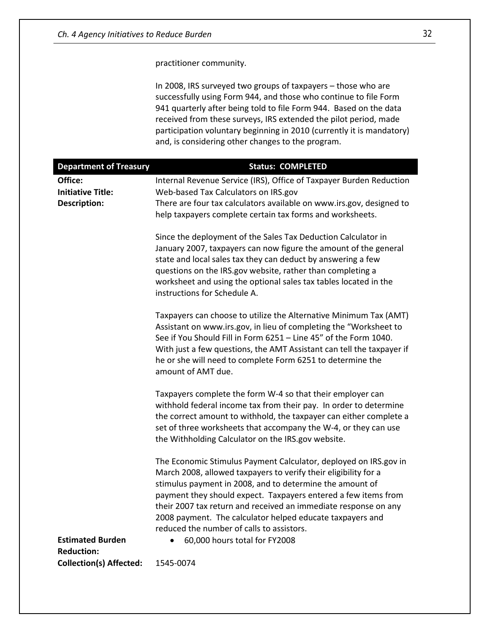practitioner community.

In 2008, IRS surveyed two groups of taxpayers – those who are successfully using Form 944, and those who continue to file Form 941 quarterly after being told to file Form 944. Based on the data received from these surveys, IRS extended the pilot period, made participation voluntary beginning in 2010 (currently it is mandatory) and, is considering other changes to the program.

| <b>Department of Treasury</b>  | <b>Status: COMPLETED</b>                                                                                                                                                                                                                                                                                                                                                                                                                                                                     |
|--------------------------------|----------------------------------------------------------------------------------------------------------------------------------------------------------------------------------------------------------------------------------------------------------------------------------------------------------------------------------------------------------------------------------------------------------------------------------------------------------------------------------------------|
| Office:                        | Internal Revenue Service (IRS), Office of Taxpayer Burden Reduction                                                                                                                                                                                                                                                                                                                                                                                                                          |
| <b>Initiative Title:</b>       | Web-based Tax Calculators on IRS.gov                                                                                                                                                                                                                                                                                                                                                                                                                                                         |
| <b>Description:</b>            | There are four tax calculators available on www.irs.gov, designed to<br>help taxpayers complete certain tax forms and worksheets.                                                                                                                                                                                                                                                                                                                                                            |
|                                | Since the deployment of the Sales Tax Deduction Calculator in<br>January 2007, taxpayers can now figure the amount of the general<br>state and local sales tax they can deduct by answering a few<br>questions on the IRS.gov website, rather than completing a<br>worksheet and using the optional sales tax tables located in the<br>instructions for Schedule A.                                                                                                                          |
|                                | Taxpayers can choose to utilize the Alternative Minimum Tax (AMT)<br>Assistant on www.irs.gov, in lieu of completing the "Worksheet to<br>See if You Should Fill in Form 6251 - Line 45" of the Form 1040.<br>With just a few questions, the AMT Assistant can tell the taxpayer if<br>he or she will need to complete Form 6251 to determine the<br>amount of AMT due.                                                                                                                      |
|                                | Taxpayers complete the form W-4 so that their employer can<br>withhold federal income tax from their pay. In order to determine<br>the correct amount to withhold, the taxpayer can either complete a<br>set of three worksheets that accompany the W-4, or they can use<br>the Withholding Calculator on the IRS.gov website.                                                                                                                                                               |
| <b>Estimated Burden</b>        | The Economic Stimulus Payment Calculator, deployed on IRS.gov in<br>March 2008, allowed taxpayers to verify their eligibility for a<br>stimulus payment in 2008, and to determine the amount of<br>payment they should expect. Taxpayers entered a few items from<br>their 2007 tax return and received an immediate response on any<br>2008 payment. The calculator helped educate taxpayers and<br>reduced the number of calls to assistors.<br>60,000 hours total for FY2008<br>$\bullet$ |
| <b>Reduction:</b>              |                                                                                                                                                                                                                                                                                                                                                                                                                                                                                              |
| <b>Collection(s) Affected:</b> | 1545-0074                                                                                                                                                                                                                                                                                                                                                                                                                                                                                    |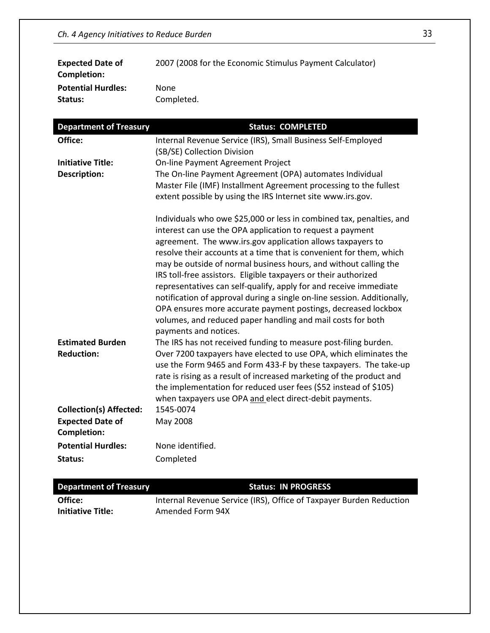| <b>Expected Date of</b><br>Completion: | 2007 (2008 for the Economic Stimulus Payment Calculator) |
|----------------------------------------|----------------------------------------------------------|
| <b>Potential Hurdles:</b>              | <b>None</b>                                              |
| Status:                                | Completed.                                               |

| <b>Department of Treasury</b>  | <b>Status: COMPLETED</b>                                                             |
|--------------------------------|--------------------------------------------------------------------------------------|
| Office:                        | Internal Revenue Service (IRS), Small Business Self-Employed                         |
|                                | (SB/SE) Collection Division                                                          |
| <b>Initiative Title:</b>       | On-line Payment Agreement Project                                                    |
| <b>Description:</b>            | The On-line Payment Agreement (OPA) automates Individual                             |
|                                | Master File (IMF) Installment Agreement processing to the fullest                    |
|                                | extent possible by using the IRS Internet site www.irs.gov.                          |
|                                | Individuals who owe \$25,000 or less in combined tax, penalties, and                 |
|                                | interest can use the OPA application to request a payment                            |
|                                | agreement. The www.irs.gov application allows taxpayers to                           |
|                                | resolve their accounts at a time that is convenient for them, which                  |
|                                | may be outside of normal business hours, and without calling the                     |
|                                | IRS toll-free assistors. Eligible taxpayers or their authorized                      |
|                                | representatives can self-qualify, apply for and receive immediate                    |
|                                | notification of approval during a single on-line session. Additionally,              |
|                                | OPA ensures more accurate payment postings, decreased lockbox                        |
|                                | volumes, and reduced paper handling and mail costs for both<br>payments and notices. |
| <b>Estimated Burden</b>        | The IRS has not received funding to measure post-filing burden.                      |
| <b>Reduction:</b>              | Over 7200 taxpayers have elected to use OPA, which eliminates the                    |
|                                | use the Form 9465 and Form 433-F by these taxpayers. The take-up                     |
|                                | rate is rising as a result of increased marketing of the product and                 |
|                                | the implementation for reduced user fees (\$52 instead of \$105)                     |
|                                | when taxpayers use OPA and elect direct-debit payments.                              |
| <b>Collection(s) Affected:</b> | 1545-0074                                                                            |
| <b>Expected Date of</b>        | May 2008                                                                             |
| <b>Completion:</b>             |                                                                                      |
| <b>Potential Hurdles:</b>      | None identified.                                                                     |
| Status:                        | Completed                                                                            |

| <b>Department of Treasury</b> | <b>Status: IN PROGRESS</b>                                          |
|-------------------------------|---------------------------------------------------------------------|
| Office:                       | Internal Revenue Service (IRS), Office of Taxpayer Burden Reduction |
| <b>Initiative Title:</b>      | Amended Form 94X                                                    |
|                               |                                                                     |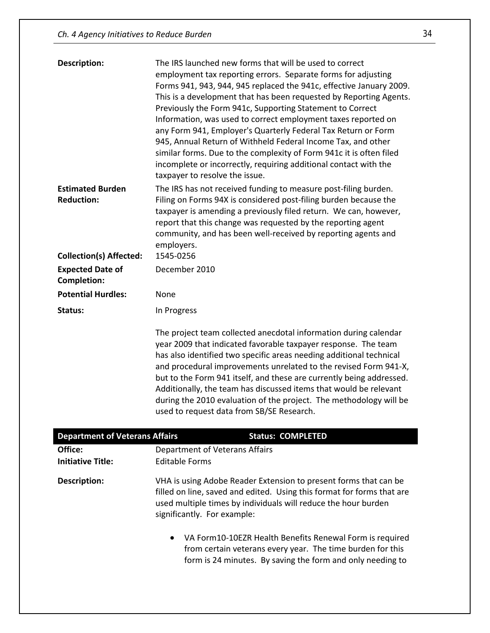| <b>Description:</b>            | The IRS launched new forms that will be used to correct                                                                                 |
|--------------------------------|-----------------------------------------------------------------------------------------------------------------------------------------|
|                                | employment tax reporting errors. Separate forms for adjusting                                                                           |
|                                | Forms 941, 943, 944, 945 replaced the 941c, effective January 2009.                                                                     |
|                                | This is a development that has been requested by Reporting Agents.                                                                      |
|                                | Previously the Form 941c, Supporting Statement to Correct                                                                               |
|                                | Information, was used to correct employment taxes reported on                                                                           |
|                                | any Form 941, Employer's Quarterly Federal Tax Return or Form                                                                           |
|                                | 945, Annual Return of Withheld Federal Income Tax, and other                                                                            |
|                                | similar forms. Due to the complexity of Form 941c it is often filed                                                                     |
|                                | incomplete or incorrectly, requiring additional contact with the                                                                        |
|                                | taxpayer to resolve the issue.                                                                                                          |
| <b>Estimated Burden</b>        | The IRS has not received funding to measure post-filing burden.                                                                         |
| <b>Reduction:</b>              | Filing on Forms 94X is considered post-filing burden because the                                                                        |
|                                | taxpayer is amending a previously filed return. We can, however,                                                                        |
|                                | report that this change was requested by the reporting agent                                                                            |
|                                | community, and has been well-received by reporting agents and                                                                           |
|                                | employers.                                                                                                                              |
| <b>Collection(s) Affected:</b> | 1545-0256                                                                                                                               |
|                                |                                                                                                                                         |
|                                |                                                                                                                                         |
| <b>Expected Date of</b>        | December 2010                                                                                                                           |
| <b>Completion:</b>             |                                                                                                                                         |
| <b>Potential Hurdles:</b>      | None                                                                                                                                    |
| Status:                        | In Progress                                                                                                                             |
|                                |                                                                                                                                         |
|                                | The project team collected anecdotal information during calendar                                                                        |
|                                | year 2009 that indicated favorable taxpayer response. The team                                                                          |
|                                |                                                                                                                                         |
|                                | has also identified two specific areas needing additional technical<br>and procedural improvements unrelated to the revised Form 941-X, |
|                                | but to the Form 941 itself, and these are currently being addressed.                                                                    |
|                                | Additionally, the team has discussed items that would be relevant                                                                       |
|                                | during the 2010 evaluation of the project. The methodology will be                                                                      |
|                                | used to request data from SB/SE Research.                                                                                               |

| <b>Department of Veterans Affairs</b> | <b>Status: COMPLETED</b>                                                                                                                                                                                                                    |
|---------------------------------------|---------------------------------------------------------------------------------------------------------------------------------------------------------------------------------------------------------------------------------------------|
| Office:                               | Department of Veterans Affairs                                                                                                                                                                                                              |
| <b>Initiative Title:</b>              | <b>Editable Forms</b>                                                                                                                                                                                                                       |
| Description:                          | VHA is using Adobe Reader Extension to present forms that can be<br>filled on line, saved and edited. Using this format for forms that are<br>used multiple times by individuals will reduce the hour burden<br>significantly. For example: |
|                                       | VA Form10-10EZR Health Benefits Renewal Form is required<br>$\bullet$<br>from certain veterans every year. The time burden for this<br>form is 24 minutes. By saving the form and only needing to                                           |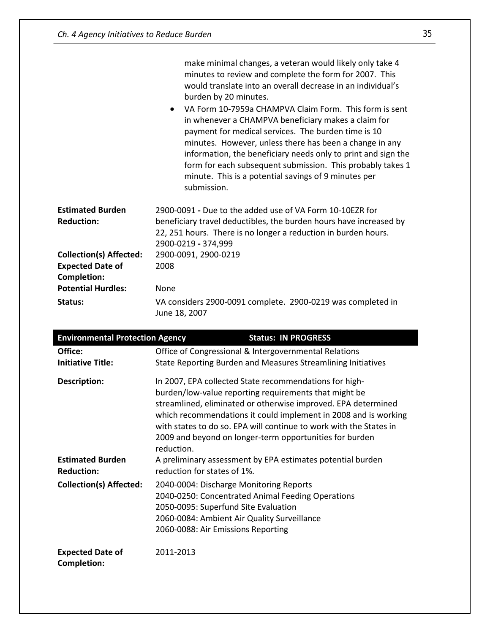|                                | make minimal changes, a veteran would likely only take 4<br>minutes to review and complete the form for 2007. This<br>would translate into an overall decrease in an individual's<br>burden by 20 minutes.<br>VA Form 10-7959a CHAMPVA Claim Form. This form is sent<br>$\bullet$<br>in whenever a CHAMPVA beneficiary makes a claim for<br>payment for medical services. The burden time is 10<br>minutes. However, unless there has been a change in any<br>information, the beneficiary needs only to print and sign the<br>form for each subsequent submission. This probably takes 1<br>minute. This is a potential savings of 9 minutes per<br>submission. |
|--------------------------------|------------------------------------------------------------------------------------------------------------------------------------------------------------------------------------------------------------------------------------------------------------------------------------------------------------------------------------------------------------------------------------------------------------------------------------------------------------------------------------------------------------------------------------------------------------------------------------------------------------------------------------------------------------------|
| <b>Estimated Burden</b>        | 2900-0091 - Due to the added use of VA Form 10-10FZR for                                                                                                                                                                                                                                                                                                                                                                                                                                                                                                                                                                                                         |
| <b>Reduction:</b>              | beneficiary travel deductibles, the burden hours have increased by<br>22, 251 hours. There is no longer a reduction in burden hours.<br>2900-0219 - 374,999                                                                                                                                                                                                                                                                                                                                                                                                                                                                                                      |
| <b>Collection(s) Affected:</b> | 2900-0091, 2900-0219                                                                                                                                                                                                                                                                                                                                                                                                                                                                                                                                                                                                                                             |
| <b>Expected Date of</b>        | 2008                                                                                                                                                                                                                                                                                                                                                                                                                                                                                                                                                                                                                                                             |
| <b>Completion:</b>             |                                                                                                                                                                                                                                                                                                                                                                                                                                                                                                                                                                                                                                                                  |
| <b>Potential Hurdles:</b>      | <b>None</b>                                                                                                                                                                                                                                                                                                                                                                                                                                                                                                                                                                                                                                                      |
| Status:                        | VA considers 2900-0091 complete. 2900-0219 was completed in<br>June 18, 2007                                                                                                                                                                                                                                                                                                                                                                                                                                                                                                                                                                                     |

| <b>Environmental Protection Agency</b>  | <b>Status: IN PROGRESS</b>                                                                                                                                                                                                                                                                                                                                                                                                                                       |  |
|-----------------------------------------|------------------------------------------------------------------------------------------------------------------------------------------------------------------------------------------------------------------------------------------------------------------------------------------------------------------------------------------------------------------------------------------------------------------------------------------------------------------|--|
| Office:<br><b>Initiative Title:</b>     | Office of Congressional & Intergovernmental Relations<br>State Reporting Burden and Measures Streamlining Initiatives                                                                                                                                                                                                                                                                                                                                            |  |
| Description:<br><b>Estimated Burden</b> | In 2007, EPA collected State recommendations for high-<br>burden/low-value reporting requirements that might be<br>streamlined, eliminated or otherwise improved. EPA determined<br>which recommendations it could implement in 2008 and is working<br>with states to do so. EPA will continue to work with the States in<br>2009 and beyond on longer-term opportunities for burden<br>reduction.<br>A preliminary assessment by EPA estimates potential burden |  |
| <b>Reduction:</b>                       | reduction for states of 1%.                                                                                                                                                                                                                                                                                                                                                                                                                                      |  |
| <b>Collection(s) Affected:</b>          | 2040-0004: Discharge Monitoring Reports<br>2040-0250: Concentrated Animal Feeding Operations<br>2050-0095: Superfund Site Evaluation<br>2060-0084: Ambient Air Quality Surveillance<br>2060-0088: Air Emissions Reporting                                                                                                                                                                                                                                        |  |
| <b>Expected Date of</b><br>Completion:  | 2011-2013                                                                                                                                                                                                                                                                                                                                                                                                                                                        |  |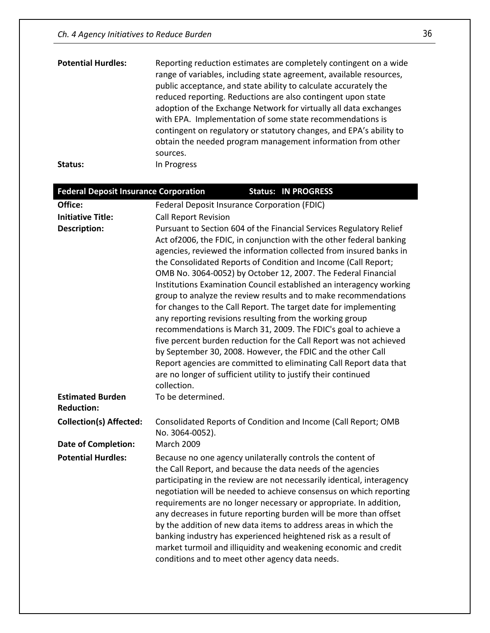| <b>Potential Hurdles:</b> | Reporting reduction estimates are completely contingent on a wide<br>range of variables, including state agreement, available resources,<br>public acceptance, and state ability to calculate accurately the<br>reduced reporting. Reductions are also contingent upon state<br>adoption of the Exchange Network for virtually all data exchanges<br>with EPA. Implementation of some state recommendations is<br>contingent on regulatory or statutory changes, and EPA's ability to<br>obtain the needed program management information from other<br>sources. |
|---------------------------|------------------------------------------------------------------------------------------------------------------------------------------------------------------------------------------------------------------------------------------------------------------------------------------------------------------------------------------------------------------------------------------------------------------------------------------------------------------------------------------------------------------------------------------------------------------|
| Status:                   | In Progress                                                                                                                                                                                                                                                                                                                                                                                                                                                                                                                                                      |

| <b>Federal Deposit Insurance Corporation</b> | <b>Status: IN PROGRESS</b>                                                                                                                                                                                                                                                                                                                                                                                                                                                                                                                                                                                                                                                                                                                                                                                                                                                                                                                                                                    |  |  |
|----------------------------------------------|-----------------------------------------------------------------------------------------------------------------------------------------------------------------------------------------------------------------------------------------------------------------------------------------------------------------------------------------------------------------------------------------------------------------------------------------------------------------------------------------------------------------------------------------------------------------------------------------------------------------------------------------------------------------------------------------------------------------------------------------------------------------------------------------------------------------------------------------------------------------------------------------------------------------------------------------------------------------------------------------------|--|--|
| Office:                                      | Federal Deposit Insurance Corporation (FDIC)                                                                                                                                                                                                                                                                                                                                                                                                                                                                                                                                                                                                                                                                                                                                                                                                                                                                                                                                                  |  |  |
| <b>Initiative Title:</b>                     | <b>Call Report Revision</b>                                                                                                                                                                                                                                                                                                                                                                                                                                                                                                                                                                                                                                                                                                                                                                                                                                                                                                                                                                   |  |  |
| <b>Description:</b>                          | Pursuant to Section 604 of the Financial Services Regulatory Relief<br>Act of 2006, the FDIC, in conjunction with the other federal banking<br>agencies, reviewed the information collected from insured banks in<br>the Consolidated Reports of Condition and Income (Call Report;<br>OMB No. 3064-0052) by October 12, 2007. The Federal Financial<br>Institutions Examination Council established an interagency working<br>group to analyze the review results and to make recommendations<br>for changes to the Call Report. The target date for implementing<br>any reporting revisions resulting from the working group<br>recommendations is March 31, 2009. The FDIC's goal to achieve a<br>five percent burden reduction for the Call Report was not achieved<br>by September 30, 2008. However, the FDIC and the other Call<br>Report agencies are committed to eliminating Call Report data that<br>are no longer of sufficient utility to justify their continued<br>collection. |  |  |
| <b>Estimated Burden</b><br><b>Reduction:</b> | To be determined.                                                                                                                                                                                                                                                                                                                                                                                                                                                                                                                                                                                                                                                                                                                                                                                                                                                                                                                                                                             |  |  |
| <b>Collection(s) Affected:</b>               | Consolidated Reports of Condition and Income (Call Report; OMB<br>No. 3064-0052).                                                                                                                                                                                                                                                                                                                                                                                                                                                                                                                                                                                                                                                                                                                                                                                                                                                                                                             |  |  |
| <b>Date of Completion:</b>                   | <b>March 2009</b>                                                                                                                                                                                                                                                                                                                                                                                                                                                                                                                                                                                                                                                                                                                                                                                                                                                                                                                                                                             |  |  |
| <b>Potential Hurdles:</b>                    | Because no one agency unilaterally controls the content of<br>the Call Report, and because the data needs of the agencies<br>participating in the review are not necessarily identical, interagency<br>negotiation will be needed to achieve consensus on which reporting<br>requirements are no longer necessary or appropriate. In addition,<br>any decreases in future reporting burden will be more than offset<br>by the addition of new data items to address areas in which the<br>banking industry has experienced heightened risk as a result of<br>market turmoil and illiquidity and weakening economic and credit<br>conditions and to meet other agency data needs.                                                                                                                                                                                                                                                                                                              |  |  |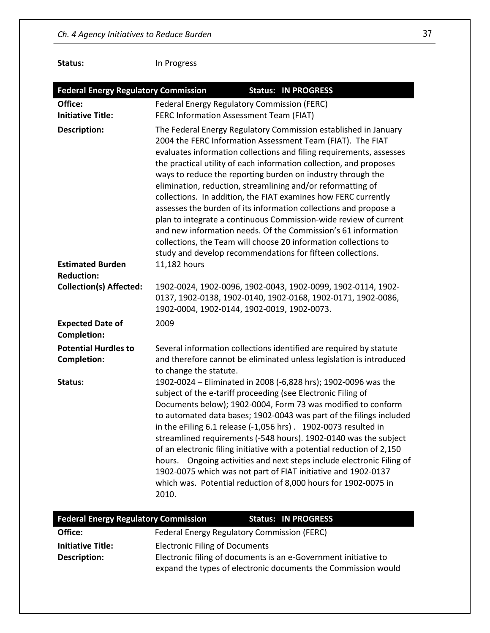**Status:** In Progress

| <b>Federal Energy Regulatory Commission</b>                  | <b>Status: IN PROGRESS</b>                                                                                                                                                                                                                                                                                                                                                                                                                                                                                                                                                                                                                                                                                                                                                                                                                                                            |  |  |
|--------------------------------------------------------------|---------------------------------------------------------------------------------------------------------------------------------------------------------------------------------------------------------------------------------------------------------------------------------------------------------------------------------------------------------------------------------------------------------------------------------------------------------------------------------------------------------------------------------------------------------------------------------------------------------------------------------------------------------------------------------------------------------------------------------------------------------------------------------------------------------------------------------------------------------------------------------------|--|--|
| Office:                                                      | Federal Energy Regulatory Commission (FERC)                                                                                                                                                                                                                                                                                                                                                                                                                                                                                                                                                                                                                                                                                                                                                                                                                                           |  |  |
| <b>Initiative Title:</b>                                     | FERC Information Assessment Team (FIAT)                                                                                                                                                                                                                                                                                                                                                                                                                                                                                                                                                                                                                                                                                                                                                                                                                                               |  |  |
| <b>Description:</b>                                          | The Federal Energy Regulatory Commission established in January<br>2004 the FERC Information Assessment Team (FIAT). The FIAT<br>evaluates information collections and filing requirements, assesses<br>the practical utility of each information collection, and proposes<br>ways to reduce the reporting burden on industry through the<br>elimination, reduction, streamlining and/or reformatting of<br>collections. In addition, the FIAT examines how FERC currently<br>assesses the burden of its information collections and propose a<br>plan to integrate a continuous Commission-wide review of current<br>and new information needs. Of the Commission's 61 information<br>collections, the Team will choose 20 information collections to<br>study and develop recommendations for fifteen collections.                                                                  |  |  |
| <b>Estimated Burden</b><br><b>Reduction:</b>                 | 11,182 hours                                                                                                                                                                                                                                                                                                                                                                                                                                                                                                                                                                                                                                                                                                                                                                                                                                                                          |  |  |
| <b>Collection(s) Affected:</b>                               | 1902-0024, 1902-0096, 1902-0043, 1902-0099, 1902-0114, 1902-<br>0137, 1902-0138, 1902-0140, 1902-0168, 1902-0171, 1902-0086,<br>1902-0004, 1902-0144, 1902-0019, 1902-0073.                                                                                                                                                                                                                                                                                                                                                                                                                                                                                                                                                                                                                                                                                                           |  |  |
| <b>Expected Date of</b>                                      | 2009                                                                                                                                                                                                                                                                                                                                                                                                                                                                                                                                                                                                                                                                                                                                                                                                                                                                                  |  |  |
| <b>Completion:</b>                                           |                                                                                                                                                                                                                                                                                                                                                                                                                                                                                                                                                                                                                                                                                                                                                                                                                                                                                       |  |  |
| <b>Potential Hurdles to</b><br><b>Completion:</b><br>Status: | Several information collections identified are required by statute<br>and therefore cannot be eliminated unless legislation is introduced<br>to change the statute.<br>1902-0024 - Eliminated in 2008 (-6,828 hrs); 1902-0096 was the<br>subject of the e-tariff proceeding (see Electronic Filing of<br>Documents below); 1902-0004, Form 73 was modified to conform<br>to automated data bases; 1902-0043 was part of the filings included<br>in the eFiling 6.1 release (-1,056 hrs) . 1902-0073 resulted in<br>streamlined requirements (-548 hours). 1902-0140 was the subject<br>of an electronic filing initiative with a potential reduction of 2,150<br>Ongoing activities and next steps include electronic Filing of<br>hours.<br>1902-0075 which was not part of FIAT initiative and 1902-0137<br>which was. Potential reduction of 8,000 hours for 1902-0075 in<br>2010. |  |  |
| <b>Federal Energy Regulatory Commission</b>                  | <b>Status: IN PROGRESS</b>                                                                                                                                                                                                                                                                                                                                                                                                                                                                                                                                                                                                                                                                                                                                                                                                                                                            |  |  |
| Office:                                                      | Federal Energy Regulatory Commission (FERC)                                                                                                                                                                                                                                                                                                                                                                                                                                                                                                                                                                                                                                                                                                                                                                                                                                           |  |  |
| <b>Initiative Title:</b><br><b>Description:</b>              | <b>Electronic Filing of Documents</b><br>Electronic filing of documents is an e-Government initiative to<br>expand the types of electronic documents the Commission would                                                                                                                                                                                                                                                                                                                                                                                                                                                                                                                                                                                                                                                                                                             |  |  |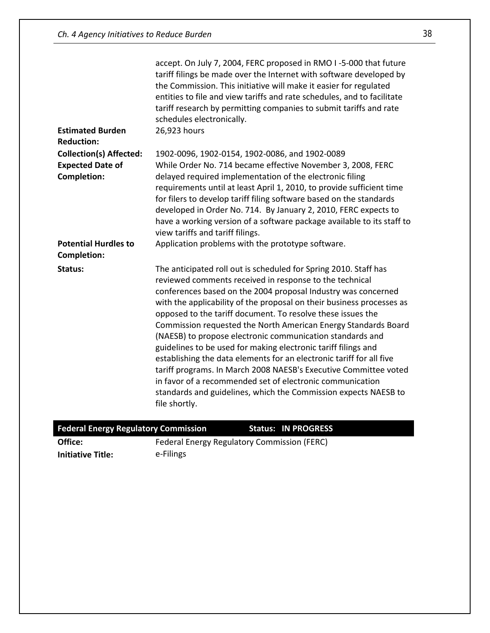| <b>Estimated Burden</b>                                                         | accept. On July 7, 2004, FERC proposed in RMO I-5-000 that future<br>tariff filings be made over the Internet with software developed by<br>the Commission. This initiative will make it easier for regulated<br>entities to file and view tariffs and rate schedules, and to facilitate<br>tariff research by permitting companies to submit tariffs and rate<br>schedules electronically.<br>26,923 hours                                                                                                                                                                                                                                                                                                                                                                                                                        |
|---------------------------------------------------------------------------------|------------------------------------------------------------------------------------------------------------------------------------------------------------------------------------------------------------------------------------------------------------------------------------------------------------------------------------------------------------------------------------------------------------------------------------------------------------------------------------------------------------------------------------------------------------------------------------------------------------------------------------------------------------------------------------------------------------------------------------------------------------------------------------------------------------------------------------|
| <b>Reduction:</b>                                                               |                                                                                                                                                                                                                                                                                                                                                                                                                                                                                                                                                                                                                                                                                                                                                                                                                                    |
| <b>Collection(s) Affected:</b><br><b>Expected Date of</b><br><b>Completion:</b> | 1902-0096, 1902-0154, 1902-0086, and 1902-0089<br>While Order No. 714 became effective November 3, 2008, FERC<br>delayed required implementation of the electronic filing<br>requirements until at least April 1, 2010, to provide sufficient time<br>for filers to develop tariff filing software based on the standards<br>developed in Order No. 714. By January 2, 2010, FERC expects to<br>have a working version of a software package available to its staff to<br>view tariffs and tariff filings.                                                                                                                                                                                                                                                                                                                         |
| <b>Potential Hurdles to</b><br><b>Completion:</b>                               | Application problems with the prototype software.                                                                                                                                                                                                                                                                                                                                                                                                                                                                                                                                                                                                                                                                                                                                                                                  |
| Status:                                                                         | The anticipated roll out is scheduled for Spring 2010. Staff has<br>reviewed comments received in response to the technical<br>conferences based on the 2004 proposal Industry was concerned<br>with the applicability of the proposal on their business processes as<br>opposed to the tariff document. To resolve these issues the<br>Commission requested the North American Energy Standards Board<br>(NAESB) to propose electronic communication standards and<br>guidelines to be used for making electronic tariff filings and<br>establishing the data elements for an electronic tariff for all five<br>tariff programs. In March 2008 NAESB's Executive Committee voted<br>in favor of a recommended set of electronic communication<br>standards and guidelines, which the Commission expects NAESB to<br>file shortly. |

| <b>Federal Energy Regulatory Commission</b> |                                             | <b>Status: IN PROGRESS</b> |  |
|---------------------------------------------|---------------------------------------------|----------------------------|--|
| Office:                                     | Federal Energy Regulatory Commission (FERC) |                            |  |

**Initiative Title:** e-Filings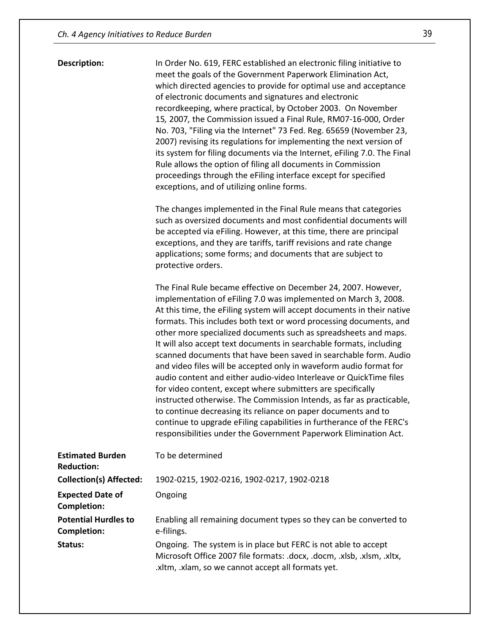**Description:** In Order No. 619, FERC established an electronic filing initiative to meet the goals of the Government Paperwork Elimination Act, which directed agencies to provide for optimal use and acceptance of electronic documents and signatures and electronic recordkeeping, where practical, by October 2003. On November 15*,* 2007*,* the Commission issued a Final Rule, RM07-16-000, Order No. 703, "Filing via the Internet" 73 Fed. Reg. 65659 (November 23, 2007) revising its regulations for implementing the next version of its system for filing documents via the Internet, eFiling 7.0. The Final Rule allows the option of filing all documents in Commission proceedings through the eFiling interface except for specified exceptions, and of utilizing online forms.

> The changes implemented in the Final Rule means that categories such as oversized documents and most confidential documents will be accepted via eFiling. However, at this time, there are principal exceptions, and they are tariffs, tariff revisions and rate change applications; some forms; and documents that are subject to protective orders.

The Final Rule became effective on December 24, 2007. However, implementation of eFiling 7.0 was implemented on March 3, 2008. At this time, the eFiling system will accept documents in their native formats. This includes both text or word processing documents, and other more specialized documents such as spreadsheets and maps. It will also accept text documents in searchable formats, including scanned documents that have been saved in searchable form. Audio and video files will be accepted only in waveform audio format for audio content and either audio-video Interleave or QuickTime files for video content, except where submitters are specifically instructed otherwise. The Commission Intends, as far as practicable, to continue decreasing its reliance on paper documents and to continue to upgrade eFiling capabilities in furtherance of the FERC's responsibilities under the Government Paperwork Elimination Act.

| <b>Estimated Burden</b><br><b>Reduction:</b> | To be determined                                                                                                                                                                               |
|----------------------------------------------|------------------------------------------------------------------------------------------------------------------------------------------------------------------------------------------------|
| <b>Collection(s) Affected:</b>               | 1902-0215, 1902-0216, 1902-0217, 1902-0218                                                                                                                                                     |
| <b>Expected Date of</b><br>Completion:       | Ongoing                                                                                                                                                                                        |
| <b>Potential Hurdles to</b><br>Completion:   | Enabling all remaining document types so they can be converted to<br>e-filings.                                                                                                                |
| Status:                                      | Ongoing. The system is in place but FERC is not able to accept<br>Microsoft Office 2007 file formats: .docx, .docm, .xlsb, .xlsm, .xltx,<br>.xltm, .xlam, so we cannot accept all formats yet. |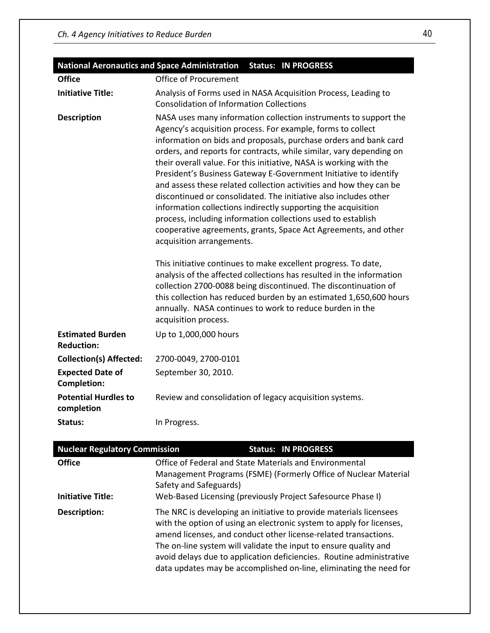|                                               | National Aeronautics and Space Administration Status: IN PROGRESS                                                                                                                                                                                                                                                                                                                                                                                                                                                                                                                                                                                                                                                                                                                                                                                                                                                                                                                                            |  |
|-----------------------------------------------|--------------------------------------------------------------------------------------------------------------------------------------------------------------------------------------------------------------------------------------------------------------------------------------------------------------------------------------------------------------------------------------------------------------------------------------------------------------------------------------------------------------------------------------------------------------------------------------------------------------------------------------------------------------------------------------------------------------------------------------------------------------------------------------------------------------------------------------------------------------------------------------------------------------------------------------------------------------------------------------------------------------|--|
| <b>Office</b>                                 | <b>Office of Procurement</b>                                                                                                                                                                                                                                                                                                                                                                                                                                                                                                                                                                                                                                                                                                                                                                                                                                                                                                                                                                                 |  |
| <b>Initiative Title:</b>                      | Analysis of Forms used in NASA Acquisition Process, Leading to<br><b>Consolidation of Information Collections</b>                                                                                                                                                                                                                                                                                                                                                                                                                                                                                                                                                                                                                                                                                                                                                                                                                                                                                            |  |
| <b>Description</b>                            | NASA uses many information collection instruments to support the<br>Agency's acquisition process. For example, forms to collect<br>information on bids and proposals, purchase orders and bank card<br>orders, and reports for contracts, while similar, vary depending on<br>their overall value. For this initiative, NASA is working with the<br>President's Business Gateway E-Government Initiative to identify<br>and assess these related collection activities and how they can be<br>discontinued or consolidated. The initiative also includes other<br>information collections indirectly supporting the acquisition<br>process, including information collections used to establish<br>cooperative agreements, grants, Space Act Agreements, and other<br>acquisition arrangements.<br>This initiative continues to make excellent progress. To date,<br>analysis of the affected collections has resulted in the information<br>collection 2700-0088 being discontinued. The discontinuation of |  |
|                                               | annually. NASA continues to work to reduce burden in the<br>acquisition process.                                                                                                                                                                                                                                                                                                                                                                                                                                                                                                                                                                                                                                                                                                                                                                                                                                                                                                                             |  |
| <b>Estimated Burden</b><br><b>Reduction:</b>  | Up to 1,000,000 hours                                                                                                                                                                                                                                                                                                                                                                                                                                                                                                                                                                                                                                                                                                                                                                                                                                                                                                                                                                                        |  |
| <b>Collection(s) Affected:</b>                | 2700-0049, 2700-0101                                                                                                                                                                                                                                                                                                                                                                                                                                                                                                                                                                                                                                                                                                                                                                                                                                                                                                                                                                                         |  |
| <b>Expected Date of</b><br><b>Completion:</b> | September 30, 2010.                                                                                                                                                                                                                                                                                                                                                                                                                                                                                                                                                                                                                                                                                                                                                                                                                                                                                                                                                                                          |  |
| <b>Potential Hurdles to</b><br>completion     | Review and consolidation of legacy acquisition systems.                                                                                                                                                                                                                                                                                                                                                                                                                                                                                                                                                                                                                                                                                                                                                                                                                                                                                                                                                      |  |
| Status:                                       | In Progress.                                                                                                                                                                                                                                                                                                                                                                                                                                                                                                                                                                                                                                                                                                                                                                                                                                                                                                                                                                                                 |  |

| <b>Nuclear Regulatory Commission</b> |                                                                                                                            |  | <b>Status: IN PROGRESS</b>                                                                                                                                                                                                                                                                                                                                                                                                      |
|--------------------------------------|----------------------------------------------------------------------------------------------------------------------------|--|---------------------------------------------------------------------------------------------------------------------------------------------------------------------------------------------------------------------------------------------------------------------------------------------------------------------------------------------------------------------------------------------------------------------------------|
| <b>Office</b>                        | Office of Federal and State Materials and Environmental<br>Management Programs (FSME) (Formerly Office of Nuclear Material |  |                                                                                                                                                                                                                                                                                                                                                                                                                                 |
|                                      | Safety and Safeguards)                                                                                                     |  |                                                                                                                                                                                                                                                                                                                                                                                                                                 |
| <b>Initiative Title:</b>             | Web-Based Licensing (previously Project Safesource Phase I)                                                                |  |                                                                                                                                                                                                                                                                                                                                                                                                                                 |
| Description:                         |                                                                                                                            |  | The NRC is developing an initiative to provide materials licensees<br>with the option of using an electronic system to apply for licenses,<br>amend licenses, and conduct other license-related transactions.<br>The on-line system will validate the input to ensure quality and<br>avoid delays due to application deficiencies. Routine administrative<br>data updates may be accomplished on-line, eliminating the need for |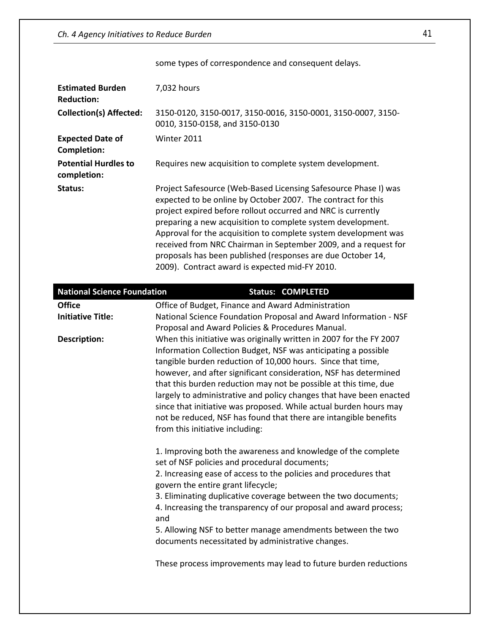| some types of correspondence and consequent delays.                                                                                                                                                                                                                                                                                                                                                                                                                                                                                                                                             |  |  |
|-------------------------------------------------------------------------------------------------------------------------------------------------------------------------------------------------------------------------------------------------------------------------------------------------------------------------------------------------------------------------------------------------------------------------------------------------------------------------------------------------------------------------------------------------------------------------------------------------|--|--|
| 7,032 hours                                                                                                                                                                                                                                                                                                                                                                                                                                                                                                                                                                                     |  |  |
| 3150-0120, 3150-0017, 3150-0016, 3150-0001, 3150-0007, 3150-<br>0010, 3150-0158, and 3150-0130                                                                                                                                                                                                                                                                                                                                                                                                                                                                                                  |  |  |
| Winter 2011                                                                                                                                                                                                                                                                                                                                                                                                                                                                                                                                                                                     |  |  |
| Requires new acquisition to complete system development.                                                                                                                                                                                                                                                                                                                                                                                                                                                                                                                                        |  |  |
| Project Safesource (Web-Based Licensing Safesource Phase I) was<br>expected to be online by October 2007. The contract for this<br>project expired before rollout occurred and NRC is currently<br>preparing a new acquisition to complete system development.<br>Approval for the acquisition to complete system development was<br>received from NRC Chairman in September 2009, and a request for<br>proposals has been published (responses are due October 14,<br>2009). Contract award is expected mid-FY 2010.                                                                           |  |  |
| <b>National Science Foundation</b><br><b>Status: COMPLETED</b>                                                                                                                                                                                                                                                                                                                                                                                                                                                                                                                                  |  |  |
| Office of Budget, Finance and Award Administration                                                                                                                                                                                                                                                                                                                                                                                                                                                                                                                                              |  |  |
| National Science Foundation Proposal and Award Information - NSF<br>Proposal and Award Policies & Procedures Manual.                                                                                                                                                                                                                                                                                                                                                                                                                                                                            |  |  |
| When this initiative was originally written in 2007 for the FY 2007<br>Information Collection Budget, NSF was anticipating a possible<br>tangible burden reduction of 10,000 hours. Since that time,<br>however, and after significant consideration, NSF has determined<br>that this burden reduction may not be possible at this time, due<br>largely to administrative and policy changes that have been enacted<br>since that initiative was proposed. While actual burden hours may<br>not be reduced, NSF has found that there are intangible benefits<br>from this initiative including: |  |  |
| 1. Improving both the awareness and knowledge of the complete<br>set of NSF policies and procedural documents;                                                                                                                                                                                                                                                                                                                                                                                                                                                                                  |  |  |
|                                                                                                                                                                                                                                                                                                                                                                                                                                                                                                                                                                                                 |  |  |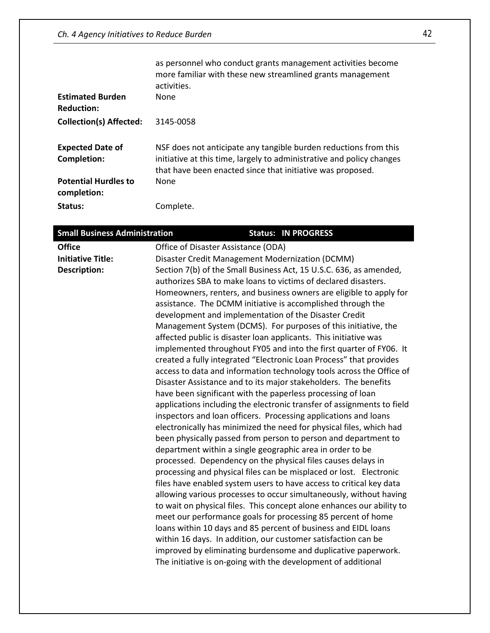| <b>Estimated Burden</b>                       | as personnel who conduct grants management activities become<br>more familiar with these new streamlined grants management<br>activities.<br>None                                                       |
|-----------------------------------------------|---------------------------------------------------------------------------------------------------------------------------------------------------------------------------------------------------------|
| <b>Reduction:</b>                             |                                                                                                                                                                                                         |
| <b>Collection(s) Affected:</b>                | 3145-0058                                                                                                                                                                                               |
| <b>Expected Date of</b><br><b>Completion:</b> | NSF does not anticipate any tangible burden reductions from this<br>initiative at this time, largely to administrative and policy changes<br>that have been enacted since that initiative was proposed. |
| <b>Potential Hurdles to</b><br>completion:    | None                                                                                                                                                                                                    |
| Status:                                       | Complete.                                                                                                                                                                                               |

| <b>Small Business Administration</b> | <b>Status: IN PROGRESS</b>                                                                                                     |
|--------------------------------------|--------------------------------------------------------------------------------------------------------------------------------|
| <b>Office</b>                        | Office of Disaster Assistance (ODA)                                                                                            |
| <b>Initiative Title:</b>             | Disaster Credit Management Modernization (DCMM)                                                                                |
| <b>Description:</b>                  | Section 7(b) of the Small Business Act, 15 U.S.C. 636, as amended,                                                             |
|                                      | authorizes SBA to make loans to victims of declared disasters.                                                                 |
|                                      | Homeowners, renters, and business owners are eligible to apply for                                                             |
|                                      | assistance. The DCMM initiative is accomplished through the                                                                    |
|                                      | development and implementation of the Disaster Credit                                                                          |
|                                      | Management System (DCMS). For purposes of this initiative, the                                                                 |
|                                      | affected public is disaster loan applicants. This initiative was                                                               |
|                                      | implemented throughout FY05 and into the first quarter of FY06. It                                                             |
|                                      | created a fully integrated "Electronic Loan Process" that provides                                                             |
|                                      | access to data and information technology tools across the Office of                                                           |
|                                      | Disaster Assistance and to its major stakeholders. The benefits<br>have been significant with the paperless processing of loan |
|                                      | applications including the electronic transfer of assignments to field                                                         |
|                                      | inspectors and loan officers. Processing applications and loans                                                                |
|                                      | electronically has minimized the need for physical files, which had                                                            |
|                                      | been physically passed from person to person and department to                                                                 |
|                                      | department within a single geographic area in order to be                                                                      |
|                                      | processed. Dependency on the physical files causes delays in                                                                   |
|                                      | processing and physical files can be misplaced or lost. Electronic                                                             |
|                                      | files have enabled system users to have access to critical key data                                                            |
|                                      | allowing various processes to occur simultaneously, without having                                                             |
|                                      | to wait on physical files. This concept alone enhances our ability to                                                          |
|                                      | meet our performance goals for processing 85 percent of home                                                                   |
|                                      | loans within 10 days and 85 percent of business and EIDL loans                                                                 |
|                                      | within 16 days. In addition, our customer satisfaction can be                                                                  |
|                                      | improved by eliminating burdensome and duplicative paperwork.                                                                  |
|                                      | The initiative is on-going with the development of additional                                                                  |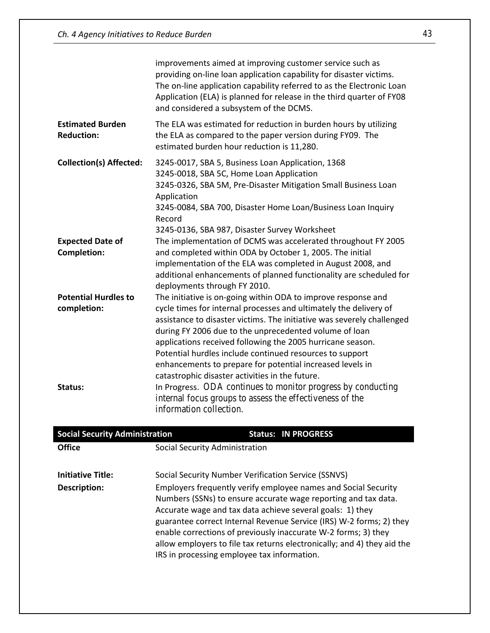|                                               | improvements aimed at improving customer service such as<br>providing on-line loan application capability for disaster victims.<br>The on-line application capability referred to as the Electronic Loan<br>Application (ELA) is planned for release in the third quarter of FY08<br>and considered a subsystem of the DCMS.                                                                                                                                                                                     |
|-----------------------------------------------|------------------------------------------------------------------------------------------------------------------------------------------------------------------------------------------------------------------------------------------------------------------------------------------------------------------------------------------------------------------------------------------------------------------------------------------------------------------------------------------------------------------|
| <b>Estimated Burden</b><br><b>Reduction:</b>  | The ELA was estimated for reduction in burden hours by utilizing<br>the ELA as compared to the paper version during FY09. The<br>estimated burden hour reduction is 11,280.                                                                                                                                                                                                                                                                                                                                      |
| <b>Collection(s) Affected:</b>                | 3245-0017, SBA 5, Business Loan Application, 1368<br>3245-0018, SBA 5C, Home Loan Application<br>3245-0326, SBA 5M, Pre-Disaster Mitigation Small Business Loan<br>Application<br>3245-0084, SBA 700, Disaster Home Loan/Business Loan Inquiry<br>Record<br>3245-0136, SBA 987, Disaster Survey Worksheet                                                                                                                                                                                                        |
| <b>Expected Date of</b><br><b>Completion:</b> | The implementation of DCMS was accelerated throughout FY 2005<br>and completed within ODA by October 1, 2005. The initial                                                                                                                                                                                                                                                                                                                                                                                        |
|                                               | implementation of the ELA was completed in August 2008, and<br>additional enhancements of planned functionality are scheduled for<br>deployments through FY 2010.                                                                                                                                                                                                                                                                                                                                                |
| <b>Potential Hurdles to</b><br>completion:    | The initiative is on-going within ODA to improve response and<br>cycle times for internal processes and ultimately the delivery of<br>assistance to disaster victims. The initiative was severely challenged<br>during FY 2006 due to the unprecedented volume of loan<br>applications received following the 2005 hurricane season.<br>Potential hurdles include continued resources to support<br>enhancements to prepare for potential increased levels in<br>catastrophic disaster activities in the future. |
| Status:                                       | In Progress. ODA continues to monitor progress by conducting<br>internal focus groups to assess the effectiveness of the<br>information collection.                                                                                                                                                                                                                                                                                                                                                              |

| <b>Social Security Administration</b>    |                                             | <b>Status: IN PROGRESS</b>                                                                                                                                                                                                                                                                                                                                                                                                                                               |  |
|------------------------------------------|---------------------------------------------|--------------------------------------------------------------------------------------------------------------------------------------------------------------------------------------------------------------------------------------------------------------------------------------------------------------------------------------------------------------------------------------------------------------------------------------------------------------------------|--|
| <b>Office</b>                            |                                             | Social Security Administration                                                                                                                                                                                                                                                                                                                                                                                                                                           |  |
| <b>Initiative Title:</b><br>Description: | IRS in processing employee tax information. | Social Security Number Verification Service (SSNVS)<br>Employers frequently verify employee names and Social Security<br>Numbers (SSNs) to ensure accurate wage reporting and tax data.<br>Accurate wage and tax data achieve several goals: 1) they<br>guarantee correct Internal Revenue Service (IRS) W-2 forms; 2) they<br>enable corrections of previously inaccurate W-2 forms; 3) they<br>allow employers to file tax returns electronically; and 4) they aid the |  |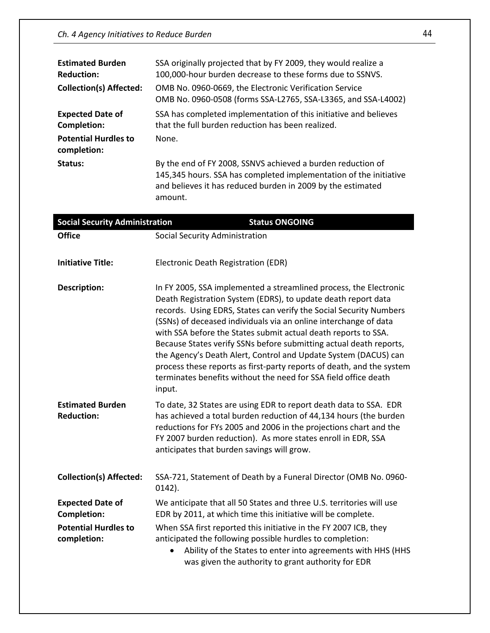| <b>Estimated Burden</b><br><b>Reduction:</b> | SSA originally projected that by FY 2009, they would realize a<br>100,000-hour burden decrease to these forms due to SSNVS.                                                                                |
|----------------------------------------------|------------------------------------------------------------------------------------------------------------------------------------------------------------------------------------------------------------|
| <b>Collection(s) Affected:</b>               | OMB No. 0960-0669, the Electronic Verification Service<br>OMB No. 0960-0508 (forms SSA-L2765, SSA-L3365, and SSA-L4002)                                                                                    |
| <b>Expected Date of</b><br>Completion:       | SSA has completed implementation of this initiative and believes<br>that the full burden reduction has been realized.                                                                                      |
| <b>Potential Hurdles to</b><br>completion:   | None.                                                                                                                                                                                                      |
| Status:                                      | By the end of FY 2008, SSNVS achieved a burden reduction of<br>145,345 hours. SSA has completed implementation of the initiative<br>and believes it has reduced burden in 2009 by the estimated<br>amount. |

| <b>Social Security Administration</b>         | <b>Status ONGOING</b>                                                                                                                                                                                                                                                                                                                                                                                                                                                                                                                                                                                                                         |
|-----------------------------------------------|-----------------------------------------------------------------------------------------------------------------------------------------------------------------------------------------------------------------------------------------------------------------------------------------------------------------------------------------------------------------------------------------------------------------------------------------------------------------------------------------------------------------------------------------------------------------------------------------------------------------------------------------------|
| <b>Office</b>                                 | Social Security Administration                                                                                                                                                                                                                                                                                                                                                                                                                                                                                                                                                                                                                |
| <b>Initiative Title:</b>                      | Electronic Death Registration (EDR)                                                                                                                                                                                                                                                                                                                                                                                                                                                                                                                                                                                                           |
| <b>Description:</b>                           | In FY 2005, SSA implemented a streamlined process, the Electronic<br>Death Registration System (EDRS), to update death report data<br>records. Using EDRS, States can verify the Social Security Numbers<br>(SSNs) of deceased individuals via an online interchange of data<br>with SSA before the States submit actual death reports to SSA.<br>Because States verify SSNs before submitting actual death reports,<br>the Agency's Death Alert, Control and Update System (DACUS) can<br>process these reports as first-party reports of death, and the system<br>terminates benefits without the need for SSA field office death<br>input. |
| <b>Estimated Burden</b><br><b>Reduction:</b>  | To date, 32 States are using EDR to report death data to SSA. EDR<br>has achieved a total burden reduction of 44,134 hours (the burden<br>reductions for FYs 2005 and 2006 in the projections chart and the<br>FY 2007 burden reduction). As more states enroll in EDR, SSA<br>anticipates that burden savings will grow.                                                                                                                                                                                                                                                                                                                     |
| <b>Collection(s) Affected:</b>                | SSA-721, Statement of Death by a Funeral Director (OMB No. 0960-<br>$0142$ ).                                                                                                                                                                                                                                                                                                                                                                                                                                                                                                                                                                 |
| <b>Expected Date of</b><br><b>Completion:</b> | We anticipate that all 50 States and three U.S. territories will use<br>EDR by 2011, at which time this initiative will be complete.                                                                                                                                                                                                                                                                                                                                                                                                                                                                                                          |
| <b>Potential Hurdles to</b><br>completion:    | When SSA first reported this initiative in the FY 2007 ICB, they<br>anticipated the following possible hurdles to completion:<br>Ability of the States to enter into agreements with HHS (HHS<br>was given the authority to grant authority for EDR                                                                                                                                                                                                                                                                                                                                                                                           |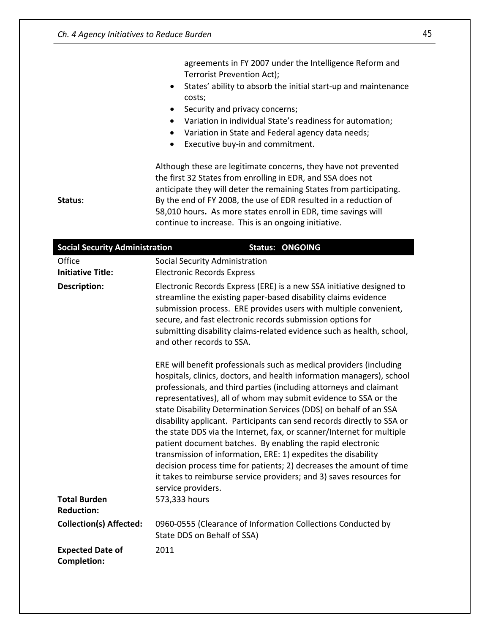Office Social Security Administration **Initiative Title:** Electronic Records Express

|                                       | agreements in FY 2007 under the Intelligence Reform and<br>Terrorist Prevention Act);<br>States' ability to absorb the initial start-up and maintenance<br>$\bullet$<br>costs;<br>Security and privacy concerns;<br>$\bullet$<br>Variation in individual State's readiness for automation;<br>$\bullet$<br>Variation in State and Federal agency data needs;<br>$\bullet$<br>Executive buy-in and commitment.<br>$\bullet$ |
|---------------------------------------|----------------------------------------------------------------------------------------------------------------------------------------------------------------------------------------------------------------------------------------------------------------------------------------------------------------------------------------------------------------------------------------------------------------------------|
| Status:                               | Although these are legitimate concerns, they have not prevented<br>the first 32 States from enrolling in EDR, and SSA does not<br>anticipate they will deter the remaining States from participating.<br>By the end of FY 2008, the use of EDR resulted in a reduction of<br>58,010 hours. As more states enroll in EDR, time savings will<br>continue to increase. This is an ongoing initiative.                         |
| <b>Social Security Administration</b> | <b>Status: ONGOING</b>                                                                                                                                                                                                                                                                                                                                                                                                     |

**Description:** Electronic Records Express (ERE) is a new SSA initiative designed to

streamline the existing paper-based disability claims evidence submission process. ERE provides users with multiple convenient,

submitting disability claims-related evidence such as health, school,

secure, and fast electronic records submission options for

|                                          | and other records to SSA.                                                                                                                                                                                                                                                                                                                                                                                                                                                                                                                                                                                                                                                                                                                                                                                                         |
|------------------------------------------|-----------------------------------------------------------------------------------------------------------------------------------------------------------------------------------------------------------------------------------------------------------------------------------------------------------------------------------------------------------------------------------------------------------------------------------------------------------------------------------------------------------------------------------------------------------------------------------------------------------------------------------------------------------------------------------------------------------------------------------------------------------------------------------------------------------------------------------|
| <b>Total Burden</b><br><b>Reduction:</b> | ERE will benefit professionals such as medical providers (including<br>hospitals, clinics, doctors, and health information managers), school<br>professionals, and third parties (including attorneys and claimant<br>representatives), all of whom may submit evidence to SSA or the<br>state Disability Determination Services (DDS) on behalf of an SSA<br>disability applicant. Participants can send records directly to SSA or<br>the state DDS via the Internet, fax, or scanner/Internet for multiple<br>patient document batches. By enabling the rapid electronic<br>transmission of information, ERE: 1) expedites the disability<br>decision process time for patients; 2) decreases the amount of time<br>it takes to reimburse service providers; and 3) saves resources for<br>service providers.<br>573,333 hours |
| <b>Collection(s) Affected:</b>           | 0960-0555 (Clearance of Information Collections Conducted by                                                                                                                                                                                                                                                                                                                                                                                                                                                                                                                                                                                                                                                                                                                                                                      |
|                                          | State DDS on Behalf of SSA)                                                                                                                                                                                                                                                                                                                                                                                                                                                                                                                                                                                                                                                                                                                                                                                                       |
| <b>Expected Date of</b><br>Completion:   | 2011                                                                                                                                                                                                                                                                                                                                                                                                                                                                                                                                                                                                                                                                                                                                                                                                                              |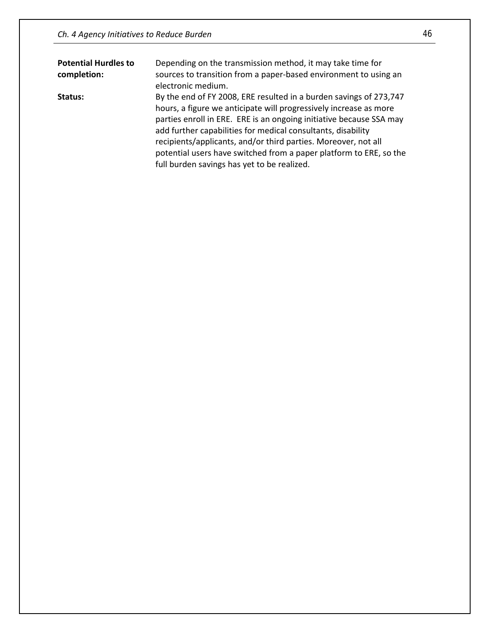| <b>Potential Hurdles to</b><br>completion: | Depending on the transmission method, it may take time for<br>sources to transition from a paper-based environment to using an<br>electronic medium.                                                                                                                                                                                                                                                                                                                  |
|--------------------------------------------|-----------------------------------------------------------------------------------------------------------------------------------------------------------------------------------------------------------------------------------------------------------------------------------------------------------------------------------------------------------------------------------------------------------------------------------------------------------------------|
| Status:                                    | By the end of FY 2008, ERE resulted in a burden savings of 273,747<br>hours, a figure we anticipate will progressively increase as more<br>parties enroll in ERE. ERE is an ongoing initiative because SSA may<br>add further capabilities for medical consultants, disability<br>recipients/applicants, and/or third parties. Moreover, not all<br>potential users have switched from a paper platform to ERE, so the<br>full burden savings has yet to be realized. |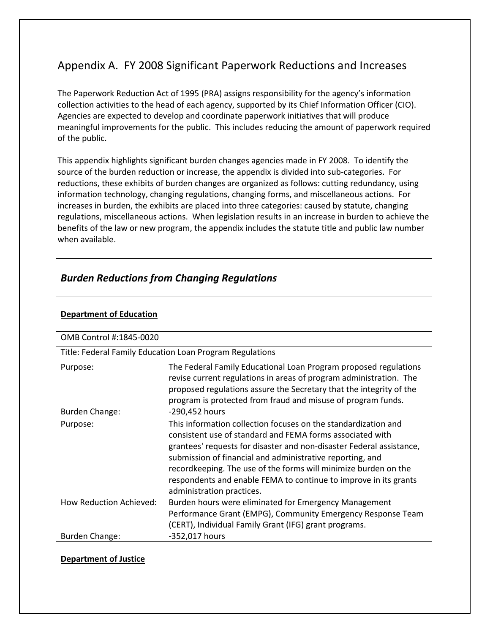# Appendix A. FY 2008 Significant Paperwork Reductions and Increases

The Paperwork Reduction Act of 1995 (PRA) assigns responsibility for the agency's information collection activities to the head of each agency, supported by its Chief Information Officer (CIO). Agencies are expected to develop and coordinate paperwork initiatives that will produce meaningful improvements for the public. This includes reducing the amount of paperwork required of the public.

This appendix highlights significant burden changes agencies made in FY 2008. To identify the source of the burden reduction or increase, the appendix is divided into sub-categories. For reductions, these exhibits of burden changes are organized as follows: cutting redundancy, using information technology, changing regulations, changing forms, and miscellaneous actions. For increases in burden, the exhibits are placed into three categories: caused by statute, changing regulations, miscellaneous actions. When legislation results in an increase in burden to achieve the benefits of the law or new program, the appendix includes the statute title and public law number when available.

# *Burden Reductions from Changing Regulations*

| OMB Control #:1845-0020        |                                                                                                                                                                                                                                                                                                                                                                                                                                      |  |
|--------------------------------|--------------------------------------------------------------------------------------------------------------------------------------------------------------------------------------------------------------------------------------------------------------------------------------------------------------------------------------------------------------------------------------------------------------------------------------|--|
|                                | Title: Federal Family Education Loan Program Regulations                                                                                                                                                                                                                                                                                                                                                                             |  |
| Purpose:                       | The Federal Family Educational Loan Program proposed regulations<br>revise current regulations in areas of program administration. The<br>proposed regulations assure the Secretary that the integrity of the<br>program is protected from fraud and misuse of program funds.                                                                                                                                                        |  |
| <b>Burden Change:</b>          | -290,452 hours                                                                                                                                                                                                                                                                                                                                                                                                                       |  |
| Purpose:                       | This information collection focuses on the standardization and<br>consistent use of standard and FEMA forms associated with<br>grantees' requests for disaster and non-disaster Federal assistance,<br>submission of financial and administrative reporting, and<br>recordkeeping. The use of the forms will minimize burden on the<br>respondents and enable FEMA to continue to improve in its grants<br>administration practices. |  |
| <b>How Reduction Achieved:</b> | Burden hours were eliminated for Emergency Management<br>Performance Grant (EMPG), Community Emergency Response Team<br>(CERT), Individual Family Grant (IFG) grant programs.                                                                                                                                                                                                                                                        |  |
| Burden Change:                 | -352,017 hours                                                                                                                                                                                                                                                                                                                                                                                                                       |  |

#### **Department of Education**

#### **Department of Justice**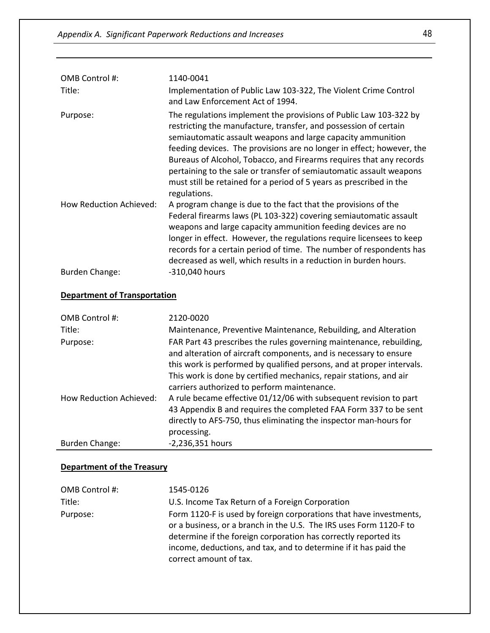| OMB Control #:<br>Title: | 1140-0041<br>Implementation of Public Law 103-322, The Violent Crime Control<br>and Law Enforcement Act of 1994.                                                                                                                                                                                                                                                                                                                                                                                                   |
|--------------------------|--------------------------------------------------------------------------------------------------------------------------------------------------------------------------------------------------------------------------------------------------------------------------------------------------------------------------------------------------------------------------------------------------------------------------------------------------------------------------------------------------------------------|
| Purpose:                 | The regulations implement the provisions of Public Law 103-322 by<br>restricting the manufacture, transfer, and possession of certain<br>semiautomatic assault weapons and large capacity ammunition<br>feeding devices. The provisions are no longer in effect; however, the<br>Bureaus of Alcohol, Tobacco, and Firearms requires that any records<br>pertaining to the sale or transfer of semiautomatic assault weapons<br>must still be retained for a period of 5 years as prescribed in the<br>regulations. |
| How Reduction Achieved:  | A program change is due to the fact that the provisions of the<br>Federal firearms laws (PL 103-322) covering semiautomatic assault<br>weapons and large capacity ammunition feeding devices are no<br>longer in effect. However, the regulations require licensees to keep<br>records for a certain period of time. The number of respondents has<br>decreased as well, which results in a reduction in burden hours.<br>-310,040 hours                                                                           |
| Burden Change:           |                                                                                                                                                                                                                                                                                                                                                                                                                                                                                                                    |

### **Department of Transportation**

| OMB Control #:                 | 2120-0020                                                                                                                                                                                                                                                                                                                              |
|--------------------------------|----------------------------------------------------------------------------------------------------------------------------------------------------------------------------------------------------------------------------------------------------------------------------------------------------------------------------------------|
| Title:                         | Maintenance, Preventive Maintenance, Rebuilding, and Alteration                                                                                                                                                                                                                                                                        |
| Purpose:                       | FAR Part 43 prescribes the rules governing maintenance, rebuilding,<br>and alteration of aircraft components, and is necessary to ensure<br>this work is performed by qualified persons, and at proper intervals.<br>This work is done by certified mechanics, repair stations, and air<br>carriers authorized to perform maintenance. |
| <b>How Reduction Achieved:</b> | A rule became effective 01/12/06 with subsequent revision to part<br>43 Appendix B and requires the completed FAA Form 337 to be sent<br>directly to AFS-750, thus eliminating the inspector man-hours for<br>processing.                                                                                                              |
| Burden Change:                 | -2,236,351 hours                                                                                                                                                                                                                                                                                                                       |

### **Department of the Treasury**

| OMB Control #: | 1545-0126                                                                                                                                                                                                                                                                                                 |
|----------------|-----------------------------------------------------------------------------------------------------------------------------------------------------------------------------------------------------------------------------------------------------------------------------------------------------------|
| Title:         | U.S. Income Tax Return of a Foreign Corporation                                                                                                                                                                                                                                                           |
| Purpose:       | Form 1120-F is used by foreign corporations that have investments,<br>or a business, or a branch in the U.S. The IRS uses Form 1120-F to<br>determine if the foreign corporation has correctly reported its<br>income, deductions, and tax, and to determine if it has paid the<br>correct amount of tax. |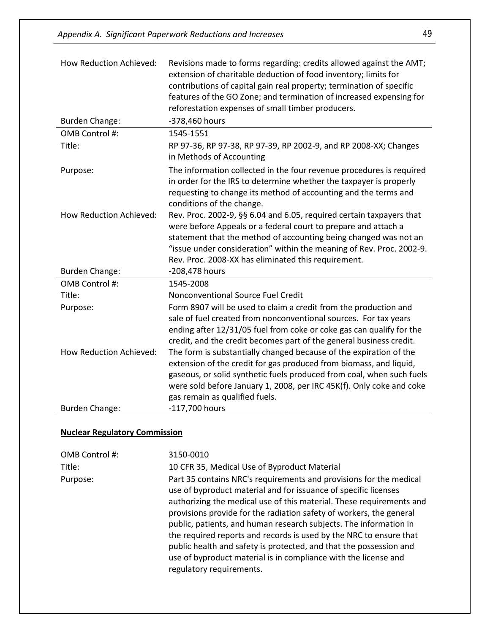| How Reduction Achieved: | Revisions made to forms regarding: credits allowed against the AMT;<br>extension of charitable deduction of food inventory; limits for<br>contributions of capital gain real property; termination of specific<br>features of the GO Zone; and termination of increased expensing for<br>reforestation expenses of small timber producers. |
|-------------------------|--------------------------------------------------------------------------------------------------------------------------------------------------------------------------------------------------------------------------------------------------------------------------------------------------------------------------------------------|
| <b>Burden Change:</b>   | -378,460 hours                                                                                                                                                                                                                                                                                                                             |
| OMB Control #:          | 1545-1551                                                                                                                                                                                                                                                                                                                                  |
| Title:                  | RP 97-36, RP 97-38, RP 97-39, RP 2002-9, and RP 2008-XX; Changes<br>in Methods of Accounting                                                                                                                                                                                                                                               |
| Purpose:                | The information collected in the four revenue procedures is required<br>in order for the IRS to determine whether the taxpayer is properly<br>requesting to change its method of accounting and the terms and<br>conditions of the change.                                                                                                 |
| How Reduction Achieved: | Rev. Proc. 2002-9, §§ 6.04 and 6.05, required certain taxpayers that<br>were before Appeals or a federal court to prepare and attach a<br>statement that the method of accounting being changed was not an<br>"issue under consideration" within the meaning of Rev. Proc. 2002-9.<br>Rev. Proc. 2008-XX has eliminated this requirement.  |
| <b>Burden Change:</b>   | -208,478 hours                                                                                                                                                                                                                                                                                                                             |
| OMB Control #:          | 1545-2008                                                                                                                                                                                                                                                                                                                                  |
| Title:                  | Nonconventional Source Fuel Credit                                                                                                                                                                                                                                                                                                         |
| Purpose:                | Form 8907 will be used to claim a credit from the production and<br>sale of fuel created from nonconventional sources. For tax years<br>ending after 12/31/05 fuel from coke or coke gas can qualify for the<br>credit, and the credit becomes part of the general business credit.                                                        |
| How Reduction Achieved: | The form is substantially changed because of the expiration of the<br>extension of the credit for gas produced from biomass, and liquid,<br>gaseous, or solid synthetic fuels produced from coal, when such fuels<br>were sold before January 1, 2008, per IRC 45K(f). Only coke and coke<br>gas remain as qualified fuels.                |
| <b>Burden Change:</b>   | -117,700 hours                                                                                                                                                                                                                                                                                                                             |

# **Nuclear Regulatory Commission**

| OMB Control #: | 3150-0010                                                                                                                                                                                                                                                                                                                                                                                                                                                                                                                                                                                            |
|----------------|------------------------------------------------------------------------------------------------------------------------------------------------------------------------------------------------------------------------------------------------------------------------------------------------------------------------------------------------------------------------------------------------------------------------------------------------------------------------------------------------------------------------------------------------------------------------------------------------------|
| Title:         | 10 CFR 35, Medical Use of Byproduct Material                                                                                                                                                                                                                                                                                                                                                                                                                                                                                                                                                         |
| Purpose:       | Part 35 contains NRC's requirements and provisions for the medical<br>use of byproduct material and for issuance of specific licenses<br>authorizing the medical use of this material. These requirements and<br>provisions provide for the radiation safety of workers, the general<br>public, patients, and human research subjects. The information in<br>the required reports and records is used by the NRC to ensure that<br>public health and safety is protected, and that the possession and<br>use of byproduct material is in compliance with the license and<br>regulatory requirements. |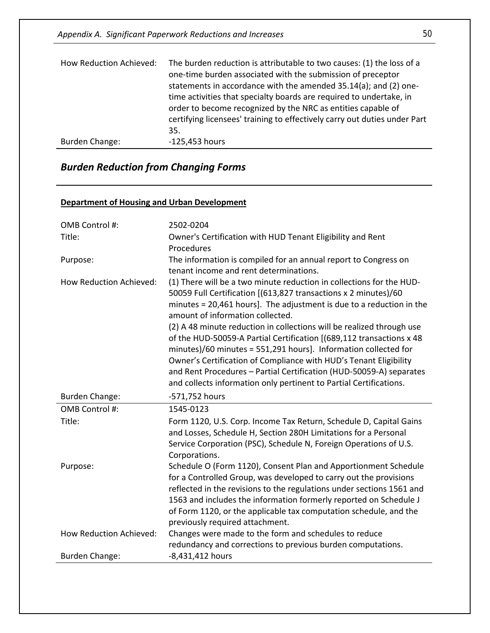Appendix A. Significant Paperwork Reductions and Increases 50

| How Reduction Achieved: | The burden reduction is attributable to two causes: (1) the loss of a<br>one-time burden associated with the submission of preceptor<br>statements in accordance with the amended 35.14(a); and (2) one-<br>time activities that specialty boards are required to undertake, in<br>order to become recognized by the NRC as entities capable of<br>certifying licensees' training to effectively carry out duties under Part<br>35. |
|-------------------------|-------------------------------------------------------------------------------------------------------------------------------------------------------------------------------------------------------------------------------------------------------------------------------------------------------------------------------------------------------------------------------------------------------------------------------------|
| Burden Change:          | $-125,453$ hours                                                                                                                                                                                                                                                                                                                                                                                                                    |

# *Burden Reduction from Changing Forms*

#### **Department of Housing and Urban Development**

| OMB Control #:                 | 2502-0204                                                                                                                                                                                                                                                                                                                                                                                                                                                                                                                                                                                                                                                                                 |
|--------------------------------|-------------------------------------------------------------------------------------------------------------------------------------------------------------------------------------------------------------------------------------------------------------------------------------------------------------------------------------------------------------------------------------------------------------------------------------------------------------------------------------------------------------------------------------------------------------------------------------------------------------------------------------------------------------------------------------------|
| Title:                         | Owner's Certification with HUD Tenant Eligibility and Rent<br>Procedures                                                                                                                                                                                                                                                                                                                                                                                                                                                                                                                                                                                                                  |
| Purpose:                       | The information is compiled for an annual report to Congress on<br>tenant income and rent determinations.                                                                                                                                                                                                                                                                                                                                                                                                                                                                                                                                                                                 |
| <b>How Reduction Achieved:</b> | (1) There will be a two minute reduction in collections for the HUD-<br>50059 Full Certification [(613,827 transactions x 2 minutes)/60<br>minutes = 20,461 hours]. The adjustment is due to a reduction in the<br>amount of information collected.<br>(2) A 48 minute reduction in collections will be realized through use<br>of the HUD-50059-A Partial Certification [(689,112 transactions x 48<br>minutes)/60 minutes = 551,291 hours]. Information collected for<br>Owner's Certification of Compliance with HUD's Tenant Eligibility<br>and Rent Procedures - Partial Certification (HUD-50059-A) separates<br>and collects information only pertinent to Partial Certifications. |
| <b>Burden Change:</b>          | -571,752 hours                                                                                                                                                                                                                                                                                                                                                                                                                                                                                                                                                                                                                                                                            |
| OMB Control #:                 | 1545-0123                                                                                                                                                                                                                                                                                                                                                                                                                                                                                                                                                                                                                                                                                 |
| Title:                         | Form 1120, U.S. Corp. Income Tax Return, Schedule D, Capital Gains<br>and Losses, Schedule H, Section 280H Limitations for a Personal<br>Service Corporation (PSC), Schedule N, Foreign Operations of U.S.<br>Corporations.                                                                                                                                                                                                                                                                                                                                                                                                                                                               |
| Purpose:                       |                                                                                                                                                                                                                                                                                                                                                                                                                                                                                                                                                                                                                                                                                           |
|                                | Schedule O (Form 1120), Consent Plan and Apportionment Schedule<br>for a Controlled Group, was developed to carry out the provisions<br>reflected in the revisions to the regulations under sections 1561 and<br>1563 and includes the information formerly reported on Schedule J<br>of Form 1120, or the applicable tax computation schedule, and the<br>previously required attachment.                                                                                                                                                                                                                                                                                                |
| How Reduction Achieved:        | Changes were made to the form and schedules to reduce<br>redundancy and corrections to previous burden computations.                                                                                                                                                                                                                                                                                                                                                                                                                                                                                                                                                                      |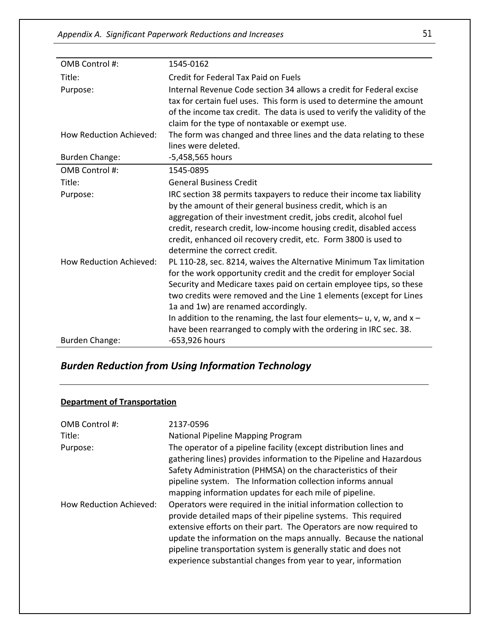| OMB Control #:                 | 1545-0162                                                                        |
|--------------------------------|----------------------------------------------------------------------------------|
| Title:                         | Credit for Federal Tax Paid on Fuels                                             |
| Purpose:                       | Internal Revenue Code section 34 allows a credit for Federal excise              |
|                                | tax for certain fuel uses. This form is used to determine the amount             |
|                                | of the income tax credit. The data is used to verify the validity of the         |
|                                | claim for the type of nontaxable or exempt use.                                  |
| <b>How Reduction Achieved:</b> | The form was changed and three lines and the data relating to these              |
|                                | lines were deleted.                                                              |
| <b>Burden Change:</b>          | -5,458,565 hours                                                                 |
| OMB Control #:                 | 1545-0895                                                                        |
| Title:                         | <b>General Business Credit</b>                                                   |
| Purpose:                       | IRC section 38 permits taxpayers to reduce their income tax liability            |
|                                | by the amount of their general business credit, which is an                      |
|                                | aggregation of their investment credit, jobs credit, alcohol fuel                |
|                                | credit, research credit, low-income housing credit, disabled access              |
|                                | credit, enhanced oil recovery credit, etc. Form 3800 is used to                  |
|                                | determine the correct credit.                                                    |
| <b>How Reduction Achieved:</b> | PL 110-28, sec. 8214, waives the Alternative Minimum Tax limitation              |
|                                | for the work opportunity credit and the credit for employer Social               |
|                                | Security and Medicare taxes paid on certain employee tips, so these              |
|                                | two credits were removed and the Line 1 elements (except for Lines               |
|                                | 1a and 1w) are renamed accordingly.                                              |
|                                | In addition to the renaming, the last four elements- $u$ , $v$ , $w$ , and $x -$ |
|                                | have been rearranged to comply with the ordering in IRC sec. 38.                 |
| <b>Burden Change:</b>          | -653,926 hours                                                                   |

# *Burden Reduction from Using Information Technology*

# **Department of Transportation**

| OMB Control #:<br>Title: | 2137-0596<br>National Pipeline Mapping Program                                                                                                                                                                                                                                                                                                                                                                    |
|--------------------------|-------------------------------------------------------------------------------------------------------------------------------------------------------------------------------------------------------------------------------------------------------------------------------------------------------------------------------------------------------------------------------------------------------------------|
| Purpose:                 | The operator of a pipeline facility (except distribution lines and<br>gathering lines) provides information to the Pipeline and Hazardous<br>Safety Administration (PHMSA) on the characteristics of their<br>pipeline system. The Information collection informs annual<br>mapping information updates for each mile of pipeline.                                                                                |
| How Reduction Achieved:  | Operators were required in the initial information collection to<br>provide detailed maps of their pipeline systems. This required<br>extensive efforts on their part. The Operators are now required to<br>update the information on the maps annually. Because the national<br>pipeline transportation system is generally static and does not<br>experience substantial changes from year to year, information |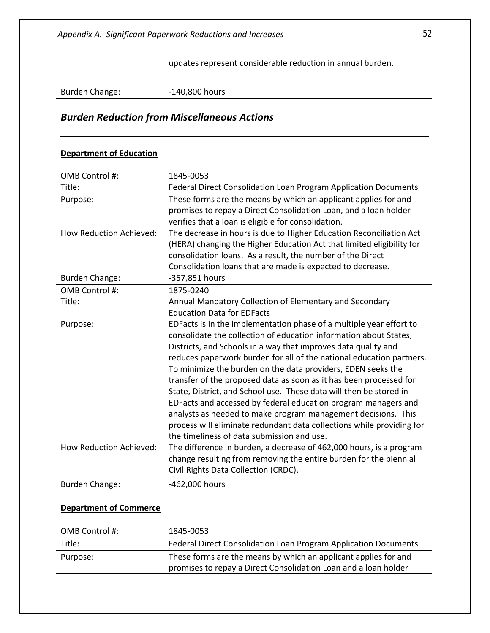updates represent considerable reduction in annual burden.

Burden Change: -140,800 hours

# *Burden Reduction from Miscellaneous Actions*

#### **Department of Education**

| OMB Control #:                 | 1845-0053                                                                                                                                                                                                                                                                                                                                                                                                                                                                                                                                                                                                                                                                                                                                                |
|--------------------------------|----------------------------------------------------------------------------------------------------------------------------------------------------------------------------------------------------------------------------------------------------------------------------------------------------------------------------------------------------------------------------------------------------------------------------------------------------------------------------------------------------------------------------------------------------------------------------------------------------------------------------------------------------------------------------------------------------------------------------------------------------------|
| Title:                         | Federal Direct Consolidation Loan Program Application Documents                                                                                                                                                                                                                                                                                                                                                                                                                                                                                                                                                                                                                                                                                          |
| Purpose:                       | These forms are the means by which an applicant applies for and<br>promises to repay a Direct Consolidation Loan, and a loan holder<br>verifies that a loan is eligible for consolidation.                                                                                                                                                                                                                                                                                                                                                                                                                                                                                                                                                               |
| <b>How Reduction Achieved:</b> | The decrease in hours is due to Higher Education Reconciliation Act<br>(HERA) changing the Higher Education Act that limited eligibility for<br>consolidation loans. As a result, the number of the Direct                                                                                                                                                                                                                                                                                                                                                                                                                                                                                                                                               |
|                                | Consolidation loans that are made is expected to decrease.                                                                                                                                                                                                                                                                                                                                                                                                                                                                                                                                                                                                                                                                                               |
| <b>Burden Change:</b>          | -357,851 hours                                                                                                                                                                                                                                                                                                                                                                                                                                                                                                                                                                                                                                                                                                                                           |
| OMB Control #:                 | 1875-0240                                                                                                                                                                                                                                                                                                                                                                                                                                                                                                                                                                                                                                                                                                                                                |
| Title:                         | Annual Mandatory Collection of Elementary and Secondary                                                                                                                                                                                                                                                                                                                                                                                                                                                                                                                                                                                                                                                                                                  |
|                                | <b>Education Data for EDFacts</b>                                                                                                                                                                                                                                                                                                                                                                                                                                                                                                                                                                                                                                                                                                                        |
| Purpose:                       | EDFacts is in the implementation phase of a multiple year effort to<br>consolidate the collection of education information about States,<br>Districts, and Schools in a way that improves data quality and<br>reduces paperwork burden for all of the national education partners.<br>To minimize the burden on the data providers, EDEN seeks the<br>transfer of the proposed data as soon as it has been processed for<br>State, District, and School use. These data will then be stored in<br>EDFacts and accessed by federal education program managers and<br>analysts as needed to make program management decisions. This<br>process will eliminate redundant data collections while providing for<br>the timeliness of data submission and use. |
| <b>How Reduction Achieved:</b> | The difference in burden, a decrease of 462,000 hours, is a program<br>change resulting from removing the entire burden for the biennial<br>Civil Rights Data Collection (CRDC).                                                                                                                                                                                                                                                                                                                                                                                                                                                                                                                                                                         |
| <b>Burden Change:</b>          | -462,000 hours                                                                                                                                                                                                                                                                                                                                                                                                                                                                                                                                                                                                                                                                                                                                           |

#### **Department of Commerce**

| OMB Control #: | 1845-0053                                                                                                                          |
|----------------|------------------------------------------------------------------------------------------------------------------------------------|
| Title:         | Federal Direct Consolidation Loan Program Application Documents                                                                    |
| Purpose:       | These forms are the means by which an applicant applies for and<br>promises to repay a Direct Consolidation Loan and a loan holder |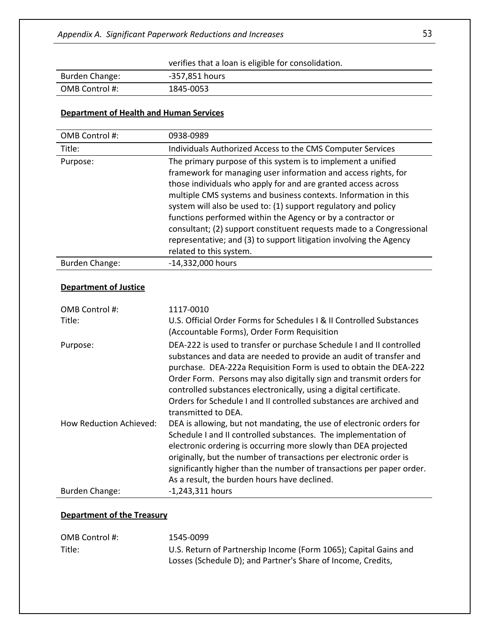verifies that a loan is eligible for consolidation.

| Burden Change: | -357,851 hours |
|----------------|----------------|
| OMB Control #: | 1845-0053      |

### **Department of Health and Human Services**

| OMB Control #:               | 0938-0989                                                                                                                                                                                                                                                                                                                                                                                                                                                                                                                                                                    |
|------------------------------|------------------------------------------------------------------------------------------------------------------------------------------------------------------------------------------------------------------------------------------------------------------------------------------------------------------------------------------------------------------------------------------------------------------------------------------------------------------------------------------------------------------------------------------------------------------------------|
| Title:                       | Individuals Authorized Access to the CMS Computer Services                                                                                                                                                                                                                                                                                                                                                                                                                                                                                                                   |
| Purpose:                     | The primary purpose of this system is to implement a unified<br>framework for managing user information and access rights, for<br>those individuals who apply for and are granted access across<br>multiple CMS systems and business contexts. Information in this<br>system will also be used to: (1) support regulatory and policy<br>functions performed within the Agency or by a contractor or<br>consultant; (2) support constituent requests made to a Congressional<br>representative; and (3) to support litigation involving the Agency<br>related to this system. |
| <b>Burden Change:</b>        | -14,332,000 hours                                                                                                                                                                                                                                                                                                                                                                                                                                                                                                                                                            |
| <b>Department of Justice</b> |                                                                                                                                                                                                                                                                                                                                                                                                                                                                                                                                                                              |
| OMB Control #:<br>Title:     | 1117-0010<br>U.S. Official Order Forms for Schedules I & II Controlled Substances<br>(Accountable Forms), Order Form Requisition                                                                                                                                                                                                                                                                                                                                                                                                                                             |
| Purpose:                     | DEA-222 is used to transfer or purchase Schedule I and II controlled<br>substances and data are needed to provide an audit of transfer and<br>purchase. DEA-222a Requisition Form is used to obtain the DEA-222<br>Order Form. Persons may also digitally sign and transmit orders for<br>controlled substances electronically, using a digital certificate.<br>Orders for Schedule I and II controlled substances are archived and<br>transmitted to DEA.                                                                                                                   |
| How Reduction Achieved:      | DEA is allowing, but not mandating, the use of electronic orders for<br>Schedule I and II controlled substances. The implementation of<br>electronic ordering is occurring more slowly than DEA projected<br>originally, but the number of transactions per electronic order is<br>significantly higher than the number of transactions per paper order.<br>As a result, the burden hours have declined.                                                                                                                                                                     |
| <b>Burden Change:</b>        | $-1,243,311$ hours                                                                                                                                                                                                                                                                                                                                                                                                                                                                                                                                                           |

#### **Department of the Treasury**

| OMB Control #: | 1545-0099                                                        |
|----------------|------------------------------------------------------------------|
| Title:         | U.S. Return of Partnership Income (Form 1065); Capital Gains and |
|                | Losses (Schedule D); and Partner's Share of Income, Credits,     |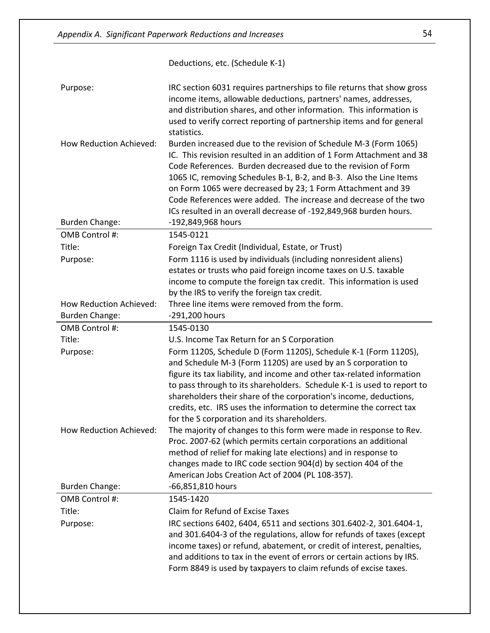|                                                  | Deductions, etc. (Schedule K-1)                                                                                                                                                                                                                                                                                                                                                                                                                                                          |
|--------------------------------------------------|------------------------------------------------------------------------------------------------------------------------------------------------------------------------------------------------------------------------------------------------------------------------------------------------------------------------------------------------------------------------------------------------------------------------------------------------------------------------------------------|
| Purpose:                                         | IRC section 6031 requires partnerships to file returns that show gross<br>income items, allowable deductions, partners' names, addresses,<br>and distribution shares, and other information. This information is<br>used to verify correct reporting of partnership items and for general<br>statistics.                                                                                                                                                                                 |
| How Reduction Achieved:                          | Burden increased due to the revision of Schedule M-3 (Form 1065)<br>IC. This revision resulted in an addition of 1 Form Attachment and 38<br>Code References. Burden decreased due to the revision of Form<br>1065 IC, removing Schedules B-1, B-2, and B-3. Also the Line Items<br>on Form 1065 were decreased by 23; 1 Form Attachment and 39<br>Code References were added. The increase and decrease of the two<br>ICs resulted in an overall decrease of -192,849,968 burden hours. |
| <b>Burden Change:</b>                            | -192,849,968 hours                                                                                                                                                                                                                                                                                                                                                                                                                                                                       |
| OMB Control #:                                   | 1545-0121                                                                                                                                                                                                                                                                                                                                                                                                                                                                                |
| Title:                                           | Foreign Tax Credit (Individual, Estate, or Trust)                                                                                                                                                                                                                                                                                                                                                                                                                                        |
| Purpose:                                         | Form 1116 is used by individuals (including nonresident aliens)<br>estates or trusts who paid foreign income taxes on U.S. taxable<br>income to compute the foreign tax credit. This information is used                                                                                                                                                                                                                                                                                 |
|                                                  | by the IRS to verify the foreign tax credit.                                                                                                                                                                                                                                                                                                                                                                                                                                             |
| How Reduction Achieved:<br><b>Burden Change:</b> | Three line items were removed from the form.<br>-291,200 hours                                                                                                                                                                                                                                                                                                                                                                                                                           |
| OMB Control #:                                   | 1545-0130                                                                                                                                                                                                                                                                                                                                                                                                                                                                                |
| Title:                                           | U.S. Income Tax Return for an S Corporation                                                                                                                                                                                                                                                                                                                                                                                                                                              |
| Purpose:                                         | Form 1120S, Schedule D (Form 1120S), Schedule K-1 (Form 1120S),<br>and Schedule M-3 (Form 1120S) are used by an S corporation to<br>figure its tax liability, and income and other tax-related information<br>to pass through to its shareholders. Schedule K-1 is used to report to<br>shareholders their share of the corporation's income, deductions,<br>credits, etc. IRS uses the information to determine the correct tax<br>for the S corporation and its shareholders.          |
| How Reduction Achieved:                          | The majority of changes to this form were made in response to Rev.<br>Proc. 2007-62 (which permits certain corporations an additional<br>method of relief for making late elections) and in response to<br>changes made to IRC code section 904(d) by section 404 of the<br>American Jobs Creation Act of 2004 (PL 108-357).                                                                                                                                                             |
| <b>Burden Change:</b>                            | -66,851,810 hours                                                                                                                                                                                                                                                                                                                                                                                                                                                                        |
| OMB Control #:                                   | 1545-1420                                                                                                                                                                                                                                                                                                                                                                                                                                                                                |
| Title:                                           | Claim for Refund of Excise Taxes                                                                                                                                                                                                                                                                                                                                                                                                                                                         |
| Purpose:                                         | IRC sections 6402, 6404, 6511 and sections 301.6402-2, 301.6404-1,<br>and 301.6404-3 of the regulations, allow for refunds of taxes (except<br>income taxes) or refund, abatement, or credit of interest, penalties,<br>and additions to tax in the event of errors or certain actions by IRS.<br>Form 8849 is used by taxpayers to claim refunds of excise taxes.                                                                                                                       |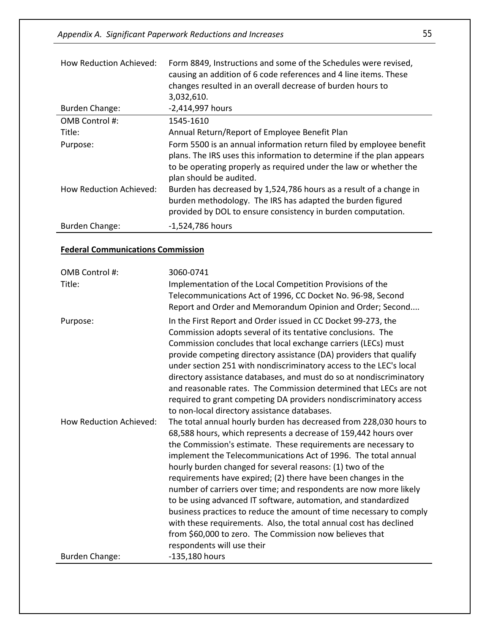| <b>How Reduction Achieved:</b> | Form 8849, Instructions and some of the Schedules were revised,<br>causing an addition of 6 code references and 4 line items. These<br>changes resulted in an overall decrease of burden hours to<br>3,032,610.                              |
|--------------------------------|----------------------------------------------------------------------------------------------------------------------------------------------------------------------------------------------------------------------------------------------|
| Burden Change:                 | -2,414,997 hours                                                                                                                                                                                                                             |
| OMB Control #:                 | 1545-1610                                                                                                                                                                                                                                    |
| Title:                         | Annual Return/Report of Employee Benefit Plan                                                                                                                                                                                                |
| Purpose:                       | Form 5500 is an annual information return filed by employee benefit<br>plans. The IRS uses this information to determine if the plan appears<br>to be operating properly as required under the law or whether the<br>plan should be audited. |
| <b>How Reduction Achieved:</b> | Burden has decreased by 1,524,786 hours as a result of a change in<br>burden methodology. The IRS has adapted the burden figured<br>provided by DOL to ensure consistency in burden computation.                                             |
| <b>Burden Change:</b>          | -1,524,786 hours                                                                                                                                                                                                                             |

### **Federal Communications Commission**

| OMB Control #:                 | 3060-0741                                                           |
|--------------------------------|---------------------------------------------------------------------|
| Title:                         | Implementation of the Local Competition Provisions of the           |
|                                | Telecommunications Act of 1996, CC Docket No. 96-98, Second         |
|                                | Report and Order and Memorandum Opinion and Order; Second           |
| Purpose:                       | In the First Report and Order issued in CC Docket 99-273, the       |
|                                | Commission adopts several of its tentative conclusions. The         |
|                                | Commission concludes that local exchange carriers (LECs) must       |
|                                | provide competing directory assistance (DA) providers that qualify  |
|                                | under section 251 with nondiscriminatory access to the LEC's local  |
|                                | directory assistance databases, and must do so at nondiscriminatory |
|                                | and reasonable rates. The Commission determined that LECs are not   |
|                                | required to grant competing DA providers nondiscriminatory access   |
|                                | to non-local directory assistance databases.                        |
| <b>How Reduction Achieved:</b> | The total annual hourly burden has decreased from 228,030 hours to  |
|                                | 68,588 hours, which represents a decrease of 159,442 hours over     |
|                                | the Commission's estimate. These requirements are necessary to      |
|                                | implement the Telecommunications Act of 1996. The total annual      |
|                                | hourly burden changed for several reasons: (1) two of the           |
|                                | requirements have expired; (2) there have been changes in the       |
|                                | number of carriers over time; and respondents are now more likely   |
|                                | to be using advanced IT software, automation, and standardized      |
|                                | business practices to reduce the amount of time necessary to comply |
|                                | with these requirements. Also, the total annual cost has declined   |
|                                | from \$60,000 to zero. The Commission now believes that             |
|                                | respondents will use their                                          |
| <b>Burden Change:</b>          | -135,180 hours                                                      |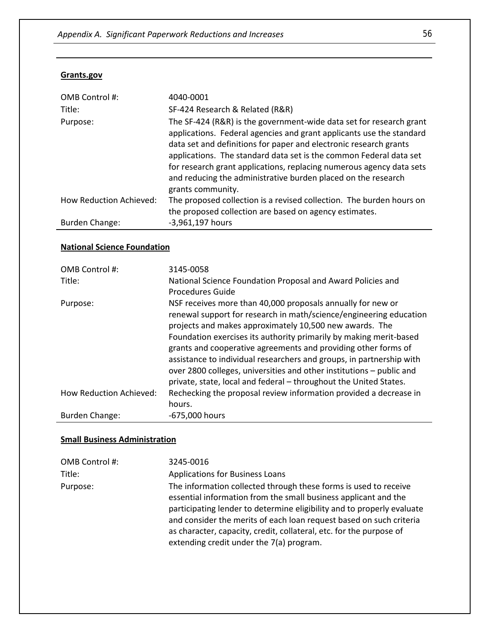#### **Grants.gov**

| OMB Control #:                 | 4040-0001                                                                                                                                                                                                                                                                                                                                                                                                                                            |
|--------------------------------|------------------------------------------------------------------------------------------------------------------------------------------------------------------------------------------------------------------------------------------------------------------------------------------------------------------------------------------------------------------------------------------------------------------------------------------------------|
| Title:                         | SF-424 Research & Related (R&R)                                                                                                                                                                                                                                                                                                                                                                                                                      |
| Purpose:                       | The SF-424 (R&R) is the government-wide data set for research grant<br>applications. Federal agencies and grant applicants use the standard<br>data set and definitions for paper and electronic research grants<br>applications. The standard data set is the common Federal data set<br>for research grant applications, replacing numerous agency data sets<br>and reducing the administrative burden placed on the research<br>grants community. |
| <b>How Reduction Achieved:</b> | The proposed collection is a revised collection. The burden hours on<br>the proposed collection are based on agency estimates.                                                                                                                                                                                                                                                                                                                       |
| Burden Change:                 | -3,961,197 hours                                                                                                                                                                                                                                                                                                                                                                                                                                     |

#### **National Science Foundation**

| OMB Control #:                 | 3145-0058                                                            |
|--------------------------------|----------------------------------------------------------------------|
| Title:                         | National Science Foundation Proposal and Award Policies and          |
|                                | Procedures Guide                                                     |
| Purpose:                       | NSF receives more than 40,000 proposals annually for new or          |
|                                | renewal support for research in math/science/engineering education   |
|                                | projects and makes approximately 10,500 new awards. The              |
|                                | Foundation exercises its authority primarily by making merit-based   |
|                                | grants and cooperative agreements and providing other forms of       |
|                                | assistance to individual researchers and groups, in partnership with |
|                                | over 2800 colleges, universities and other institutions – public and |
|                                | private, state, local and federal - throughout the United States.    |
| <b>How Reduction Achieved:</b> | Rechecking the proposal review information provided a decrease in    |
|                                | hours.                                                               |
| Burden Change:                 | -675,000 hours                                                       |

#### **Small Business Administration**

| OMB Control #: | 3245-0016                                                                                                                                                                                                                                                                                                                                                                                               |
|----------------|---------------------------------------------------------------------------------------------------------------------------------------------------------------------------------------------------------------------------------------------------------------------------------------------------------------------------------------------------------------------------------------------------------|
| Title:         | <b>Applications for Business Loans</b>                                                                                                                                                                                                                                                                                                                                                                  |
| Purpose:       | The information collected through these forms is used to receive<br>essential information from the small business applicant and the<br>participating lender to determine eligibility and to properly evaluate<br>and consider the merits of each loan request based on such criteria<br>as character, capacity, credit, collateral, etc. for the purpose of<br>extending credit under the 7(a) program. |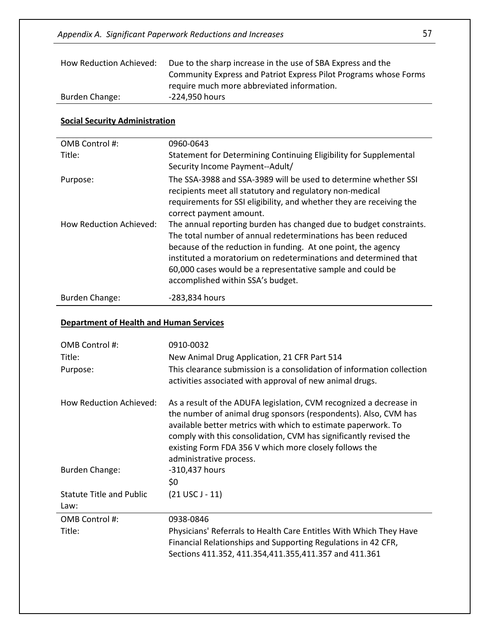| How Reduction Achieved: | Due to the sharp increase in the use of SBA Express and the      |
|-------------------------|------------------------------------------------------------------|
|                         | Community Express and Patriot Express Pilot Programs whose Forms |
|                         | require much more abbreviated information.                       |
| Burden Change:          | -224.950 hours                                                   |

#### **Social Security Administration**

| OMB Control #:                 | 0960-0643                                                                                                                                                                                                                                                                                                                                                                 |
|--------------------------------|---------------------------------------------------------------------------------------------------------------------------------------------------------------------------------------------------------------------------------------------------------------------------------------------------------------------------------------------------------------------------|
| Title:                         | Statement for Determining Continuing Eligibility for Supplemental<br>Security Income Payment--Adult/                                                                                                                                                                                                                                                                      |
| Purpose:                       | The SSA-3988 and SSA-3989 will be used to determine whether SSI<br>recipients meet all statutory and regulatory non-medical<br>requirements for SSI eligibility, and whether they are receiving the<br>correct payment amount.                                                                                                                                            |
| <b>How Reduction Achieved:</b> | The annual reporting burden has changed due to budget constraints.<br>The total number of annual redeterminations has been reduced<br>because of the reduction in funding. At one point, the agency<br>instituted a moratorium on redeterminations and determined that<br>60,000 cases would be a representative sample and could be<br>accomplished within SSA's budget. |
| <b>Burden Change:</b>          | -283,834 hours                                                                                                                                                                                                                                                                                                                                                            |

### **Department of Health and Human Services**

| OMB Control #:<br>Title:<br>Purpose:    | 0910-0032<br>New Animal Drug Application, 21 CFR Part 514<br>This clearance submission is a consolidation of information collection<br>activities associated with approval of new animal drugs.                                                                                                                                                                  |
|-----------------------------------------|------------------------------------------------------------------------------------------------------------------------------------------------------------------------------------------------------------------------------------------------------------------------------------------------------------------------------------------------------------------|
| How Reduction Achieved:                 | As a result of the ADUFA legislation, CVM recognized a decrease in<br>the number of animal drug sponsors (respondents). Also, CVM has<br>available better metrics with which to estimate paperwork. To<br>comply with this consolidation, CVM has significantly revised the<br>existing Form FDA 356 V which more closely follows the<br>administrative process. |
| <b>Burden Change:</b>                   | -310,437 hours<br>\$0                                                                                                                                                                                                                                                                                                                                            |
| <b>Statute Title and Public</b><br>Law: | $(21$ USC J - 11)                                                                                                                                                                                                                                                                                                                                                |
| OMB Control #:<br>Title:                | 0938-0846<br>Physicians' Referrals to Health Care Entitles With Which They Have<br>Financial Relationships and Supporting Regulations in 42 CFR,<br>Sections 411.352, 411.354,411.355,411.357 and 411.361                                                                                                                                                        |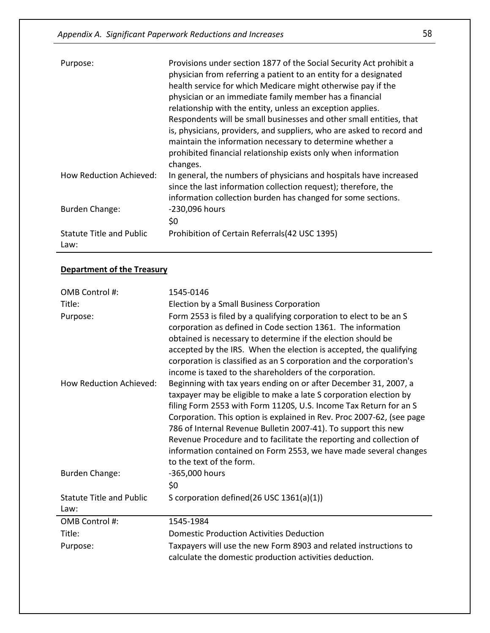| Purpose:                                | Provisions under section 1877 of the Social Security Act prohibit a<br>physician from referring a patient to an entity for a designated<br>health service for which Medicare might otherwise pay if the<br>physician or an immediate family member has a financial<br>relationship with the entity, unless an exception applies.<br>Respondents will be small businesses and other small entities, that<br>is, physicians, providers, and suppliers, who are asked to record and<br>maintain the information necessary to determine whether a<br>prohibited financial relationship exists only when information<br>changes. |
|-----------------------------------------|-----------------------------------------------------------------------------------------------------------------------------------------------------------------------------------------------------------------------------------------------------------------------------------------------------------------------------------------------------------------------------------------------------------------------------------------------------------------------------------------------------------------------------------------------------------------------------------------------------------------------------|
| How Reduction Achieved:                 | In general, the numbers of physicians and hospitals have increased<br>since the last information collection request); therefore, the<br>information collection burden has changed for some sections.                                                                                                                                                                                                                                                                                                                                                                                                                        |
| <b>Burden Change:</b>                   | -230,096 hours<br>\$0                                                                                                                                                                                                                                                                                                                                                                                                                                                                                                                                                                                                       |
| <b>Statute Title and Public</b><br>Law: | Prohibition of Certain Referrals (42 USC 1395)                                                                                                                                                                                                                                                                                                                                                                                                                                                                                                                                                                              |

# **Department of the Treasury**

| OMB Control #:                  | 1545-0146                                                                                                                                                                                                                                                                                                                                                                                                                                                                                                                    |
|---------------------------------|------------------------------------------------------------------------------------------------------------------------------------------------------------------------------------------------------------------------------------------------------------------------------------------------------------------------------------------------------------------------------------------------------------------------------------------------------------------------------------------------------------------------------|
| Title:                          | Election by a Small Business Corporation                                                                                                                                                                                                                                                                                                                                                                                                                                                                                     |
| Purpose:                        | Form 2553 is filed by a qualifying corporation to elect to be an S<br>corporation as defined in Code section 1361. The information<br>obtained is necessary to determine if the election should be<br>accepted by the IRS. When the election is accepted, the qualifying<br>corporation is classified as an S corporation and the corporation's<br>income is taxed to the shareholders of the corporation.                                                                                                                   |
| <b>How Reduction Achieved:</b>  | Beginning with tax years ending on or after December 31, 2007, a<br>taxpayer may be eligible to make a late S corporation election by<br>filing Form 2553 with Form 1120S, U.S. Income Tax Return for an S<br>Corporation. This option is explained in Rev. Proc 2007-62, (see page<br>786 of Internal Revenue Bulletin 2007-41). To support this new<br>Revenue Procedure and to facilitate the reporting and collection of<br>information contained on Form 2553, we have made several changes<br>to the text of the form. |
| <b>Burden Change:</b>           | -365,000 hours<br>\$0                                                                                                                                                                                                                                                                                                                                                                                                                                                                                                        |
| <b>Statute Title and Public</b> | S corporation defined(26 USC 1361(a)(1))                                                                                                                                                                                                                                                                                                                                                                                                                                                                                     |
| Law:                            |                                                                                                                                                                                                                                                                                                                                                                                                                                                                                                                              |
| OMB Control #:                  | 1545-1984                                                                                                                                                                                                                                                                                                                                                                                                                                                                                                                    |
| Title:                          | <b>Domestic Production Activities Deduction</b>                                                                                                                                                                                                                                                                                                                                                                                                                                                                              |
| Purpose:                        | Taxpayers will use the new Form 8903 and related instructions to<br>calculate the domestic production activities deduction.                                                                                                                                                                                                                                                                                                                                                                                                  |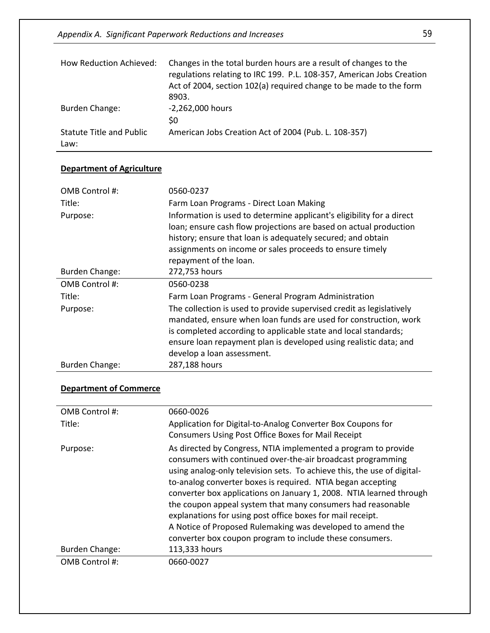*Appendix A. Significant Paperwork Reductions and Increases* 59

| How Reduction Achieved:          | Changes in the total burden hours are a result of changes to the<br>regulations relating to IRC 199. P.L. 108-357, American Jobs Creation<br>Act of 2004, section 102(a) required change to be made to the form<br>8903. |
|----------------------------------|--------------------------------------------------------------------------------------------------------------------------------------------------------------------------------------------------------------------------|
| Burden Change:                   | -2,262,000 hours<br>\$0                                                                                                                                                                                                  |
| Statute Title and Public<br>Law: | American Jobs Creation Act of 2004 (Pub. L. 108-357)                                                                                                                                                                     |

### **Department of Agriculture**

| OMB Control #:        | 0560-0237                                                                                                                                                                                                                                                                                                      |
|-----------------------|----------------------------------------------------------------------------------------------------------------------------------------------------------------------------------------------------------------------------------------------------------------------------------------------------------------|
| Title:                | Farm Loan Programs - Direct Loan Making                                                                                                                                                                                                                                                                        |
| Purpose:              | Information is used to determine applicant's eligibility for a direct<br>loan; ensure cash flow projections are based on actual production<br>history; ensure that loan is adequately secured; and obtain<br>assignments on income or sales proceeds to ensure timely<br>repayment of the loan.                |
| <b>Burden Change:</b> | 272,753 hours                                                                                                                                                                                                                                                                                                  |
| OMB Control #:        | 0560-0238                                                                                                                                                                                                                                                                                                      |
| Title:                | Farm Loan Programs - General Program Administration                                                                                                                                                                                                                                                            |
| Purpose:              | The collection is used to provide supervised credit as legislatively<br>mandated, ensure when loan funds are used for construction, work<br>is completed according to applicable state and local standards;<br>ensure loan repayment plan is developed using realistic data; and<br>develop a loan assessment. |
| <b>Burden Change:</b> | 287,188 hours                                                                                                                                                                                                                                                                                                  |

# **Department of Commerce**

| OMB Control #: | 0660-0026                                                                                                                                                                                                                                                                                                                                                                                                                                                                                                                                                                                             |
|----------------|-------------------------------------------------------------------------------------------------------------------------------------------------------------------------------------------------------------------------------------------------------------------------------------------------------------------------------------------------------------------------------------------------------------------------------------------------------------------------------------------------------------------------------------------------------------------------------------------------------|
| Title:         | Application for Digital-to-Analog Converter Box Coupons for<br>Consumers Using Post Office Boxes for Mail Receipt                                                                                                                                                                                                                                                                                                                                                                                                                                                                                     |
| Purpose:       | As directed by Congress, NTIA implemented a program to provide<br>consumers with continued over-the-air broadcast programming<br>using analog-only television sets. To achieve this, the use of digital-<br>to-analog converter boxes is required. NTIA began accepting<br>converter box applications on January 1, 2008. NTIA learned through<br>the coupon appeal system that many consumers had reasonable<br>explanations for using post office boxes for mail receipt.<br>A Notice of Proposed Rulemaking was developed to amend the<br>converter box coupon program to include these consumers. |
| Burden Change: | 113,333 hours                                                                                                                                                                                                                                                                                                                                                                                                                                                                                                                                                                                         |
| OMB Control #: | 0660-0027                                                                                                                                                                                                                                                                                                                                                                                                                                                                                                                                                                                             |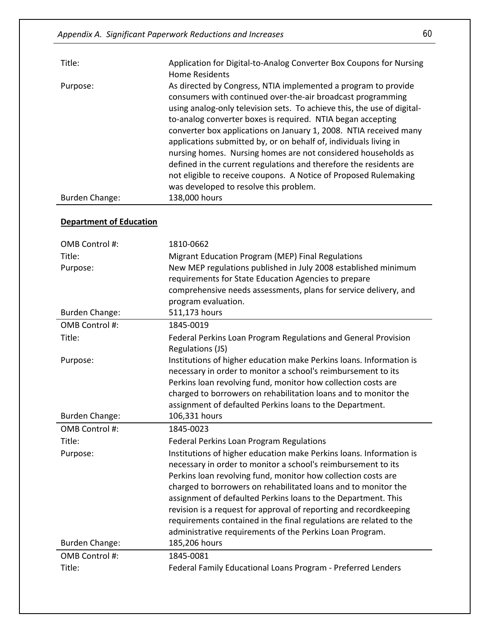| Title:                         | Application for Digital-to-Analog Converter Box Coupons for Nursing<br><b>Home Residents</b>                                                                                                                                                                                                                                                                                                                                                                                                                                                                                                                                                                           |
|--------------------------------|------------------------------------------------------------------------------------------------------------------------------------------------------------------------------------------------------------------------------------------------------------------------------------------------------------------------------------------------------------------------------------------------------------------------------------------------------------------------------------------------------------------------------------------------------------------------------------------------------------------------------------------------------------------------|
| Purpose:                       | As directed by Congress, NTIA implemented a program to provide<br>consumers with continued over-the-air broadcast programming<br>using analog-only television sets. To achieve this, the use of digital-<br>to-analog converter boxes is required. NTIA began accepting<br>converter box applications on January 1, 2008. NTIA received many<br>applications submitted by, or on behalf of, individuals living in<br>nursing homes. Nursing homes are not considered households as<br>defined in the current regulations and therefore the residents are<br>not eligible to receive coupons. A Notice of Proposed Rulemaking<br>was developed to resolve this problem. |
| <b>Burden Change:</b>          | 138,000 hours                                                                                                                                                                                                                                                                                                                                                                                                                                                                                                                                                                                                                                                          |
| <b>Department of Education</b> |                                                                                                                                                                                                                                                                                                                                                                                                                                                                                                                                                                                                                                                                        |

| OMB Control #:           | 1810-0662                                                                                                                                                                                                                                                                                                                                                                                                                                                                           |
|--------------------------|-------------------------------------------------------------------------------------------------------------------------------------------------------------------------------------------------------------------------------------------------------------------------------------------------------------------------------------------------------------------------------------------------------------------------------------------------------------------------------------|
| Title:                   | Migrant Education Program (MEP) Final Regulations                                                                                                                                                                                                                                                                                                                                                                                                                                   |
| Purpose:                 | New MEP regulations published in July 2008 established minimum                                                                                                                                                                                                                                                                                                                                                                                                                      |
|                          | requirements for State Education Agencies to prepare                                                                                                                                                                                                                                                                                                                                                                                                                                |
|                          | comprehensive needs assessments, plans for service delivery, and                                                                                                                                                                                                                                                                                                                                                                                                                    |
|                          | program evaluation.                                                                                                                                                                                                                                                                                                                                                                                                                                                                 |
| <b>Burden Change:</b>    | 511,173 hours                                                                                                                                                                                                                                                                                                                                                                                                                                                                       |
| OMB Control #:           | 1845-0019                                                                                                                                                                                                                                                                                                                                                                                                                                                                           |
| Title:                   | Federal Perkins Loan Program Regulations and General Provision<br>Regulations (JS)                                                                                                                                                                                                                                                                                                                                                                                                  |
| Purpose:                 | Institutions of higher education make Perkins loans. Information is<br>necessary in order to monitor a school's reimbursement to its                                                                                                                                                                                                                                                                                                                                                |
|                          | Perkins loan revolving fund, monitor how collection costs are                                                                                                                                                                                                                                                                                                                                                                                                                       |
|                          | charged to borrowers on rehabilitation loans and to monitor the                                                                                                                                                                                                                                                                                                                                                                                                                     |
|                          | assignment of defaulted Perkins loans to the Department.                                                                                                                                                                                                                                                                                                                                                                                                                            |
|                          |                                                                                                                                                                                                                                                                                                                                                                                                                                                                                     |
| <b>Burden Change:</b>    | 106,331 hours                                                                                                                                                                                                                                                                                                                                                                                                                                                                       |
| OMB Control #:           | 1845-0023                                                                                                                                                                                                                                                                                                                                                                                                                                                                           |
| Title:                   | <b>Federal Perkins Loan Program Regulations</b>                                                                                                                                                                                                                                                                                                                                                                                                                                     |
| Purpose:                 | Institutions of higher education make Perkins loans. Information is<br>necessary in order to monitor a school's reimbursement to its<br>Perkins loan revolving fund, monitor how collection costs are<br>charged to borrowers on rehabilitated loans and to monitor the<br>assignment of defaulted Perkins loans to the Department. This<br>revision is a request for approval of reporting and recordkeeping<br>requirements contained in the final regulations are related to the |
|                          | administrative requirements of the Perkins Loan Program.                                                                                                                                                                                                                                                                                                                                                                                                                            |
| <b>Burden Change:</b>    | 185,206 hours                                                                                                                                                                                                                                                                                                                                                                                                                                                                       |
| OMB Control #:<br>Title: | 1845-0081<br>Federal Family Educational Loans Program - Preferred Lenders                                                                                                                                                                                                                                                                                                                                                                                                           |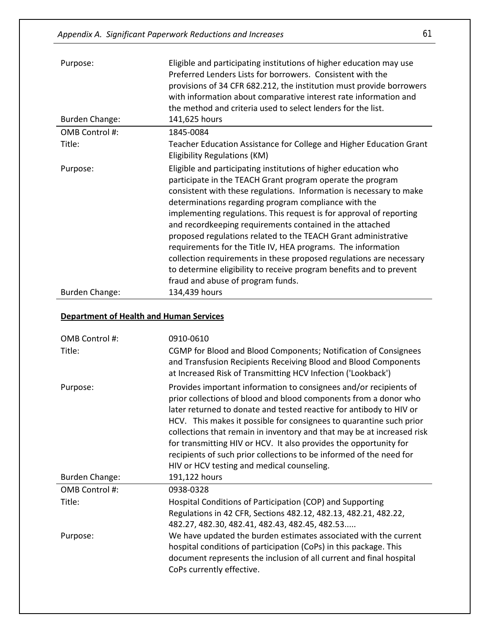| Purpose:              | Eligible and participating institutions of higher education may use<br>Preferred Lenders Lists for borrowers. Consistent with the<br>provisions of 34 CFR 682.212, the institution must provide borrowers<br>with information about comparative interest rate information and<br>the method and criteria used to select lenders for the list.                                                                                                                                                                                                                                                                                                                                                                        |
|-----------------------|----------------------------------------------------------------------------------------------------------------------------------------------------------------------------------------------------------------------------------------------------------------------------------------------------------------------------------------------------------------------------------------------------------------------------------------------------------------------------------------------------------------------------------------------------------------------------------------------------------------------------------------------------------------------------------------------------------------------|
| <b>Burden Change:</b> | 141,625 hours                                                                                                                                                                                                                                                                                                                                                                                                                                                                                                                                                                                                                                                                                                        |
| OMB Control #:        | 1845-0084                                                                                                                                                                                                                                                                                                                                                                                                                                                                                                                                                                                                                                                                                                            |
| Title:                | Teacher Education Assistance for College and Higher Education Grant<br><b>Eligibility Regulations (KM)</b>                                                                                                                                                                                                                                                                                                                                                                                                                                                                                                                                                                                                           |
| Purpose:              | Eligible and participating institutions of higher education who<br>participate in the TEACH Grant program operate the program<br>consistent with these regulations. Information is necessary to make<br>determinations regarding program compliance with the<br>implementing regulations. This request is for approval of reporting<br>and recordkeeping requirements contained in the attached<br>proposed regulations related to the TEACH Grant administrative<br>requirements for the Title IV, HEA programs. The information<br>collection requirements in these proposed regulations are necessary<br>to determine eligibility to receive program benefits and to prevent<br>fraud and abuse of program funds. |
| <b>Burden Change:</b> | 134,439 hours                                                                                                                                                                                                                                                                                                                                                                                                                                                                                                                                                                                                                                                                                                        |

# **Department of Health and Human Services**

| OMB Control #:<br>Title: | 0910-0610<br>CGMP for Blood and Blood Components; Notification of Consignees<br>and Transfusion Recipients Receiving Blood and Blood Components<br>at Increased Risk of Transmitting HCV Infection ('Lookback')                                                                                                                                                                                                                                                                                                                                         |
|--------------------------|---------------------------------------------------------------------------------------------------------------------------------------------------------------------------------------------------------------------------------------------------------------------------------------------------------------------------------------------------------------------------------------------------------------------------------------------------------------------------------------------------------------------------------------------------------|
| Purpose:                 | Provides important information to consignees and/or recipients of<br>prior collections of blood and blood components from a donor who<br>later returned to donate and tested reactive for antibody to HIV or<br>HCV. This makes it possible for consignees to quarantine such prior<br>collections that remain in inventory and that may be at increased risk<br>for transmitting HIV or HCV. It also provides the opportunity for<br>recipients of such prior collections to be informed of the need for<br>HIV or HCV testing and medical counseling. |
| <b>Burden Change:</b>    | 191,122 hours                                                                                                                                                                                                                                                                                                                                                                                                                                                                                                                                           |
| OMB Control #:           | 0938-0328                                                                                                                                                                                                                                                                                                                                                                                                                                                                                                                                               |
| Title:                   | Hospital Conditions of Participation (COP) and Supporting<br>Regulations in 42 CFR, Sections 482.12, 482.13, 482.21, 482.22,<br>482.27, 482.30, 482.41, 482.43, 482.45, 482.53                                                                                                                                                                                                                                                                                                                                                                          |
| Purpose:                 | We have updated the burden estimates associated with the current<br>hospital conditions of participation (CoPs) in this package. This<br>document represents the inclusion of all current and final hospital<br>CoPs currently effective.                                                                                                                                                                                                                                                                                                               |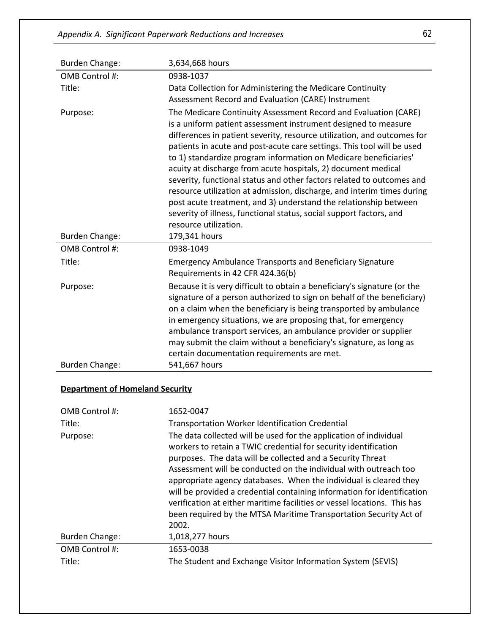| <b>Burden Change:</b> | 3,634,668 hours                                                                                                                                                                                                                                                                                                                                                                                                                                                                                                                                                                                                                                                                                                                                    |
|-----------------------|----------------------------------------------------------------------------------------------------------------------------------------------------------------------------------------------------------------------------------------------------------------------------------------------------------------------------------------------------------------------------------------------------------------------------------------------------------------------------------------------------------------------------------------------------------------------------------------------------------------------------------------------------------------------------------------------------------------------------------------------------|
| OMB Control #:        | 0938-1037                                                                                                                                                                                                                                                                                                                                                                                                                                                                                                                                                                                                                                                                                                                                          |
| Title:                | Data Collection for Administering the Medicare Continuity<br>Assessment Record and Evaluation (CARE) Instrument                                                                                                                                                                                                                                                                                                                                                                                                                                                                                                                                                                                                                                    |
| Purpose:              | The Medicare Continuity Assessment Record and Evaluation (CARE)<br>is a uniform patient assessment instrument designed to measure<br>differences in patient severity, resource utilization, and outcomes for<br>patients in acute and post-acute care settings. This tool will be used<br>to 1) standardize program information on Medicare beneficiaries'<br>acuity at discharge from acute hospitals, 2) document medical<br>severity, functional status and other factors related to outcomes and<br>resource utilization at admission, discharge, and interim times during<br>post acute treatment, and 3) understand the relationship between<br>severity of illness, functional status, social support factors, and<br>resource utilization. |
| <b>Burden Change:</b> | 179,341 hours                                                                                                                                                                                                                                                                                                                                                                                                                                                                                                                                                                                                                                                                                                                                      |
| OMB Control #:        | 0938-1049                                                                                                                                                                                                                                                                                                                                                                                                                                                                                                                                                                                                                                                                                                                                          |
| Title:                | <b>Emergency Ambulance Transports and Beneficiary Signature</b><br>Requirements in 42 CFR 424.36(b)                                                                                                                                                                                                                                                                                                                                                                                                                                                                                                                                                                                                                                                |
| Purpose:              | Because it is very difficult to obtain a beneficiary's signature (or the<br>signature of a person authorized to sign on behalf of the beneficiary)<br>on a claim when the beneficiary is being transported by ambulance<br>in emergency situations, we are proposing that, for emergency<br>ambulance transport services, an ambulance provider or supplier<br>may submit the claim without a beneficiary's signature, as long as<br>certain documentation requirements are met.                                                                                                                                                                                                                                                                   |
| <b>Burden Change:</b> | 541,667 hours                                                                                                                                                                                                                                                                                                                                                                                                                                                                                                                                                                                                                                                                                                                                      |

# **Department of Homeland Security**

| OMB Control #:        | 1652-0047                                                                                                                                                                                                                                                                                                                                                                                                                                                                                                                                                                        |
|-----------------------|----------------------------------------------------------------------------------------------------------------------------------------------------------------------------------------------------------------------------------------------------------------------------------------------------------------------------------------------------------------------------------------------------------------------------------------------------------------------------------------------------------------------------------------------------------------------------------|
| Title:                | <b>Transportation Worker Identification Credential</b>                                                                                                                                                                                                                                                                                                                                                                                                                                                                                                                           |
| Purpose:              | The data collected will be used for the application of individual<br>workers to retain a TWIC credential for security identification<br>purposes. The data will be collected and a Security Threat<br>Assessment will be conducted on the individual with outreach too<br>appropriate agency databases. When the individual is cleared they<br>will be provided a credential containing information for identification<br>verification at either maritime facilities or vessel locations. This has<br>been required by the MTSA Maritime Transportation Security Act of<br>2002. |
| <b>Burden Change:</b> | 1,018,277 hours                                                                                                                                                                                                                                                                                                                                                                                                                                                                                                                                                                  |
| OMB Control #:        | 1653-0038                                                                                                                                                                                                                                                                                                                                                                                                                                                                                                                                                                        |
| Title:                | The Student and Exchange Visitor Information System (SEVIS)                                                                                                                                                                                                                                                                                                                                                                                                                                                                                                                      |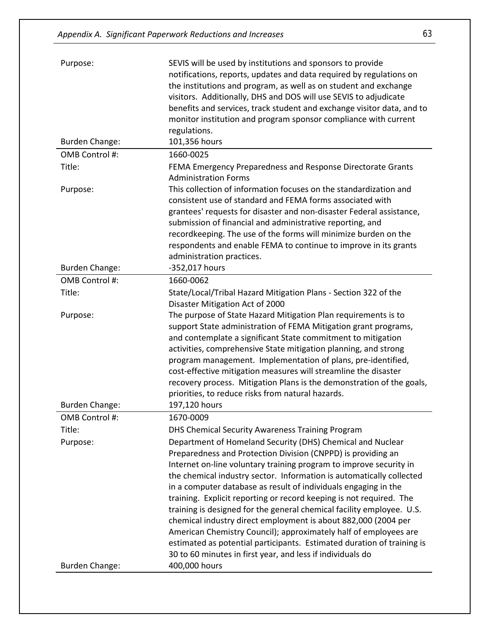| Purpose:              | SEVIS will be used by institutions and sponsors to provide<br>notifications, reports, updates and data required by regulations on    |
|-----------------------|--------------------------------------------------------------------------------------------------------------------------------------|
|                       | the institutions and program, as well as on student and exchange                                                                     |
|                       | visitors. Additionally, DHS and DOS will use SEVIS to adjudicate                                                                     |
|                       | benefits and services, track student and exchange visitor data, and to                                                               |
|                       | monitor institution and program sponsor compliance with current                                                                      |
|                       | regulations.                                                                                                                         |
| <b>Burden Change:</b> | 101,356 hours                                                                                                                        |
| OMB Control #:        | 1660-0025                                                                                                                            |
| Title:                | FEMA Emergency Preparedness and Response Directorate Grants                                                                          |
|                       | <b>Administration Forms</b>                                                                                                          |
| Purpose:              | This collection of information focuses on the standardization and                                                                    |
|                       | consistent use of standard and FEMA forms associated with                                                                            |
|                       | grantees' requests for disaster and non-disaster Federal assistance,                                                                 |
|                       | submission of financial and administrative reporting, and                                                                            |
|                       | recordkeeping. The use of the forms will minimize burden on the                                                                      |
|                       | respondents and enable FEMA to continue to improve in its grants                                                                     |
|                       | administration practices.                                                                                                            |
| <b>Burden Change:</b> | -352,017 hours                                                                                                                       |
| OMB Control #:        | 1660-0062                                                                                                                            |
| Title:                | State/Local/Tribal Hazard Mitigation Plans - Section 322 of the                                                                      |
| Purpose:              | Disaster Mitigation Act of 2000<br>The purpose of State Hazard Mitigation Plan requirements is to                                    |
|                       | support State administration of FEMA Mitigation grant programs,                                                                      |
|                       | and contemplate a significant State commitment to mitigation                                                                         |
|                       | activities, comprehensive State mitigation planning, and strong                                                                      |
|                       | program management. Implementation of plans, pre-identified,                                                                         |
|                       | cost-effective mitigation measures will streamline the disaster                                                                      |
|                       | recovery process. Mitigation Plans is the demonstration of the goals,                                                                |
|                       | priorities, to reduce risks from natural hazards.                                                                                    |
| <b>Burden Change:</b> | 197,120 hours                                                                                                                        |
| OMB Control #:        | 1670-0009                                                                                                                            |
| Title:                | DHS Chemical Security Awareness Training Program                                                                                     |
| Purpose:              | Department of Homeland Security (DHS) Chemical and Nuclear                                                                           |
|                       | Preparedness and Protection Division (CNPPD) is providing an                                                                         |
|                       | Internet on-line voluntary training program to improve security in                                                                   |
|                       | the chemical industry sector. Information is automatically collected                                                                 |
|                       | in a computer database as result of individuals engaging in the                                                                      |
|                       | training. Explicit reporting or record keeping is not required. The                                                                  |
|                       | training is designed for the general chemical facility employee. U.S.                                                                |
|                       | chemical industry direct employment is about 882,000 (2004 per                                                                       |
|                       | American Chemistry Council); approximately half of employees are                                                                     |
|                       | estimated as potential participants. Estimated duration of training is<br>30 to 60 minutes in first year, and less if individuals do |
| <b>Burden Change:</b> | 400,000 hours                                                                                                                        |
|                       |                                                                                                                                      |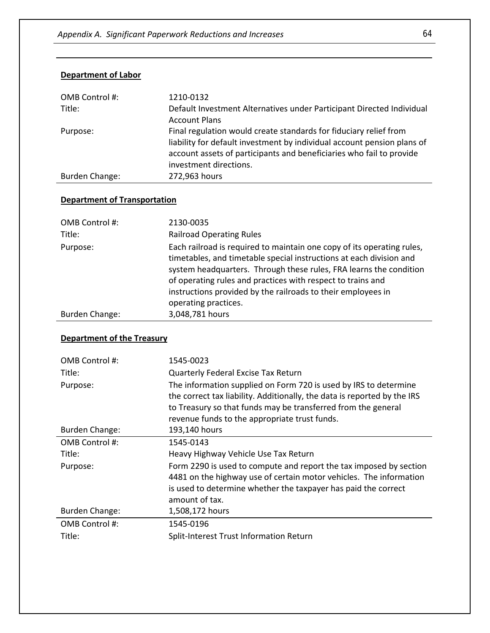| OMB Control #: | 1210-0132                                                               |
|----------------|-------------------------------------------------------------------------|
| Title:         | Default Investment Alternatives under Participant Directed Individual   |
|                | <b>Account Plans</b>                                                    |
| Purpose:       | Final regulation would create standards for fiduciary relief from       |
|                | liability for default investment by individual account pension plans of |
|                | account assets of participants and beneficiaries who fail to provide    |
|                | investment directions.                                                  |
| Burden Change: | 272,963 hours                                                           |

### **Department of Labor**

# **Department of Transportation**

| OMB Control #: | 2130-0035                                                                                                                                                                                                                                                                                                                                                                  |
|----------------|----------------------------------------------------------------------------------------------------------------------------------------------------------------------------------------------------------------------------------------------------------------------------------------------------------------------------------------------------------------------------|
| Title:         | <b>Railroad Operating Rules</b>                                                                                                                                                                                                                                                                                                                                            |
| Purpose:       | Each railroad is required to maintain one copy of its operating rules,<br>timetables, and timetable special instructions at each division and<br>system headquarters. Through these rules, FRA learns the condition<br>of operating rules and practices with respect to trains and<br>instructions provided by the railroads to their employees in<br>operating practices. |
| Burden Change: | 3,048,781 hours                                                                                                                                                                                                                                                                                                                                                            |

#### **Department of the Treasury**

| OMB Control #:        | 1545-0023                                                                                                                                                                                                                                                      |
|-----------------------|----------------------------------------------------------------------------------------------------------------------------------------------------------------------------------------------------------------------------------------------------------------|
| Title:                | Quarterly Federal Excise Tax Return                                                                                                                                                                                                                            |
| Purpose:              | The information supplied on Form 720 is used by IRS to determine<br>the correct tax liability. Additionally, the data is reported by the IRS<br>to Treasury so that funds may be transferred from the general<br>revenue funds to the appropriate trust funds. |
| Burden Change:        | 193,140 hours                                                                                                                                                                                                                                                  |
| OMB Control #:        | 1545-0143                                                                                                                                                                                                                                                      |
| Title:                | Heavy Highway Vehicle Use Tax Return                                                                                                                                                                                                                           |
| Purpose:              | Form 2290 is used to compute and report the tax imposed by section<br>4481 on the highway use of certain motor vehicles. The information<br>is used to determine whether the taxpayer has paid the correct<br>amount of tax.                                   |
| <b>Burden Change:</b> | 1,508,172 hours                                                                                                                                                                                                                                                |
| OMB Control #:        | 1545-0196                                                                                                                                                                                                                                                      |
| Title:                | Split-Interest Trust Information Return                                                                                                                                                                                                                        |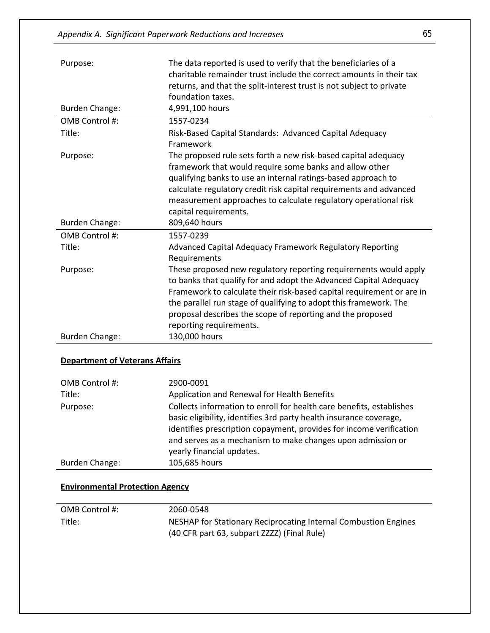| Purpose:                              | The data reported is used to verify that the beneficiaries of a<br>charitable remainder trust include the correct amounts in their tax<br>returns, and that the split-interest trust is not subject to private<br>foundation taxes.                                                                                                                                          |
|---------------------------------------|------------------------------------------------------------------------------------------------------------------------------------------------------------------------------------------------------------------------------------------------------------------------------------------------------------------------------------------------------------------------------|
| <b>Burden Change:</b>                 | 4,991,100 hours                                                                                                                                                                                                                                                                                                                                                              |
| OMB Control #:                        | 1557-0234                                                                                                                                                                                                                                                                                                                                                                    |
| Title:                                | Risk-Based Capital Standards: Advanced Capital Adequacy<br>Framework                                                                                                                                                                                                                                                                                                         |
| Purpose:                              | The proposed rule sets forth a new risk-based capital adequacy<br>framework that would require some banks and allow other<br>qualifying banks to use an internal ratings-based approach to<br>calculate regulatory credit risk capital requirements and advanced<br>measurement approaches to calculate regulatory operational risk<br>capital requirements.                 |
| <b>Burden Change:</b>                 | 809,640 hours                                                                                                                                                                                                                                                                                                                                                                |
| OMB Control #:                        | 1557-0239                                                                                                                                                                                                                                                                                                                                                                    |
| Title:                                | Advanced Capital Adequacy Framework Regulatory Reporting<br>Requirements                                                                                                                                                                                                                                                                                                     |
| Purpose:                              | These proposed new regulatory reporting requirements would apply<br>to banks that qualify for and adopt the Advanced Capital Adequacy<br>Framework to calculate their risk-based capital requirement or are in<br>the parallel run stage of qualifying to adopt this framework. The<br>proposal describes the scope of reporting and the proposed<br>reporting requirements. |
| <b>Burden Change:</b>                 | 130,000 hours                                                                                                                                                                                                                                                                                                                                                                |
| <b>Department of Veterans Affairs</b> |                                                                                                                                                                                                                                                                                                                                                                              |

| OMB Control #: | 2900-0091                                                                                                                                                                                                                                                                        |
|----------------|----------------------------------------------------------------------------------------------------------------------------------------------------------------------------------------------------------------------------------------------------------------------------------|
| Title:         | Application and Renewal for Health Benefits                                                                                                                                                                                                                                      |
| Purpose:       | Collects information to enroll for health care benefits, establishes<br>basic eligibility, identifies 3rd party health insurance coverage,<br>identifies prescription copayment, provides for income verification<br>and serves as a mechanism to make changes upon admission or |
|                | yearly financial updates.                                                                                                                                                                                                                                                        |
| Burden Change: | 105,685 hours                                                                                                                                                                                                                                                                    |

### **Environmental Protection Agency**

| OMB Control #: | 2060-0548                                                       |
|----------------|-----------------------------------------------------------------|
| Title:         | NESHAP for Stationary Reciprocating Internal Combustion Engines |
|                | (40 CFR part 63, subpart ZZZZ) (Final Rule)                     |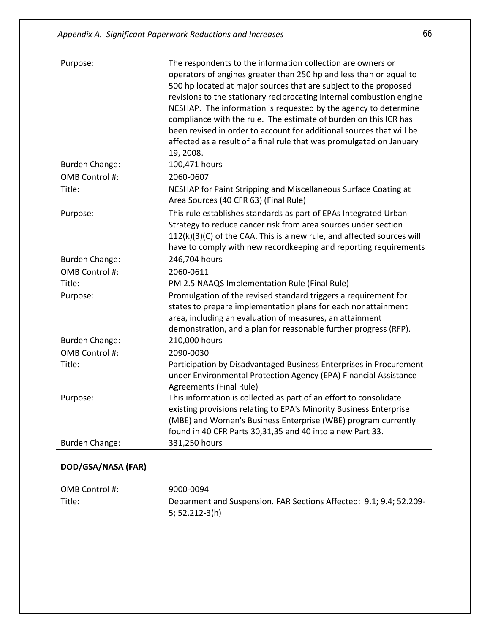| Purpose:              | The respondents to the information collection are owners or<br>operators of engines greater than 250 hp and less than or equal to<br>500 hp located at major sources that are subject to the proposed<br>revisions to the stationary reciprocating internal combustion engine<br>NESHAP. The information is requested by the agency to determine<br>compliance with the rule. The estimate of burden on this ICR has<br>been revised in order to account for additional sources that will be<br>affected as a result of a final rule that was promulgated on January<br>19, 2008. |
|-----------------------|-----------------------------------------------------------------------------------------------------------------------------------------------------------------------------------------------------------------------------------------------------------------------------------------------------------------------------------------------------------------------------------------------------------------------------------------------------------------------------------------------------------------------------------------------------------------------------------|
| <b>Burden Change:</b> | 100,471 hours                                                                                                                                                                                                                                                                                                                                                                                                                                                                                                                                                                     |
| OMB Control #:        | 2060-0607                                                                                                                                                                                                                                                                                                                                                                                                                                                                                                                                                                         |
| Title:                | NESHAP for Paint Stripping and Miscellaneous Surface Coating at<br>Area Sources (40 CFR 63) (Final Rule)                                                                                                                                                                                                                                                                                                                                                                                                                                                                          |
| Purpose:              | This rule establishes standards as part of EPAs Integrated Urban<br>Strategy to reduce cancer risk from area sources under section<br>112(k)(3)(C) of the CAA. This is a new rule, and affected sources will<br>have to comply with new recordkeeping and reporting requirements                                                                                                                                                                                                                                                                                                  |
| <b>Burden Change:</b> | 246,704 hours                                                                                                                                                                                                                                                                                                                                                                                                                                                                                                                                                                     |
| OMB Control #:        | 2060-0611                                                                                                                                                                                                                                                                                                                                                                                                                                                                                                                                                                         |
| Title:                | PM 2.5 NAAQS Implementation Rule (Final Rule)                                                                                                                                                                                                                                                                                                                                                                                                                                                                                                                                     |
| Purpose:              | Promulgation of the revised standard triggers a requirement for<br>states to prepare implementation plans for each nonattainment<br>area, including an evaluation of measures, an attainment<br>demonstration, and a plan for reasonable further progress (RFP).                                                                                                                                                                                                                                                                                                                  |
| <b>Burden Change:</b> | 210,000 hours                                                                                                                                                                                                                                                                                                                                                                                                                                                                                                                                                                     |
| OMB Control #:        | 2090-0030                                                                                                                                                                                                                                                                                                                                                                                                                                                                                                                                                                         |
| Title:                | Participation by Disadvantaged Business Enterprises in Procurement<br>under Environmental Protection Agency (EPA) Financial Assistance<br>Agreements (Final Rule)                                                                                                                                                                                                                                                                                                                                                                                                                 |
| Purpose:              | This information is collected as part of an effort to consolidate<br>existing provisions relating to EPA's Minority Business Enterprise<br>(MBE) and Women's Business Enterprise (WBE) program currently<br>found in 40 CFR Parts 30,31,35 and 40 into a new Part 33.                                                                                                                                                                                                                                                                                                             |
| <b>Burden Change:</b> | 331,250 hours                                                                                                                                                                                                                                                                                                                                                                                                                                                                                                                                                                     |
| DOD/GSA/NASA (FAR)    |                                                                                                                                                                                                                                                                                                                                                                                                                                                                                                                                                                                   |

#### OMB Control #: 9000-0094 Title: Debarment and Suspension. FAR Sections Affected: 9.1; 9.4; 52.209- 5; 52.212-3(h)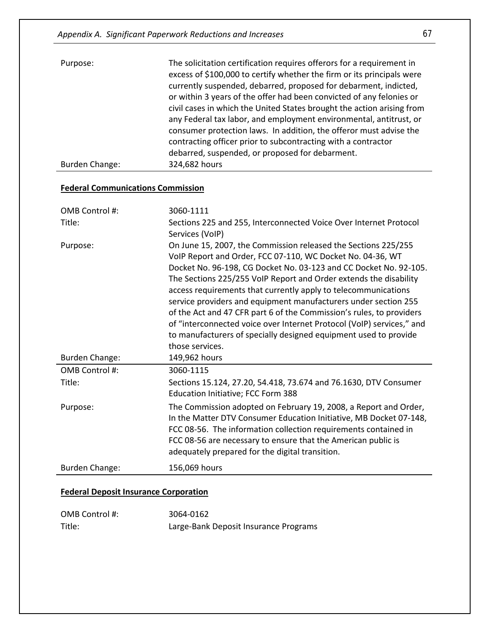| Purpose:       | The solicitation certification requires offerors for a requirement in<br>excess of \$100,000 to certify whether the firm or its principals were<br>currently suspended, debarred, proposed for debarment, indicted,<br>or within 3 years of the offer had been convicted of any felonies or<br>civil cases in which the United States brought the action arising from<br>any Federal tax labor, and employment environmental, antitrust, or<br>consumer protection laws. In addition, the offeror must advise the<br>contracting officer prior to subcontracting with a contractor<br>debarred, suspended, or proposed for debarment. |
|----------------|---------------------------------------------------------------------------------------------------------------------------------------------------------------------------------------------------------------------------------------------------------------------------------------------------------------------------------------------------------------------------------------------------------------------------------------------------------------------------------------------------------------------------------------------------------------------------------------------------------------------------------------|
| Burden Change: | 324,682 hours                                                                                                                                                                                                                                                                                                                                                                                                                                                                                                                                                                                                                         |

#### **Federal Communications Commission**

| OMB Control #:        | 3060-1111                                                                                                                                                                                                                                                                                                                                                                                                                                                                                                                                                                                                                                           |
|-----------------------|-----------------------------------------------------------------------------------------------------------------------------------------------------------------------------------------------------------------------------------------------------------------------------------------------------------------------------------------------------------------------------------------------------------------------------------------------------------------------------------------------------------------------------------------------------------------------------------------------------------------------------------------------------|
| Title:                | Sections 225 and 255, Interconnected Voice Over Internet Protocol<br>Services (VoIP)                                                                                                                                                                                                                                                                                                                                                                                                                                                                                                                                                                |
| Purpose:              | On June 15, 2007, the Commission released the Sections 225/255<br>VoIP Report and Order, FCC 07-110, WC Docket No. 04-36, WT<br>Docket No. 96-198, CG Docket No. 03-123 and CC Docket No. 92-105.<br>The Sections 225/255 VoIP Report and Order extends the disability<br>access requirements that currently apply to telecommunications<br>service providers and equipment manufacturers under section 255<br>of the Act and 47 CFR part 6 of the Commission's rules, to providers<br>of "interconnected voice over Internet Protocol (VoIP) services," and<br>to manufacturers of specially designed equipment used to provide<br>those services. |
| <b>Burden Change:</b> | 149,962 hours                                                                                                                                                                                                                                                                                                                                                                                                                                                                                                                                                                                                                                       |
| OMB Control #:        | 3060-1115                                                                                                                                                                                                                                                                                                                                                                                                                                                                                                                                                                                                                                           |
| Title:                | Sections 15.124, 27.20, 54.418, 73.674 and 76.1630, DTV Consumer<br>Education Initiative; FCC Form 388                                                                                                                                                                                                                                                                                                                                                                                                                                                                                                                                              |
| Purpose:              | The Commission adopted on February 19, 2008, a Report and Order,<br>In the Matter DTV Consumer Education Initiative, MB Docket 07-148,<br>FCC 08-56. The information collection requirements contained in<br>FCC 08-56 are necessary to ensure that the American public is<br>adequately prepared for the digital transition.                                                                                                                                                                                                                                                                                                                       |
| <b>Burden Change:</b> | 156,069 hours                                                                                                                                                                                                                                                                                                                                                                                                                                                                                                                                                                                                                                       |

#### **Federal Deposit Insurance Corporation**

| OMB Control #: | 3064-0162                             |
|----------------|---------------------------------------|
| Title:         | Large-Bank Deposit Insurance Programs |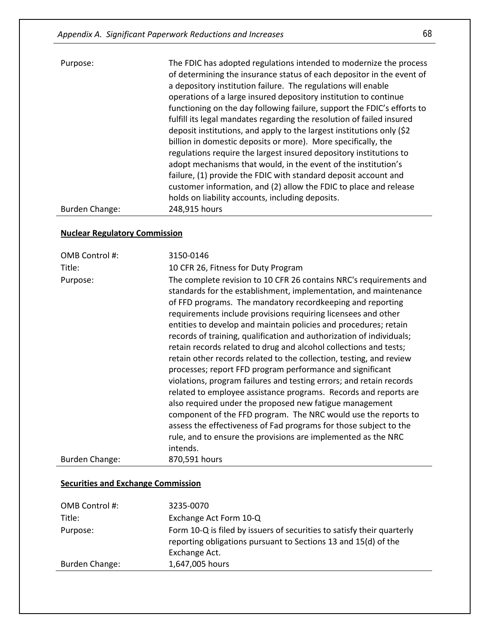| Purpose:       | The FDIC has adopted regulations intended to modernize the process<br>of determining the insurance status of each depositor in the event of<br>a depository institution failure. The regulations will enable<br>operations of a large insured depository institution to continue<br>functioning on the day following failure, support the FDIC's efforts to<br>fulfill its legal mandates regarding the resolution of failed insured<br>deposit institutions, and apply to the largest institutions only (\$2)<br>billion in domestic deposits or more). More specifically, the<br>regulations require the largest insured depository institutions to<br>adopt mechanisms that would, in the event of the institution's<br>failure, (1) provide the FDIC with standard deposit account and<br>customer information, and (2) allow the FDIC to place and release<br>holds on liability accounts, including deposits. |
|----------------|---------------------------------------------------------------------------------------------------------------------------------------------------------------------------------------------------------------------------------------------------------------------------------------------------------------------------------------------------------------------------------------------------------------------------------------------------------------------------------------------------------------------------------------------------------------------------------------------------------------------------------------------------------------------------------------------------------------------------------------------------------------------------------------------------------------------------------------------------------------------------------------------------------------------|
| Burden Change: | 248,915 hours                                                                                                                                                                                                                                                                                                                                                                                                                                                                                                                                                                                                                                                                                                                                                                                                                                                                                                       |

#### **Nuclear Regulatory Commission**

| OMB Control #:        | 3150-0146                                                                                                                                                                                                                                                                                                                                                                                                                                                                                                                                                                                                                                                                                                                                                                                                                                                                                                                                                                                                                                            |
|-----------------------|------------------------------------------------------------------------------------------------------------------------------------------------------------------------------------------------------------------------------------------------------------------------------------------------------------------------------------------------------------------------------------------------------------------------------------------------------------------------------------------------------------------------------------------------------------------------------------------------------------------------------------------------------------------------------------------------------------------------------------------------------------------------------------------------------------------------------------------------------------------------------------------------------------------------------------------------------------------------------------------------------------------------------------------------------|
| Title:                | 10 CFR 26, Fitness for Duty Program                                                                                                                                                                                                                                                                                                                                                                                                                                                                                                                                                                                                                                                                                                                                                                                                                                                                                                                                                                                                                  |
| Purpose:              | The complete revision to 10 CFR 26 contains NRC's requirements and<br>standards for the establishment, implementation, and maintenance<br>of FFD programs. The mandatory recordkeeping and reporting<br>requirements include provisions requiring licensees and other<br>entities to develop and maintain policies and procedures; retain<br>records of training, qualification and authorization of individuals;<br>retain records related to drug and alcohol collections and tests;<br>retain other records related to the collection, testing, and review<br>processes; report FFD program performance and significant<br>violations, program failures and testing errors; and retain records<br>related to employee assistance programs. Records and reports are<br>also required under the proposed new fatigue management<br>component of the FFD program. The NRC would use the reports to<br>assess the effectiveness of Fad programs for those subject to the<br>rule, and to ensure the provisions are implemented as the NRC<br>intends. |
| <b>Burden Change:</b> | 870,591 hours                                                                                                                                                                                                                                                                                                                                                                                                                                                                                                                                                                                                                                                                                                                                                                                                                                                                                                                                                                                                                                        |

#### **Securities and Exchange Commission**

| OMB Control #: | 3235-0070                                                                                                                                                 |
|----------------|-----------------------------------------------------------------------------------------------------------------------------------------------------------|
| Title:         | Exchange Act Form 10-Q                                                                                                                                    |
| Purpose:       | Form 10-Q is filed by issuers of securities to satisfy their quarterly<br>reporting obligations pursuant to Sections 13 and 15(d) of the<br>Exchange Act. |
| Burden Change: | 1,647,005 hours                                                                                                                                           |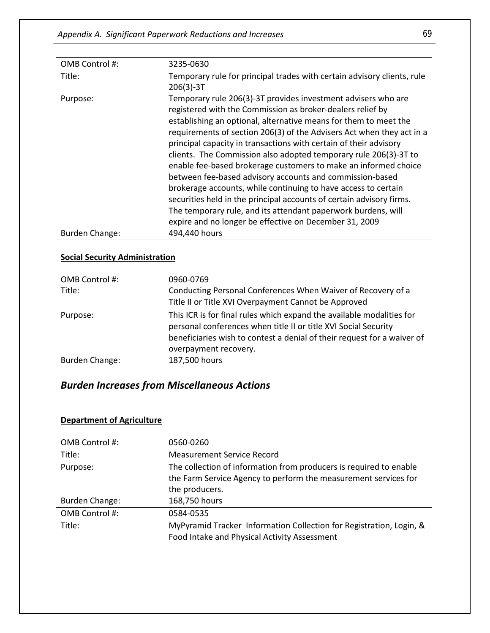| OMB Control #: | 3235-0630                                                                                                                                                                                                                                                                                                                                                                                                                                                                                                                                                                                                                                                                                                                                                                                                             |
|----------------|-----------------------------------------------------------------------------------------------------------------------------------------------------------------------------------------------------------------------------------------------------------------------------------------------------------------------------------------------------------------------------------------------------------------------------------------------------------------------------------------------------------------------------------------------------------------------------------------------------------------------------------------------------------------------------------------------------------------------------------------------------------------------------------------------------------------------|
| Title:         | Temporary rule for principal trades with certain advisory clients, rule<br>$206(3)-3T$                                                                                                                                                                                                                                                                                                                                                                                                                                                                                                                                                                                                                                                                                                                                |
| Purpose:       | Temporary rule 206(3)-3T provides investment advisers who are<br>registered with the Commission as broker-dealers relief by<br>establishing an optional, alternative means for them to meet the<br>requirements of section 206(3) of the Advisers Act when they act in a<br>principal capacity in transactions with certain of their advisory<br>clients. The Commission also adopted temporary rule 206(3)-3T to<br>enable fee-based brokerage customers to make an informed choice<br>between fee-based advisory accounts and commission-based<br>brokerage accounts, while continuing to have access to certain<br>securities held in the principal accounts of certain advisory firms.<br>The temporary rule, and its attendant paperwork burdens, will<br>expire and no longer be effective on December 31, 2009 |
| Burden Change: | 494,440 hours                                                                                                                                                                                                                                                                                                                                                                                                                                                                                                                                                                                                                                                                                                                                                                                                         |

#### **Social Security Administration**

| OMB Control #:<br>Title: | 0960-0769<br>Conducting Personal Conferences When Waiver of Recovery of a                                                                                                                                                                    |
|--------------------------|----------------------------------------------------------------------------------------------------------------------------------------------------------------------------------------------------------------------------------------------|
|                          | Title II or Title XVI Overpayment Cannot be Approved                                                                                                                                                                                         |
| Purpose:                 | This ICR is for final rules which expand the available modalities for<br>personal conferences when title II or title XVI Social Security<br>beneficiaries wish to contest a denial of their request for a waiver of<br>overpayment recovery. |
| Burden Change:           | 187,500 hours                                                                                                                                                                                                                                |

# *Burden Increases from Miscellaneous Actions*

#### **Department of Agriculture**

| OMB Control #: | 0560-0260                                                           |
|----------------|---------------------------------------------------------------------|
| Title:         | <b>Measurement Service Record</b>                                   |
| Purpose:       | The collection of information from producers is required to enable  |
|                | the Farm Service Agency to perform the measurement services for     |
|                | the producers.                                                      |
| Burden Change: | 168,750 hours                                                       |
| OMB Control #: | 0584-0535                                                           |
| Title:         | MyPyramid Tracker Information Collection for Registration, Login, & |
|                | Food Intake and Physical Activity Assessment                        |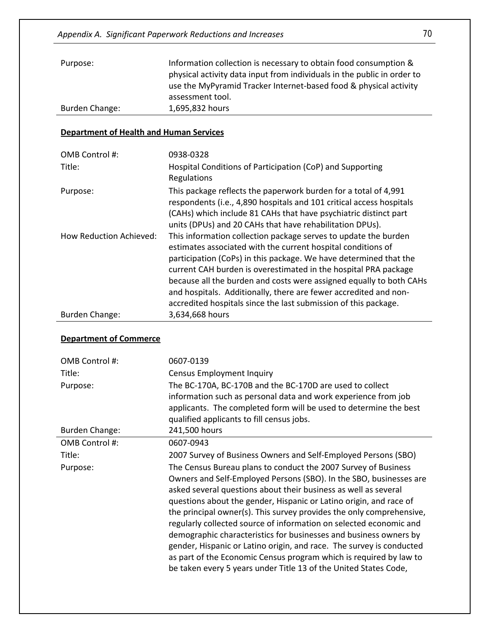| Purpose:       | Information collection is necessary to obtain food consumption &        |
|----------------|-------------------------------------------------------------------------|
|                | physical activity data input from individuals in the public in order to |
|                | use the MyPyramid Tracker Internet-based food & physical activity       |
|                | assessment tool.                                                        |
| Burden Change: | 1,695,832 hours                                                         |

#### **Department of Health and Human Services**

| OMB Control #:          | 0938-0328                                                                                                                                                                                                                                                                                                                                                                                                                                                                             |
|-------------------------|---------------------------------------------------------------------------------------------------------------------------------------------------------------------------------------------------------------------------------------------------------------------------------------------------------------------------------------------------------------------------------------------------------------------------------------------------------------------------------------|
| Title:                  | Hospital Conditions of Participation (CoP) and Supporting<br>Regulations                                                                                                                                                                                                                                                                                                                                                                                                              |
| Purpose:                | This package reflects the paperwork burden for a total of 4,991<br>respondents (i.e., 4,890 hospitals and 101 critical access hospitals<br>(CAHs) which include 81 CAHs that have psychiatric distinct part<br>units (DPUs) and 20 CAHs that have rehabilitation DPUs).                                                                                                                                                                                                               |
| How Reduction Achieved: | This information collection package serves to update the burden<br>estimates associated with the current hospital conditions of<br>participation (CoPs) in this package. We have determined that the<br>current CAH burden is overestimated in the hospital PRA package<br>because all the burden and costs were assigned equally to both CAHs<br>and hospitals. Additionally, there are fewer accredited and non-<br>accredited hospitals since the last submission of this package. |
| Burden Change:          | 3,634,668 hours                                                                                                                                                                                                                                                                                                                                                                                                                                                                       |

#### **Department of Commerce**

| OMB Control #:        | 0607-0139                                                                                                                                                                                                       |
|-----------------------|-----------------------------------------------------------------------------------------------------------------------------------------------------------------------------------------------------------------|
| Title:                | <b>Census Employment Inquiry</b>                                                                                                                                                                                |
| Purpose:              | The BC-170A, BC-170B and the BC-170D are used to collect                                                                                                                                                        |
|                       | information such as personal data and work experience from job<br>applicants. The completed form will be used to determine the best                                                                             |
|                       | qualified applicants to fill census jobs.                                                                                                                                                                       |
| <b>Burden Change:</b> | 241,500 hours                                                                                                                                                                                                   |
| OMB Control #:        | 0607-0943                                                                                                                                                                                                       |
| Title:                | 2007 Survey of Business Owners and Self-Employed Persons (SBO)                                                                                                                                                  |
| Purpose:              | The Census Bureau plans to conduct the 2007 Survey of Business                                                                                                                                                  |
|                       | Owners and Self-Employed Persons (SBO). In the SBO, businesses are                                                                                                                                              |
|                       | asked several questions about their business as well as several                                                                                                                                                 |
|                       | questions about the gender, Hispanic or Latino origin, and race of                                                                                                                                              |
|                       | the principal owner(s). This survey provides the only comprehensive,<br>regularly collected source of information on selected economic and<br>demographic characteristics for businesses and business owners by |
|                       | gender, Hispanic or Latino origin, and race. The survey is conducted                                                                                                                                            |
|                       | as part of the Economic Census program which is required by law to                                                                                                                                              |
|                       | be taken every 5 years under Title 13 of the United States Code,                                                                                                                                                |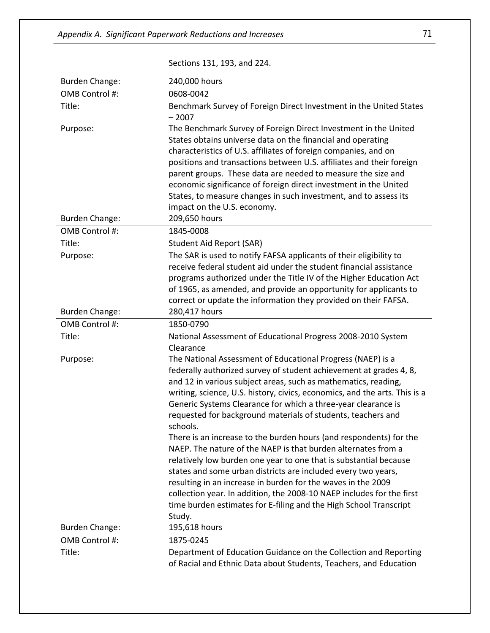|                                   | Sections 131, 193, and 224.                                                                                                                                                                                                                                                                                                                                                                                                                                                                                                                                                                                                                                                                                                                                                                                                                                                                                                            |
|-----------------------------------|----------------------------------------------------------------------------------------------------------------------------------------------------------------------------------------------------------------------------------------------------------------------------------------------------------------------------------------------------------------------------------------------------------------------------------------------------------------------------------------------------------------------------------------------------------------------------------------------------------------------------------------------------------------------------------------------------------------------------------------------------------------------------------------------------------------------------------------------------------------------------------------------------------------------------------------|
| <b>Burden Change:</b>             | 240,000 hours                                                                                                                                                                                                                                                                                                                                                                                                                                                                                                                                                                                                                                                                                                                                                                                                                                                                                                                          |
| OMB Control #:                    | 0608-0042                                                                                                                                                                                                                                                                                                                                                                                                                                                                                                                                                                                                                                                                                                                                                                                                                                                                                                                              |
| Title:                            | Benchmark Survey of Foreign Direct Investment in the United States<br>$-2007$                                                                                                                                                                                                                                                                                                                                                                                                                                                                                                                                                                                                                                                                                                                                                                                                                                                          |
| Purpose:<br><b>Burden Change:</b> | The Benchmark Survey of Foreign Direct Investment in the United<br>States obtains universe data on the financial and operating<br>characteristics of U.S. affiliates of foreign companies, and on<br>positions and transactions between U.S. affiliates and their foreign<br>parent groups. These data are needed to measure the size and<br>economic significance of foreign direct investment in the United<br>States, to measure changes in such investment, and to assess its<br>impact on the U.S. economy.<br>209,650 hours                                                                                                                                                                                                                                                                                                                                                                                                      |
| OMB Control #:                    | 1845-0008                                                                                                                                                                                                                                                                                                                                                                                                                                                                                                                                                                                                                                                                                                                                                                                                                                                                                                                              |
| Title:                            | <b>Student Aid Report (SAR)</b>                                                                                                                                                                                                                                                                                                                                                                                                                                                                                                                                                                                                                                                                                                                                                                                                                                                                                                        |
| Purpose:                          | The SAR is used to notify FAFSA applicants of their eligibility to<br>receive federal student aid under the student financial assistance<br>programs authorized under the Title IV of the Higher Education Act<br>of 1965, as amended, and provide an opportunity for applicants to<br>correct or update the information they provided on their FAFSA.                                                                                                                                                                                                                                                                                                                                                                                                                                                                                                                                                                                 |
| <b>Burden Change:</b>             | 280,417 hours                                                                                                                                                                                                                                                                                                                                                                                                                                                                                                                                                                                                                                                                                                                                                                                                                                                                                                                          |
| OMB Control #:                    | 1850-0790                                                                                                                                                                                                                                                                                                                                                                                                                                                                                                                                                                                                                                                                                                                                                                                                                                                                                                                              |
| Title:                            | National Assessment of Educational Progress 2008-2010 System                                                                                                                                                                                                                                                                                                                                                                                                                                                                                                                                                                                                                                                                                                                                                                                                                                                                           |
| Purpose:                          | Clearance<br>The National Assessment of Educational Progress (NAEP) is a<br>federally authorized survey of student achievement at grades 4, 8,<br>and 12 in various subject areas, such as mathematics, reading,<br>writing, science, U.S. history, civics, economics, and the arts. This is a<br>Generic Systems Clearance for which a three-year clearance is<br>requested for background materials of students, teachers and<br>schools.<br>There is an increase to the burden hours (and respondents) for the<br>NAEP. The nature of the NAEP is that burden alternates from a<br>relatively low burden one year to one that is substantial because<br>states and some urban districts are included every two years,<br>resulting in an increase in burden for the waves in the 2009<br>collection year. In addition, the 2008-10 NAEP includes for the first<br>time burden estimates for E-filing and the High School Transcript |
| <b>Burden Change:</b>             | Study.<br>195,618 hours                                                                                                                                                                                                                                                                                                                                                                                                                                                                                                                                                                                                                                                                                                                                                                                                                                                                                                                |
| OMB Control #:                    | 1875-0245                                                                                                                                                                                                                                                                                                                                                                                                                                                                                                                                                                                                                                                                                                                                                                                                                                                                                                                              |
| Title:                            | Department of Education Guidance on the Collection and Reporting<br>of Racial and Ethnic Data about Students, Teachers, and Education                                                                                                                                                                                                                                                                                                                                                                                                                                                                                                                                                                                                                                                                                                                                                                                                  |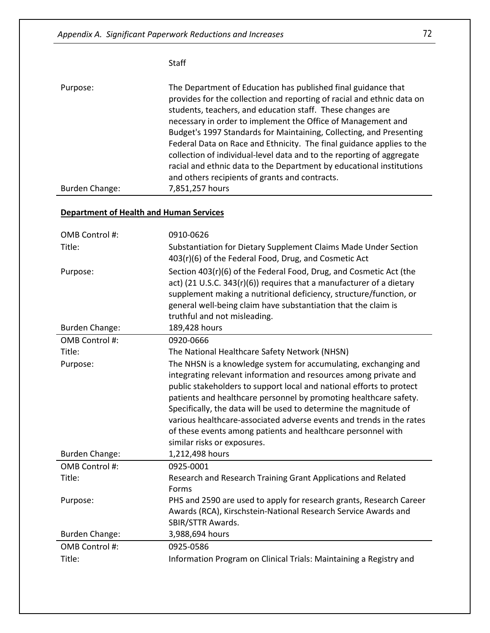Staff

| The Department of Education has published final guidance that<br>provides for the collection and reporting of racial and ethnic data on<br>students, teachers, and education staff. These changes are<br>necessary in order to implement the Office of Management and<br>Budget's 1997 Standards for Maintaining, Collecting, and Presenting<br>Federal Data on Race and Ethnicity. The final guidance applies to the<br>collection of individual-level data and to the reporting of aggregate<br>racial and ethnic data to the Department by educational institutions<br>and others recipients of grants and contracts. |
|--------------------------------------------------------------------------------------------------------------------------------------------------------------------------------------------------------------------------------------------------------------------------------------------------------------------------------------------------------------------------------------------------------------------------------------------------------------------------------------------------------------------------------------------------------------------------------------------------------------------------|
| 7,851,257 hours                                                                                                                                                                                                                                                                                                                                                                                                                                                                                                                                                                                                          |
|                                                                                                                                                                                                                                                                                                                                                                                                                                                                                                                                                                                                                          |

## **Department of Health and Human Services**

| OMB Control #:        | 0910-0626                                                                                                                                                                                                                                                                                                                                                                                                                                                                                                                    |
|-----------------------|------------------------------------------------------------------------------------------------------------------------------------------------------------------------------------------------------------------------------------------------------------------------------------------------------------------------------------------------------------------------------------------------------------------------------------------------------------------------------------------------------------------------------|
| Title:                | Substantiation for Dietary Supplement Claims Made Under Section<br>403(r)(6) of the Federal Food, Drug, and Cosmetic Act                                                                                                                                                                                                                                                                                                                                                                                                     |
| Purpose:              | Section 403(r)(6) of the Federal Food, Drug, and Cosmetic Act (the<br>act) (21 U.S.C. 343(r)(6)) requires that a manufacturer of a dietary<br>supplement making a nutritional deficiency, structure/function, or<br>general well-being claim have substantiation that the claim is<br>truthful and not misleading.                                                                                                                                                                                                           |
| <b>Burden Change:</b> | 189,428 hours                                                                                                                                                                                                                                                                                                                                                                                                                                                                                                                |
| OMB Control #:        | 0920-0666                                                                                                                                                                                                                                                                                                                                                                                                                                                                                                                    |
| Title:                | The National Healthcare Safety Network (NHSN)                                                                                                                                                                                                                                                                                                                                                                                                                                                                                |
| Purpose:              | The NHSN is a knowledge system for accumulating, exchanging and<br>integrating relevant information and resources among private and<br>public stakeholders to support local and national efforts to protect<br>patients and healthcare personnel by promoting healthcare safety.<br>Specifically, the data will be used to determine the magnitude of<br>various healthcare-associated adverse events and trends in the rates<br>of these events among patients and healthcare personnel with<br>similar risks or exposures. |
| <b>Burden Change:</b> | 1,212,498 hours                                                                                                                                                                                                                                                                                                                                                                                                                                                                                                              |
| OMB Control #:        | 0925-0001                                                                                                                                                                                                                                                                                                                                                                                                                                                                                                                    |
| Title:                | Research and Research Training Grant Applications and Related                                                                                                                                                                                                                                                                                                                                                                                                                                                                |
|                       | Forms                                                                                                                                                                                                                                                                                                                                                                                                                                                                                                                        |
| Purpose:              | PHS and 2590 are used to apply for research grants, Research Career<br>Awards (RCA), Kirschstein-National Research Service Awards and<br>SBIR/STTR Awards.                                                                                                                                                                                                                                                                                                                                                                   |
| <b>Burden Change:</b> | 3,988,694 hours                                                                                                                                                                                                                                                                                                                                                                                                                                                                                                              |
| OMB Control #:        | 0925-0586                                                                                                                                                                                                                                                                                                                                                                                                                                                                                                                    |
| Title:                | Information Program on Clinical Trials: Maintaining a Registry and                                                                                                                                                                                                                                                                                                                                                                                                                                                           |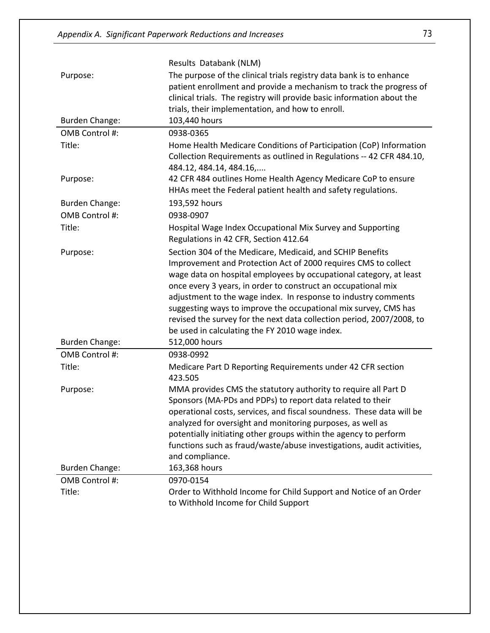|                       | Results Databank (NLM)                                                                                                                    |
|-----------------------|-------------------------------------------------------------------------------------------------------------------------------------------|
| Purpose:              | The purpose of the clinical trials registry data bank is to enhance                                                                       |
|                       | patient enrollment and provide a mechanism to track the progress of                                                                       |
|                       | clinical trials. The registry will provide basic information about the                                                                    |
|                       | trials, their implementation, and how to enroll.                                                                                          |
| <b>Burden Change:</b> | 103,440 hours                                                                                                                             |
| OMB Control #:        | 0938-0365                                                                                                                                 |
| Title:                | Home Health Medicare Conditions of Participation (CoP) Information                                                                        |
|                       | Collection Requirements as outlined in Regulations -- 42 CFR 484.10,<br>484.12, 484.14, 484.16,                                           |
| Purpose:              | 42 CFR 484 outlines Home Health Agency Medicare CoP to ensure                                                                             |
|                       | HHAs meet the Federal patient health and safety regulations.                                                                              |
| <b>Burden Change:</b> | 193,592 hours                                                                                                                             |
| OMB Control #:        | 0938-0907                                                                                                                                 |
| Title:                | Hospital Wage Index Occupational Mix Survey and Supporting<br>Regulations in 42 CFR, Section 412.64                                       |
| Purpose:              | Section 304 of the Medicare, Medicaid, and SCHIP Benefits                                                                                 |
|                       | Improvement and Protection Act of 2000 requires CMS to collect                                                                            |
|                       | wage data on hospital employees by occupational category, at least                                                                        |
|                       | once every 3 years, in order to construct an occupational mix                                                                             |
|                       | adjustment to the wage index. In response to industry comments                                                                            |
|                       | suggesting ways to improve the occupational mix survey, CMS has<br>revised the survey for the next data collection period, 2007/2008, to  |
|                       | be used in calculating the FY 2010 wage index.                                                                                            |
| <b>Burden Change:</b> | 512,000 hours                                                                                                                             |
| OMB Control #:        | 0938-0992                                                                                                                                 |
| Title:                | Medicare Part D Reporting Requirements under 42 CFR section                                                                               |
|                       | 423.505                                                                                                                                   |
| Purpose:              | MMA provides CMS the statutory authority to require all Part D                                                                            |
|                       | Sponsors (MA-PDs and PDPs) to report data related to their                                                                                |
|                       | operational costs, services, and fiscal soundness. These data will be                                                                     |
|                       | analyzed for oversight and monitoring purposes, as well as                                                                                |
|                       | potentially initiating other groups within the agency to perform<br>functions such as fraud/waste/abuse investigations, audit activities, |
|                       | and compliance.                                                                                                                           |
| <b>Burden Change:</b> | 163,368 hours                                                                                                                             |
| OMB Control #:        | 0970-0154                                                                                                                                 |
| Title:                | Order to Withhold Income for Child Support and Notice of an Order                                                                         |
|                       | to Withhold Income for Child Support                                                                                                      |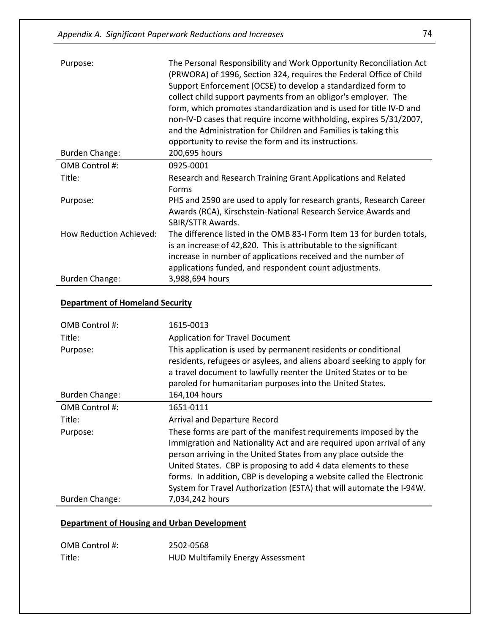| Purpose:                       | The Personal Responsibility and Work Opportunity Reconciliation Act<br>(PRWORA) of 1996, Section 324, requires the Federal Office of Child<br>Support Enforcement (OCSE) to develop a standardized form to<br>collect child support payments from an obligor's employer. The<br>form, which promotes standardization and is used for title IV-D and<br>non-IV-D cases that require income withholding, expires 5/31/2007,<br>and the Administration for Children and Families is taking this<br>opportunity to revise the form and its instructions. |
|--------------------------------|------------------------------------------------------------------------------------------------------------------------------------------------------------------------------------------------------------------------------------------------------------------------------------------------------------------------------------------------------------------------------------------------------------------------------------------------------------------------------------------------------------------------------------------------------|
| <b>Burden Change:</b>          | 200,695 hours                                                                                                                                                                                                                                                                                                                                                                                                                                                                                                                                        |
| OMB Control #:                 | 0925-0001                                                                                                                                                                                                                                                                                                                                                                                                                                                                                                                                            |
| Title:                         | Research and Research Training Grant Applications and Related<br>Forms                                                                                                                                                                                                                                                                                                                                                                                                                                                                               |
| Purpose:                       | PHS and 2590 are used to apply for research grants, Research Career<br>Awards (RCA), Kirschstein-National Research Service Awards and<br><b>SBIR/STTR Awards.</b>                                                                                                                                                                                                                                                                                                                                                                                    |
| <b>How Reduction Achieved:</b> | The difference listed in the OMB 83-I Form Item 13 for burden totals,<br>is an increase of 42,820. This is attributable to the significant<br>increase in number of applications received and the number of<br>applications funded, and respondent count adjustments.                                                                                                                                                                                                                                                                                |
| <b>Burden Change:</b>          | 3,988,694 hours                                                                                                                                                                                                                                                                                                                                                                                                                                                                                                                                      |

#### **Department of Homeland Security**

| OMB Control #:        | 1615-0013                                                                                                                                                                                                                                                                                                                                                                                                                       |
|-----------------------|---------------------------------------------------------------------------------------------------------------------------------------------------------------------------------------------------------------------------------------------------------------------------------------------------------------------------------------------------------------------------------------------------------------------------------|
| Title:                | <b>Application for Travel Document</b>                                                                                                                                                                                                                                                                                                                                                                                          |
| Purpose:              | This application is used by permanent residents or conditional<br>residents, refugees or asylees, and aliens aboard seeking to apply for<br>a travel document to lawfully reenter the United States or to be<br>paroled for humanitarian purposes into the United States.                                                                                                                                                       |
| <b>Burden Change:</b> | 164,104 hours                                                                                                                                                                                                                                                                                                                                                                                                                   |
| OMB Control #:        | 1651-0111                                                                                                                                                                                                                                                                                                                                                                                                                       |
| Title:                | Arrival and Departure Record                                                                                                                                                                                                                                                                                                                                                                                                    |
| Purpose:              | These forms are part of the manifest requirements imposed by the<br>Immigration and Nationality Act and are required upon arrival of any<br>person arriving in the United States from any place outside the<br>United States. CBP is proposing to add 4 data elements to these<br>forms. In addition, CBP is developing a website called the Electronic<br>System for Travel Authorization (ESTA) that will automate the I-94W. |
| <b>Burden Change:</b> | 7,034,242 hours                                                                                                                                                                                                                                                                                                                                                                                                                 |

#### **Department of Housing and Urban Development**

| OMB Control #: | 2502-0568                                |
|----------------|------------------------------------------|
| Title:         | <b>HUD Multifamily Energy Assessment</b> |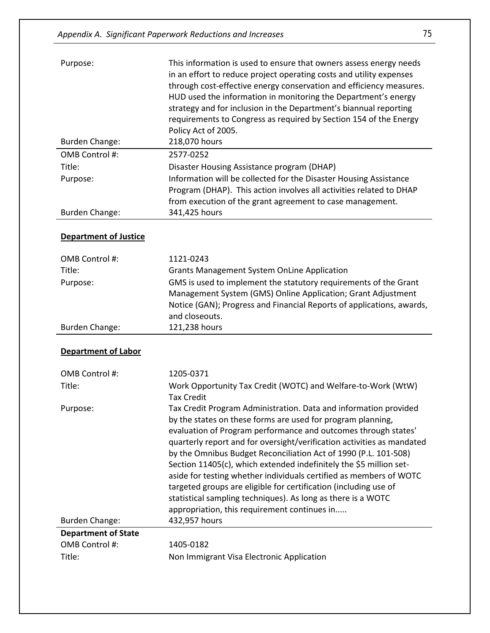| Purpose:                     | This information is used to ensure that owners assess energy needs<br>in an effort to reduce project operating costs and utility expenses<br>through cost-effective energy conservation and efficiency measures.<br>HUD used the information in monitoring the Department's energy<br>strategy and for inclusion in the Department's biannual reporting<br>requirements to Congress as required by Section 154 of the Energy<br>Policy Act of 2005. |
|------------------------------|-----------------------------------------------------------------------------------------------------------------------------------------------------------------------------------------------------------------------------------------------------------------------------------------------------------------------------------------------------------------------------------------------------------------------------------------------------|
| <b>Burden Change:</b>        | 218,070 hours                                                                                                                                                                                                                                                                                                                                                                                                                                       |
| OMB Control #:               | 2577-0252                                                                                                                                                                                                                                                                                                                                                                                                                                           |
| Title:                       | Disaster Housing Assistance program (DHAP)                                                                                                                                                                                                                                                                                                                                                                                                          |
| Purpose:                     | Information will be collected for the Disaster Housing Assistance<br>Program (DHAP). This action involves all activities related to DHAP<br>from execution of the grant agreement to case management.                                                                                                                                                                                                                                               |
| <b>Burden Change:</b>        | 341,425 hours                                                                                                                                                                                                                                                                                                                                                                                                                                       |
| <b>Department of Justice</b> |                                                                                                                                                                                                                                                                                                                                                                                                                                                     |
| OMB Control #:               | 1121-0243                                                                                                                                                                                                                                                                                                                                                                                                                                           |
|                              |                                                                                                                                                                                                                                                                                                                                                                                                                                                     |

| OMB Control #: | 1121-0243                                                             |
|----------------|-----------------------------------------------------------------------|
| Title:         | <b>Grants Management System OnLine Application</b>                    |
| Purpose:       | GMS is used to implement the statutory requirements of the Grant      |
|                | Management System (GMS) Online Application; Grant Adjustment          |
|                | Notice (GAN); Progress and Financial Reports of applications, awards, |
|                | and closeouts.                                                        |
| Burden Change: | 121,238 hours                                                         |

#### **Department of Labor**

| OMB Control #:             | 1205-0371                                                              |
|----------------------------|------------------------------------------------------------------------|
| Title:                     | Work Opportunity Tax Credit (WOTC) and Welfare-to-Work (WtW)           |
|                            | <b>Tax Credit</b>                                                      |
| Purpose:                   | Tax Credit Program Administration. Data and information provided       |
|                            | by the states on these forms are used for program planning,            |
|                            | evaluation of Program performance and outcomes through states'         |
|                            | quarterly report and for oversight/verification activities as mandated |
|                            | by the Omnibus Budget Reconciliation Act of 1990 (P.L. 101-508)        |
|                            | Section 11405(c), which extended indefinitely the \$5 million set-     |
|                            | aside for testing whether individuals certified as members of WOTC     |
|                            | targeted groups are eligible for certification (including use of       |
|                            | statistical sampling techniques). As long as there is a WOTC           |
|                            | appropriation, this requirement continues in                           |
| Burden Change:             | 432,957 hours                                                          |
| <b>Department of State</b> |                                                                        |
| OMB Control #:             | 1405-0182                                                              |
| Title:                     | Non Immigrant Visa Electronic Application                              |
|                            |                                                                        |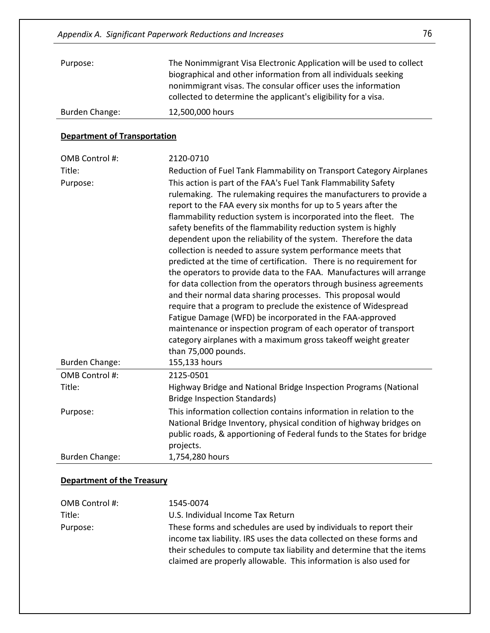| Purpose:       | The Nonimmigrant Visa Electronic Application will be used to collect<br>biographical and other information from all individuals seeking<br>nonimmigrant visas. The consular officer uses the information<br>collected to determine the applicant's eligibility for a visa. |
|----------------|----------------------------------------------------------------------------------------------------------------------------------------------------------------------------------------------------------------------------------------------------------------------------|
| Burden Change: | 12,500,000 hours                                                                                                                                                                                                                                                           |

#### **Department of Transportation**

| OMB Control #:<br>Title:<br>Purpose:<br><b>Burden Change:</b> | 2120-0710<br>Reduction of Fuel Tank Flammability on Transport Category Airplanes<br>This action is part of the FAA's Fuel Tank Flammability Safety<br>rulemaking. The rulemaking requires the manufacturers to provide a<br>report to the FAA every six months for up to 5 years after the<br>flammability reduction system is incorporated into the fleet. The<br>safety benefits of the flammability reduction system is highly<br>dependent upon the reliability of the system. Therefore the data<br>collection is needed to assure system performance meets that<br>predicted at the time of certification. There is no requirement for<br>the operators to provide data to the FAA. Manufactures will arrange<br>for data collection from the operators through business agreements<br>and their normal data sharing processes. This proposal would<br>require that a program to preclude the existence of Widespread<br>Fatigue Damage (WFD) be incorporated in the FAA-approved<br>maintenance or inspection program of each operator of transport<br>category airplanes with a maximum gross takeoff weight greater<br>than 75,000 pounds.<br>155,133 hours |
|---------------------------------------------------------------|----------------------------------------------------------------------------------------------------------------------------------------------------------------------------------------------------------------------------------------------------------------------------------------------------------------------------------------------------------------------------------------------------------------------------------------------------------------------------------------------------------------------------------------------------------------------------------------------------------------------------------------------------------------------------------------------------------------------------------------------------------------------------------------------------------------------------------------------------------------------------------------------------------------------------------------------------------------------------------------------------------------------------------------------------------------------------------------------------------------------------------------------------------------------|
| OMB Control #:                                                | 2125-0501                                                                                                                                                                                                                                                                                                                                                                                                                                                                                                                                                                                                                                                                                                                                                                                                                                                                                                                                                                                                                                                                                                                                                            |
| Title:                                                        | Highway Bridge and National Bridge Inspection Programs (National<br><b>Bridge Inspection Standards)</b>                                                                                                                                                                                                                                                                                                                                                                                                                                                                                                                                                                                                                                                                                                                                                                                                                                                                                                                                                                                                                                                              |
| Purpose:                                                      | This information collection contains information in relation to the<br>National Bridge Inventory, physical condition of highway bridges on<br>public roads, & apportioning of Federal funds to the States for bridge<br>projects.                                                                                                                                                                                                                                                                                                                                                                                                                                                                                                                                                                                                                                                                                                                                                                                                                                                                                                                                    |
| <b>Burden Change:</b>                                         | 1,754,280 hours                                                                                                                                                                                                                                                                                                                                                                                                                                                                                                                                                                                                                                                                                                                                                                                                                                                                                                                                                                                                                                                                                                                                                      |

## **Department of the Treasury**

| OMB Control #: | 1545-0074                                                                                                                                                                                                          |
|----------------|--------------------------------------------------------------------------------------------------------------------------------------------------------------------------------------------------------------------|
| Title:         | U.S. Individual Income Tax Return                                                                                                                                                                                  |
| Purpose:       | These forms and schedules are used by individuals to report their<br>income tax liability. IRS uses the data collected on these forms and<br>their schedules to compute tax liability and determine that the items |
|                | claimed are properly allowable. This information is also used for                                                                                                                                                  |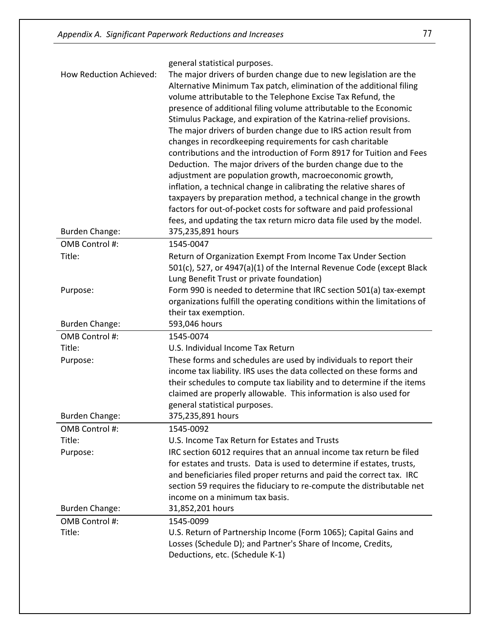|                                   | general statistical purposes.                                                                                                                                                                                                                                                                                                                                                                                                                                                                                                                                                                                                                                                                                                                                                                                                                                                                                                                                                    |
|-----------------------------------|----------------------------------------------------------------------------------------------------------------------------------------------------------------------------------------------------------------------------------------------------------------------------------------------------------------------------------------------------------------------------------------------------------------------------------------------------------------------------------------------------------------------------------------------------------------------------------------------------------------------------------------------------------------------------------------------------------------------------------------------------------------------------------------------------------------------------------------------------------------------------------------------------------------------------------------------------------------------------------|
| How Reduction Achieved:           | The major drivers of burden change due to new legislation are the<br>Alternative Minimum Tax patch, elimination of the additional filing<br>volume attributable to the Telephone Excise Tax Refund, the<br>presence of additional filing volume attributable to the Economic<br>Stimulus Package, and expiration of the Katrina-relief provisions.<br>The major drivers of burden change due to IRS action result from<br>changes in recordkeeping requirements for cash charitable<br>contributions and the introduction of Form 8917 for Tuition and Fees<br>Deduction. The major drivers of the burden change due to the<br>adjustment are population growth, macroeconomic growth,<br>inflation, a technical change in calibrating the relative shares of<br>taxpayers by preparation method, a technical change in the growth<br>factors for out-of-pocket costs for software and paid professional<br>fees, and updating the tax return micro data file used by the model. |
| <b>Burden Change:</b>             | 375,235,891 hours                                                                                                                                                                                                                                                                                                                                                                                                                                                                                                                                                                                                                                                                                                                                                                                                                                                                                                                                                                |
| OMB Control #:                    | 1545-0047                                                                                                                                                                                                                                                                                                                                                                                                                                                                                                                                                                                                                                                                                                                                                                                                                                                                                                                                                                        |
| Title:                            | Return of Organization Exempt From Income Tax Under Section<br>501(c), 527, or 4947(a)(1) of the Internal Revenue Code (except Black<br>Lung Benefit Trust or private foundation)                                                                                                                                                                                                                                                                                                                                                                                                                                                                                                                                                                                                                                                                                                                                                                                                |
| Purpose:                          | Form 990 is needed to determine that IRC section 501(a) tax-exempt<br>organizations fulfill the operating conditions within the limitations of<br>their tax exemption.                                                                                                                                                                                                                                                                                                                                                                                                                                                                                                                                                                                                                                                                                                                                                                                                           |
| <b>Burden Change:</b>             | 593,046 hours                                                                                                                                                                                                                                                                                                                                                                                                                                                                                                                                                                                                                                                                                                                                                                                                                                                                                                                                                                    |
| OMB Control #:<br>Title:          | 1545-0074<br>U.S. Individual Income Tax Return                                                                                                                                                                                                                                                                                                                                                                                                                                                                                                                                                                                                                                                                                                                                                                                                                                                                                                                                   |
| Purpose:                          | These forms and schedules are used by individuals to report their<br>income tax liability. IRS uses the data collected on these forms and<br>their schedules to compute tax liability and to determine if the items<br>claimed are properly allowable. This information is also used for<br>general statistical purposes.                                                                                                                                                                                                                                                                                                                                                                                                                                                                                                                                                                                                                                                        |
| <b>Burden Change:</b>             | 375,235,891 hours                                                                                                                                                                                                                                                                                                                                                                                                                                                                                                                                                                                                                                                                                                                                                                                                                                                                                                                                                                |
| OMB Control #:<br>Title:          | 1545-0092<br>U.S. Income Tax Return for Estates and Trusts                                                                                                                                                                                                                                                                                                                                                                                                                                                                                                                                                                                                                                                                                                                                                                                                                                                                                                                       |
| Purpose:<br><b>Burden Change:</b> | IRC section 6012 requires that an annual income tax return be filed<br>for estates and trusts. Data is used to determine if estates, trusts,<br>and beneficiaries filed proper returns and paid the correct tax. IRC<br>section 59 requires the fiduciary to re-compute the distributable net<br>income on a minimum tax basis.<br>31,852,201 hours                                                                                                                                                                                                                                                                                                                                                                                                                                                                                                                                                                                                                              |
| OMB Control #:                    | 1545-0099                                                                                                                                                                                                                                                                                                                                                                                                                                                                                                                                                                                                                                                                                                                                                                                                                                                                                                                                                                        |
| Title:                            | U.S. Return of Partnership Income (Form 1065); Capital Gains and<br>Losses (Schedule D); and Partner's Share of Income, Credits,<br>Deductions, etc. (Schedule K-1)                                                                                                                                                                                                                                                                                                                                                                                                                                                                                                                                                                                                                                                                                                                                                                                                              |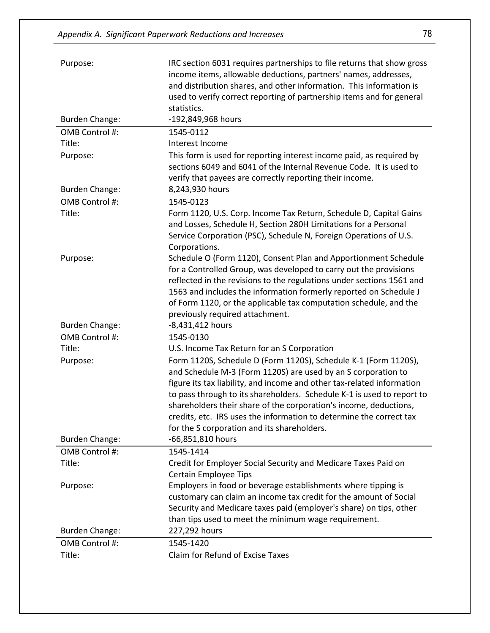| Purpose:              | IRC section 6031 requires partnerships to file returns that show gross<br>income items, allowable deductions, partners' names, addresses,<br>and distribution shares, and other information. This information is                                                                                                                                                                                                                                                                |
|-----------------------|---------------------------------------------------------------------------------------------------------------------------------------------------------------------------------------------------------------------------------------------------------------------------------------------------------------------------------------------------------------------------------------------------------------------------------------------------------------------------------|
|                       | used to verify correct reporting of partnership items and for general                                                                                                                                                                                                                                                                                                                                                                                                           |
|                       | statistics.                                                                                                                                                                                                                                                                                                                                                                                                                                                                     |
| <b>Burden Change:</b> | -192,849,968 hours                                                                                                                                                                                                                                                                                                                                                                                                                                                              |
| OMB Control #:        | 1545-0112                                                                                                                                                                                                                                                                                                                                                                                                                                                                       |
| Title:                | Interest Income                                                                                                                                                                                                                                                                                                                                                                                                                                                                 |
| Purpose:              | This form is used for reporting interest income paid, as required by<br>sections 6049 and 6041 of the Internal Revenue Code. It is used to<br>verify that payees are correctly reporting their income.                                                                                                                                                                                                                                                                          |
| <b>Burden Change:</b> | 8,243,930 hours                                                                                                                                                                                                                                                                                                                                                                                                                                                                 |
| OMB Control #:        | 1545-0123                                                                                                                                                                                                                                                                                                                                                                                                                                                                       |
| Title:                | Form 1120, U.S. Corp. Income Tax Return, Schedule D, Capital Gains<br>and Losses, Schedule H, Section 280H Limitations for a Personal<br>Service Corporation (PSC), Schedule N, Foreign Operations of U.S.<br>Corporations.                                                                                                                                                                                                                                                     |
| Purpose:              | Schedule O (Form 1120), Consent Plan and Apportionment Schedule<br>for a Controlled Group, was developed to carry out the provisions<br>reflected in the revisions to the regulations under sections 1561 and<br>1563 and includes the information formerly reported on Schedule J<br>of Form 1120, or the applicable tax computation schedule, and the<br>previously required attachment.                                                                                      |
|                       |                                                                                                                                                                                                                                                                                                                                                                                                                                                                                 |
| <b>Burden Change:</b> | -8,431,412 hours                                                                                                                                                                                                                                                                                                                                                                                                                                                                |
| OMB Control #:        | 1545-0130                                                                                                                                                                                                                                                                                                                                                                                                                                                                       |
| Title:                | U.S. Income Tax Return for an S Corporation                                                                                                                                                                                                                                                                                                                                                                                                                                     |
| Purpose:              | Form 1120S, Schedule D (Form 1120S), Schedule K-1 (Form 1120S),<br>and Schedule M-3 (Form 1120S) are used by an S corporation to<br>figure its tax liability, and income and other tax-related information<br>to pass through to its shareholders. Schedule K-1 is used to report to<br>shareholders their share of the corporation's income, deductions,<br>credits, etc. IRS uses the information to determine the correct tax<br>for the S corporation and its shareholders. |
| <b>Burden Change:</b> | -66,851,810 hours                                                                                                                                                                                                                                                                                                                                                                                                                                                               |
| OMB Control #:        | 1545-1414                                                                                                                                                                                                                                                                                                                                                                                                                                                                       |
| Title:                | Credit for Employer Social Security and Medicare Taxes Paid on<br><b>Certain Employee Tips</b>                                                                                                                                                                                                                                                                                                                                                                                  |
| Purpose:              | Employers in food or beverage establishments where tipping is<br>customary can claim an income tax credit for the amount of Social<br>Security and Medicare taxes paid (employer's share) on tips, other<br>than tips used to meet the minimum wage requirement.                                                                                                                                                                                                                |
| <b>Burden Change:</b> | 227,292 hours                                                                                                                                                                                                                                                                                                                                                                                                                                                                   |
| OMB Control #:        | 1545-1420<br>Claim for Refund of Excise Taxes                                                                                                                                                                                                                                                                                                                                                                                                                                   |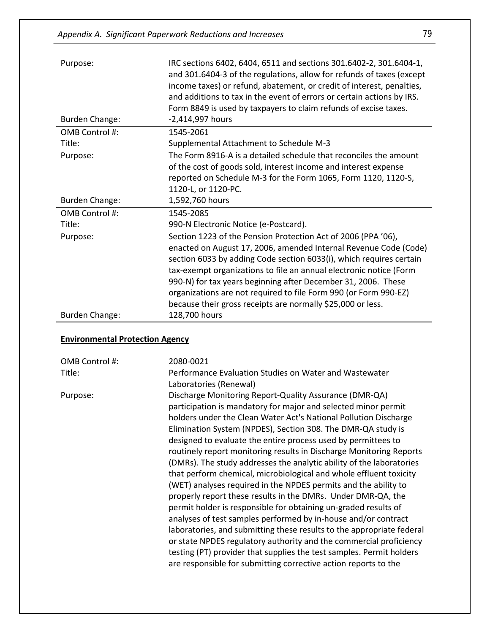| Purpose:                               | IRC sections 6402, 6404, 6511 and sections 301.6402-2, 301.6404-1,<br>and 301.6404-3 of the regulations, allow for refunds of taxes (except<br>income taxes) or refund, abatement, or credit of interest, penalties,<br>and additions to tax in the event of errors or certain actions by IRS.<br>Form 8849 is used by taxpayers to claim refunds of excise taxes.                                                                                                                 |
|----------------------------------------|------------------------------------------------------------------------------------------------------------------------------------------------------------------------------------------------------------------------------------------------------------------------------------------------------------------------------------------------------------------------------------------------------------------------------------------------------------------------------------|
| <b>Burden Change:</b>                  | -2,414,997 hours                                                                                                                                                                                                                                                                                                                                                                                                                                                                   |
| OMB Control #:                         | 1545-2061                                                                                                                                                                                                                                                                                                                                                                                                                                                                          |
| Title:                                 | Supplemental Attachment to Schedule M-3                                                                                                                                                                                                                                                                                                                                                                                                                                            |
| Purpose:                               | The Form 8916-A is a detailed schedule that reconciles the amount<br>of the cost of goods sold, interest income and interest expense<br>reported on Schedule M-3 for the Form 1065, Form 1120, 1120-S,<br>1120-L, or 1120-PC.                                                                                                                                                                                                                                                      |
| <b>Burden Change:</b>                  | 1,592,760 hours                                                                                                                                                                                                                                                                                                                                                                                                                                                                    |
| OMB Control #:                         | 1545-2085                                                                                                                                                                                                                                                                                                                                                                                                                                                                          |
| Title:                                 | 990-N Electronic Notice (e-Postcard).                                                                                                                                                                                                                                                                                                                                                                                                                                              |
| Purpose:                               | Section 1223 of the Pension Protection Act of 2006 (PPA '06),<br>enacted on August 17, 2006, amended Internal Revenue Code (Code)<br>section 6033 by adding Code section 6033(i), which requires certain<br>tax-exempt organizations to file an annual electronic notice (Form<br>990-N) for tax years beginning after December 31, 2006. These<br>organizations are not required to file Form 990 (or Form 990-EZ)<br>because their gross receipts are normally \$25,000 or less. |
| <b>Burden Change:</b>                  | 128,700 hours                                                                                                                                                                                                                                                                                                                                                                                                                                                                      |
| <b>Environmental Protection Agency</b> |                                                                                                                                                                                                                                                                                                                                                                                                                                                                                    |

| OMB Control #: | 2080-0021                                                                                                                                                                                                                                                                                                                                                                                                                                                                                                                                                                                                                                                                                                                                                                                                                                                                                                                                                                                                                                                                                                            |
|----------------|----------------------------------------------------------------------------------------------------------------------------------------------------------------------------------------------------------------------------------------------------------------------------------------------------------------------------------------------------------------------------------------------------------------------------------------------------------------------------------------------------------------------------------------------------------------------------------------------------------------------------------------------------------------------------------------------------------------------------------------------------------------------------------------------------------------------------------------------------------------------------------------------------------------------------------------------------------------------------------------------------------------------------------------------------------------------------------------------------------------------|
| Title:         | Performance Evaluation Studies on Water and Wastewater<br>Laboratories (Renewal)                                                                                                                                                                                                                                                                                                                                                                                                                                                                                                                                                                                                                                                                                                                                                                                                                                                                                                                                                                                                                                     |
| Purpose:       | Discharge Monitoring Report-Quality Assurance (DMR-QA)<br>participation is mandatory for major and selected minor permit<br>holders under the Clean Water Act's National Pollution Discharge<br>Elimination System (NPDES), Section 308. The DMR-QA study is<br>designed to evaluate the entire process used by permittees to<br>routinely report monitoring results in Discharge Monitoring Reports<br>(DMRs). The study addresses the analytic ability of the laboratories<br>that perform chemical, microbiological and whole effluent toxicity<br>(WET) analyses required in the NPDES permits and the ability to<br>properly report these results in the DMRs. Under DMR-QA, the<br>permit holder is responsible for obtaining un-graded results of<br>analyses of test samples performed by in-house and/or contract<br>laboratories, and submitting these results to the appropriate federal<br>or state NPDES regulatory authority and the commercial proficiency<br>testing (PT) provider that supplies the test samples. Permit holders<br>are responsible for submitting corrective action reports to the |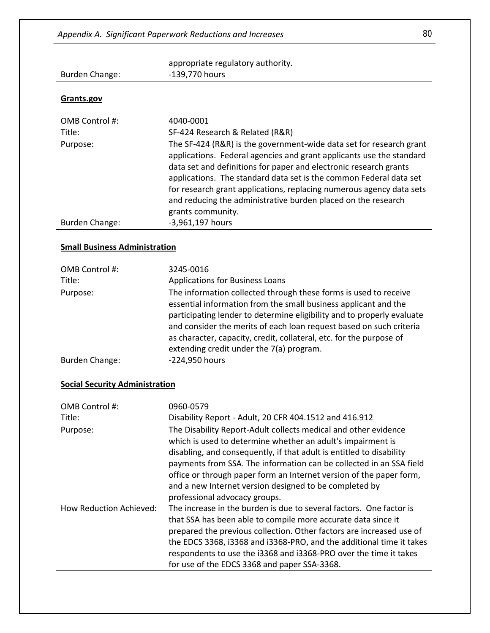|                                       | appropriate regulatory authority.                                                                                                                                                                                                                                                                                                                                                                                                                    |
|---------------------------------------|------------------------------------------------------------------------------------------------------------------------------------------------------------------------------------------------------------------------------------------------------------------------------------------------------------------------------------------------------------------------------------------------------------------------------------------------------|
| <b>Burden Change:</b>                 | -139,770 hours                                                                                                                                                                                                                                                                                                                                                                                                                                       |
|                                       |                                                                                                                                                                                                                                                                                                                                                                                                                                                      |
| Grants.gov                            |                                                                                                                                                                                                                                                                                                                                                                                                                                                      |
| OMB Control #:                        | 4040-0001                                                                                                                                                                                                                                                                                                                                                                                                                                            |
| Title:                                | SF-424 Research & Related (R&R)                                                                                                                                                                                                                                                                                                                                                                                                                      |
| Purpose:                              | The SF-424 (R&R) is the government-wide data set for research grant<br>applications. Federal agencies and grant applicants use the standard<br>data set and definitions for paper and electronic research grants<br>applications. The standard data set is the common Federal data set<br>for research grant applications, replacing numerous agency data sets<br>and reducing the administrative burden placed on the research<br>grants community. |
| <b>Burden Change:</b>                 | -3,961,197 hours                                                                                                                                                                                                                                                                                                                                                                                                                                     |
| <b>Small Business Administration</b>  |                                                                                                                                                                                                                                                                                                                                                                                                                                                      |
| OMB Control #:                        | 3245-0016                                                                                                                                                                                                                                                                                                                                                                                                                                            |
| Title:                                | <b>Applications for Business Loans</b>                                                                                                                                                                                                                                                                                                                                                                                                               |
| Purpose:                              | The information collected through these forms is used to receive<br>essential information from the small business applicant and the<br>participating lender to determine eligibility and to properly evaluate<br>and consider the merits of each loan request based on such criteria<br>as character, capacity, credit, collateral, etc. for the purpose of<br>extending credit under the 7(a) program.                                              |
| <b>Burden Change:</b>                 | -224,950 hours                                                                                                                                                                                                                                                                                                                                                                                                                                       |
| <b>Social Security Administration</b> |                                                                                                                                                                                                                                                                                                                                                                                                                                                      |
| OMB Control #:                        | 0960-0579                                                                                                                                                                                                                                                                                                                                                                                                                                            |
| Title:                                | Disability Report - Adult, 20 CFR 404.1512 and 416.912                                                                                                                                                                                                                                                                                                                                                                                               |
| Purpose:                              | The Disability Report-Adult collects medical and other evidence<br>which is used to determine whether an adult's impairment is                                                                                                                                                                                                                                                                                                                       |

|                         | writer is used to determine writerier an addit s impairment is<br>disabling, and consequently, if that adult is entitled to disability<br>payments from SSA. The information can be collected in an SSA field<br>office or through paper form an Internet version of the paper form,<br>and a new Internet version designed to be completed by |
|-------------------------|------------------------------------------------------------------------------------------------------------------------------------------------------------------------------------------------------------------------------------------------------------------------------------------------------------------------------------------------|
|                         | professional advocacy groups.                                                                                                                                                                                                                                                                                                                  |
| How Reduction Achieved: | The increase in the burden is due to several factors. One factor is                                                                                                                                                                                                                                                                            |
|                         | that SSA has been able to compile more accurate data since it                                                                                                                                                                                                                                                                                  |
|                         | prepared the previous collection. Other factors are increased use of                                                                                                                                                                                                                                                                           |
|                         | the EDCS 3368, i3368 and i3368-PRO, and the additional time it takes                                                                                                                                                                                                                                                                           |
|                         | respondents to use the i3368 and i3368-PRO over the time it takes                                                                                                                                                                                                                                                                              |
|                         | for use of the EDCS 3368 and paper SSA-3368.                                                                                                                                                                                                                                                                                                   |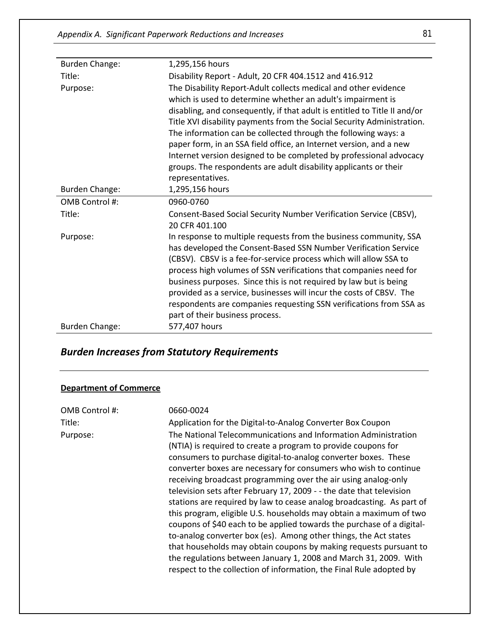| <b>Burden Change:</b> | 1,295,156 hours                                                                                                                                                                                                                                                                                                                                                                                                                                                                                                                                                                             |
|-----------------------|---------------------------------------------------------------------------------------------------------------------------------------------------------------------------------------------------------------------------------------------------------------------------------------------------------------------------------------------------------------------------------------------------------------------------------------------------------------------------------------------------------------------------------------------------------------------------------------------|
| Title:                | Disability Report - Adult, 20 CFR 404.1512 and 416.912                                                                                                                                                                                                                                                                                                                                                                                                                                                                                                                                      |
| Purpose:              | The Disability Report-Adult collects medical and other evidence<br>which is used to determine whether an adult's impairment is<br>disabling, and consequently, if that adult is entitled to Title II and/or<br>Title XVI disability payments from the Social Security Administration.<br>The information can be collected through the following ways: a<br>paper form, in an SSA field office, an Internet version, and a new<br>Internet version designed to be completed by professional advocacy<br>groups. The respondents are adult disability applicants or their<br>representatives. |
| <b>Burden Change:</b> | 1,295,156 hours                                                                                                                                                                                                                                                                                                                                                                                                                                                                                                                                                                             |
| OMB Control #:        | 0960-0760                                                                                                                                                                                                                                                                                                                                                                                                                                                                                                                                                                                   |
| Title:                | Consent-Based Social Security Number Verification Service (CBSV),<br>20 CFR 401.100                                                                                                                                                                                                                                                                                                                                                                                                                                                                                                         |
| Purpose:              | In response to multiple requests from the business community, SSA<br>has developed the Consent-Based SSN Number Verification Service<br>(CBSV). CBSV is a fee-for-service process which will allow SSA to<br>process high volumes of SSN verifications that companies need for<br>business purposes. Since this is not required by law but is being<br>provided as a service, businesses will incur the costs of CBSV. The<br>respondents are companies requesting SSN verifications from SSA as<br>part of their business process.                                                         |
| <b>Burden Change:</b> | 577,407 hours                                                                                                                                                                                                                                                                                                                                                                                                                                                                                                                                                                               |

## *Burden Increases from Statutory Requirements*

#### **Department of Commerce**

| OMB Control #: | 0660-0024                                                                                                                                                                                                                                                                                                                                                                                                                                                                                                                                                                                                                                                                                                                                                                                                                                                                                                                   |
|----------------|-----------------------------------------------------------------------------------------------------------------------------------------------------------------------------------------------------------------------------------------------------------------------------------------------------------------------------------------------------------------------------------------------------------------------------------------------------------------------------------------------------------------------------------------------------------------------------------------------------------------------------------------------------------------------------------------------------------------------------------------------------------------------------------------------------------------------------------------------------------------------------------------------------------------------------|
| Title:         | Application for the Digital-to-Analog Converter Box Coupon                                                                                                                                                                                                                                                                                                                                                                                                                                                                                                                                                                                                                                                                                                                                                                                                                                                                  |
| Purpose:       | The National Telecommunications and Information Administration<br>(NTIA) is required to create a program to provide coupons for<br>consumers to purchase digital-to-analog converter boxes. These<br>converter boxes are necessary for consumers who wish to continue<br>receiving broadcast programming over the air using analog-only<br>television sets after February 17, 2009 - - the date that television<br>stations are required by law to cease analog broadcasting. As part of<br>this program, eligible U.S. households may obtain a maximum of two<br>coupons of \$40 each to be applied towards the purchase of a digital-<br>to-analog converter box (es). Among other things, the Act states<br>that households may obtain coupons by making requests pursuant to<br>the regulations between January 1, 2008 and March 31, 2009. With<br>respect to the collection of information, the Final Rule adopted by |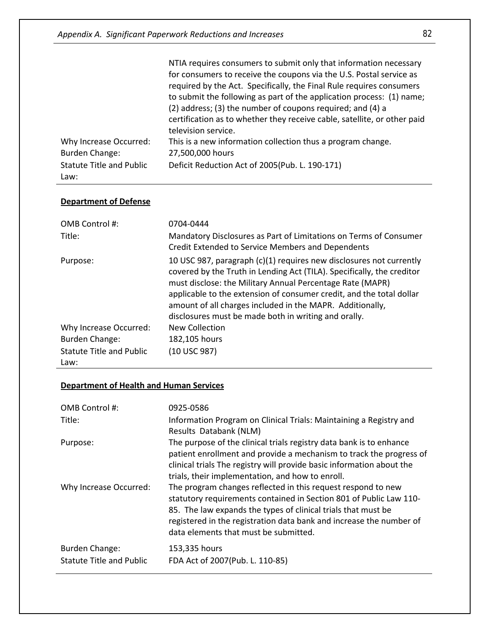|                                          | NTIA requires consumers to submit only that information necessary<br>for consumers to receive the coupons via the U.S. Postal service as |
|------------------------------------------|------------------------------------------------------------------------------------------------------------------------------------------|
|                                          | required by the Act. Specifically, the Final Rule requires consumers                                                                     |
|                                          | to submit the following as part of the application process: (1) name;<br>(2) address; (3) the number of coupons required; and (4) a      |
|                                          | certification as to whether they receive cable, satellite, or other paid<br>television service.                                          |
| Why Increase Occurred:<br>Burden Change: | This is a new information collection thus a program change.<br>27,500,000 hours                                                          |
| <b>Statute Title and Public</b><br>Law:  | Deficit Reduction Act of 2005(Pub. L. 190-171)                                                                                           |

#### **Department of Defense**

| OMB Control #:                   | 0704-0444                                                                                                                                                                                                                                                                                                                                                                                               |
|----------------------------------|---------------------------------------------------------------------------------------------------------------------------------------------------------------------------------------------------------------------------------------------------------------------------------------------------------------------------------------------------------------------------------------------------------|
| Title:                           | Mandatory Disclosures as Part of Limitations on Terms of Consumer<br>Credit Extended to Service Members and Dependents                                                                                                                                                                                                                                                                                  |
| Purpose:                         | 10 USC 987, paragraph (c)(1) requires new disclosures not currently<br>covered by the Truth in Lending Act (TILA). Specifically, the creditor<br>must disclose: the Military Annual Percentage Rate (MAPR)<br>applicable to the extension of consumer credit, and the total dollar<br>amount of all charges included in the MAPR. Additionally,<br>disclosures must be made both in writing and orally. |
| Why Increase Occurred:           | New Collection                                                                                                                                                                                                                                                                                                                                                                                          |
| <b>Burden Change:</b>            | 182,105 hours                                                                                                                                                                                                                                                                                                                                                                                           |
| Statute Title and Public<br>Law: | (10 USC 987)                                                                                                                                                                                                                                                                                                                                                                                            |

#### **Department of Health and Human Services**

| OMB Control #:                                           | 0925-0586                                                                                                                                                                                                                                                                                                           |
|----------------------------------------------------------|---------------------------------------------------------------------------------------------------------------------------------------------------------------------------------------------------------------------------------------------------------------------------------------------------------------------|
| Title:                                                   | Information Program on Clinical Trials: Maintaining a Registry and<br>Results Databank (NLM)                                                                                                                                                                                                                        |
| Purpose:                                                 | The purpose of the clinical trials registry data bank is to enhance<br>patient enrollment and provide a mechanism to track the progress of<br>clinical trials The registry will provide basic information about the<br>trials, their implementation, and how to enroll.                                             |
| Why Increase Occurred:                                   | The program changes reflected in this request respond to new<br>statutory requirements contained in Section 801 of Public Law 110-<br>85. The law expands the types of clinical trials that must be<br>registered in the registration data bank and increase the number of<br>data elements that must be submitted. |
| <b>Burden Change:</b><br><b>Statute Title and Public</b> | 153,335 hours<br>FDA Act of 2007(Pub. L. 110-85)                                                                                                                                                                                                                                                                    |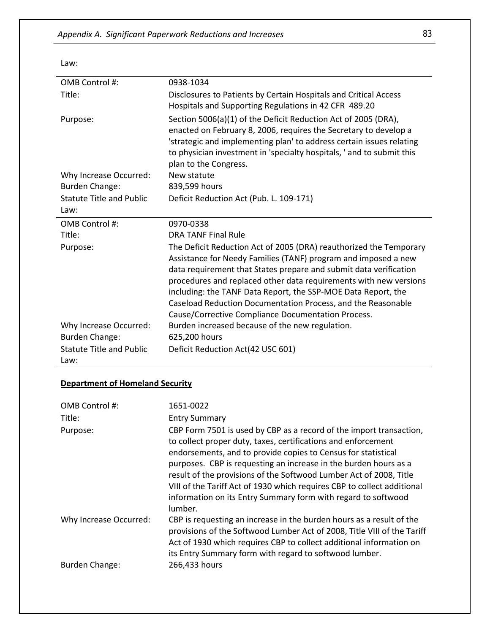Law:

| OMB Control #:                          | 0938-1034                                                                                                                                                                                                                                                                                                                                                                                                                                                             |
|-----------------------------------------|-----------------------------------------------------------------------------------------------------------------------------------------------------------------------------------------------------------------------------------------------------------------------------------------------------------------------------------------------------------------------------------------------------------------------------------------------------------------------|
| Title:                                  | Disclosures to Patients by Certain Hospitals and Critical Access<br>Hospitals and Supporting Regulations in 42 CFR 489.20                                                                                                                                                                                                                                                                                                                                             |
| Purpose:                                | Section 5006(a)(1) of the Deficit Reduction Act of 2005 (DRA),<br>enacted on February 8, 2006, requires the Secretary to develop a<br>'strategic and implementing plan' to address certain issues relating<br>to physician investment in 'specialty hospitals, ' and to submit this<br>plan to the Congress.                                                                                                                                                          |
| Why Increase Occurred:                  | New statute                                                                                                                                                                                                                                                                                                                                                                                                                                                           |
| <b>Burden Change:</b>                   | 839,599 hours                                                                                                                                                                                                                                                                                                                                                                                                                                                         |
| <b>Statute Title and Public</b><br>Law: | Deficit Reduction Act (Pub. L. 109-171)                                                                                                                                                                                                                                                                                                                                                                                                                               |
| OMB Control #:                          | 0970-0338                                                                                                                                                                                                                                                                                                                                                                                                                                                             |
| Title:                                  | <b>DRA TANF Final Rule</b>                                                                                                                                                                                                                                                                                                                                                                                                                                            |
| Purpose:                                | The Deficit Reduction Act of 2005 (DRA) reauthorized the Temporary<br>Assistance for Needy Families (TANF) program and imposed a new<br>data requirement that States prepare and submit data verification<br>procedures and replaced other data requirements with new versions<br>including: the TANF Data Report, the SSP-MOE Data Report, the<br>Caseload Reduction Documentation Process, and the Reasonable<br>Cause/Corrective Compliance Documentation Process. |
| Why Increase Occurred:                  | Burden increased because of the new regulation.                                                                                                                                                                                                                                                                                                                                                                                                                       |
| <b>Burden Change:</b>                   | 625,200 hours                                                                                                                                                                                                                                                                                                                                                                                                                                                         |
| <b>Statute Title and Public</b><br>Law: | Deficit Reduction Act(42 USC 601)                                                                                                                                                                                                                                                                                                                                                                                                                                     |

#### **Department of Homeland Security**

| OMB Control #:<br>Title: | 1651-0022<br><b>Entry Summary</b>                                                                                                                                                                                                                                                                                                                                                                                                                                                                      |
|--------------------------|--------------------------------------------------------------------------------------------------------------------------------------------------------------------------------------------------------------------------------------------------------------------------------------------------------------------------------------------------------------------------------------------------------------------------------------------------------------------------------------------------------|
| Purpose:                 | CBP Form 7501 is used by CBP as a record of the import transaction,<br>to collect proper duty, taxes, certifications and enforcement<br>endorsements, and to provide copies to Census for statistical<br>purposes. CBP is requesting an increase in the burden hours as a<br>result of the provisions of the Softwood Lumber Act of 2008, Title<br>VIII of the Tariff Act of 1930 which requires CBP to collect additional<br>information on its Entry Summary form with regard to softwood<br>lumber. |
| Why Increase Occurred:   | CBP is requesting an increase in the burden hours as a result of the<br>provisions of the Softwood Lumber Act of 2008, Title VIII of the Tariff<br>Act of 1930 which requires CBP to collect additional information on<br>its Entry Summary form with regard to softwood lumber.                                                                                                                                                                                                                       |
| Burden Change:           | 266,433 hours                                                                                                                                                                                                                                                                                                                                                                                                                                                                                          |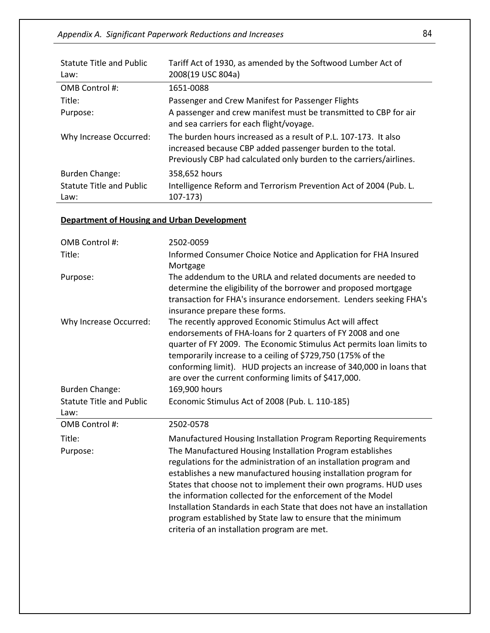*Appendix A. Significant Paperwork Reductions and Increases* 84

| Statute Title and Public<br>Law:        | Tariff Act of 1930, as amended by the Softwood Lumber Act of<br>2008(19 USC 804a)                                                                                                                    |
|-----------------------------------------|------------------------------------------------------------------------------------------------------------------------------------------------------------------------------------------------------|
| OMB Control #:                          | 1651-0088                                                                                                                                                                                            |
| Title:                                  | Passenger and Crew Manifest for Passenger Flights                                                                                                                                                    |
| Purpose:                                | A passenger and crew manifest must be transmitted to CBP for air<br>and sea carriers for each flight/voyage.                                                                                         |
| Why Increase Occurred:                  | The burden hours increased as a result of P.L. 107-173. It also<br>increased because CBP added passenger burden to the total.<br>Previously CBP had calculated only burden to the carriers/airlines. |
| Burden Change:                          | 358,652 hours                                                                                                                                                                                        |
| <b>Statute Title and Public</b><br>Law: | Intelligence Reform and Terrorism Prevention Act of 2004 (Pub. L.<br>$107-173$                                                                                                                       |

#### **Department of Housing and Urban Development**

| OMB Control #:                  | 2502-0059                                                                                                                                                                                                                                                                                                                                                                                     |
|---------------------------------|-----------------------------------------------------------------------------------------------------------------------------------------------------------------------------------------------------------------------------------------------------------------------------------------------------------------------------------------------------------------------------------------------|
| Title:                          | Informed Consumer Choice Notice and Application for FHA Insured<br>Mortgage                                                                                                                                                                                                                                                                                                                   |
| Purpose:                        | The addendum to the URLA and related documents are needed to<br>determine the eligibility of the borrower and proposed mortgage<br>transaction for FHA's insurance endorsement. Lenders seeking FHA's<br>insurance prepare these forms.                                                                                                                                                       |
| Why Increase Occurred:          | The recently approved Economic Stimulus Act will affect<br>endorsements of FHA-loans for 2 quarters of FY 2008 and one<br>quarter of FY 2009. The Economic Stimulus Act permits loan limits to<br>temporarily increase to a ceiling of \$729,750 (175% of the<br>conforming limit). HUD projects an increase of 340,000 in loans that<br>are over the current conforming limits of \$417,000. |
| <b>Burden Change:</b>           | 169,900 hours                                                                                                                                                                                                                                                                                                                                                                                 |
| <b>Statute Title and Public</b> | Economic Stimulus Act of 2008 (Pub. L. 110-185)                                                                                                                                                                                                                                                                                                                                               |
| Law:                            |                                                                                                                                                                                                                                                                                                                                                                                               |
| OMB Control #:                  | 2502-0578                                                                                                                                                                                                                                                                                                                                                                                     |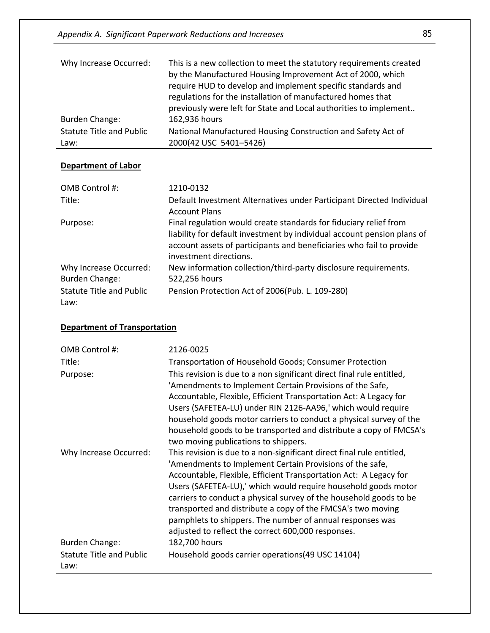*Appendix A. Significant Paperwork Reductions and Increases* 85

| Why Increase Occurred:          | This is a new collection to meet the statutory requirements created<br>by the Manufactured Housing Improvement Act of 2000, which<br>require HUD to develop and implement specific standards and<br>regulations for the installation of manufactured homes that<br>previously were left for State and Local authorities to implement |
|---------------------------------|--------------------------------------------------------------------------------------------------------------------------------------------------------------------------------------------------------------------------------------------------------------------------------------------------------------------------------------|
| Burden Change:                  | 162,936 hours                                                                                                                                                                                                                                                                                                                        |
| <b>Statute Title and Public</b> | National Manufactured Housing Construction and Safety Act of                                                                                                                                                                                                                                                                         |
| Law:                            | 2000(42 USC 5401-5426)                                                                                                                                                                                                                                                                                                               |

## **Department of Labor**

| OMB Control #:                          | 1210-0132                                                                                                                                                                                                                                      |
|-----------------------------------------|------------------------------------------------------------------------------------------------------------------------------------------------------------------------------------------------------------------------------------------------|
| Title:                                  | Default Investment Alternatives under Participant Directed Individual<br><b>Account Plans</b>                                                                                                                                                  |
| Purpose:                                | Final regulation would create standards for fiduciary relief from<br>liability for default investment by individual account pension plans of<br>account assets of participants and beneficiaries who fail to provide<br>investment directions. |
| Why Increase Occurred:                  | New information collection/third-party disclosure requirements.                                                                                                                                                                                |
| <b>Burden Change:</b>                   | 522,256 hours                                                                                                                                                                                                                                  |
| <b>Statute Title and Public</b><br>Law: | Pension Protection Act of 2006(Pub. L. 109-280)                                                                                                                                                                                                |

## **Department of Transportation**

| OMB Control #:                  | 2126-0025                                                             |
|---------------------------------|-----------------------------------------------------------------------|
| Title:                          | Transportation of Household Goods; Consumer Protection                |
| Purpose:                        | This revision is due to a non significant direct final rule entitled, |
|                                 | 'Amendments to Implement Certain Provisions of the Safe,              |
|                                 | Accountable, Flexible, Efficient Transportation Act: A Legacy for     |
|                                 | Users (SAFETEA-LU) under RIN 2126-AA96,' which would require          |
|                                 | household goods motor carriers to conduct a physical survey of the    |
|                                 | household goods to be transported and distribute a copy of FMCSA's    |
|                                 | two moving publications to shippers.                                  |
| Why Increase Occurred:          | This revision is due to a non-significant direct final rule entitled, |
|                                 | 'Amendments to Implement Certain Provisions of the safe,              |
|                                 | Accountable, Flexible, Efficient Transportation Act: A Legacy for     |
|                                 | Users (SAFETEA-LU),' which would require household goods motor        |
|                                 | carriers to conduct a physical survey of the household goods to be    |
|                                 | transported and distribute a copy of the FMCSA's two moving           |
|                                 | pamphlets to shippers. The number of annual responses was             |
|                                 | adjusted to reflect the correct 600,000 responses.                    |
| <b>Burden Change:</b>           | 182,700 hours                                                         |
| <b>Statute Title and Public</b> | Household goods carrier operations (49 USC 14104)                     |
| Law:                            |                                                                       |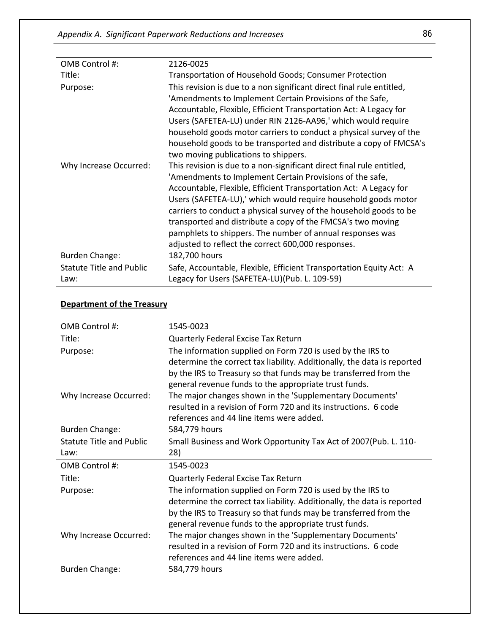| OMB Control #:                  | 2126-0025                                                             |
|---------------------------------|-----------------------------------------------------------------------|
| Title:                          | Transportation of Household Goods; Consumer Protection                |
| Purpose:                        | This revision is due to a non significant direct final rule entitled, |
|                                 | 'Amendments to Implement Certain Provisions of the Safe,              |
|                                 | Accountable, Flexible, Efficient Transportation Act: A Legacy for     |
|                                 | Users (SAFETEA-LU) under RIN 2126-AA96,' which would require          |
|                                 | household goods motor carriers to conduct a physical survey of the    |
|                                 | household goods to be transported and distribute a copy of FMCSA's    |
|                                 | two moving publications to shippers.                                  |
| Why Increase Occurred:          | This revision is due to a non-significant direct final rule entitled, |
|                                 | 'Amendments to Implement Certain Provisions of the safe,              |
|                                 | Accountable, Flexible, Efficient Transportation Act: A Legacy for     |
|                                 | Users (SAFETEA-LU),' which would require household goods motor        |
|                                 | carriers to conduct a physical survey of the household goods to be    |
|                                 | transported and distribute a copy of the FMCSA's two moving           |
|                                 | pamphlets to shippers. The number of annual responses was             |
|                                 | adjusted to reflect the correct 600,000 responses.                    |
| <b>Burden Change:</b>           | 182,700 hours                                                         |
| <b>Statute Title and Public</b> | Safe, Accountable, Flexible, Efficient Transportation Equity Act: A   |
| Law:                            | Legacy for Users (SAFETEA-LU)(Pub. L. 109-59)                         |

#### **Department of the Treasury**

| OMB Control #:                  | 1545-0023                                                                                                                                                                                                                                                          |
|---------------------------------|--------------------------------------------------------------------------------------------------------------------------------------------------------------------------------------------------------------------------------------------------------------------|
| Title:                          | Quarterly Federal Excise Tax Return                                                                                                                                                                                                                                |
| Purpose:                        | The information supplied on Form 720 is used by the IRS to<br>determine the correct tax liability. Additionally, the data is reported<br>by the IRS to Treasury so that funds may be transferred from the<br>general revenue funds to the appropriate trust funds. |
| Why Increase Occurred:          | The major changes shown in the 'Supplementary Documents'<br>resulted in a revision of Form 720 and its instructions. 6 code<br>references and 44 line items were added.                                                                                            |
| <b>Burden Change:</b>           | 584,779 hours                                                                                                                                                                                                                                                      |
| <b>Statute Title and Public</b> | Small Business and Work Opportunity Tax Act of 2007(Pub. L. 110-                                                                                                                                                                                                   |
|                                 |                                                                                                                                                                                                                                                                    |
| Law:                            | 28)                                                                                                                                                                                                                                                                |
| OMB Control #:                  | 1545-0023                                                                                                                                                                                                                                                          |
| Title:                          | Quarterly Federal Excise Tax Return                                                                                                                                                                                                                                |
| Purpose:                        | The information supplied on Form 720 is used by the IRS to<br>determine the correct tax liability. Additionally, the data is reported<br>by the IRS to Treasury so that funds may be transferred from the<br>general revenue funds to the appropriate trust funds. |
| Why Increase Occurred:          | The major changes shown in the 'Supplementary Documents'<br>resulted in a revision of Form 720 and its instructions. 6 code<br>references and 44 line items were added.                                                                                            |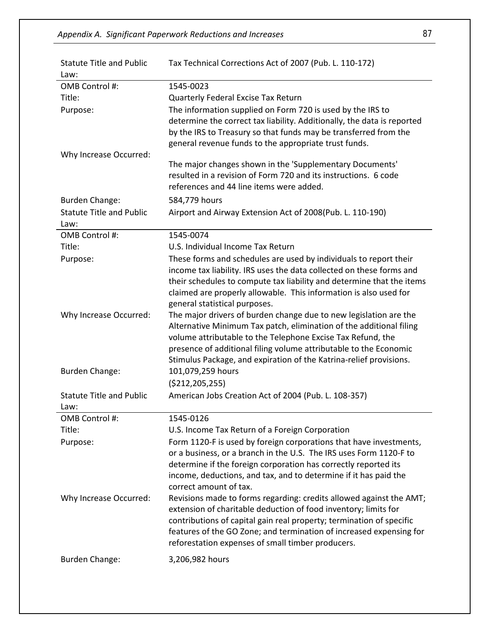| <b>Statute Title and Public</b><br>Law: | Tax Technical Corrections Act of 2007 (Pub. L. 110-172)                                                                                                                                                                                                                                                                                                              |
|-----------------------------------------|----------------------------------------------------------------------------------------------------------------------------------------------------------------------------------------------------------------------------------------------------------------------------------------------------------------------------------------------------------------------|
| OMB Control #:                          | 1545-0023                                                                                                                                                                                                                                                                                                                                                            |
| Title:                                  | Quarterly Federal Excise Tax Return                                                                                                                                                                                                                                                                                                                                  |
| Purpose:                                | The information supplied on Form 720 is used by the IRS to<br>determine the correct tax liability. Additionally, the data is reported<br>by the IRS to Treasury so that funds may be transferred from the<br>general revenue funds to the appropriate trust funds.                                                                                                   |
| Why Increase Occurred:                  | The major changes shown in the 'Supplementary Documents'<br>resulted in a revision of Form 720 and its instructions. 6 code<br>references and 44 line items were added.                                                                                                                                                                                              |
| <b>Burden Change:</b>                   | 584,779 hours                                                                                                                                                                                                                                                                                                                                                        |
| <b>Statute Title and Public</b><br>Law: | Airport and Airway Extension Act of 2008(Pub. L. 110-190)                                                                                                                                                                                                                                                                                                            |
| OMB Control #:                          | 1545-0074                                                                                                                                                                                                                                                                                                                                                            |
| Title:                                  | U.S. Individual Income Tax Return                                                                                                                                                                                                                                                                                                                                    |
| Purpose:                                | These forms and schedules are used by individuals to report their<br>income tax liability. IRS uses the data collected on these forms and<br>their schedules to compute tax liability and determine that the items<br>claimed are properly allowable. This information is also used for<br>general statistical purposes.                                             |
| Why Increase Occurred:                  | The major drivers of burden change due to new legislation are the<br>Alternative Minimum Tax patch, elimination of the additional filing<br>volume attributable to the Telephone Excise Tax Refund, the<br>presence of additional filing volume attributable to the Economic<br>Stimulus Package, and expiration of the Katrina-relief provisions.                   |
| <b>Burden Change:</b>                   | 101,079,259 hours<br>( \$212, 205, 255)                                                                                                                                                                                                                                                                                                                              |
| <b>Statute Title and Public</b><br>Law: | American Jobs Creation Act of 2004 (Pub. L. 108-357)                                                                                                                                                                                                                                                                                                                 |
| OMB Control #:                          | 1545-0126                                                                                                                                                                                                                                                                                                                                                            |
| Title:                                  | U.S. Income Tax Return of a Foreign Corporation                                                                                                                                                                                                                                                                                                                      |
| Purpose:                                | Form 1120-F is used by foreign corporations that have investments,<br>or a business, or a branch in the U.S. The IRS uses Form 1120-F to<br>determine if the foreign corporation has correctly reported its<br>income, deductions, and tax, and to determine if it has paid the                                                                                      |
| Why Increase Occurred:                  | correct amount of tax.<br>Revisions made to forms regarding: credits allowed against the AMT;<br>extension of charitable deduction of food inventory; limits for<br>contributions of capital gain real property; termination of specific<br>features of the GO Zone; and termination of increased expensing for<br>reforestation expenses of small timber producers. |
| <b>Burden Change:</b>                   | 3,206,982 hours                                                                                                                                                                                                                                                                                                                                                      |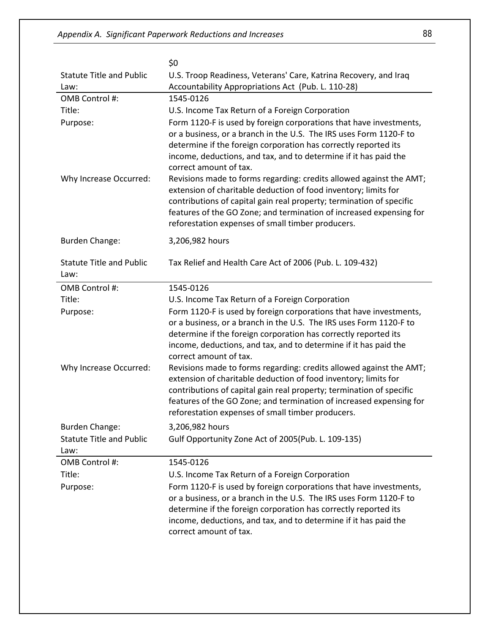|                                         | \$0                                                                                                                                                                                                                                                                                                                                        |
|-----------------------------------------|--------------------------------------------------------------------------------------------------------------------------------------------------------------------------------------------------------------------------------------------------------------------------------------------------------------------------------------------|
| <b>Statute Title and Public</b>         | U.S. Troop Readiness, Veterans' Care, Katrina Recovery, and Iraq                                                                                                                                                                                                                                                                           |
| Law:                                    | Accountability Appropriations Act (Pub. L. 110-28)                                                                                                                                                                                                                                                                                         |
| OMB Control #:                          | 1545-0126                                                                                                                                                                                                                                                                                                                                  |
| Title:                                  | U.S. Income Tax Return of a Foreign Corporation                                                                                                                                                                                                                                                                                            |
| Purpose:                                | Form 1120-F is used by foreign corporations that have investments,<br>or a business, or a branch in the U.S. The IRS uses Form 1120-F to<br>determine if the foreign corporation has correctly reported its<br>income, deductions, and tax, and to determine if it has paid the<br>correct amount of tax.                                  |
| Why Increase Occurred:                  | Revisions made to forms regarding: credits allowed against the AMT;<br>extension of charitable deduction of food inventory; limits for<br>contributions of capital gain real property; termination of specific<br>features of the GO Zone; and termination of increased expensing for<br>reforestation expenses of small timber producers. |
| <b>Burden Change:</b>                   | 3,206,982 hours                                                                                                                                                                                                                                                                                                                            |
| <b>Statute Title and Public</b><br>Law: | Tax Relief and Health Care Act of 2006 (Pub. L. 109-432)                                                                                                                                                                                                                                                                                   |
| OMB Control #:                          | 1545-0126                                                                                                                                                                                                                                                                                                                                  |
| Title:                                  | U.S. Income Tax Return of a Foreign Corporation                                                                                                                                                                                                                                                                                            |
| Purpose:                                | Form 1120-F is used by foreign corporations that have investments,<br>or a business, or a branch in the U.S. The IRS uses Form 1120-F to<br>determine if the foreign corporation has correctly reported its<br>income, deductions, and tax, and to determine if it has paid the<br>correct amount of tax.                                  |
| Why Increase Occurred:                  | Revisions made to forms regarding: credits allowed against the AMT;<br>extension of charitable deduction of food inventory; limits for<br>contributions of capital gain real property; termination of specific<br>features of the GO Zone; and termination of increased expensing for<br>reforestation expenses of small timber producers. |
| <b>Burden Change:</b>                   | 3,206,982 hours                                                                                                                                                                                                                                                                                                                            |
| <b>Statute Title and Public</b><br>Law: | Gulf Opportunity Zone Act of 2005(Pub. L. 109-135)                                                                                                                                                                                                                                                                                         |
| OMB Control #:                          | 1545-0126                                                                                                                                                                                                                                                                                                                                  |
| Title:                                  | U.S. Income Tax Return of a Foreign Corporation                                                                                                                                                                                                                                                                                            |
| Purpose:                                | Form 1120-F is used by foreign corporations that have investments,<br>or a business, or a branch in the U.S. The IRS uses Form 1120-F to<br>determine if the foreign corporation has correctly reported its<br>income, deductions, and tax, and to determine if it has paid the<br>correct amount of tax.                                  |
|                                         |                                                                                                                                                                                                                                                                                                                                            |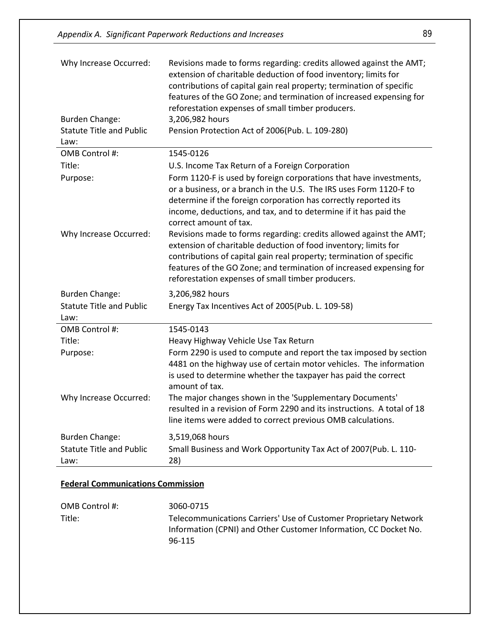| <b>Statute Title and Public</b><br>Pension Protection Act of 2006(Pub. L. 109-280)<br>Law:<br>OMB Control #:<br>1545-0126<br>Title:<br>U.S. Income Tax Return of a Foreign Corporation<br>Form 1120-F is used by foreign corporations that have investments,<br>Purpose:<br>or a business, or a branch in the U.S. The IRS uses Form 1120-F to<br>determine if the foreign corporation has correctly reported its<br>income, deductions, and tax, and to determine if it has paid the<br>correct amount of tax.<br>Revisions made to forms regarding: credits allowed against the AMT;<br>Why Increase Occurred:<br>extension of charitable deduction of food inventory; limits for<br>contributions of capital gain real property; termination of specific<br>features of the GO Zone; and termination of increased expensing for<br>reforestation expenses of small timber producers.<br><b>Burden Change:</b><br>3,206,982 hours<br><b>Statute Title and Public</b><br>Energy Tax Incentives Act of 2005(Pub. L. 109-58)<br>Law:<br>OMB Control #:<br>1545-0143<br>Title:<br>Heavy Highway Vehicle Use Tax Return<br>Form 2290 is used to compute and report the tax imposed by section<br>Purpose:<br>4481 on the highway use of certain motor vehicles. The information<br>is used to determine whether the taxpayer has paid the correct<br>amount of tax.<br>The major changes shown in the 'Supplementary Documents'<br>Why Increase Occurred:<br>resulted in a revision of Form 2290 and its instructions. A total of 18<br>line items were added to correct previous OMB calculations.<br>3,519,068 hours<br><b>Burden Change:</b><br><b>Statute Title and Public</b><br>Small Business and Work Opportunity Tax Act of 2007(Pub. L. 110-<br>28)<br>Law: | Why Increase Occurred:<br><b>Burden Change:</b> | Revisions made to forms regarding: credits allowed against the AMT;<br>extension of charitable deduction of food inventory; limits for<br>contributions of capital gain real property; termination of specific<br>features of the GO Zone; and termination of increased expensing for<br>reforestation expenses of small timber producers.<br>3,206,982 hours |
|--------------------------------------------------------------------------------------------------------------------------------------------------------------------------------------------------------------------------------------------------------------------------------------------------------------------------------------------------------------------------------------------------------------------------------------------------------------------------------------------------------------------------------------------------------------------------------------------------------------------------------------------------------------------------------------------------------------------------------------------------------------------------------------------------------------------------------------------------------------------------------------------------------------------------------------------------------------------------------------------------------------------------------------------------------------------------------------------------------------------------------------------------------------------------------------------------------------------------------------------------------------------------------------------------------------------------------------------------------------------------------------------------------------------------------------------------------------------------------------------------------------------------------------------------------------------------------------------------------------------------------------------------------------------------------------------------------------------------------------------------------------------|-------------------------------------------------|---------------------------------------------------------------------------------------------------------------------------------------------------------------------------------------------------------------------------------------------------------------------------------------------------------------------------------------------------------------|
|                                                                                                                                                                                                                                                                                                                                                                                                                                                                                                                                                                                                                                                                                                                                                                                                                                                                                                                                                                                                                                                                                                                                                                                                                                                                                                                                                                                                                                                                                                                                                                                                                                                                                                                                                                    |                                                 |                                                                                                                                                                                                                                                                                                                                                               |
|                                                                                                                                                                                                                                                                                                                                                                                                                                                                                                                                                                                                                                                                                                                                                                                                                                                                                                                                                                                                                                                                                                                                                                                                                                                                                                                                                                                                                                                                                                                                                                                                                                                                                                                                                                    |                                                 |                                                                                                                                                                                                                                                                                                                                                               |
|                                                                                                                                                                                                                                                                                                                                                                                                                                                                                                                                                                                                                                                                                                                                                                                                                                                                                                                                                                                                                                                                                                                                                                                                                                                                                                                                                                                                                                                                                                                                                                                                                                                                                                                                                                    |                                                 |                                                                                                                                                                                                                                                                                                                                                               |
|                                                                                                                                                                                                                                                                                                                                                                                                                                                                                                                                                                                                                                                                                                                                                                                                                                                                                                                                                                                                                                                                                                                                                                                                                                                                                                                                                                                                                                                                                                                                                                                                                                                                                                                                                                    |                                                 |                                                                                                                                                                                                                                                                                                                                                               |
|                                                                                                                                                                                                                                                                                                                                                                                                                                                                                                                                                                                                                                                                                                                                                                                                                                                                                                                                                                                                                                                                                                                                                                                                                                                                                                                                                                                                                                                                                                                                                                                                                                                                                                                                                                    |                                                 |                                                                                                                                                                                                                                                                                                                                                               |
|                                                                                                                                                                                                                                                                                                                                                                                                                                                                                                                                                                                                                                                                                                                                                                                                                                                                                                                                                                                                                                                                                                                                                                                                                                                                                                                                                                                                                                                                                                                                                                                                                                                                                                                                                                    |                                                 |                                                                                                                                                                                                                                                                                                                                                               |
|                                                                                                                                                                                                                                                                                                                                                                                                                                                                                                                                                                                                                                                                                                                                                                                                                                                                                                                                                                                                                                                                                                                                                                                                                                                                                                                                                                                                                                                                                                                                                                                                                                                                                                                                                                    |                                                 |                                                                                                                                                                                                                                                                                                                                                               |
|                                                                                                                                                                                                                                                                                                                                                                                                                                                                                                                                                                                                                                                                                                                                                                                                                                                                                                                                                                                                                                                                                                                                                                                                                                                                                                                                                                                                                                                                                                                                                                                                                                                                                                                                                                    |                                                 |                                                                                                                                                                                                                                                                                                                                                               |
|                                                                                                                                                                                                                                                                                                                                                                                                                                                                                                                                                                                                                                                                                                                                                                                                                                                                                                                                                                                                                                                                                                                                                                                                                                                                                                                                                                                                                                                                                                                                                                                                                                                                                                                                                                    |                                                 |                                                                                                                                                                                                                                                                                                                                                               |
|                                                                                                                                                                                                                                                                                                                                                                                                                                                                                                                                                                                                                                                                                                                                                                                                                                                                                                                                                                                                                                                                                                                                                                                                                                                                                                                                                                                                                                                                                                                                                                                                                                                                                                                                                                    |                                                 |                                                                                                                                                                                                                                                                                                                                                               |
|                                                                                                                                                                                                                                                                                                                                                                                                                                                                                                                                                                                                                                                                                                                                                                                                                                                                                                                                                                                                                                                                                                                                                                                                                                                                                                                                                                                                                                                                                                                                                                                                                                                                                                                                                                    |                                                 |                                                                                                                                                                                                                                                                                                                                                               |

#### **Federal Communications Commission**

| OMB Control #: | 3060-0715                                                        |
|----------------|------------------------------------------------------------------|
| Title:         | Telecommunications Carriers' Use of Customer Proprietary Network |
|                | Information (CPNI) and Other Customer Information, CC Docket No. |
|                | 96-115                                                           |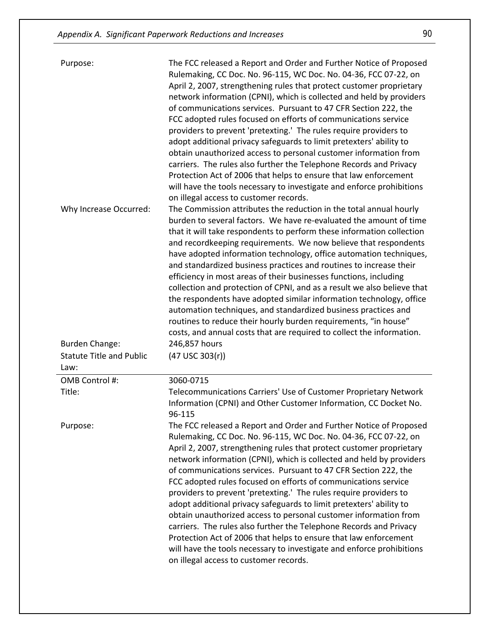| Purpose:<br>Why Increase Occurred:      | The FCC released a Report and Order and Further Notice of Proposed<br>Rulemaking, CC Doc. No. 96-115, WC Doc. No. 04-36, FCC 07-22, on<br>April 2, 2007, strengthening rules that protect customer proprietary<br>network information (CPNI), which is collected and held by providers<br>of communications services. Pursuant to 47 CFR Section 222, the<br>FCC adopted rules focused on efforts of communications service<br>providers to prevent 'pretexting.' The rules require providers to<br>adopt additional privacy safeguards to limit pretexters' ability to<br>obtain unauthorized access to personal customer information from<br>carriers. The rules also further the Telephone Records and Privacy<br>Protection Act of 2006 that helps to ensure that law enforcement<br>will have the tools necessary to investigate and enforce prohibitions<br>on illegal access to customer records.<br>The Commission attributes the reduction in the total annual hourly<br>burden to several factors. We have re-evaluated the amount of time<br>that it will take respondents to perform these information collection<br>and recordkeeping requirements. We now believe that respondents<br>have adopted information technology, office automation techniques,<br>and standardized business practices and routines to increase their<br>efficiency in most areas of their businesses functions, including<br>collection and protection of CPNI, and as a result we also believe that<br>the respondents have adopted similar information technology, office<br>automation techniques, and standardized business practices and<br>routines to reduce their hourly burden requirements, "in house"<br>costs, and annual costs that are required to collect the information. |
|-----------------------------------------|-----------------------------------------------------------------------------------------------------------------------------------------------------------------------------------------------------------------------------------------------------------------------------------------------------------------------------------------------------------------------------------------------------------------------------------------------------------------------------------------------------------------------------------------------------------------------------------------------------------------------------------------------------------------------------------------------------------------------------------------------------------------------------------------------------------------------------------------------------------------------------------------------------------------------------------------------------------------------------------------------------------------------------------------------------------------------------------------------------------------------------------------------------------------------------------------------------------------------------------------------------------------------------------------------------------------------------------------------------------------------------------------------------------------------------------------------------------------------------------------------------------------------------------------------------------------------------------------------------------------------------------------------------------------------------------------------------------------------------------------------------------------------------------|
| <b>Burden Change:</b>                   | 246,857 hours                                                                                                                                                                                                                                                                                                                                                                                                                                                                                                                                                                                                                                                                                                                                                                                                                                                                                                                                                                                                                                                                                                                                                                                                                                                                                                                                                                                                                                                                                                                                                                                                                                                                                                                                                                     |
| <b>Statute Title and Public</b><br>Law: | $(47$ USC 303 $(r)$ )                                                                                                                                                                                                                                                                                                                                                                                                                                                                                                                                                                                                                                                                                                                                                                                                                                                                                                                                                                                                                                                                                                                                                                                                                                                                                                                                                                                                                                                                                                                                                                                                                                                                                                                                                             |
| OMB Control #:                          | 3060-0715                                                                                                                                                                                                                                                                                                                                                                                                                                                                                                                                                                                                                                                                                                                                                                                                                                                                                                                                                                                                                                                                                                                                                                                                                                                                                                                                                                                                                                                                                                                                                                                                                                                                                                                                                                         |
| Title:                                  | Telecommunications Carriers' Use of Customer Proprietary Network<br>Information (CPNI) and Other Customer Information, CC Docket No.<br>96-115                                                                                                                                                                                                                                                                                                                                                                                                                                                                                                                                                                                                                                                                                                                                                                                                                                                                                                                                                                                                                                                                                                                                                                                                                                                                                                                                                                                                                                                                                                                                                                                                                                    |
| Purpose:                                | The FCC released a Report and Order and Further Notice of Proposed<br>Rulemaking, CC Doc. No. 96-115, WC Doc. No. 04-36, FCC 07-22, on<br>April 2, 2007, strengthening rules that protect customer proprietary<br>network information (CPNI), which is collected and held by providers<br>of communications services. Pursuant to 47 CFR Section 222, the<br>FCC adopted rules focused on efforts of communications service<br>providers to prevent 'pretexting.' The rules require providers to<br>adopt additional privacy safeguards to limit pretexters' ability to<br>obtain unauthorized access to personal customer information from<br>carriers. The rules also further the Telephone Records and Privacy<br>Protection Act of 2006 that helps to ensure that law enforcement<br>will have the tools necessary to investigate and enforce prohibitions<br>on illegal access to customer records.                                                                                                                                                                                                                                                                                                                                                                                                                                                                                                                                                                                                                                                                                                                                                                                                                                                                          |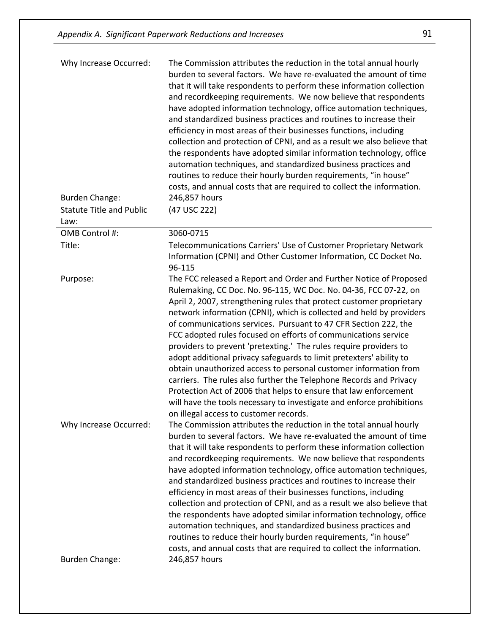| Why Increase Occurred:                  | The Commission attributes the reduction in the total annual hourly<br>burden to several factors. We have re-evaluated the amount of time<br>that it will take respondents to perform these information collection<br>and recordkeeping requirements. We now believe that respondents<br>have adopted information technology, office automation techniques,<br>and standardized business practices and routines to increase their<br>efficiency in most areas of their businesses functions, including<br>collection and protection of CPNI, and as a result we also believe that<br>the respondents have adopted similar information technology, office<br>automation techniques, and standardized business practices and<br>routines to reduce their hourly burden requirements, "in house"<br>costs, and annual costs that are required to collect the information.                                    |
|-----------------------------------------|----------------------------------------------------------------------------------------------------------------------------------------------------------------------------------------------------------------------------------------------------------------------------------------------------------------------------------------------------------------------------------------------------------------------------------------------------------------------------------------------------------------------------------------------------------------------------------------------------------------------------------------------------------------------------------------------------------------------------------------------------------------------------------------------------------------------------------------------------------------------------------------------------------|
| <b>Burden Change:</b>                   | 246,857 hours                                                                                                                                                                                                                                                                                                                                                                                                                                                                                                                                                                                                                                                                                                                                                                                                                                                                                            |
| <b>Statute Title and Public</b><br>Law: | (47 USC 222)                                                                                                                                                                                                                                                                                                                                                                                                                                                                                                                                                                                                                                                                                                                                                                                                                                                                                             |
| OMB Control #:                          | 3060-0715                                                                                                                                                                                                                                                                                                                                                                                                                                                                                                                                                                                                                                                                                                                                                                                                                                                                                                |
| Title:                                  | Telecommunications Carriers' Use of Customer Proprietary Network<br>Information (CPNI) and Other Customer Information, CC Docket No.<br>96-115                                                                                                                                                                                                                                                                                                                                                                                                                                                                                                                                                                                                                                                                                                                                                           |
| Purpose:                                | The FCC released a Report and Order and Further Notice of Proposed<br>Rulemaking, CC Doc. No. 96-115, WC Doc. No. 04-36, FCC 07-22, on<br>April 2, 2007, strengthening rules that protect customer proprietary<br>network information (CPNI), which is collected and held by providers<br>of communications services. Pursuant to 47 CFR Section 222, the<br>FCC adopted rules focused on efforts of communications service<br>providers to prevent 'pretexting.' The rules require providers to<br>adopt additional privacy safeguards to limit pretexters' ability to<br>obtain unauthorized access to personal customer information from<br>carriers. The rules also further the Telephone Records and Privacy<br>Protection Act of 2006 that helps to ensure that law enforcement<br>will have the tools necessary to investigate and enforce prohibitions<br>on illegal access to customer records. |
| Why Increase Occurred:                  | The Commission attributes the reduction in the total annual hourly<br>burden to several factors. We have re-evaluated the amount of time<br>that it will take respondents to perform these information collection<br>and recordkeeping requirements. We now believe that respondents<br>have adopted information technology, office automation techniques,<br>and standardized business practices and routines to increase their<br>efficiency in most areas of their businesses functions, including<br>collection and protection of CPNI, and as a result we also believe that<br>the respondents have adopted similar information technology, office<br>automation techniques, and standardized business practices and<br>routines to reduce their hourly burden requirements, "in house"<br>costs, and annual costs that are required to collect the information.                                    |
| <b>Burden Change:</b>                   | 246,857 hours                                                                                                                                                                                                                                                                                                                                                                                                                                                                                                                                                                                                                                                                                                                                                                                                                                                                                            |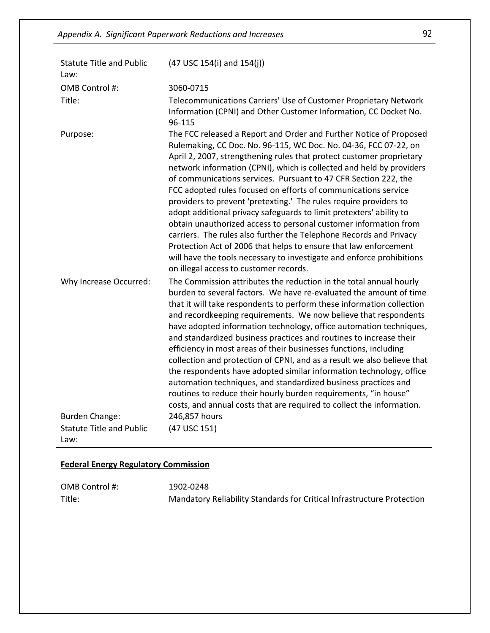| <b>Statute Title and Public</b><br>Law: | $(47$ USC 154(i) and 154(j))                                                                                                                                                                                                                                                                                                                                                                                                                                                                                                                                                                                                                                                                                                                                                                                                                                                                             |
|-----------------------------------------|----------------------------------------------------------------------------------------------------------------------------------------------------------------------------------------------------------------------------------------------------------------------------------------------------------------------------------------------------------------------------------------------------------------------------------------------------------------------------------------------------------------------------------------------------------------------------------------------------------------------------------------------------------------------------------------------------------------------------------------------------------------------------------------------------------------------------------------------------------------------------------------------------------|
| OMB Control #:                          | 3060-0715                                                                                                                                                                                                                                                                                                                                                                                                                                                                                                                                                                                                                                                                                                                                                                                                                                                                                                |
| Title:                                  | Telecommunications Carriers' Use of Customer Proprietary Network<br>Information (CPNI) and Other Customer Information, CC Docket No.<br>96-115                                                                                                                                                                                                                                                                                                                                                                                                                                                                                                                                                                                                                                                                                                                                                           |
| Purpose:                                | The FCC released a Report and Order and Further Notice of Proposed<br>Rulemaking, CC Doc. No. 96-115, WC Doc. No. 04-36, FCC 07-22, on<br>April 2, 2007, strengthening rules that protect customer proprietary<br>network information (CPNI), which is collected and held by providers<br>of communications services. Pursuant to 47 CFR Section 222, the<br>FCC adopted rules focused on efforts of communications service<br>providers to prevent 'pretexting.' The rules require providers to<br>adopt additional privacy safeguards to limit pretexters' ability to<br>obtain unauthorized access to personal customer information from<br>carriers. The rules also further the Telephone Records and Privacy<br>Protection Act of 2006 that helps to ensure that law enforcement<br>will have the tools necessary to investigate and enforce prohibitions<br>on illegal access to customer records. |
| Why Increase Occurred:                  | The Commission attributes the reduction in the total annual hourly<br>burden to several factors. We have re-evaluated the amount of time<br>that it will take respondents to perform these information collection<br>and recordkeeping requirements. We now believe that respondents<br>have adopted information technology, office automation techniques,<br>and standardized business practices and routines to increase their<br>efficiency in most areas of their businesses functions, including<br>collection and protection of CPNI, and as a result we also believe that<br>the respondents have adopted similar information technology, office<br>automation techniques, and standardized business practices and<br>routines to reduce their hourly burden requirements, "in house"<br>costs, and annual costs that are required to collect the information.                                    |
| <b>Burden Change:</b>                   | 246,857 hours                                                                                                                                                                                                                                                                                                                                                                                                                                                                                                                                                                                                                                                                                                                                                                                                                                                                                            |
| <b>Statute Title and Public</b><br>Law: | (47 USC 151)                                                                                                                                                                                                                                                                                                                                                                                                                                                                                                                                                                                                                                                                                                                                                                                                                                                                                             |

## **Federal Energy Regulatory Commission**

| OMB Control #: | 1902-0248                                                              |
|----------------|------------------------------------------------------------------------|
| Title:         | Mandatory Reliability Standards for Critical Infrastructure Protection |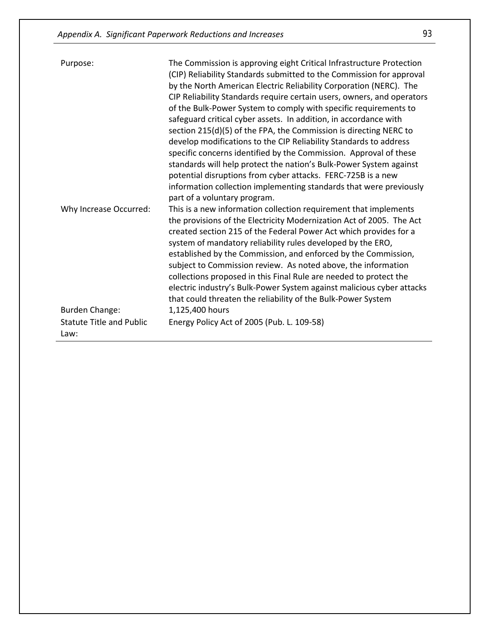| Purpose:                                | The Commission is approving eight Critical Infrastructure Protection<br>(CIP) Reliability Standards submitted to the Commission for approval<br>by the North American Electric Reliability Corporation (NERC). The<br>CIP Reliability Standards require certain users, owners, and operators<br>of the Bulk-Power System to comply with specific requirements to<br>safeguard critical cyber assets. In addition, in accordance with<br>section 215(d)(5) of the FPA, the Commission is directing NERC to<br>develop modifications to the CIP Reliability Standards to address<br>specific concerns identified by the Commission. Approval of these<br>standards will help protect the nation's Bulk-Power System against<br>potential disruptions from cyber attacks. FERC-725B is a new<br>information collection implementing standards that were previously<br>part of a voluntary program. |
|-----------------------------------------|-------------------------------------------------------------------------------------------------------------------------------------------------------------------------------------------------------------------------------------------------------------------------------------------------------------------------------------------------------------------------------------------------------------------------------------------------------------------------------------------------------------------------------------------------------------------------------------------------------------------------------------------------------------------------------------------------------------------------------------------------------------------------------------------------------------------------------------------------------------------------------------------------|
| Why Increase Occurred:                  | This is a new information collection requirement that implements<br>the provisions of the Electricity Modernization Act of 2005. The Act<br>created section 215 of the Federal Power Act which provides for a<br>system of mandatory reliability rules developed by the ERO,<br>established by the Commission, and enforced by the Commission,<br>subject to Commission review. As noted above, the information<br>collections proposed in this Final Rule are needed to protect the<br>electric industry's Bulk-Power System against malicious cyber attacks<br>that could threaten the reliability of the Bulk-Power System                                                                                                                                                                                                                                                                   |
| <b>Burden Change:</b>                   | 1,125,400 hours                                                                                                                                                                                                                                                                                                                                                                                                                                                                                                                                                                                                                                                                                                                                                                                                                                                                                 |
| <b>Statute Title and Public</b><br>Law: | Energy Policy Act of 2005 (Pub. L. 109-58)                                                                                                                                                                                                                                                                                                                                                                                                                                                                                                                                                                                                                                                                                                                                                                                                                                                      |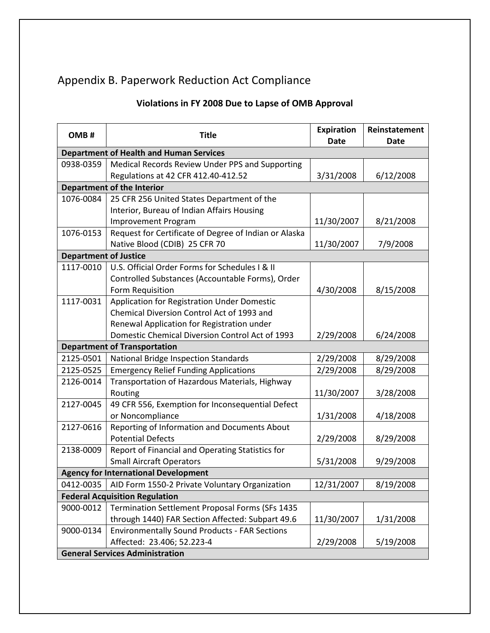# Appendix B. Paperwork Reduction Act Compliance

## **Violations in FY 2008 Due to Lapse of OMB Approval**

| OMB#                                  | <b>Title</b>                                          | <b>Expiration</b><br>Date | Reinstatement<br>Date |  |  |
|---------------------------------------|-------------------------------------------------------|---------------------------|-----------------------|--|--|
|                                       | <b>Department of Health and Human Services</b>        |                           |                       |  |  |
| 0938-0359                             | Medical Records Review Under PPS and Supporting       |                           |                       |  |  |
|                                       | Regulations at 42 CFR 412.40-412.52                   | 3/31/2008                 | 6/12/2008             |  |  |
|                                       | <b>Department of the Interior</b>                     |                           |                       |  |  |
| 1076-0084                             | 25 CFR 256 United States Department of the            |                           |                       |  |  |
|                                       | Interior, Bureau of Indian Affairs Housing            |                           |                       |  |  |
|                                       | <b>Improvement Program</b>                            | 11/30/2007                | 8/21/2008             |  |  |
| 1076-0153                             | Request for Certificate of Degree of Indian or Alaska |                           |                       |  |  |
|                                       | Native Blood (CDIB) 25 CFR 70                         | 11/30/2007                | 7/9/2008              |  |  |
| <b>Department of Justice</b>          |                                                       |                           |                       |  |  |
| 1117-0010                             | U.S. Official Order Forms for Schedules I & II        |                           |                       |  |  |
|                                       | Controlled Substances (Accountable Forms), Order      |                           |                       |  |  |
|                                       | Form Requisition                                      | 4/30/2008                 | 8/15/2008             |  |  |
| 1117-0031                             | Application for Registration Under Domestic           |                           |                       |  |  |
|                                       | Chemical Diversion Control Act of 1993 and            |                           |                       |  |  |
|                                       | Renewal Application for Registration under            |                           |                       |  |  |
|                                       | Domestic Chemical Diversion Control Act of 1993       | 2/29/2008                 | 6/24/2008             |  |  |
|                                       | <b>Department of Transportation</b>                   |                           |                       |  |  |
| 2125-0501                             | National Bridge Inspection Standards                  | 2/29/2008                 | 8/29/2008             |  |  |
| 2125-0525                             | <b>Emergency Relief Funding Applications</b>          | 2/29/2008                 | 8/29/2008             |  |  |
| 2126-0014                             | Transportation of Hazardous Materials, Highway        |                           |                       |  |  |
|                                       | Routing                                               | 11/30/2007                | 3/28/2008             |  |  |
| 2127-0045                             | 49 CFR 556, Exemption for Inconsequential Defect      |                           |                       |  |  |
|                                       | or Noncompliance                                      | 1/31/2008                 | 4/18/2008             |  |  |
| 2127-0616                             | Reporting of Information and Documents About          |                           |                       |  |  |
|                                       | <b>Potential Defects</b>                              | 2/29/2008                 | 8/29/2008             |  |  |
| 2138-0009                             | Report of Financial and Operating Statistics for      |                           |                       |  |  |
|                                       | <b>Small Aircraft Operators</b>                       | 5/31/2008                 | 9/29/2008             |  |  |
|                                       | <b>Agency for International Development</b>           |                           |                       |  |  |
| 0412-0035                             | AID Form 1550-2 Private Voluntary Organization        | 12/31/2007                | 8/19/2008             |  |  |
| <b>Federal Acquisition Regulation</b> |                                                       |                           |                       |  |  |
| 9000-0012                             | Termination Settlement Proposal Forms (SFs 1435       |                           |                       |  |  |
|                                       | through 1440) FAR Section Affected: Subpart 49.6      | 11/30/2007                | 1/31/2008             |  |  |
| 9000-0134                             | <b>Environmentally Sound Products - FAR Sections</b>  |                           |                       |  |  |
|                                       | Affected: 23.406; 52.223-4                            | 2/29/2008                 | 5/19/2008             |  |  |
|                                       | <b>General Services Administration</b>                |                           |                       |  |  |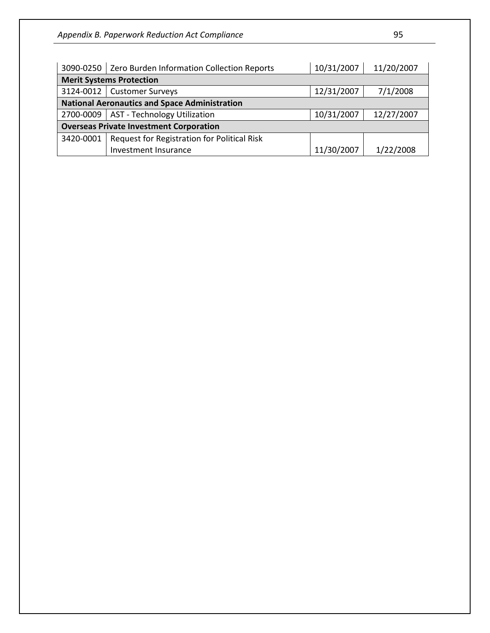|                                                      | 3090-0250   Zero Burden Information Collection Reports | 10/31/2007 | 11/20/2007 |  |
|------------------------------------------------------|--------------------------------------------------------|------------|------------|--|
| <b>Merit Systems Protection</b>                      |                                                        |            |            |  |
| 3124-0012                                            | <b>Customer Surveys</b>                                | 12/31/2007 | 7/1/2008   |  |
| <b>National Aeronautics and Space Administration</b> |                                                        |            |            |  |
| 2700-0009                                            | <b>AST - Technology Utilization</b>                    | 10/31/2007 | 12/27/2007 |  |
| <b>Overseas Private Investment Corporation</b>       |                                                        |            |            |  |
| 3420-0001                                            | Request for Registration for Political Risk            |            |            |  |
|                                                      | Investment Insurance                                   | 11/30/2007 | 1/22/2008  |  |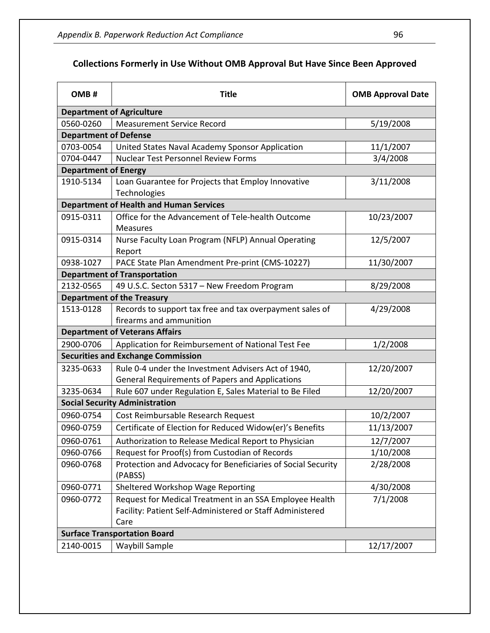## **Collections Formerly in Use Without OMB Approval But Have Since Been Approved**

| OMB#                                | <b>Title</b>                                                                                                                 | <b>OMB Approval Date</b> |  |  |  |
|-------------------------------------|------------------------------------------------------------------------------------------------------------------------------|--------------------------|--|--|--|
|                                     | <b>Department of Agriculture</b>                                                                                             |                          |  |  |  |
| 0560-0260                           | <b>Measurement Service Record</b>                                                                                            | 5/19/2008                |  |  |  |
| <b>Department of Defense</b>        |                                                                                                                              |                          |  |  |  |
| 0703-0054                           | United States Naval Academy Sponsor Application                                                                              | 11/1/2007                |  |  |  |
| 0704-0447                           | <b>Nuclear Test Personnel Review Forms</b>                                                                                   | 3/4/2008                 |  |  |  |
| <b>Department of Energy</b>         |                                                                                                                              |                          |  |  |  |
| 1910-5134                           | Loan Guarantee for Projects that Employ Innovative<br>Technologies                                                           | 3/11/2008                |  |  |  |
|                                     | <b>Department of Health and Human Services</b>                                                                               |                          |  |  |  |
| 0915-0311                           | Office for the Advancement of Tele-health Outcome<br>Measures                                                                | 10/23/2007               |  |  |  |
| 0915-0314                           | Nurse Faculty Loan Program (NFLP) Annual Operating<br>Report                                                                 | 12/5/2007                |  |  |  |
| 0938-1027                           | PACE State Plan Amendment Pre-print (CMS-10227)                                                                              | 11/30/2007               |  |  |  |
|                                     | <b>Department of Transportation</b>                                                                                          |                          |  |  |  |
| 2132-0565                           | 49 U.S.C. Secton 5317 - New Freedom Program                                                                                  | 8/29/2008                |  |  |  |
|                                     | <b>Department of the Treasury</b>                                                                                            |                          |  |  |  |
| 1513-0128                           | Records to support tax free and tax overpayment sales of<br>firearms and ammunition                                          | 4/29/2008                |  |  |  |
|                                     | <b>Department of Veterans Affairs</b>                                                                                        |                          |  |  |  |
| 2900-0706                           | Application for Reimbursement of National Test Fee                                                                           | 1/2/2008                 |  |  |  |
|                                     | <b>Securities and Exchange Commission</b>                                                                                    |                          |  |  |  |
| 3235-0633                           | Rule 0-4 under the Investment Advisers Act of 1940,<br><b>General Requirements of Papers and Applications</b>                | 12/20/2007               |  |  |  |
| 3235-0634                           | Rule 607 under Regulation E, Sales Material to Be Filed                                                                      | 12/20/2007               |  |  |  |
|                                     | <b>Social Security Administration</b>                                                                                        |                          |  |  |  |
| 0960-0754                           | Cost Reimbursable Research Request                                                                                           | 10/2/2007                |  |  |  |
| 0960-0759                           | Certificate of Election for Reduced Widow(er)'s Benefits                                                                     | 11/13/2007               |  |  |  |
| 0960-0761                           | Authorization to Release Medical Report to Physician                                                                         | 12/7/2007                |  |  |  |
| 0960-0766                           | Request for Proof(s) from Custodian of Records                                                                               | 1/10/2008                |  |  |  |
| 0960-0768                           | Protection and Advocacy for Beneficiaries of Social Security<br>(PABSS)                                                      | 2/28/2008                |  |  |  |
| 0960-0771                           | Sheltered Workshop Wage Reporting                                                                                            | 4/30/2008                |  |  |  |
| 0960-0772                           | Request for Medical Treatment in an SSA Employee Health<br>Facility: Patient Self-Administered or Staff Administered<br>Care | 7/1/2008                 |  |  |  |
| <b>Surface Transportation Board</b> |                                                                                                                              |                          |  |  |  |
| 2140-0015                           | Waybill Sample                                                                                                               | 12/17/2007               |  |  |  |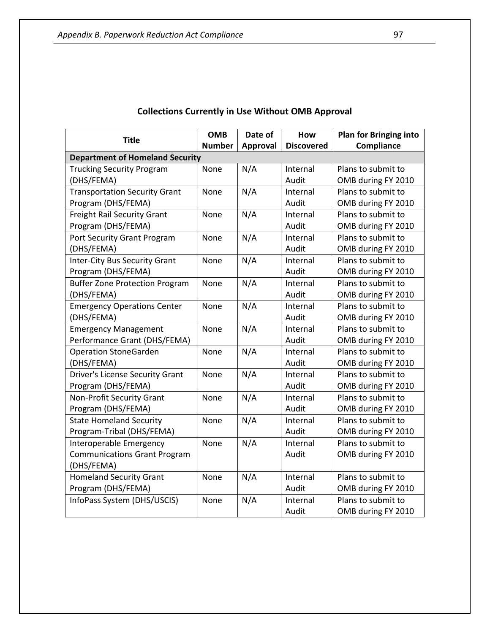| <b>Title</b>                           | <b>OMB</b>    | Date of         | How               | <b>Plan for Bringing into</b> |
|----------------------------------------|---------------|-----------------|-------------------|-------------------------------|
|                                        | <b>Number</b> | <b>Approval</b> | <b>Discovered</b> | Compliance                    |
| <b>Department of Homeland Security</b> |               |                 |                   |                               |
| <b>Trucking Security Program</b>       | None          | N/A             | Internal          | Plans to submit to            |
| (DHS/FEMA)                             |               |                 | Audit             | OMB during FY 2010            |
| <b>Transportation Security Grant</b>   | None          | N/A             | Internal          | Plans to submit to            |
| Program (DHS/FEMA)                     |               |                 | Audit             | OMB during FY 2010            |
| <b>Freight Rail Security Grant</b>     | None          | N/A             | Internal          | Plans to submit to            |
| Program (DHS/FEMA)                     |               |                 | Audit             | OMB during FY 2010            |
| Port Security Grant Program            | None          | N/A             | Internal          | Plans to submit to            |
| (DHS/FEMA)                             |               |                 | Audit             | OMB during FY 2010            |
| <b>Inter-City Bus Security Grant</b>   | None          | N/A             | Internal          | Plans to submit to            |
| Program (DHS/FEMA)                     |               |                 | Audit             | OMB during FY 2010            |
| <b>Buffer Zone Protection Program</b>  | None          | N/A             | Internal          | Plans to submit to            |
| (DHS/FEMA)                             |               |                 | Audit             | OMB during FY 2010            |
| <b>Emergency Operations Center</b>     | None          | N/A             | Internal          | Plans to submit to            |
| (DHS/FEMA)                             |               |                 | Audit             | OMB during FY 2010            |
| <b>Emergency Management</b>            | None          | N/A             | Internal          | Plans to submit to            |
| Performance Grant (DHS/FEMA)           |               |                 | Audit             | OMB during FY 2010            |
| <b>Operation StoneGarden</b>           | None          | N/A             | Internal          | Plans to submit to            |
| (DHS/FEMA)                             |               |                 | Audit             | OMB during FY 2010            |
| <b>Driver's License Security Grant</b> | None          | N/A             | Internal          | Plans to submit to            |
| Program (DHS/FEMA)                     |               |                 | Audit             | OMB during FY 2010            |
| <b>Non-Profit Security Grant</b>       | None          | N/A             | Internal          | Plans to submit to            |
| Program (DHS/FEMA)                     |               |                 | Audit             | OMB during FY 2010            |
| <b>State Homeland Security</b>         | None          | N/A             | Internal          | Plans to submit to            |
| Program-Tribal (DHS/FEMA)              |               |                 | Audit             | OMB during FY 2010            |
| Interoperable Emergency                | None          | N/A             | Internal          | Plans to submit to            |
| <b>Communications Grant Program</b>    |               |                 | Audit             | OMB during FY 2010            |
| (DHS/FEMA)                             |               |                 |                   |                               |
| <b>Homeland Security Grant</b>         | None          | N/A             | Internal          | Plans to submit to            |
| Program (DHS/FEMA)                     |               |                 | Audit             | OMB during FY 2010            |
| InfoPass System (DHS/USCIS)            | None          | N/A             | Internal          | Plans to submit to            |
|                                        |               |                 | Audit             | OMB during FY 2010            |

## **Collections Currently in Use Without OMB Approval**